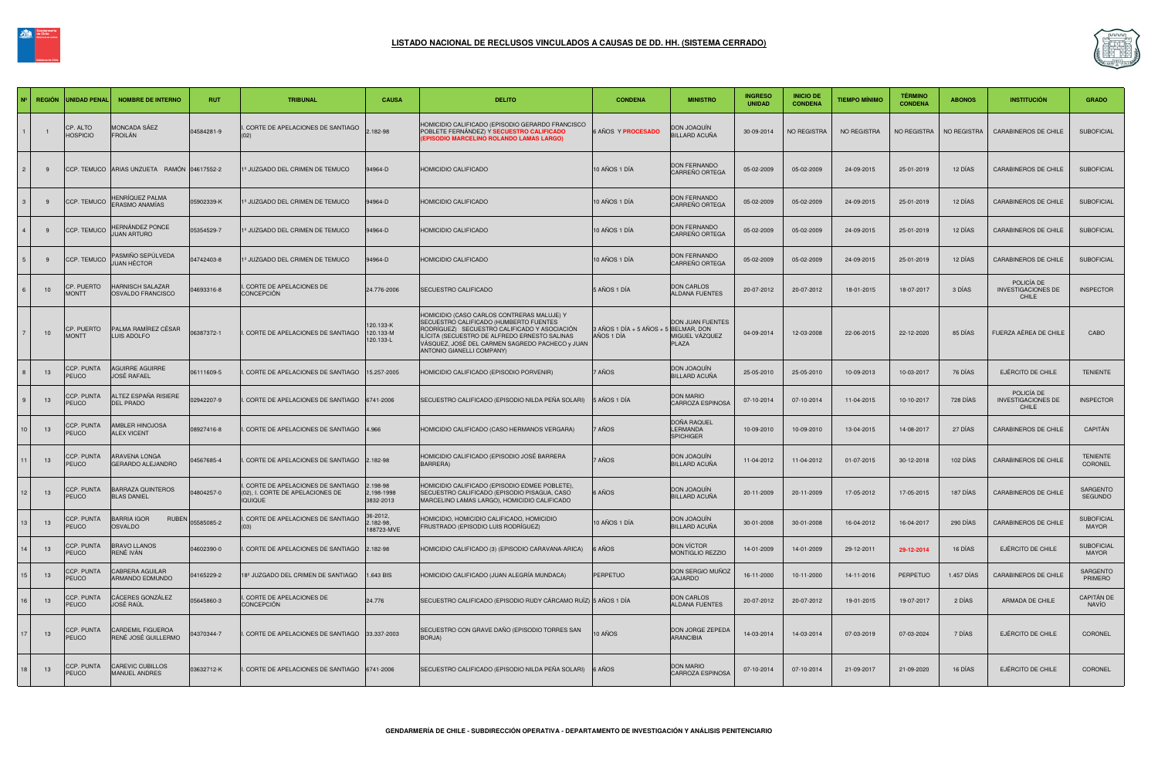



|    | <b>REGIÓN</b> | <b>IINIDAD PENAL</b>             | <b>NOMBRE DE INTERNO</b>                        | <b>RUT</b>       | <b>TRIRIINAI</b>                                                                       | <b>CAUSA</b>                        | <b>DELITO</b>                                                                                                                                                                                                                                                         | <b>CONDENA</b>                                      | <b>MINISTRO</b>                                    | <b>INGRESO</b><br><b>UNIDAD</b> | <b>INICIO DE</b><br><b>CONDENA</b> | ΤΙΕΜΡΩ ΜÍΝΙΜΩ | TÉRMINO<br><b>CONDENA</b> | <b>ABONOS</b> | <b>INSTITUCIÓN</b>                                      | <b>GRADO</b>                      |
|----|---------------|----------------------------------|-------------------------------------------------|------------------|----------------------------------------------------------------------------------------|-------------------------------------|-----------------------------------------------------------------------------------------------------------------------------------------------------------------------------------------------------------------------------------------------------------------------|-----------------------------------------------------|----------------------------------------------------|---------------------------------|------------------------------------|---------------|---------------------------|---------------|---------------------------------------------------------|-----------------------------------|
|    |               | CP. ALTO<br><b>HOSPICIO</b>      | <b>MONCADA SÁEZ</b><br>FROILÁN                  | 04584281-9       | CORTE DE APELACIONES DE SANTIAGO                                                       | .182-98                             | HOMICIDIO CALIFICADO (EPISODIO GERARDO FRANCISCO<br>POBLETE FERNÁNDEZ) Y SECUESTRO CALIFICADO<br>EPISODIO MARCELINO ROLANDO LAMAS LARGO)                                                                                                                              | 6 AÑOS Y PROCESADO                                  | DON JOAQUÍN<br>BILLARD ACUÑA                       | 30-09-2014                      | NO REGISTRA                        | NO REGISTRA   | NO REGISTRA               | NO REGISTRA   | CARABINEROS DE CHILE                                    | <b>SUBOFICIAL</b>                 |
| 2  | 9             |                                  | CCP. TEMUCO ARIAS UNZUETA RAMÓN 04617552-2      |                  | <sup>9</sup> JUZGADO DEL CRIMEN DE TEMUCO                                              | 94964-D                             | HOMICIDIO CALIFICADO                                                                                                                                                                                                                                                  | 10 AÑOS 1 DÍA                                       | DON FERNANDO<br>CARREÑO ORTEGA                     | 05-02-2009                      | 05-02-2009                         | 24-09-2015    | 25-01-2019                | 12 DÍAS       | CARABINEROS DE CHILE                                    | <b>SUBOFICIAL</b>                 |
|    | -9            | CCP. TEMUCO                      | <b>HENRÍQUEZ PALMA</b><br><b>ERASMO ANAMÍAS</b> | 05902339-K       | <b>JUZGADO DEL CRIMEN DE TEMUCO</b>                                                    | 94964-D                             | HOMICIDIO CALIFICADO                                                                                                                                                                                                                                                  | 10 AÑOS 1 DÍA                                       | DON FERNANDO<br>CARREÑO ORTEGA                     | 05-02-2009                      | 05-02-2009                         | 24-09-2015    | 25-01-2019                | 12 DIAS       | CARABINEROS DE CHILE                                    | <b>SUBOFICIAL</b>                 |
|    | 9             | CCP. TEMUCO                      | <b>HERNÁNDEZ PONCE</b><br><b>JUAN ARTURO</b>    | 05354529-7       | <sup>9</sup> JUZGADO DEL CRIMEN DE TEMUCO                                              | 94964-D                             | HOMICIDIO CALIFICADO                                                                                                                                                                                                                                                  | 10 AÑOS 1 DÍA                                       | DON FERNANDO<br>CARREÑO ORTEGA                     | 05-02-2009                      | 05-02-2009                         | 24-09-2015    | 25-01-2019                | 12 DÍAS       | CARABINEROS DE CHILE                                    | <b>SUBOFICIAL</b>                 |
|    | 9             | CCP. TEMUCO                      | PASMIÑO SEPÚLVEDA<br><b>JUAN HÉCTOR</b>         | 04742403-8       | <sup>9</sup> JUZGADO DEL CRIMEN DE TEMUCO                                              | 94964-D                             | HOMICIDIO CALIFICADO                                                                                                                                                                                                                                                  | 10 AÑOS 1 DÍA                                       | DON FERNANDO<br>CARREÑO ORTEGA                     | 05-02-2009                      | 05-02-2009                         | 24-09-2015    | 25-01-2019                | 12 DÍAS       | CARABINEROS DE CHILE                                    | <b>SUBOFICIAL</b>                 |
|    | 10            | CP. PUERTO<br><b>MONTT</b>       | HARNISCH SALAZAR<br>OSVALDO FRANCISCO           | 04693316-8       | CORTE DE APELACIONES DE<br>CONCEPCIÓN                                                  | 24.776-2006                         | SECUESTRO CALIFICADO                                                                                                                                                                                                                                                  | 5 AÑOS 1 DÍA                                        | <b>DON CARLOS</b><br>ALDANA FUENTES                | 20-07-2012                      | 20-07-2012                         | 18-01-2015    | 18-07-2017                | 3 DÍAS        | POLICÍA DE<br><b>INVESTIGACIONES DE</b><br>CHILE        | <b>INSPECTOR</b>                  |
|    | 10            | CP. PUERTO<br><b>MONTT</b>       | PALMA RAMÍREZ CÉSAR<br>LUIS ADOLFO              | 06387372-1       | CORTE DE APELACIONES DE SANTIAGO                                                       | 120.133-K<br>120.133-M<br>120.133-L | HOMICIDIO (CASO CARLOS CONTRERAS MALUJE) Y<br>SECUESTRO CALIFICADO (HUMBERTO FUENTES<br>RODRÍGUEZ) SECUESTRO CALIFICADO Y ASOCIACIÓN<br>ILÍCITA (SECUESTRO DE ALFREDO ERNESTO SALINAS<br>VÁSQUEZ, JOSÉ DEL CARMEN SAGREDO PACHECO y JUAN<br>ANTONIO GIANELLI COMPANY) | 3 AÑOS 1 DÍA + 5 AÑOS + 5 BELMAR, DON<br>AÑOS 1 DÍA | <b>DON JUAN FUENTES</b><br>MIGUEL VÁZQUEZ<br>PLAZA | 04-09-2014                      | 12-03-2008                         | 22-06-2015    | 22-12-2020                | 85 DIAS       | FUERZA AÉREA DE CHILE                                   | CABO                              |
|    | 13            | CCP. PUNTA<br>PEUCO              | <b>AGUIRRE AGUIRRE</b><br><b>JOSÉ RAFAEL</b>    | 06111609-5       | CORTE DE APELACIONES DE SANTIAGO                                                       | 15.257-2005                         | HOMICIDIO CALIFICADO (EPISODIO PORVENIR)                                                                                                                                                                                                                              | 7 AÑOS                                              | DON JOAQUÍN<br><b>BILLARD ACUÑA</b>                | 25-05-2010                      | 25-05-2010                         | 10-09-2013    | 10-03-2017                | 76 DÍAS       | EJÉRCITO DE CHILE                                       | <b>TENIENTE</b>                   |
|    | 13            | <b>CP. PUNTA</b><br><b>EUCO</b>  | ALTEZ ESPAÑA RISIERE<br><b>DEL PRADO</b>        | 02942207-9       | CORTE DE APELACIONES DE SANTIAGO 6741-2006                                             |                                     | SECUESTRO CALIFICADO (EPISODIO NILDA PEÑA SOLARI)                                                                                                                                                                                                                     | 5 AÑOS 1 DÍA                                        | <b>DON MARIO</b><br>CARROZA ESPINOSA               | 07-10-2014                      | 07-10-2014                         | 11-04-2015    | 10-10-2017                | 728 DÍAS      | POLICÍA DE<br><b>INVESTIGACIONES DE</b><br><b>CHILE</b> | <b>INSPECTOR</b>                  |
| 10 | 13            | <b>CP. PUNTA</b><br><b>EUCO</b>  | AMBLER HINOJOSA<br><b>ALEX VICENT</b>           | 08927416-8       | CORTE DE APELACIONES DE SANTIAGO                                                       | 4.966                               | HOMICIDIO CALIFICADO (CASO HERMANOS VERGARA)                                                                                                                                                                                                                          | 7 AÑOS                                              | DOÑA RAQUEL<br>LERMANDA<br>SPICHIGER               | 10-09-2010                      | 10-09-2010                         | 13-04-2015    | 14-08-2017                | 27 DÍAS       | CARABINEROS DE CHILE                                    | CAPITÁN                           |
|    | 13            | CCP. PUNTA<br>PEUCO              | ARAVENA LONGA<br>GERARDO ALEJANDRO              | 04567685-4       | CORTE DE APELACIONES DE SANTIAGO                                                       | 2.182-98                            | HOMICIDIO CALIFICADO (EPISODIO JOSÉ BARRERA<br>BARRERA)                                                                                                                                                                                                               | 7 AÑOS                                              | DON JOAQUÍN<br><b>BILLARD ACUÑA</b>                | 11-04-2012                      | 11-04-2012                         | 01-07-2015    | 30-12-2018                | 102 DÍAS      | CARABINEROS DE CHILE                                    | <b>TENIENTE</b><br>CORONEL        |
| 12 | 13            | CCP, PUNTA<br><b>PEUCO</b>       | <b>BARRAZA QUINTEROS</b><br><b>BLAS DANIEL</b>  | 04804257-0       | CORTE DE APELACIONES DE SANTIAGO<br>(02), I. CORTE DE APELACIONES DE<br><b>IQUIQUE</b> | 2.198-98<br>2,198-1998<br>3832-2013 | HOMICIDIO CALIFICADO (EPISODIO EDMEE POBLETE)<br>SECUESTRO CALIFICADO (EPISODIO PISAGUA, CASO<br>MARCELINO LAMAS LARGO), HOMICIDIO CALIFICADO                                                                                                                         | 6 AÑOS                                              | DON JOAQUÍN<br><b>BILLARD ACUÑA</b>                | 20-11-2009                      | 20-11-2009                         | 17-05-2012    | 17-05-2015                | 187 DÍAS      | CARABINEROS DE CHILE                                    | <b>SARGENTO</b><br>SEGUNDO        |
| 13 | 13            | <b>CP. PUNTA</b><br><b>PEUCO</b> | <b>BARRÍA IGOR</b><br>OSVALDO                   | RUBÉN 05585085-2 | CORTE DE APELACIONES DE SANTIAGO                                                       | 36-2012,<br>.182-98.<br>188723-MVE  | HOMICIDIO, HOMICIDIO CALIFICADO, HOMICIDIO<br>FRUSTRADO (EPISODIO LUIS RODRÍGUEZ)                                                                                                                                                                                     | 10 AÑOS 1 DÍA                                       | DON JOAQUÍN<br><b>BILLARD ACUÑA</b>                | 30-01-2008                      | 30-01-2008                         | 16-04-2012    | 16-04-2017                | 290 DÍAS      | CARABINEROS DE CHILE                                    | <b>SUBOFICIAL</b><br><b>MAYOR</b> |
| 14 | 13            | CCP. PUNTA<br><b>FUCO</b>        | <b>BRAVO LLANOS</b><br>RENÉ IVÁN                | 04602390-0       | CORTE DE APELACIONES DE SANTIAGO                                                       | 2.182-98                            | HOMICIDIO CALIFICADO (3) (EPISODIO CARAVANA-ARICA)                                                                                                                                                                                                                    | 6 AÑOS                                              | <b>DON VICTOR</b><br>MONTIGLIO REZZIO              | 14-01-2009                      | 14-01-2009                         | 29-12-2011    | 29-12-2014                | 16 DÍAS       | EJÉRCITO DE CHILE                                       | <b>SUBOFICIAL</b><br><b>MAYOR</b> |
| 15 | 13            | <b>CP. PUNTA</b><br><b>EUCO</b>  | CABRERA AGUILAR<br>ARMANDO EDMUNDO              | 04165229-2       | 8º JUZGADO DEL CRIMEN DE SANTIAGO                                                      | .643 BIS                            | HOMICIDIO CALIFICADO (JUAN ALEGRÍA MUNDACA)                                                                                                                                                                                                                           | <b>PERPETUO</b>                                     | DON SERGIO MUÑOZ<br>GAJARDO                        | 16-11-2000                      | 10-11-2000                         | 14-11-2016    | PERPETUO                  | 1.457 DÍAS    | CARABINEROS DE CHILE                                    | SARGENTO<br>PRIMERO               |
| 16 | 13            | CCP. PUNTA<br><b>EUCO</b>        | CÁCERES GONZÁLEZ<br>JOSÉ RAÚL                   | 05645860-3       | CORTE DE APELACIONES DE<br><b>CONCEPCIÓN</b>                                           | 24.776                              | SECUESTRO CALIFICADO (EPISODIO RUDY CÁRCAMO RUÍZ) 5 AÑOS 1 DÍA                                                                                                                                                                                                        |                                                     | <b>DON CARLOS</b><br><b>ALDANA FUENTES</b>         | 20-07-2012                      | 20-07-2012                         | 19-01-2015    | 19-07-2017                | 2 DÍAS        | ARMADA DE CHILE                                         | CAPITÁN DE<br>NAVÍO               |
| 17 | 13            | CCP. PUNTA<br>PEUCO              | CARDEMIL FIGUEROA<br>RENÉ JOSÉ GUILLERMO        | 04370344-7       | CORTE DE APELACIONES DE SANTIAGO                                                       | 33.337-2003                         | SECUESTRO CON GRAVE DAÑO (EPISODIO TORRES SAN<br>BORJA)                                                                                                                                                                                                               | 10 AÑOS                                             | DON JORGE ZEPEDA<br>ARANCIBIA                      | 14-03-2014                      | 14-03-2014                         | 07-03-2019    | 07-03-2024                | 7 DÍAS        | EJÉRCITO DE CHILE                                       | CORONEL                           |
| 18 | 13            | CCP. PUNTA<br>PEUCO              | <b>CAREVIC CUBILLOS</b><br>MANUEL ANDRES        | 03632712-K       | CORTE DE APELACIONES DE SANTIAGO 6741-2006                                             |                                     | SECUESTRO CALIFICADO (EPISODIO NILDA PEÑA SOLARI)                                                                                                                                                                                                                     | 6 AÑOS                                              | <b>DON MARIO</b><br><b>CARROZA ESPINOSA</b>        | 07-10-2014                      | 07-10-2014                         | 21-09-2017    | 21-09-2020                | 16 DÍAS       | EJÉRCITO DE CHILE                                       | CORONEL                           |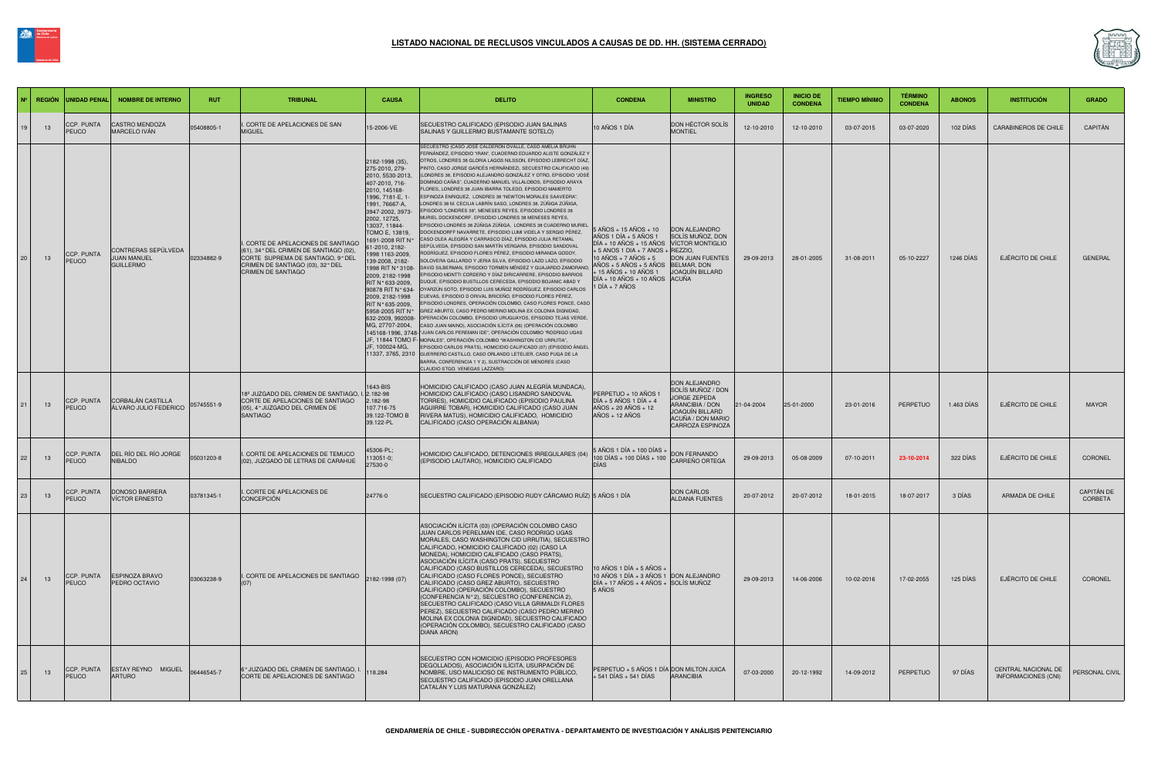



|    |    | <b>REGIÓN UNIDAD PENAL</b> | <b>NOMBRE DE INTERNO</b>                               | <b>RUT</b> | <b>TRIBUNAL</b>                                                                                                                                                           | <b>CAUSA</b>                                                                                                                                                                                                                                                                                                                                                                                                                                                                         | DELITO                                                                                                                                                                                                                                                                                                                                                                                                                                                                                                                                                                                                                                                                                                                                                                                                                                                                                                                                                                                                                                                                                                                                                                                                                                                                                                                                                                                                                                                                                                                                                                                                                                                                                                                                                                                                                                                                                                                                                                                                                                                                                                    | <b>CONDENA</b>                                                                                                                                                                                                                                                                         | <b>MINISTRO</b>                                                                                                                   | <b>INGRESO</b><br><b>UNIDAD</b> | <b>INICIO DE</b><br><b>CONDENA</b> | <b>TIEMPO MÍNIMO</b> | TÉRMINO<br><b>CONDENA</b> | <b>ABONOS</b> | <b>INSTITUCIÓN</b>                                | <b>GRADO</b>          |
|----|----|----------------------------|--------------------------------------------------------|------------|---------------------------------------------------------------------------------------------------------------------------------------------------------------------------|--------------------------------------------------------------------------------------------------------------------------------------------------------------------------------------------------------------------------------------------------------------------------------------------------------------------------------------------------------------------------------------------------------------------------------------------------------------------------------------|-----------------------------------------------------------------------------------------------------------------------------------------------------------------------------------------------------------------------------------------------------------------------------------------------------------------------------------------------------------------------------------------------------------------------------------------------------------------------------------------------------------------------------------------------------------------------------------------------------------------------------------------------------------------------------------------------------------------------------------------------------------------------------------------------------------------------------------------------------------------------------------------------------------------------------------------------------------------------------------------------------------------------------------------------------------------------------------------------------------------------------------------------------------------------------------------------------------------------------------------------------------------------------------------------------------------------------------------------------------------------------------------------------------------------------------------------------------------------------------------------------------------------------------------------------------------------------------------------------------------------------------------------------------------------------------------------------------------------------------------------------------------------------------------------------------------------------------------------------------------------------------------------------------------------------------------------------------------------------------------------------------------------------------------------------------------------------------------------------------|----------------------------------------------------------------------------------------------------------------------------------------------------------------------------------------------------------------------------------------------------------------------------------------|-----------------------------------------------------------------------------------------------------------------------------------|---------------------------------|------------------------------------|----------------------|---------------------------|---------------|---------------------------------------------------|-----------------------|
| 19 | 13 | CCP. PUNTA<br>PEUCO        | <b>CASTRO MENDOZA</b><br>MARCELO IVÁN                  | 05408805-1 | CORTE DE APELACIONES DE SAN<br><b>MIGUEL</b>                                                                                                                              | 15-2006-VE                                                                                                                                                                                                                                                                                                                                                                                                                                                                           | SECUESTRO CALIFICADO (EPISODIO JUAN SALINAS<br>SALINAS Y GUILLERMO BUSTAMANTE SOTELO)                                                                                                                                                                                                                                                                                                                                                                                                                                                                                                                                                                                                                                                                                                                                                                                                                                                                                                                                                                                                                                                                                                                                                                                                                                                                                                                                                                                                                                                                                                                                                                                                                                                                                                                                                                                                                                                                                                                                                                                                                     | 10 AÑOS 1 DÍA                                                                                                                                                                                                                                                                          | DON HÉCTOR SOLÍS<br><b>MONTIEL</b>                                                                                                | 12-10-2010                      | 12-10-2010                         | 03-07-2015           | 03-07-2020                | 102 DÍAS      | CARABINEROS DE CHILE                              | CAPITÁN               |
| 20 | 13 | CCP. PUNTA<br>PEUCO        | CONTRERAS SEPÚLVEDA<br><b>JUAN MANUEL</b><br>GUILLERMO | 02334882-9 | CORTE DE APELACIONES DE SANTIAGO<br>(61), 34° DEL CRIMEN DE SANTIAGO (02),<br>CORTE SUPREMA DE SANTIAGO, 9° DEL<br>CRIMEN DE SANTIAGO (03), 32° DEL<br>CRIMEN DE SANTIAGO | 2182-1998 (35),<br>275-2010, 279-<br>2010, 5530-2013,<br>407-2010, 716-<br>2010. 145168-<br>1996, 7181-E, 1-<br>1991, 76667-A,<br>3947-2002, 3973-<br>2002, 12725,<br>13037, 11844-<br>TOMO E. 13819.<br>1691-2008 RIT N°<br>61-2010, 2182-<br>998 1163-2009,<br>139-2008, 2182-<br>1998 RIT N° 3108-<br>2009.2182-1998<br>RIT N° 633-2009.<br>90878 RIT N° 634-<br>2009, 2182-1998<br>RIT N°635-2009.<br>5958-2005 RIT N°<br>632-2009, 992008-<br>MG, 27707-2004,<br>JF. 100024-MG, | SECUESTRO (CASO JOSÉ CALDERÓN OVALLE, CASO AMELIA BRUHN<br>FERNÁNDEZ, EPISODIO "IRAN", CUADERNO EDUARDO ALISTE GONZÁLEZ Y<br>OTROS, LONDRES 38 GLORIA LAGOS NILSSON, EPISODIO LEBRECHT DÍAZ.<br>PINTO, CASO JORGE GARCÉS HERNÁNDEZ), SECUESTRO CALIFICADO (49)<br>(LONDRES 38, EPISODIO ALEJANDRO GONZÁLEZ Y OTRO, EPISODIO "JOSÉ<br>DOMINGO CAÑAS", CUADERNO MANUEL VILLALOBOS, EPISODIO ARAYA<br>FLORES, LONDRES 38 JUAN IBARRA TOLEDO, EPISODIO MAMERTO<br>ESPINOZA ENRIQUEZ, LONDRES 38 "NEWTON MORALES SAAVEDRA",<br>LONDRES 38 M. CECILIA LABRÍN SASO, LONDRES 38, ZÚÑIGA ZÚÑIGA,<br>EPISODIO "LONDRES 38", MENESES REYES, EPISODIO LONDRES 38<br>MURIEL DOCKENDORF, EPISODIO LONDRES 38 MENESES REYES,<br>EPISODIO LONDRES 38 ZÚÑIGA ZÚÑIGA. LONDRES 38 CUADERNO MURIEI<br>DOCKENDORFF NAVARRETE, EPISODIO LUMI VIDELA Y SERGIO PÉREZ,<br>CASO OLEA ALEGRÍA Y CARRASCO DÍAZ. EPISODIO JULIA RETAMAL<br>SEPÚLVEDA, EPISODIO SAN MARTÍN VERGARA, EPISODIO SANDOVAL<br>RODRÍGUEZ, EPISODIO FLORES PÉREZ, EPISODIO MIRANDA GODOY,<br>SOLOVERA GALLARDO Y JERIA SILVA, EPISODIO LAZO LAZO, EPISODIO<br>DAVID SILBERMAN, EPISODIO TORMEN MÉNDEZ Y GUAJARDO ZAMORANO<br>EPISODIO MONTTI CORDERO Y DÍAZ DIRICARRERE, EPISODIO BARRIOS<br>DUQUE, EPISODIO BUSTILLOS CERECEDA, EPISODIO BOJANIC ABAD Y<br>OYARZÚN SOTO, EPISODIO LUIS MUÑOZ RODRÍGUEZ, EPISODIO CARLOS<br>CUEVAS, EPISODIO D ORIVAL BRICEÑO, EPISODIO FLORES PÉREZ,<br>EPISODIO LONDRES, OPERACIÓN COLOMBO, CASO FLORES PONCE, CASO<br>GREZ ABURTO, CASO PEDRO MERINO MOLINA EX COLONIA DIGNIDAD,<br>OPERACIÓN COLOMBO, EPISODIO URUGUAYOS, EPISODIO TEJAS VERDE<br>CASO JUAN MAINO), ASOCIACIÓN ILÍCITA (06) (OPERACIÓN COLOMBO<br>145168-1996, 3748- JUAN CARLOS PEREMAN IDE", OPERACIÓN COLOMBO "RODRIGO UGAS<br>JF, 11844 TOMO F- MORALES", OPERACIÓN COLOMBO "WASHINGTON CID URRUTIA",<br>EPISODIO CARLOS PRATS), HOMICIDIO CALIFICADO (07) (EPISODIO ÁNGEL<br>11337, 3765, 2310 GUERRERO CASTILLO, CASO ORLANDO LETELIER, CASO PUGA DE LA<br>BARRA, CONFERENCIA 1 Y 2), SUSTRACCIÓN DE MENORES (CASO<br>CLAUDIO STGO. VENEGAS LAZZARO) | $5 AÑOS + 15 AÑOS + 10$<br>$AÑOS 1 DÍA + 5 AÑOS 1$<br>$DÍA + 10 AÑOS + 15 AÑOS$<br>$+ 5$ AÑOS 1 DÍA + 7 AÑOS + REZZIO,<br>10 AÑOS + 7 AÑOS + 5<br>$AÑOS + 5 AÑOS + 5 AÑOS$ BELMAR, DON<br>+ 15 AÑOS + 10 AÑOS 1<br>$DÍA + 10 AÑOS + 10 AÑOS$ ACUÑA<br>$1 \text{ DÍA} + 7 \text{ AÑOS}$ | <b>DON ALEJANDRO</b><br>SOLÍS MUÑOZ, DON<br>VÍCTOR MONTIGLIO<br><b>DON JUAN FUENTES</b><br>JOAQUÍN BILLARD                        | 29-09-2013                      | 28-01-2005                         | 31-08-2011           | 05-10-2227                | 1246 DÍAS     | EJÉRCITO DE CHILE                                 | <b>GENERAL</b>        |
| 21 | 13 | CCP. PUNTA<br>PEUCO        | CORBALÁN CASTILLA<br>ÁLVARO JULIO FEDERICO             | 05745551-9 | 18º JUZGADO DEL CRIMEN DE SANTIAGO, I<br>CORTE DE APELACIONES DE SANTIAGO<br>(05), 4° JUZGADO DEL CRIMEN DE<br>SANTIAGO                                                   | 643-BIS<br>$1.2.182 - 98$<br>2.182-98<br>107.716-75<br>39.122-TOMO B<br>39.122-PL                                                                                                                                                                                                                                                                                                                                                                                                    | HOMICIDIO CALIFICADO (CASO JUAN ALEGRÍA MUNDACA),<br>HOMICIDIO CALIFICADO (CASO LISANDRO SANDOVAL<br>TORRES), HOMICIDIO CALIFICADO (EPISODIO PAULINA<br>AGUIRRE TOBAR), HOMICIDIO CALIFICADO (CASO JUAN<br>RIVERA MATUS), HOMICIDIO CALIFICADO, HOMICIDIO<br>CALIFICADO (CASO OPERACIÓN ALBANIA)                                                                                                                                                                                                                                                                                                                                                                                                                                                                                                                                                                                                                                                                                                                                                                                                                                                                                                                                                                                                                                                                                                                                                                                                                                                                                                                                                                                                                                                                                                                                                                                                                                                                                                                                                                                                          | PERPETUO + 10 AÑOS 1<br>$DÍA + 5 AÑOS 1 DÍA + 4$<br>$AÑOS + 20 AÑOS + 12$<br>$AÑOS + 12 AÑOS$                                                                                                                                                                                          | DON ALEJANDRO<br>SOLÍS MUÑOZ / DON<br>JORGE ZEPEDA<br>ARANCIBIA / DON<br>JOAQUÍN BILLARD<br>ACUÑA / DON MARIO<br>CARROZA ESPINOZA | 21-04-2004                      | 25-01-2000                         | 23-01-2016           | PERPETUO                  | 1.463 DÍAS    | EJÉRCITO DE CHILE                                 | <b>MAYOR</b>          |
| 22 | 13 | CCP. PUNTA<br>PEUCO        | DEL RÍO DEL RÍO JORGE<br>NIBAL DO                      | 05031203-8 | . CORTE DE APELACIONES DE TEMUCO<br>(02), JUZGADO DE LETRAS DE CARAHUE                                                                                                    | 15306-PL:<br>13051-0;<br>27530-0                                                                                                                                                                                                                                                                                                                                                                                                                                                     | HOMICIDIO CALIFICADO, DETENCIONES IRREGULARES (04)<br>(EPISODIO LAUTARO), HOMICIDIO CALIFICADO                                                                                                                                                                                                                                                                                                                                                                                                                                                                                                                                                                                                                                                                                                                                                                                                                                                                                                                                                                                                                                                                                                                                                                                                                                                                                                                                                                                                                                                                                                                                                                                                                                                                                                                                                                                                                                                                                                                                                                                                            | 5 AÑOS 1 DÍA + 100 DÍAS -<br>100 $DIAS + 100 DIAS + 100$<br><b>DÍAS</b>                                                                                                                                                                                                                | DON FERNANDO<br>CARREÑO ORTEGA                                                                                                    | 29-09-2013                      | 05-08-2009                         | 07-10-2011           | 23-10-2014                | 322 DÍAS      | EJÉRCITO DE CHILE                                 | CORONEL               |
| 23 | 13 | CCP. PUNTA<br>PEUCO        | DONOSO BARRERA<br><b>VÍCTOR ERNESTO</b>                | 03781345-1 | CORTE DE APELACIONES DE<br>CONCEPCIÓN                                                                                                                                     | 24776-0                                                                                                                                                                                                                                                                                                                                                                                                                                                                              | SECUESTRO CALIFICADO (EPISODIO RUDY CÁRCAMO RUÍZ) 5 AÑOS 1 DÍA                                                                                                                                                                                                                                                                                                                                                                                                                                                                                                                                                                                                                                                                                                                                                                                                                                                                                                                                                                                                                                                                                                                                                                                                                                                                                                                                                                                                                                                                                                                                                                                                                                                                                                                                                                                                                                                                                                                                                                                                                                            |                                                                                                                                                                                                                                                                                        | DON CARLOS<br><b>ALDANA FUENTES</b>                                                                                               | 20-07-2012                      | 20-07-2012                         | 18-01-2015           | 18-07-2017                | 3 DÍAS        | ARMADA DE CHILE                                   | CAPITÁN DE<br>CORBETA |
| 24 | 13 | CCP. PUNTA<br>PEUCO        | <b>ESPINOZA BRAVO</b><br>PEDRO OCTAVIO                 | 03063238-9 | . CORTE DE APELACIONES DE SANTIAGO                                                                                                                                        | 2182-1998 (07)                                                                                                                                                                                                                                                                                                                                                                                                                                                                       | ASOCIACIÓN ILÍCITA (03) (OPERACIÓN COLOMBO CASO<br>JUAN CARLOS PERELMAN IDE, CASO RODRIGO UGAS<br>MORALES, CASO WASHINGTON CID URRUTIA), SECUESTRO<br>CALIFICADO, HOMICIDIO CALIFICADO (02) (CASO LA<br>MONEDA), HOMICIDIO CALIFICADO (CASO PRATS),<br>ASOCIACIÓN ILÍCITA (CASO PRATS), SECUESTRO<br>CALIFICADO (CASO BUSTILLOS CERECEDA), SECUESTRO<br>CALIFICADO (CASO FLORES PONCE), SECUESTRO<br>CALIFICADO (CASO GREZ ABURTO), SECUESTRO<br>CALIFICADO (OPERACIÓN COLOMBO), SECUESTRO<br>(CONFERENCIA N°2), SECUESTRO (CONFERENCIA 2),<br>SECUESTRO CALIFICADO (CASO VILLA GRIMALDI FLORES<br>PEREZ), SECUESTRO CALIFICADO (CASO PEDRO MERINO<br>MOLINA EX COLONIA DIGNIDAD), SECUESTRO CALIFICADO<br>(OPERACIÓN COLOMBO), SECUESTRO CALIFICADO (CASO<br><b>DIANA ARON)</b>                                                                                                                                                                                                                                                                                                                                                                                                                                                                                                                                                                                                                                                                                                                                                                                                                                                                                                                                                                                                                                                                                                                                                                                                                                                                                                                          | 10 AÑOS 1 DÍA + 5 AÑOS +<br>10 AÑOS 1 DÍA + 3 AÑOS 1 DON ALEJANDRO<br>$DIA + 17 AÑOS + 4 AÑOS +  SOLÍS MUÑOZ$<br>5 AÑOS                                                                                                                                                                |                                                                                                                                   | 29-09-2013                      | 14-06-2006                         | 10-02-2016           | 17-02-2055                | 125 DÍAS      | EJÉRCITO DE CHILE                                 | CORONEL               |
| 25 | 13 | CCP. PUNTA<br>PEUCO        | ESTAY REYNO MIGUEL<br><b>ARTURO</b>                    | 06446545-7 | 6° JUZGADO DEL CRIMEN DE SANTIAGO, I.<br>CORTE DE APELACIONES DE SANTIAGO                                                                                                 | 18.284                                                                                                                                                                                                                                                                                                                                                                                                                                                                               | SECUESTRO CON HOMICIDIO (EPISODIO PROFESORES<br>DEGOLLADOS), ASOCIACIÓN ILÍCITA, USURPACIÓN DE<br>NOMBRE, USO MALICIOSO DE INSTRUMENTO PÚBLICO,<br>SECUESTRO CALIFICADO (EPISODIO JUAN ORELLANA<br>CATALÁN Y LUIS MATURANA GONZÁLEZ)                                                                                                                                                                                                                                                                                                                                                                                                                                                                                                                                                                                                                                                                                                                                                                                                                                                                                                                                                                                                                                                                                                                                                                                                                                                                                                                                                                                                                                                                                                                                                                                                                                                                                                                                                                                                                                                                      | PERPETUO + 5 AÑOS 1 DÍA DON MILTON JUICA<br>+ 541 DÍAS + 541 DÍAS                                                                                                                                                                                                                      | ARANCIBIA                                                                                                                         | 07-03-2000                      | 20-12-1992                         | 14-09-2012           | PERPETUO                  | 97 DÍAS       | CENTRAL NACIONAL DE<br><b>INFORMACIONES (CNI)</b> | PERSONAL CIVIL        |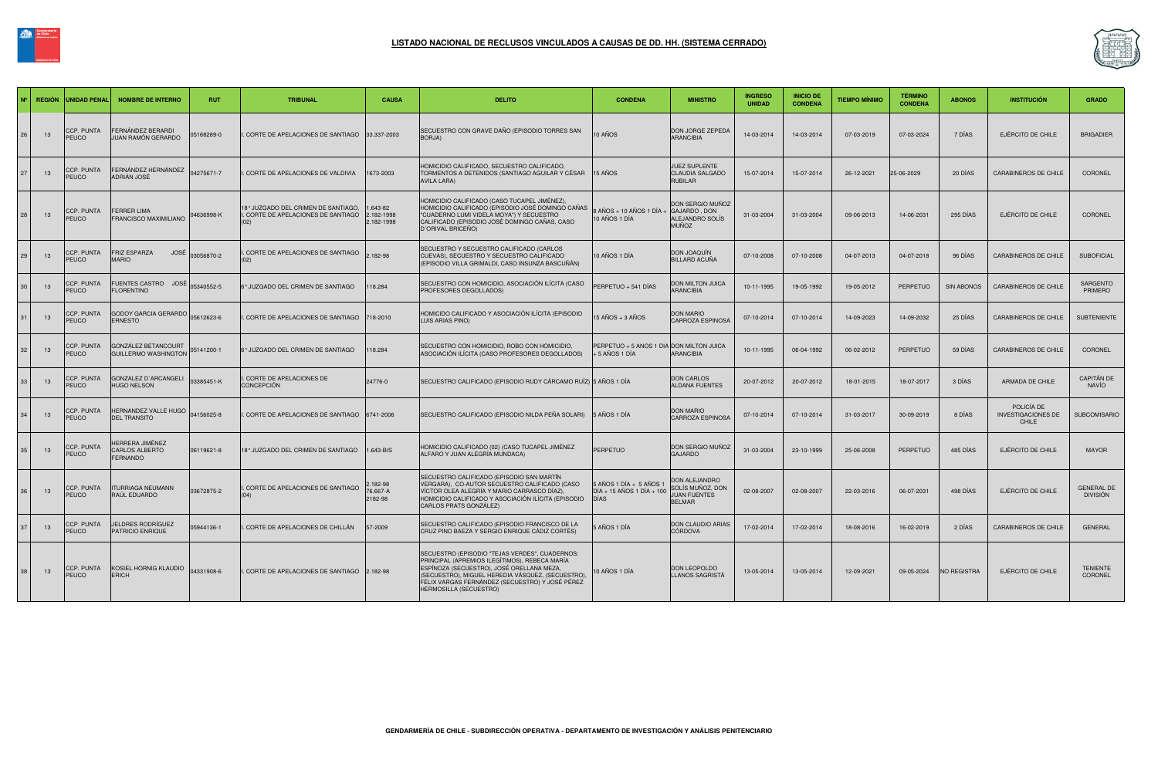



| N <sup>2</sup> | <b>REGIÓN</b> | UNIDAD PENAL                      | <b>NOMBRE DE INTERNO</b>                               | <b>RUT</b>      | <b>TRIBUNAL</b>                                                                 | <b>CAUSA</b>                        | <b>DELITO</b>                                                                                                                                                                                                                                                                  | <b>CONDENA</b>                                                      | <b>MINISTRO</b>                                                                  | <b>INGRESO</b><br><b>UNIDAD</b> | <b>INICIO DE</b><br><b>CONDENA</b> | TIEMPO MÍNIMO | <b>TÉRMINO</b><br><b>CONDENA</b> | <b>ABONOS</b> | <b>INSTITUCIÓN</b>                               | <b>GRADO</b>                         |
|----------------|---------------|-----------------------------------|--------------------------------------------------------|-----------------|---------------------------------------------------------------------------------|-------------------------------------|--------------------------------------------------------------------------------------------------------------------------------------------------------------------------------------------------------------------------------------------------------------------------------|---------------------------------------------------------------------|----------------------------------------------------------------------------------|---------------------------------|------------------------------------|---------------|----------------------------------|---------------|--------------------------------------------------|--------------------------------------|
| 26             | 13            | <b>CCP. PUNTA</b><br>PEUCO        | FERNÁNDEZ BERARDI<br>JUAN RAMÓN GERARDO                | 05168289-0      | CORTE DE APELACIONES DE SANTIAGO                                                | 33.337-2003                         | SECUESTRO CON GRAVE DAÑO (EPISODIO TORRES SAN<br>BORJA)                                                                                                                                                                                                                        | 10 AÑOS                                                             | DON JORGE ZEPEDA<br><b>ARANCIBIA</b>                                             | 14-03-2014                      | 14-03-2014                         | 07-03-2019    | 07-03-2024                       | 7 DÍAS        | EJÉRCITO DE CHILE                                | <b>BRIGADIER</b>                     |
| 27             | 13            | CCP. PUNTA<br>PEUCO               | FERNÁNDEZ HERNÁNDEZ<br>ADRIÁN JOSÉ                     | 04275671-7      | CORTE DE APELACIONES DE VALDIVIA                                                | 1673-2003                           | HOMICIDIO CALIFICADO, SECUESTRO CALIFICADO.<br>TORMENTOS A DETENIDOS (SANTIAGO AGUILAR Y CÉSAR<br><b>AVILA LARA)</b>                                                                                                                                                           | 15 AÑOS                                                             | JUEZ SUPLENTE<br>CLAUDIA SALGADO<br>RUBILAR                                      | 15-07-2014                      | 15-07-2014                         | 26-12-2021    | 25-06-2029                       | 20 DÍAS       | <b>CARABINEROS DE CHILE</b>                      | CORONEL                              |
| 28             | 13            | CCP. PUNTA<br>PEUCO               | <b>FERRER LIMA</b><br>FRANCISCO MAXIMILIANO            | 04636998-K      | 18° JUZGADO DEL CRIMEN DE SANTIAGO,<br>CORTE DE APELACIONES DE SANTIAGO<br>(02) | .643-82<br>2.182-1998<br>2.182-1998 | HOMICIDIO CALIFICADO (CASO TUCAPEL JIMÉNEZ),<br>HOMICIDIO CALIFICADO (EPISODIO JOSÉ DOMINGO CAÑAS<br>"CUADERNO LUMI VIDELA MOYA") Y SECUESTRO<br>CALIFICADO (EPISODIO JOSÉ DOMINGO CAÑAS, CASO<br>D'ORIVAL BRICEÑO)                                                            | 3 AÑOS + 10 AÑOS 1 DÍA<br>10 AÑOS 1 DÍA                             | DON SERGIO MUÑOZ<br>GAJARDO, DON<br>ALEJANDRO SOLÍS<br><b>MUÑOZ</b>              | 31-03-2004                      | 31-03-2004                         | 09-06-2013    | 14-06-2031                       | 295 DÍAS      | EJÉRCITO DE CHILE                                | CORONEL                              |
| 29             | 13            | <b>CCP. PUNTA</b><br>PEUCO        | <b>FRIZ ESPARZA</b><br><b>MARIO</b>                    | JOSÉ 03056870-2 | CORTE DE APELACIONES DE SANTIAGO                                                | .182-98                             | SECUESTRO Y SECUESTRO CALIFICADO (CARLOS<br>CUEVAS), SECUESTRO Y SECUESTRO CALIFICADO<br>(EPISODIO VILLA GRIMALDI, CASO INSUNZA BASCUÑÁN)                                                                                                                                      | 10 AÑOS 1 DÍA                                                       | <b>DON JOAQUIN</b><br><b>BILLARD ACUÑA</b>                                       | 07-10-2008                      | 07-10-2008                         | 04-07-2013    | 04-07-2018                       | 96 DÍAS       | <b>CARABINEROS DE CHILE</b>                      | <b>SUBOFICIAL</b>                    |
| 30             | 13            | CCP. PUNTA<br>PEUCO               | FUENTES CASTRO JOSÉ 05340552-5<br><b>FLORENTINO</b>    |                 | 6° JUZGADO DEL CRIMEN DE SANTIAGO                                               | 18.284                              | SECUESTRO CON HOMICIDIO, ASOCIACIÓN ILÍCITA (CASO<br>PROFESORES DEGOLLADOS)                                                                                                                                                                                                    | PERPETUO + 541 DÍAS                                                 | DON MILTON JUICA<br><b>ARANCIBIA</b>                                             | 10-11-1995                      | 19-05-1992                         | 19-05-2012    | PERPETUO                         | SIN ABONOS    | CARABINEROS DE CHILE                             | SARGENTO<br>PRIMERO                  |
| 31             | 13            | CCP. PUNTA<br>PEUCO               | GODOY GARCIA GERARDO 05612623-6<br><b>ERNESTO</b>      |                 | CORTE DE APELACIONES DE SANTIAGO                                                | 718-2010                            | HOMICIDO CALIFICADO Y ASOCIACIÓN ILÍCITA (EPISODIO<br>LUIS ARIAS PINO)                                                                                                                                                                                                         | 15 AÑOS + 3 AÑOS                                                    | <b>DON MARIO</b><br><b>CARROZA ESPINOSA</b>                                      | 07-10-2014                      | 07-10-2014                         | 14-09-2023    | 14-09-2032                       | 25 DÍAS       | CARABINEROS DE CHILE                             | <b>SUBTENIENTE</b>                   |
| 32             | 13            | CCP. PUNTA<br>PEUCO               | GONZÁLEZ BETANCOURT<br>GUILLERMO WASHINGTON 05141200-1 |                 | 6° JUZGADO DEL CRIMEN DE SANTIAGO                                               | 18.284                              | SECUESTRO CON HOMICIDIO, ROBO CON HOMICIDIO,<br>ASOCIACIÓN ILÍCITA (CASO PROFESORES DEGOLLADOS)                                                                                                                                                                                | PERPETUO + 5 AÑOS 1 DÍA DON MILTON JUICA<br>+ 5 AÑOS 1 DÍA          | <b>ARANCIBIA</b>                                                                 | 10-11-1995                      | 06-04-1992                         | 06-02-2012    | PERPETUO                         | 59 DIAS       | CARABINEROS DE CHILE                             | CORONEL                              |
| 33             | 13            | CCP, PUNTA<br>PEUCO               | <b>GONZALEZ D'ARCANGELI</b><br><b>HUGO NELSON</b>      | 03385451-K      | CORTE DE APELACIONES DE<br><b>CONCEPCIÓN</b>                                    | 24776-0                             | SECUESTRO CALIFICADO (EPISODIO RUDY CÁRCAMO RUÍZ) 5 AÑOS 1 DÍA                                                                                                                                                                                                                 |                                                                     | <b>DON CARLOS</b><br><b>ALDANA FUENTES</b>                                       | 20-07-2012                      | 20-07-2012                         | 18-01-2015    | 18-07-2017                       | 3 DÍAS        | ARMADA DE CHILE                                  | CAPITÁN DE<br><b>NAVIO</b>           |
| 34             | 13            | <b>CCP. PUNTA</b><br>PEUCO        | HERNANDEZ VALLE HUGO 04156025-8<br><b>DEL TRANSITO</b> |                 | CORTE DE APELACIONES DE SANTIAGO                                                | 6741-2006                           | SECUESTRO CALIFICADO (EPISODIO NILDA PEÑA SOLARI)                                                                                                                                                                                                                              | 5 AÑOS 1 DÍA                                                        | <b>DON MARIO</b><br>CARROZA ESPINOSA                                             | 07-10-2014                      | 07-10-2014                         | 31-03-2017    | 30-09-2019                       | 8 DÍAS        | POLICÍA DE<br><b>INVESTIGACIONES DE</b><br>CHILE | <b>SUBCOMISARIO</b>                  |
| 35             | 13            | CCP. PUNTA<br>PEUCO               | HERRERA JIMÉNEZ<br>CARLOS ALBERTO<br><b>FERNANDO</b>   | 06119621-8      | 18° JUZGADO DEL CRIMEN DE SANTIAGO                                              | .643-BIS                            | HOMICIDIO CALIFICADO (02) (CASO TUCAPEL JIMÉNEZ<br>ALFARO Y JUAN ALEGRÍA MUNDACA)                                                                                                                                                                                              | <b>PERPETUO</b>                                                     | DON SERGIO MUNOZ<br><b>GAJARDO</b>                                               | 31-03-2004                      | 23-10-1999                         | 25-06-2008    | PERPETUO                         | 485 DÍAS      | EJÉRCITO DE CHILE                                | <b>MAYOR</b>                         |
| 36             | 13            | CCP. PUNTA<br>PEUCO               | <b>ITURRIAGA NEUMANN</b><br>RAÚL EDUARDO               | 03672875-2      | CORTE DE APELACIONES DE SANTIAGO                                                | 182-98<br>$6.667 - A$<br>2182-98    | SECUESTRO CALIFICADO (EPISODIO SAN MARTÍN<br>VERGARA), CO-AUTOR SECUESTRO CALIFICADO (CASO<br>VÍCTOR OLEA ALEGRÍA Y MARIO CARRASCO DÍAZ),<br>HOMICIDIO CALIFICADO Y ASOCIACIÓN ILÍCITA (EPISODIO<br>CARLOS PRATS GONZÁLEZ)                                                     | 5 AÑOS 1 DÍA + 5 AÑOS 1<br>DÍA + 15 AÑOS 1 DÍA + 100<br><b>DÍAS</b> | <b>DON ALEJANDRO</b><br>SOLÍS MUÑOZ, DON<br><b>JUAN FUENTES</b><br><b>BELMAR</b> | 02-08-2007                      | 02-08-2007                         | 22-03-2016    | 06-07-2031                       | 498 DIAS      | EJÉRCITO DE CHILE                                | <b>GENERAL DE</b><br><b>DIVISIÓN</b> |
| 37             | 13            | CCP. PUNTA<br><b>EUCO</b>         | JELDRES RODRÍGUEZ<br>PATRICIO ENRIQUE                  | 05944136-1      | CORTE DE APELACIONES DE CHILLÁN                                                 | 57-2009                             | SECUESTRO CALIFICADO (EPISODIO FRANCISCO DE LA<br>CRUZ PINO BAEZA Y SERGIO ENRIQUE CÁDIZ CORTÉS)                                                                                                                                                                               | 5 AÑOS 1 DÍA                                                        | <b>DON CLAUDIO ARIAS</b><br><b>CÓRDOVA</b>                                       | 17-02-2014                      | 17-02-2014                         | 18-08-2016    | 16-02-2019                       | 2 DÍAS        | <b>CARABINEROS DE CHILE</b>                      | <b>GENERAL</b>                       |
| 38             | 13            | <b>CCP. PUNTA</b><br><b>PEUCO</b> | KOSIEL HORNIG KLAUDIO<br><b>ERICH</b>                  | 04331908-6      | CORTE DE APELACIONES DE SANTIAGO 2.182-98                                       |                                     | SECUESTRO (EPISODIO "TEJAS VERDES", CUADERNOS:<br>PRINCIPAL (APREMIOS ILEGÍTIMOS), REBECA MARÍA<br>ESPÍNOZA (SECUESTRO), JOSÉ ORELLANA MEZA,<br>(SECUESTRO), MIGUEL HEREDIA VÁSQUEZ, (SECUESTRO).<br>FÉLIX VARGAS FERNÁNDEZ (SECUESTRO) Y JOSÉ PÉREZ<br>HERMOSILLA (SECUESTRO) | 10 AÑOS 1 DÍA                                                       | <b>DON LEOPOLDO</b><br>LLANOS SAGRISTA                                           | 13-05-2014                      | 13-05-2014                         | 12-09-2021    | 09-05-2024                       | NO REGISTRA   | EJÉRCITO DE CHILE                                | <b>TENIENTE</b><br>CORONEL           |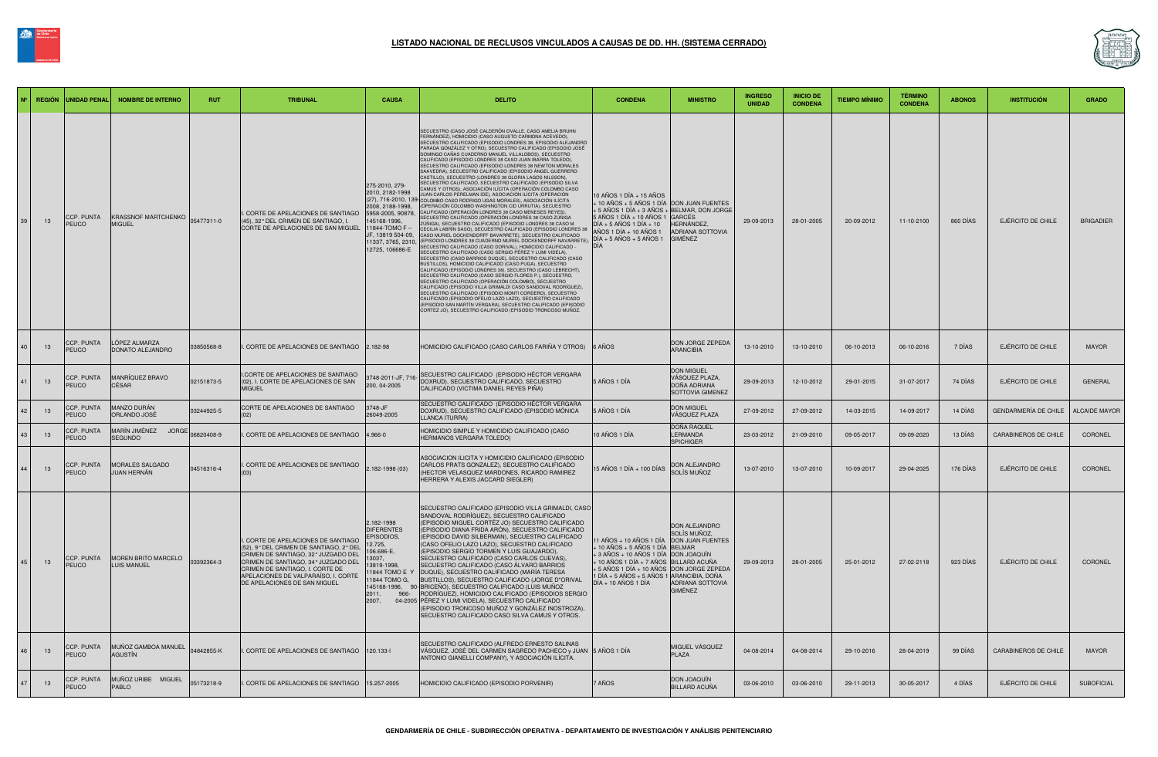



|    | <b>REGIÓN</b> |                     | UNIDAD PENAL NOMBRE DE INTERNO                  | <b>RUT</b> | <b>TRIBUNAL</b>                                                                                                                                                                                                                                                       | <b>CAUSA</b>                                                                                                                                                            | <b>DELITO</b>                                                                                                                                                                                                                                                                                                                                                                                                                                                                                                                                                                                                                                                                                                                                                                                                                                                                                                                                                                                                                                                                                                                                                                                                                                                                                                                                                                                                                                                                                                                                                                                                                                                                                                                                                                                                                                                                                                                                                                                                                                | <b>CONDENA</b>                                                                                                                                                                                                                                                 | <b>MINISTRO</b>                                                                 | <b>INGRESO</b><br><b>IINIDAD</b> | <b>INICIO DE</b><br><b>CONDENA</b> | TIEMPO MÍNIMO | TÉRMINC<br><b>CONDENA</b> | <b>ABONOS</b> | <b>INSTITUCIÓN</b>   | <b>GRADO</b>         |
|----|---------------|---------------------|-------------------------------------------------|------------|-----------------------------------------------------------------------------------------------------------------------------------------------------------------------------------------------------------------------------------------------------------------------|-------------------------------------------------------------------------------------------------------------------------------------------------------------------------|----------------------------------------------------------------------------------------------------------------------------------------------------------------------------------------------------------------------------------------------------------------------------------------------------------------------------------------------------------------------------------------------------------------------------------------------------------------------------------------------------------------------------------------------------------------------------------------------------------------------------------------------------------------------------------------------------------------------------------------------------------------------------------------------------------------------------------------------------------------------------------------------------------------------------------------------------------------------------------------------------------------------------------------------------------------------------------------------------------------------------------------------------------------------------------------------------------------------------------------------------------------------------------------------------------------------------------------------------------------------------------------------------------------------------------------------------------------------------------------------------------------------------------------------------------------------------------------------------------------------------------------------------------------------------------------------------------------------------------------------------------------------------------------------------------------------------------------------------------------------------------------------------------------------------------------------------------------------------------------------------------------------------------------------|----------------------------------------------------------------------------------------------------------------------------------------------------------------------------------------------------------------------------------------------------------------|---------------------------------------------------------------------------------|----------------------------------|------------------------------------|---------------|---------------------------|---------------|----------------------|----------------------|
| 39 | 13            | CCP. PUNTA<br>PEUCO | KRASSNOF MARTCHENKO 05477311-0<br><b>MIGUEL</b> |            | CORTE DE APELACIONES DE SANTIAGO<br>(45), 32° DEL CRIMEN DE SANTIAGO, I.<br>CORTE DE APELACIONES DE SAN MIGUEL                                                                                                                                                        | 275-2010, 279<br>2010, 2182-1998<br>2008, 2188-1998,<br>5958-2005, 90878,<br>145168-1996.<br>1844-TOMO F-<br>JF, 13819 504-09,<br>11337, 3765, 2310,<br>12725, 106686-E | SECUESTRO (CASO JOSÉ CALDERÓN OVALLE, CASO AMELIA BRUHN<br>FERNÁNDEZ), HOMICIDIO (CASO AUGUSTO CARMONA ACEVEDO),<br>SECUESTRO CALIFICADO (EPISODIO LONDRES 38, EPISODIO ALEJANDRO<br>PARADA GONZÁLEZ Y OTRO), SECUESTRO CALIFICADO (EPISODIO JOSÉ<br>DOMINGO CAÑAS CUADERNO MANUEL VILLALOBOS), SECUESTRO<br>CALIFICADO (EPISODIO LONDRES 38 CASO JUAN IBARRA TOLEDO),<br>SECUESTRO CALIFICADO (EPISODIO LONDRES 38 NEWTON MORALES<br>SAAVEDRA), SECUESTRO CALIFICADO (EPISODIO ÁNGEL GUERRERO<br>CASTILLO), SECUESTRO (LONDRES 38 GLORIA LAGOS NILSSON),<br>SECUESTRO CALIFICADO, SECUESTRO CALIFICADO (EPISODIO SILVA<br>CAMUS Y OTROS), ASOCIACIÓN ILÍCITA (OPERACIÓN COLOMBO CASO<br>JUAN CARLOS PERELMAN IDE), ASOCIACIÓN ILÍCITA (OPERACIÓN<br>(27), 716-2010, 139 COLOMBO CASO RODRIGO UGAS MORALES), ASOCIACIÓN ILÍCITA<br>I (OPERACIÓN COLOMBO WASHINGTON CID URRUTIA), SECUESTRO<br>CALIFICADO (OPERACIÓN LONDRES 38 CASO MENESES REYES).<br>ECUESTRO CALIFICADO (OPERACIÓN LONDRES 38 CASO ZÚÑIG<br>ÚÑIGA), SECUESTRO CALIFICADO (EPISODIO LONDRES 38 CASO M<br>CECILIA LABRÍN SASO), SECUESTRO CALIFICADO (EPISODIO LONDRES 38<br>CASO MURIEL DOCKENDORFF BAVARRETE), SECUESTRO CALIFICADO<br>(EPISODIO LONDRES 38 CUADERNO MURIEL DOCKENDOREE NAVARRETE)<br>SECUESTRO CALIFICADO (CASO DORIVAL). HOMICIDIO CALIFICADO -<br>SECUESTRO CALIFICADO (CASO SERGIO PÉREZ Y LUMI VIDELA).<br>SECUESTRO (CASO BARRIOS DUQUE), SECUESTRO CALIFICADO (CASO<br><b>3USTILLOS), HOMICIDIO CALIFICADO (CASO PUGA), SECUESTRO</b><br>CALIFICADO (EPISODIO LONDRES 38), SECUESTRO (CASO LEBRECHT)<br>SECUESTRO CALIFICADO (CASO SERGIO FLORES P.), SECUESTRO,<br>SECUESTRO CALIFICADO (OPERACIÓN COLOMBO), SECUESTRO<br>CALIFICADO (EPISODIO VILLA GRIMALDI CASO SANDOVAL RODRÍGUEZ)<br>SECUESTRO CALIFICADO (EPISODIO MONTI CORDERO), SECUESTRO<br>CALIFICADO (EPISODIO OFELIO LAZO LAZO), SECUESTRO CALIFICADO<br>(EPISODIO SAN MARTÍN VERGARA), SECUESTRO CALIFICADO (EPISODIO<br>CORTEZ JO), SECUESTRO CALIFICADO (EPISODIO TRONCOSO MUÑOZ. | 10 AÑOS 1 DÍA + 15 AÑOS<br>+ 10 AÑOS + 5 AÑOS 1 DÍA DON JUAN FUENTES<br>+ 5 AÑOS 1 DÍA + 3 AÑOS + BELMAR, DON JORGE<br>5 AÑOS 1 DÍA + 10 AÑOS 1<br>$DÍA + 5 AÑOS 1 DÍA + 10$<br>$ANOS 1 DIA + 10 ANOS 1$<br>$DÍA + 5 AÑOS + 5 AÑOS 1$                          | GARCÉS<br>HERNÁNDEZ.<br>ADRIANA SOTTOVIA<br><b>GIMÉNEZ</b>                      | 29-09-2013                       | 28-01-2005                         | 20-09-2012    | 11-10-2100                | 860 DÍAS      | EJÉRCITO DE CHILE    | <b>BRIGADIER</b>     |
| 40 | 13            | CCP. PUNTA<br>PEUCO | LÓPEZ ALMARZA<br>DONATO ALEJANDRO               | 03850568-8 | CORTE DE APELACIONES DE SANTIAGO 2.182-98                                                                                                                                                                                                                             |                                                                                                                                                                         | HOMICIDIO CALIFICADO (CASO CARLOS FARIÑA Y OTROS)                                                                                                                                                                                                                                                                                                                                                                                                                                                                                                                                                                                                                                                                                                                                                                                                                                                                                                                                                                                                                                                                                                                                                                                                                                                                                                                                                                                                                                                                                                                                                                                                                                                                                                                                                                                                                                                                                                                                                                                            | 6 AÑOS                                                                                                                                                                                                                                                         | DON JORGE ZEPEDA<br><b>ARANCIBIA</b>                                            | 13-10-2010                       | 13-10-2010                         | 06-10-2013    | 06-10-2016                | 7 DIAS        | EJÉRCITO DE CHILE    | <b>MAYOR</b>         |
| 41 | 13            | CCP. PUNTA<br>PEUCO | MANRÍQUEZ BRAVO<br>CÉSAR                        | 02151873-5 | CORTE DE APELACIONES DE SANTIAGO<br>(02), I. CORTE DE APELACIONES DE SAN<br><b>MIGUEL</b>                                                                                                                                                                             | 748-2011-JF, 716-<br>200, 04-2005                                                                                                                                       | SECUESTRO CALIFICADO (EPISODIO HÉCTOR VERGARA<br>DOXRUD), SECUESTRO CALIFICADO, SECUESTRO<br>CALIFICADO (VICTIMA DANIEL REYES PIÑA)                                                                                                                                                                                                                                                                                                                                                                                                                                                                                                                                                                                                                                                                                                                                                                                                                                                                                                                                                                                                                                                                                                                                                                                                                                                                                                                                                                                                                                                                                                                                                                                                                                                                                                                                                                                                                                                                                                          | 5 AÑOS 1 DÍA                                                                                                                                                                                                                                                   | DON MIGUEL<br>VÁSQUEZ PLAZA,<br>DOÑA ADRIANA<br>SOTTOVIA GIMENEZ                | 29-09-2013                       | 12-10-2012                         | 29-01-2015    | 31-07-2017                | 74 DÍAS       | EJÉRCITO DE CHILE    | GENERAL              |
| 42 | 13            | CCP. PUNTA<br>PEUCO | MANZO DURÁN<br>ORLANDO JOSÉ                     | 03244925-5 | CORTE DE APELACIONES DE SANTIAGO                                                                                                                                                                                                                                      | 3748-JF<br>26049-2005                                                                                                                                                   | SECUESTRO CALIFICADO (EPISODIO HÉCTOR VERGARA<br>DOXRUD), SECUESTRO CALIFICADO (EPISODIO MÓNICA<br>LLANCA ITURRA)                                                                                                                                                                                                                                                                                                                                                                                                                                                                                                                                                                                                                                                                                                                                                                                                                                                                                                                                                                                                                                                                                                                                                                                                                                                                                                                                                                                                                                                                                                                                                                                                                                                                                                                                                                                                                                                                                                                            | 5 AÑOS 1 DÍA                                                                                                                                                                                                                                                   | DON MIGUEL<br>VÁSQUEZ PLAZA                                                     | 27-09-2012                       | 27-09-2012                         | 14-03-2015    | 14-09-2017                | 14 DÍAS       | GENDARMERÍA DE CHILE | <b>ALCAIDE MAYOR</b> |
| 43 | 13            | CCP. PUNTA<br>PEUCO | MARÍN JIMÉNEZ JORGE<br>SEGUNDO                  | 06820408-9 | CORTE DE APELACIONES DE SANTIAGO 4.966-0                                                                                                                                                                                                                              |                                                                                                                                                                         | HOMICIDIO SIMPLE Y HOMICIDIO CALIFICADO (CASO<br>HERMANOS VERGARA TOLEDO)                                                                                                                                                                                                                                                                                                                                                                                                                                                                                                                                                                                                                                                                                                                                                                                                                                                                                                                                                                                                                                                                                                                                                                                                                                                                                                                                                                                                                                                                                                                                                                                                                                                                                                                                                                                                                                                                                                                                                                    | 10 AÑOS 1 DÍA                                                                                                                                                                                                                                                  | DOÑA RAQUEL<br>LERMANDA<br><b>SPICHIGER</b>                                     | 23-03-2012                       | 21-09-2010                         | 09-05-2017    | 09-09-2020                | 13 DÍAS       | CARABINEROS DE CHILE | CORONEL              |
| 44 | 13            | CCP. PUNTA<br>PEUCO | MORALES SALGADO<br>JUAN HERNÁN                  | 04516316-4 | CORTE DE APELACIONES DE SANTIAGO                                                                                                                                                                                                                                      | 2.182-1998 (03)                                                                                                                                                         | ASOCIACION ILICITA Y HOMICIDIO CALIFICADO (EPISODIO<br>CARLOS PRATS GONZALEZ), SECUESTRO CALIFICADO<br>(HECTOR VELASQUEZ MARDONES, RICARDO RAMIREZ<br>HERRERA Y ALEXIS JACCARD SIEGLER)                                                                                                                                                                                                                                                                                                                                                                                                                                                                                                                                                                                                                                                                                                                                                                                                                                                                                                                                                                                                                                                                                                                                                                                                                                                                                                                                                                                                                                                                                                                                                                                                                                                                                                                                                                                                                                                      | 15 AÑOS 1 DÍA + 100 DÍAS                                                                                                                                                                                                                                       | DON ALEJANDRO<br>SOLÍS MUÑOZ                                                    | 13-07-2010                       | 13-07-2010                         | 10-09-2017    | 29-04-2025                | 176 DIAS      | EJÉRCITO DE CHILE    | CORONEL              |
| 45 | 13            | CCP. PUNTA<br>PEUCO | MOREN BRITO MARCELO<br><b>LUIS MANUEL</b>       | 03392364-3 | . CORTE DE APELACIONES DE SANTIAGO<br>(52), 9° DEL CRIMEN DE SANTIAGO, 2° DEL<br>CRIMEN DE SANTIAGO, 32° JUZGADO DEL<br>CRIMEN DE SANTIAGO, 34° JUZGADO DEL<br>CRIMEN DE SANTIAGO, I. CORTE DE<br>APELACIONES DE VALPARAÍSO, I. CORTE<br>DE APELACIONES DE SAN MIGUEL | 2.182-1998<br><b>DIFERENTES</b><br>EPISODIOS,<br>12.725,<br>06.686-E,<br>3037,<br>13819-1998<br>1844 TOMO G,<br>966-<br>2011.<br>2007.                                  | SECUESTRO CALIFICADO (EPISODIO VILLA GRIMALDI, CASO<br>SANDOVAL RODRÍGUEZ), SECUESTRO CALIFICADO<br>(EPISODIO MIGUEL CORTÉZ JO) SECUESTRO CALIFICADO<br>(EPISODIO DIANA FRIDA ARÓN), SECUESTRO CALIFICADO<br>(EPISODIO DAVID SILBERMAN), SECUESTRO CALIFICADO<br>(CASO OFELIO LAZO LAZO), SECUESTRO CALIFICADO<br>(EPISODIO SERGIO TORMEN Y LUIS GUAJARDO),<br>SECUESTRO CALIFICADO (CASO CARLOS CUEVAS),<br>SECUESTRO CALIFICADO (CASO ÁLVARO BARRIOS<br>1844 TOMO E Y DUQUE), SECUESTRO CALIFICADO (MARÍA TERESA<br>BUSTILLOS), SECUESTRO CALIFICADO (JORGE D"ORIVAL<br>145168-1996, 90-BRICEÑO), SECUESTRO CALIFICADO (LUIS MUÑOZ<br>RODRÍGUEZ), HOMICIDIO CALIFICADO (EPISODIOS SERGIO<br>04-2005 PÉREZ Y LUMI VIDELA), SECUESTRO CALIFICADO<br>(EPISODIO TRONCOSO MUÑOZ Y GONZÁLEZ INOSTROZA).<br>SECUESTRO CALIFICADO CASO SILVA CAMUS Y OTROS.                                                                                                                                                                                                                                                                                                                                                                                                                                                                                                                                                                                                                                                                                                                                                                                                                                                                                                                                                                                                                                                                                                                                                                                        | 11 AÑOS + 10 AÑOS 1 DÍA DON JUAN FUENTES<br>+ 10 AÑOS + 5 AÑOS 1 DÍA BELMAR<br>+ 3 AÑOS + 10 AÑOS 1 DÍA DON JOAQUÍN<br>+ 10 AÑOS 1 DÍA + 7 AÑOS BILLARD ACUÑA<br>+ 5 AÑOS 1 DÍA + 10 AÑOS DON JORGE ZEPEDA<br>1 DÍA + 5 AÑOS + 5 AÑOS 1<br>DÍA + 10 AÑOS 1 DÍA | DON ALEJANDRO<br>SOLÍS MUÑOZ,<br>ARANCIBIA, DOÑA<br>ADRIANA SOTTOVIA<br>GIMÉNEZ | 29-09-2013                       | 28-01-2005                         | 25-01-2012    | 27-02-2118                | 923 DÍAS      | EJÉRCITO DE CHILE    | CORONEL              |
| 46 | 13            | CCP. PUNTA<br>PEUCO | MUÑOZ GAMBOA MANUEL<br><b>AGUSTÍN</b>           | 04842855-K | CORTE DE APELACIONES DE SANTIAGO   120.133-1                                                                                                                                                                                                                          |                                                                                                                                                                         | SECUESTRO CALIFICADO (ALFREDO ERNESTO SALINAS<br>VÁSQUEZ, JOSÉ DEL CARMEN SAGREDO PACHECO y JUAN 5 AÑOS 1 DÍA<br>ANTONIO GIANELLI COMPANY), Y ASOCIACIÓN ILÍCITA.                                                                                                                                                                                                                                                                                                                                                                                                                                                                                                                                                                                                                                                                                                                                                                                                                                                                                                                                                                                                                                                                                                                                                                                                                                                                                                                                                                                                                                                                                                                                                                                                                                                                                                                                                                                                                                                                            |                                                                                                                                                                                                                                                                | MIGUEL VÁSQUEZ<br>PLAZA                                                         | 04-08-2014                       | 04-08-2014                         | 29-10-2016    | 28-04-2019                | 99 DIAS       | CARABINEROS DE CHILE | <b>MAYOR</b>         |
| 47 | 13            | CCP. PUNTA<br>PEUCO | MUÑOZ URIBE MIGUEL<br>PABLO                     | 05173218-9 | CORTE DE APELACIONES DE SANTIAGO 15.257-2005                                                                                                                                                                                                                          |                                                                                                                                                                         | HOMICIDIO CALIFICADO (EPISODIO PORVENIR)                                                                                                                                                                                                                                                                                                                                                                                                                                                                                                                                                                                                                                                                                                                                                                                                                                                                                                                                                                                                                                                                                                                                                                                                                                                                                                                                                                                                                                                                                                                                                                                                                                                                                                                                                                                                                                                                                                                                                                                                     | 7 AÑOS                                                                                                                                                                                                                                                         | DON JOAQUÍN<br><b>BILLARD ACUÑA</b>                                             | 03-06-2010                       | 03-06-2010                         | 29-11-2013    | 30-05-2017                | 4 DÍAS        | EJÉRCITO DE CHILE    | <b>SUBOFICIAL</b>    |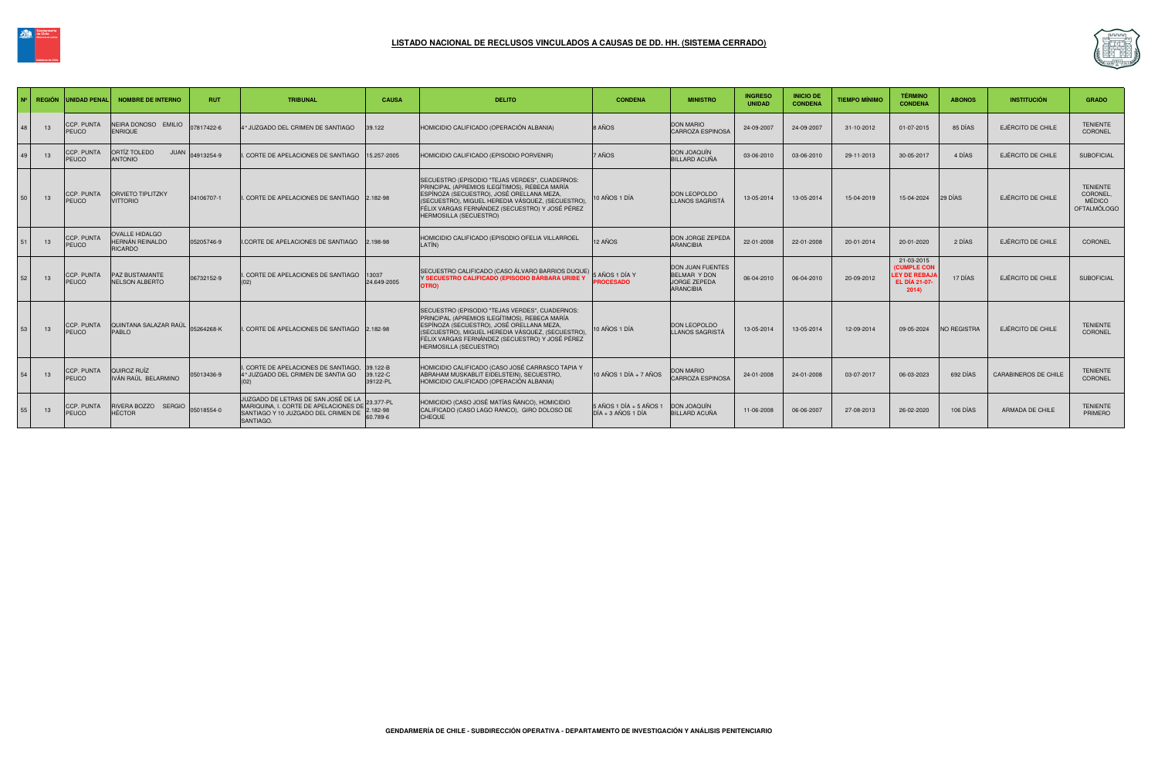



|    | <b>REGIÓN</b> | <b>UNIDAD PENAL</b>        | <b>NOMBRE DE INTERNO</b>                                          | <b>RUT</b> | <b>TRIBUNAL</b>                                                                                                                                     | <b>CAUSA</b>         | <b>DELITO</b>                                                                                                                                                                                                                                                                 | <b>CONDENA</b>                                  | <b>MINISTRO</b>                                                      | <b>INGRESO</b><br><b>UNIDAD</b> | <b>INICIO DE</b><br><b>CONDENA</b> | <b>TIEMPO MÍNIMO</b> | TÉRMINO<br><b>CONDENA</b>                                                         | <b>ABONOS</b>      | <b>INSTITUCIÓN</b>   | <b>GRADO</b>                                                       |
|----|---------------|----------------------------|-------------------------------------------------------------------|------------|-----------------------------------------------------------------------------------------------------------------------------------------------------|----------------------|-------------------------------------------------------------------------------------------------------------------------------------------------------------------------------------------------------------------------------------------------------------------------------|-------------------------------------------------|----------------------------------------------------------------------|---------------------------------|------------------------------------|----------------------|-----------------------------------------------------------------------------------|--------------------|----------------------|--------------------------------------------------------------------|
| 48 | 13            | CCP. PUNTA<br>PEUCO        | NEIRA DONOSO EMILIO<br><b>ENRIQUE</b>                             | 07817422-6 | 4° JUZGADO DEL CRIMEN DE SANTIAGO                                                                                                                   | 39.122               | HOMICIDIO CALIFICADO (OPERACIÓN ALBANIA)                                                                                                                                                                                                                                      | 8 AÑOS                                          | <b>DON MARIO</b><br><b>CARROZA ESPINOSA</b>                          | 24-09-2007                      | 24-09-2007                         | 31-10-2012           | 01-07-2015                                                                        | 85 DÍAS            | EJÉRCITO DE CHILE    | <b>TENIENTE</b><br>CORONEL                                         |
| 49 | 13            | <b>CCP. PUNTA</b><br>PEUCO | ORTÍZ TOLEDO<br>JUAN<br><b>ANTONIO</b>                            | 04913254-9 | CORTE DE APELACIONES DE SANTIAGO 15.257-2005                                                                                                        |                      | HOMICIDIO CALIFICADO (EPISODIO PORVENIR)                                                                                                                                                                                                                                      | 7 AÑOS                                          | <b>DON JOAQUÍN</b><br><b>BILLARD ACUÑA</b>                           | 03-06-2010                      | 03-06-2010                         | 29-11-2013           | 30-05-2017                                                                        | 4 DÍAS             | EJÉRCITO DE CHILE    | <b>SUBOFICIAL</b>                                                  |
| 50 | 13            | CCP, PUNTA<br>PEUCO        | <b>ORVIETO TIPLITZKY</b><br><b>VITTORIO</b>                       | 04106707-1 | CORTE DE APELACIONES DE SANTIAGO 2.182-98                                                                                                           |                      | SECUESTRO (EPISODIO "TEJAS VERDES", CUADERNOS:<br>PRINCIPAL (APREMIOS ILEGÍTIMOS), REBECA MARÍA<br>ESPÍNOZA (SECUESTRO), JOSÉ ORELLANA MEZA.<br>(SECUESTRO), MIGUEL HEREDIA VÁSQUEZ, (SECUESTRO)<br>FÉLIX VARGAS FERNÁNDEZ (SECUESTRO) Y JOSÉ PÉREZ<br>HERMOSILLA (SECUESTRO) | 10 AÑOS 1 DÍA                                   | DON LEOPOLDO<br>LLANOS SAGRISTÁ                                      | 13-05-2014                      | 13-05-2014                         | 15-04-2019           | 15-04-2024                                                                        | 29 DÍAS            | EJÉRCITO DE CHILE    | <b>TENIENTE</b><br>CORONEL.<br><b>MÉDICO</b><br><b>OFTALMÓLOGO</b> |
| 51 | 13            | <b>CCP, PUNTA</b><br>PEUCO | <b>OVALLE HIDALGO</b><br><b>HERNÁN REINALDO</b><br><b>RICARDO</b> | 05205746-9 | I.CORTE DE APELACIONES DE SANTIAGO                                                                                                                  | 2.198-98             | HOMICIDIO CALIFICADO (EPISODIO OFELIA VILLARROEL<br>LATÍN)                                                                                                                                                                                                                    | 12 AÑOS                                         | DON JORGE ZEPEDA<br><b>ARANCIBIA</b>                                 | 22-01-2008                      | 22-01-2008                         | 20-01-2014           | 20-01-2020                                                                        | 2 DÍAS             | EJÉRCITO DE CHILE    | CORONEL                                                            |
| 52 | 13            | CCP. PUNTA<br><b>PEUCO</b> | <b>PAZ BUSTAMANTE</b><br><b>NELSON ALBERTO</b>                    | 06732152-9 | CORTE DE APELACIONES DE SANTIAGO                                                                                                                    | 13037<br>24.649-2005 | SECUESTRO CALIFICADO (CASO ÁLVARO BARRIOS DUQUE)<br>Y SECUESTRO CALIFICADO (EPISODIO BÁRBARA URIBE Y<br>OTRO)                                                                                                                                                                 | 5 AÑOS 1 DÍA Y<br><b>PROCESADO</b>              | <b>DON JUAN FUENTES</b><br>BELMAR Y DON<br>JORGE ZEPEDA<br>ARANCIBIA | 06-04-2010                      | 06-04-2010                         | 20-09-2012           | 21-03-2015<br><b>(CUMPLE CON</b><br>LEY DE REBAJA<br><b>EL DÍA 21-07-</b><br>2014 | 17 DÍAS            | EJÉRCITO DE CHILE    | <b>SUBOFICIAL</b>                                                  |
| 53 | 13            | CCP. PUNTA<br>PEUCO        | QUINTANA SALAZAR RAÚL 05264268-K<br>PABLO                         |            | CORTE DE APELACIONES DE SANTIAGO 2.182-98                                                                                                           |                      | SECUESTRO (EPISODIO "TEJAS VERDES", CUADERNOS:<br>PRINCIPAL (APREMIOS ILEGÍTIMOS), REBECA MARÍA<br>ESPÍNOZA (SECUESTRO), JOSÉ ORELLANA MEZA,<br>(SECUESTRO), MIGUEL HEREDIA VÁSQUEZ, (SECUESTRO)<br>FÉLIX VARGAS FERNÁNDEZ (SECUESTRO) Y JOSÉ PÉREZ<br>HERMOSILLA (SECUESTRO) | 10 AÑOS 1 DÍA                                   | DON LEOPOLDO<br><b>LLANOS SAGRISTÁ</b>                               | 13-05-2014                      | 13-05-2014                         | 12-09-2014           | 09-05-2024                                                                        | <b>NO REGISTRA</b> | EJÉRCITO DE CHILE    | <b>TENIENTE</b><br>CORONEL                                         |
| 54 | 13            | CCP. PUNTA<br>PEUCO        | QUIROZ RUÍZ<br>IVÁN RAÚL BELARMINO                                | 05013436-9 | CORTE DE APELACIONES DE SANTIAGO. 39.122-B<br>4° JUZGADO DEL CRIMEN DE SANTIA GO                                                                    | 39.122-C<br>39122-PL | HOMICIDIO CALIFICADO (CASO JOSÉ CARRASCO TAPIA Y<br>ABRAHAM MUSKABLIT EIDELSTEIN), SECUESTRO<br>HOMICIDIO CALIFICADO (OPERACIÓN ALBANIA)                                                                                                                                      | 10 AÑOS 1 DÍA + 7 AÑOS                          | <b>DON MARIO</b><br><b>CARROZA ESPINOSA</b>                          | 24-01-2008                      | 24-01-2008                         | 03-07-2017           | 06-03-2023                                                                        | 692 DÍAS           | CARABINEROS DE CHILE | TENIENTE<br>CORONEL                                                |
| 55 | 13            | CCP. PUNTA<br>PEUCO        | RIVERA BOZZO SERGIO<br><b>HÉCTOR</b>                              | 05018554-0 | JUZGADO DE LETRAS DE SAN JOSÉ DE LA<br>MARIQUINA, I. CORTE DE APELACIONES DE 23.377-PL<br>SANTIAGO Y 10 JUZGADO DEL CRIMEN DE 60.789-6<br>SANTIAGO. |                      | HOMICIDIO (CASO JOSÉ MATÍAS ÑANCO), HOMICIDIO<br>CALIFICADO (CASO LAGO RANCO). GIRO DOLOSO DE<br>CHEQUE                                                                                                                                                                       | $5 AÑOS 1 DÍA + 5 AÑOS 1$<br>DÍA + 3 AÑOS 1 DÍA | <b>DON JOAQUÍN</b><br><b>BILLARD ACUÑA</b>                           | 11-06-2008                      | 06-06-2007                         | 27-08-2013           | 26-02-2020                                                                        | 106 DÍAS           | ARMADA DE CHILE      | <b>TENIENTE</b><br>PRIMERO                                         |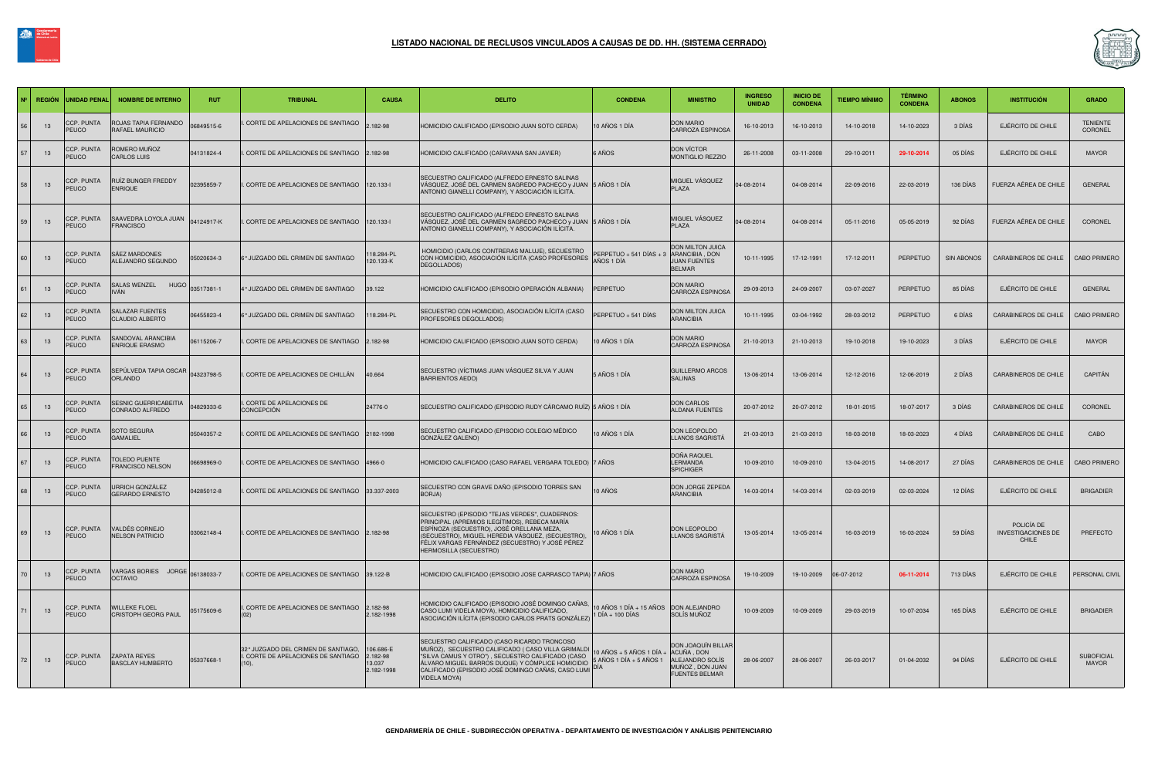



|    | <b>REGIÓN</b> | UNIDAD PENAL                      | <b>NOMBRE DE INTERNO</b>                          | <b>RUT</b> | <b>TRIBUNAL</b>                                                                    | <b>CAUSA</b>                                 | <b>DELITO</b>                                                                                                                                                                                                                                                                           | <b>CONDENA</b>                                                         | <b>MINISTRO</b>                                                                                        | <b>INGRESO</b><br><b>UNIDAD</b> | <b>INICIO DE</b><br><b>CONDENA</b> | <b>TIEMPO MÍNIMO</b> | <b>TÉRMINO</b><br><b>CONDENA</b> | <b>ABONOS</b> | <b>INSTITUCIÓN</b>                               | <b>GRADO</b>               |
|----|---------------|-----------------------------------|---------------------------------------------------|------------|------------------------------------------------------------------------------------|----------------------------------------------|-----------------------------------------------------------------------------------------------------------------------------------------------------------------------------------------------------------------------------------------------------------------------------------------|------------------------------------------------------------------------|--------------------------------------------------------------------------------------------------------|---------------------------------|------------------------------------|----------------------|----------------------------------|---------------|--------------------------------------------------|----------------------------|
| 56 | 13            | CCP. PUNTA<br><b>FUCO</b>         | ROJAS TAPIA FERNANDO<br>RAFAEL MAURICIO           | 06849515-6 | CORTE DE APELACIONES DE SANTIAGO                                                   | .182-98                                      | HOMICIDIO CALIFICADO (EPISODIO JUAN SOTO CERDA)                                                                                                                                                                                                                                         | 10 AÑOS 1 DÍA                                                          | <b>DON MARIO</b><br>CARROZA ESPINOSA                                                                   | 16-10-2013                      | 16-10-2013                         | 14-10-2018           | 14-10-2023                       | 3 DÍAS        | EJÉRCITO DE CHILE                                | <b>TENIENTE</b><br>CORONEL |
| 57 | 13            | CCP. PUNTA<br>PEUCO               | ROMERO MUÑOZ<br><b>CARLOS LUIS</b>                | 04131824-4 | CORTE DE APELACIONES DE SANTIAGO                                                   | 2.182-98                                     | HOMICIDIO CALIFICADO (CARAVANA SAN JAVIER)                                                                                                                                                                                                                                              | 6 AÑOS                                                                 | <b>DON VÍCTOR</b><br>MONTIGLIO REZZIO                                                                  | 26-11-2008                      | 03-11-2008                         | 29-10-2011           | 29-10-2014                       | 05 DÍAS       | EJÉRCITO DE CHILE                                | <b>MAYOR</b>               |
| 58 | 13            | CCP. PUNTA<br>PEUCO               | <b>RUIZ BUNGER FREDDY</b><br><b>ENRIQUE</b>       | 02395859-7 | CORTE DE APELACIONES DE SANTIAGO                                                   | 120.133-                                     | SECUESTRO CALIFICADO (ALFREDO ERNESTO SALINAS<br>VÁSQUEZ, JOSÉ DEL CARMEN SAGREDO PACHECO y JUAN 5 AÑOS 1 DÍA<br>ANTONIO GIANELLI COMPANY), Y ASOCIACIÓN ILÍCITA.                                                                                                                       |                                                                        | MIGUEL VÁSQUEZ<br>PLAZA                                                                                | 04-08-2014                      | 04-08-2014                         | 22-09-2016           | 22-03-2019                       | 136 DÍAS      | FUERZA AÉREA DE CHILE                            | <b>GENERAL</b>             |
| 59 | 13            | <b>CCP. PUNTA</b><br>PEUCO        | SAAVEDRA LOYOLA JUAN<br><b>FRANCISCO</b>          | 04124917-K | CORTE DE APELACIONES DE SANTIAGO                                                   | 120.133-                                     | SECUESTRO CALIFICADO (ALFREDO ERNESTO SALINAS<br>VÁSQUEZ, JOSÉ DEL CARMEN SAGREDO PACHECO y JUAN 5 AÑOS 1 DÍA<br>ANTONIO GIANELLI COMPANY), Y ASOCIACIÓN ILÍCITA.                                                                                                                       |                                                                        | MIGUEL VÁSQUEZ<br>PLAZA                                                                                | 04-08-2014                      | 04-08-2014                         | 05-11-2016           | 05-05-2019                       | 92 DÍAS       | FUERZA AÉREA DE CHILE                            | CORONEL                    |
| 60 | 13            | <b>CCP. PUNTA</b><br><b>PEUCO</b> | SÁEZ MARDONES<br>ALEJANDRO SEGUNDO                | 05020634-3 | 6° JUZGADO DEL CRIMEN DE SANTIAGO                                                  | 18.284-PL<br>120.133-K                       | HOMICIDIO (CARLOS CONTRERAS MALUJE), SECUESTRO<br>CON HOMICIDIO, ASOCIACIÓN ILÍCITA (CASO PROFESORES<br>DEGOLLADOS)                                                                                                                                                                     | PERPETUO + 541 DÍAS -<br>AÑOS 1 DÍA                                    | <b>DON MILTON JUICA</b><br>3 ARANCIBIA, DON<br><b>JUAN FUENTES</b><br><b>BELMAR</b>                    | 10-11-1995                      | 17-12-1991                         | 17-12-2011           | PERPETUO                         | SIN ABONOS    | CARABINEROS DE CHILE                             | CABO PRIMERO               |
| 61 | 13            | CCP. PUNTA<br>PEUCO               | <b>SALAS WENZEL</b><br><b>HUGO</b><br><b>IVAN</b> | 03517381-1 | 4° JUZGADO DEL CRIMEN DE SANTIAGO                                                  | 39.122                                       | HOMICIDIO CALIFICADO (EPISODIO OPERACIÓN ALBANIA)                                                                                                                                                                                                                                       | PERPETUO                                                               | <b>DON MARIO</b><br><b>CARROZA ESPINOSA</b>                                                            | 29-09-2013                      | 24-09-2007                         | 03-07-2027           | PERPETUO                         | 85 DÍAS       | EJÉRCITO DE CHILE                                | <b>GENERAL</b>             |
| 62 | 13            | <b>CP. PUNTA</b><br>PEUCO         | <b>SALAZAR FUENTES</b><br>CLAUDIO ALBERTO         | 06455823-4 | <sup>9</sup> JUZGADO DEL CRIMEN DE SANTIAGO                                        | 18.284-PL                                    | SECUESTRO CON HOMICIDIO, ASOCIACIÓN ILÍCITA (CASO<br>PROFESORES DEGOLLADOS)                                                                                                                                                                                                             | PERPETUO + 541 DÍAS                                                    | DON MILTON JUICA<br><b>ARANCIBIA</b>                                                                   | 10-11-1995                      | 03-04-1992                         | 28-03-2012           | PERPETUO                         | 6 DÍAS        | CARABINEROS DE CHILE                             | CABO PRIMERO               |
| 63 | 13            | CCP. PUNTA<br><b>EUCO</b>         | SANDOVAL ARANCIBIA<br>ENRIQUE ERASMO              | 06115206-7 | CORTE DE APELACIONES DE SANTIAGO                                                   | 2.182-98                                     | HOMICIDIO CALIFICADO (EPISODIO JUAN SOTO CERDA)                                                                                                                                                                                                                                         | 10 AÑOS 1 DÍA                                                          | <b>DON MARIO</b><br><b>CARROZA ESPINOSA</b>                                                            | 21-10-2013                      | 21-10-2013                         | 19-10-2018           | 19-10-2023                       | 3 DÍAS        | EJÉRCITO DE CHILE                                | <b>MAYOR</b>               |
| 64 | 13            | <b>CP. PUNTA</b><br>PEUCO         | SEPÚLVEDA TAPIA OSCAR<br>ORLANDO                  | 04323798-5 | CORTE DE APELACIONES DE CHILLÁN                                                    | 40.664                                       | SECUESTRO (VÍCTIMAS JUAN VÁSQUEZ SILVA Y JUAN<br><b>BARRIENTOS AEDO)</b>                                                                                                                                                                                                                | 5 AÑOS 1 DÍA                                                           | <b>GUILLERMO ARCOS</b><br>SAI INAS                                                                     | 13-06-2014                      | 13-06-2014                         | 12-12-2016           | 12-06-2019                       | 2 DÍAS        | CARABINEROS DE CHILE                             | CAPITÁN                    |
| 65 | 13            | CP. PUNTA<br><b>PEUCO</b>         | SESNIC GUERRICABEITIA<br>CONRADO ALFREDO          | 04829333-6 | CORTE DE APELACIONES DE<br><b>CONCEPCIÓN</b>                                       | 24776-0                                      | SECUESTRO CALIFICADO (EPISODIO RUDY CÁRCAMO RUÍZ) 5 AÑOS 1 DÍA                                                                                                                                                                                                                          |                                                                        | <b>DON CARLOS</b><br><b>ALDANA FUENTES</b>                                                             | 20-07-2012                      | 20-07-2012                         | 18-01-2015           | 18-07-2017                       | 3 DÍAS        | CARABINEROS DE CHILE                             | CORONEL                    |
| 66 | 13            | CCP. PUNTA<br>PEUCO               | SOTO SEGURA<br><b>GAMALIEL</b>                    | 05040357-2 | CORTE DE APELACIONES DE SANTIAGO                                                   | 2182-1998                                    | SECUESTRO CALIFICADO (EPISODIO COLEGIO MÉDICO<br><b>GONZALEZ GALENO)</b>                                                                                                                                                                                                                | 10 AÑOS 1 DÍA                                                          | DON LEOPOLDO<br>LLANOS SAGRISTÁ                                                                        | 21-03-2013                      | 21-03-2013                         | 18-03-2018           | 18-03-2023                       | 4 DÍAS        | CARABINEROS DE CHILE                             | CABO                       |
| 67 | 13            | <b>CP. PUNTA</b><br><b>PEUCO</b>  | TOLEDO PUENTE<br><b>FRANCISCO NELSON</b>          | 06698969-0 | CORTE DE APELACIONES DE SANTIAGO                                                   | 4966-0                                       | HOMICIDIO CALIFICADO (CASO RAFAEL VERGARA TOLEDO) 7 AÑOS                                                                                                                                                                                                                                |                                                                        | DOÑA RAQUEL<br>LERMANDA<br><b>SPICHIGER</b>                                                            | 10-09-2010                      | 10-09-2010                         | 13-04-2015           | 14-08-2017                       | 27 DÍAS       | CARABINEROS DE CHILE                             | CABO PRIMERO               |
| 68 | 13            | CP. PUNTA<br>PEUCO                | URRICH GONZÁLEZ<br><b>GERARDO ERNESTO</b>         | 04285012-8 | CORTE DE APELACIONES DE SANTIAGO                                                   | 33.337-2003                                  | SECUESTRO CON GRAVE DAÑO (EPISODIO TORRES SAN<br>BORJA)                                                                                                                                                                                                                                 | 10 AÑOS                                                                | DON JORGE ZEPEDA<br><b>ARANCIBIA</b>                                                                   | 14-03-2014                      | 14-03-2014                         | 02-03-2019           | 02-03-2024                       | 12 DÍAS       | EJÉRCITO DE CHILE                                | <b>BRIGADIER</b>           |
| 69 | 13            | CCP. PUNTA<br>PEUCO               | VALDÉS CORNEJO<br><b>NELSON PATRICIO</b>          | 03062148-4 | CORTE DE APELACIONES DE SANTIAGO 2.182-98                                          |                                              | SECUESTRO (EPISODIO "TEJAS VERDES", CUADERNOS:<br>PRINCIPAL (APREMIOS ILEGÍTIMOS), REBECA MARÍA<br>ESPÍNOZA (SECUESTRO), JOSÉ ORELLANA MEZA,<br>(SECUESTRO), MIGUEL HEREDIA VÁSQUEZ, (SECUESTRO),<br>FÉLIX VARGAS FERNÁNDEZ (SECUESTRO) Y JOSÉ PÉREZ<br>HERMOSILLA (SECUESTRO)          | 10 AÑOS 1 DÍA                                                          | <b>DON LEOPOLDO</b><br>LLANOS SAGRISTA                                                                 | 13-05-2014                      | 13-05-2014                         | 16-03-2019           | 16-03-2024                       | 59 DÍAS       | POLICÍA DE<br><b>INVESTIGACIONES DE</b><br>CHILE | PREFECTO                   |
| 70 | 13            | CCP, PUNTA<br><b>EUCO</b>         | VARGAS BORIES JORGE 06138033-7<br><b>OCTAVIO</b>  |            | CORTE DE APELACIONES DE SANTIAGO 39.122-B                                          |                                              | HOMICIDIO CALIFICADO (EPISODIO JOSÉ CARRASCO TAPIA) 7 AÑOS                                                                                                                                                                                                                              |                                                                        | <b>DON MARIO</b><br><b>CARROZA ESPINOSA</b>                                                            | 19-10-2009                      | 19-10-2009                         | 06-07-2012           | 06-11-2014                       | 713 DÍAS      | EJÉRCITO DE CHILE                                | PERSONAL CIVIL             |
| 71 | 13            | CCP. PUNTA<br>PEUCO               | <b>WILLEKE FLOFL</b><br>CRISTOPH GEORG PAUL       | 05175609-6 | CORTE DE APELACIONES DE SANTIAGO<br>(02)                                           | 2.182-98<br>182-1998                         | HOMICIDIO CALIFICADO (EPISODIO JOSÉ DOMINGO CAÑAS<br>CASO LUMI VIDELA MOYA), HOMICIDIO CALIFICADO.<br>ASOCIACIÓN ILÍCITA (EPISODIO CARLOS PRATS GONZÁLEZ)                                                                                                                               | 10 AÑOS 1 DÍA + 15 AÑOS DON ALEJANDRO<br>$1\overline{D}$ ÍA + 100 DÍAS | SOLÍS MUÑOZ                                                                                            | 10-09-2009                      | 10-09-2009                         | 29-03-2019           | 10-07-2034                       | 165 DÍAS      | EJÉRCITO DE CHILE                                | <b>BRIGADIER</b>           |
| 72 | 13            | <b>CCP. PUNTA</b><br>PEUCO        | <b>ZAPATA REYES</b><br><b>BASCLAY HUMBERTO</b>    | 05337668-1 | 32° JUZGADO DEL CRIMEN DE SANTIAGO.<br>. CORTE DE APELACIONES DE SANTIAGO<br>(10). | 106.686-E<br>.182-98<br>13.037<br>2.182-1998 | SECUESTRO CALIFICADO (CASO RICARDO TRONCOSO<br>MUÑOZ), SECUESTRO CALIFICADO ( CASO VILLA GRIMALDI<br>"SILVA CAMUS Y OTRO"), SECUESTRO CALIFICADO (CASO<br>ÁLVARO MIGUEL BARROS DUQUE) Y CÓMPLICE HOMICIDIO<br>CALIFICADO (EPISODIO JOSÉ DOMINGO CAÑAS, CASO LUMI<br><b>VIDELA MOYA)</b> | 10 AÑOS + 5 AÑOS 1 DÍA -<br>5 AÑOS 1 DÍA + 5 AÑOS 1<br>DÍA             | <b>DON JOAQUÍN BILLAF</b><br>ACUÑA, DON<br>ALEJANDRO SOLIS<br>MUÑOZ, DON JUAN<br><b>FUENTES BELMAR</b> | 28-06-2007                      | 28-06-2007                         | 26-03-2017           | 01-04-2032                       | 94 DÍAS       | EJÉRCITO DE CHILE                                | <b>SUBOFICIAL</b><br>MAYOR |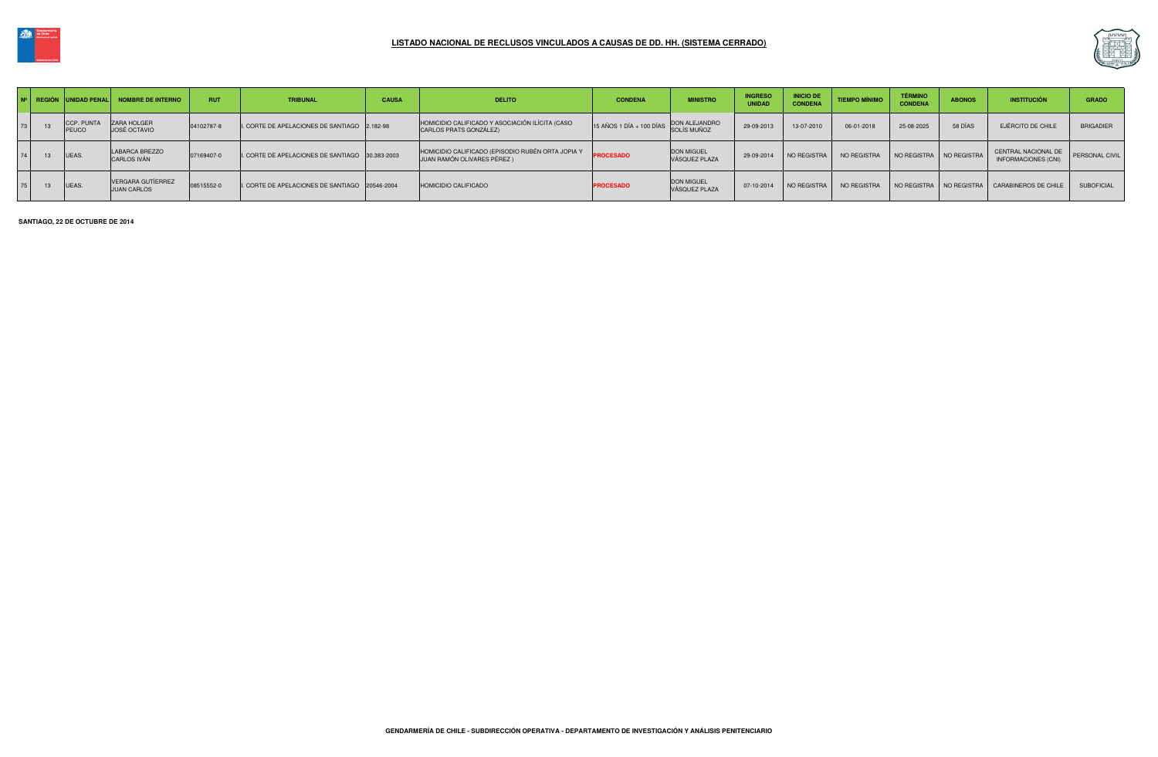



|    | Nº REGIÓN UNIDAD PENAL | <b>NOMBRE DE INTERNO</b>                       | <b>RUT</b> | <b>TRIBUNAL</b>                                 | <b>CAUSA</b> | <b>DELITO</b>                                                                   | <b>CONDENA</b>                         | <b>MINISTRO</b>                    | <b>INGRESO</b><br><b>UNIDAD</b> | <b>INICIO DE</b><br><b>CONDENA</b> | <b>TIEMPO MÍNIMO</b> | <b>TÉRMINO</b><br><b>CONDENA</b> | <b>ABONOS</b> | <b>INSTITUCIÓN</b>                         | <b>GRADO</b>      |
|----|------------------------|------------------------------------------------|------------|-------------------------------------------------|--------------|---------------------------------------------------------------------------------|----------------------------------------|------------------------------------|---------------------------------|------------------------------------|----------------------|----------------------------------|---------------|--------------------------------------------|-------------------|
|    | CCP, PUNTA<br>PEUCO    | ZARA HOLGER<br>JOSÉ OCTAVIO                    | 04102787-8 | I. CORTE DE APELACIONES DE SANTIAGO 2.182-98    |              | HOMICIDIO CALIFICADO Y ASOCIACIÓN ILÍCITA (CASO<br>CARLOS PRATS GONZÁLEZ)       | 15 AÑOS 1 DÍA + 100 DÍAS DON ALEJANDRO |                                    | 29-09-2013                      | 13-07-2010                         | 06-01-2018           | 25-08-2025                       | 58 DÍAS       | EJÉRCITO DE CHILE                          | <b>BRIGADIER</b>  |
| 13 | UEAS.                  | LABARCA BREZZO<br>CARLOS IVÁN                  | 07169407-0 | I. CORTE DE APELACIONES DE SANTIAGO 30.383-2003 |              | HOMICIDIO CALIFICADO (EPISODIO RUBÉN ORTA JOPIA Y<br>JUAN RAMÓN OLIVARES PÉREZ) | <b>PROCESADO</b>                       | <b>DON MIGUEL</b><br>VÁSQUEZ PLAZA | 29-09-2014                      | NO REGISTRA                        | NO REGISTRA          | NO REGISTRA   NO REGISTRA        |               | CENTRAL NACIONAL DE<br>INFORMACIONES (CNI) | PERSONAL CIVIL    |
| 13 | UEAS.                  | <b>VERGARA GUTÍERREZ</b><br><b>JUAN CARLOS</b> | 08515552-0 | I. CORTE DE APELACIONES DE SANTIAGO 20546-2004  |              | HOMICIDIO CALIFICADO                                                            | <b>PROCESADO</b>                       | <b>DON MIGUEL</b><br>VÁSQUEZ PLAZA | 07-10-2014                      | NO REGISTRA                        | NO REGISTRA          | NO REGISTRA                      |               | NO REGISTRA CARABINEROS DE CHILE           | <b>SUBOFICIAL</b> |

**SANTIAGO, 22 DE OCTUBRE DE 2014**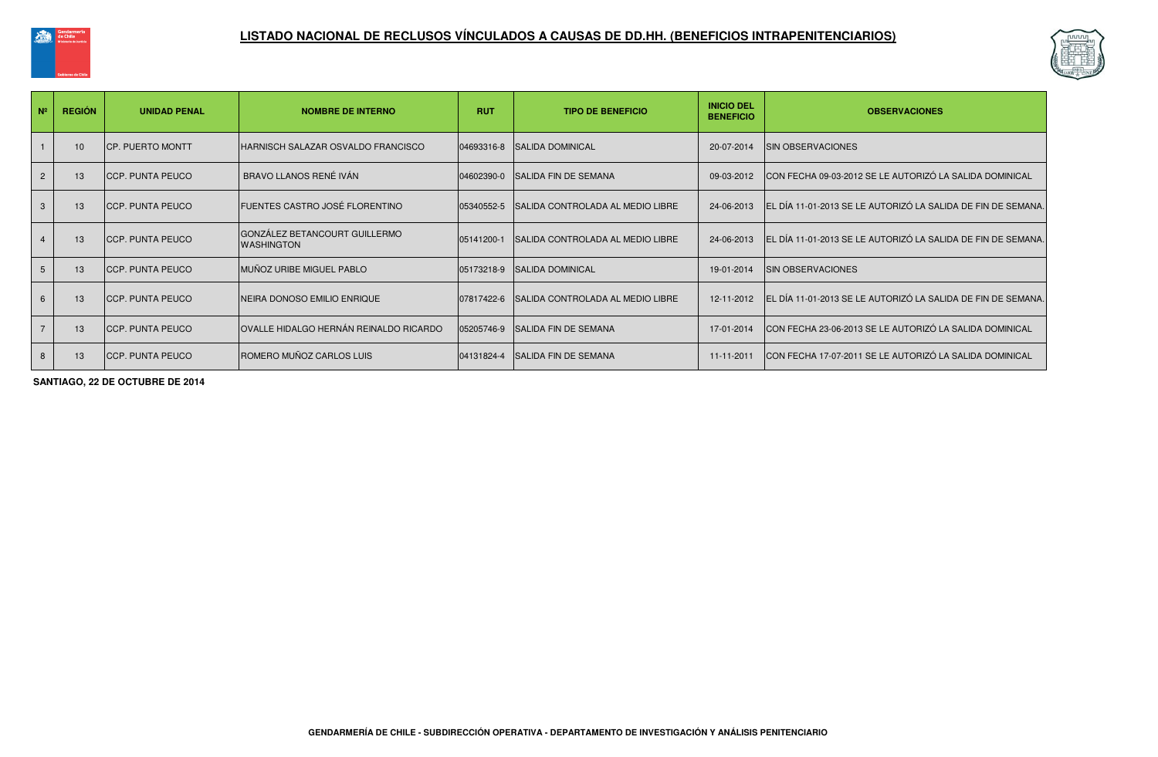

## **LISTADO NACIONAL DE RECLUSOS VÍNCULADOS A CAUSAS DE DD.HH. (BENEFICIOS INTRAPENITENCIARIOS)**



| N <sup>2</sup> | <b>REGIÓN</b> | <b>UNIDAD PENAL</b>     | <b>NOMBRE DE INTERNO</b>                           | <b>RUT</b> | <b>TIPO DE BENEFICIO</b>         | <b>INICIO DEL</b><br><b>BENEFICIO</b> | <b>OBSERVACIONES</b>                                         |
|----------------|---------------|-------------------------|----------------------------------------------------|------------|----------------------------------|---------------------------------------|--------------------------------------------------------------|
|                | 10            | <b>CP. PUERTO MONTT</b> | HARNISCH SALAZAR OSVALDO FRANCISCO                 | 04693316-8 | <b>SALIDA DOMINICAL</b>          | 20-07-2014                            | <b>SIN OBSERVACIONES</b>                                     |
| $\overline{2}$ | 13            | <b>CCP. PUNTA PEUCO</b> | BRAVO LLANOS RENÉ IVÁN                             | 04602390-0 | <b>SALIDA FIN DE SEMANA</b>      | 09-03-2012                            | CON FECHA 09-03-2012 SE LE AUTORIZÓ LA SALIDA DOMINICAL      |
| 3              | 13            | <b>CCP. PUNTA PEUCO</b> | FUENTES CASTRO JOSÉ FLORENTINO                     | 05340552-5 | SALIDA CONTROLADA AL MEDIO LIBRE | 24-06-2013                            | EL DÍA 11-01-2013 SE LE AUTORIZÓ LA SALIDA DE FIN DE SEMANA. |
|                | 13            | <b>CCP. PUNTA PEUCO</b> | GONZÁLEZ BETANCOURT GUILLERMO<br><b>WASHINGTON</b> | 05141200-1 | SALIDA CONTROLADA AL MEDIO LIBRE | 24-06-2013                            | EL DÍA 11-01-2013 SE LE AUTORIZÓ LA SALIDA DE FIN DE SEMANA. |
|                | 13            | <b>CCP. PUNTA PEUCO</b> | MUÑOZ URIBE MIGUEL PABLO                           | 05173218-9 | <b>SALIDA DOMINICAL</b>          | 19-01-2014                            | <b>ISIN OBSERVACIONES</b>                                    |
|                | 13            | <b>CCP. PUNTA PEUCO</b> | NEIRA DONOSO EMILIO ENRIQUE                        | 07817422-6 | SALIDA CONTROLADA AL MEDIO LIBRE | 12-11-2012                            | EL DÍA 11-01-2013 SE LE AUTORIZÓ LA SALIDA DE FIN DE SEMANA. |
|                | 13            | <b>CCP. PUNTA PEUCO</b> | OVALLE HIDALGO HERNÁN REINALDO RICARDO             | 05205746-9 | <b>SALIDA FIN DE SEMANA</b>      | 17-01-2014                            | CON FECHA 23-06-2013 SE LE AUTORIZÓ LA SALIDA DOMINICAL      |
| 8              | 13            | <b>CCP. PUNTA PEUCO</b> | ROMERO MUÑOZ CARLOS LUIS                           | 04131824-4 | <b>SALIDA FIN DE SEMANA</b>      | 11-11-2011                            | CON FECHA 17-07-2011 SE LE AUTORIZÓ LA SALIDA DOMINICAL      |

**SANTIAGO, 22 DE OCTUBRE DE 2014**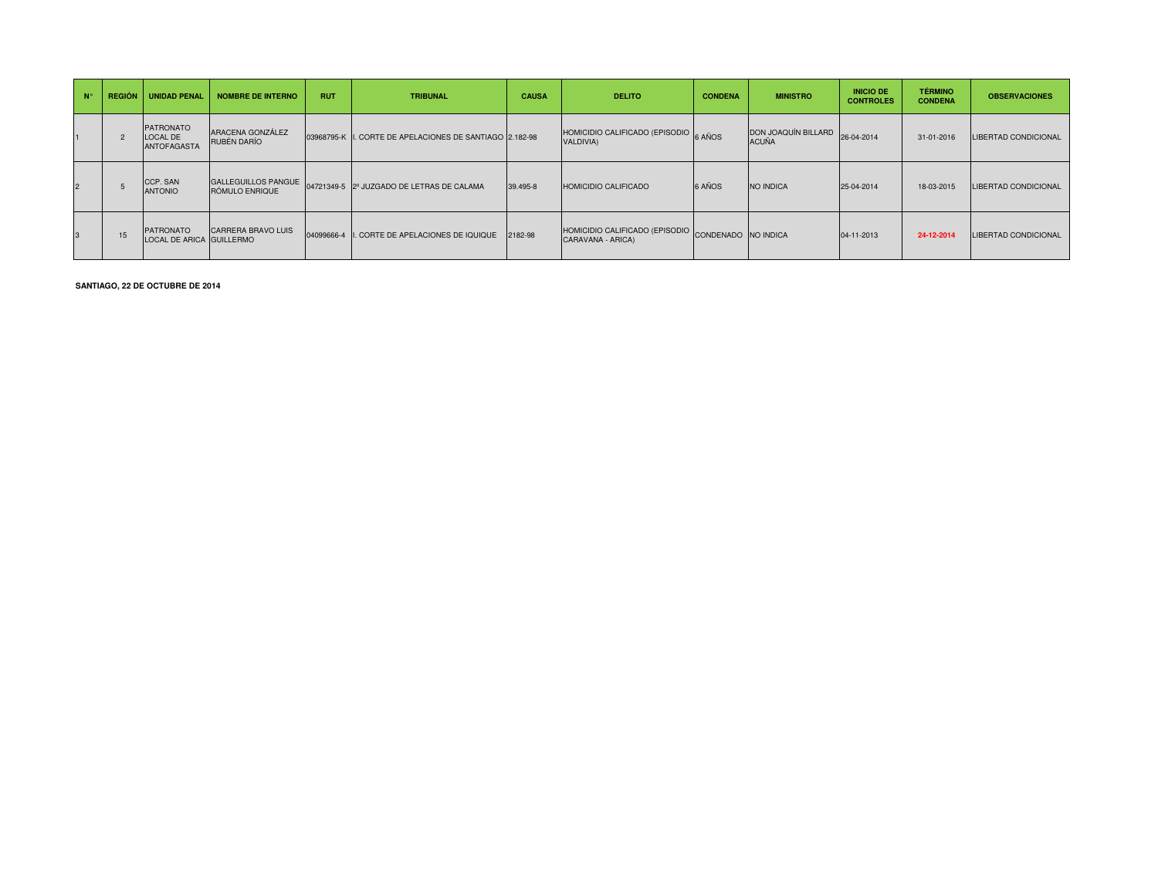| $N^{\circ}$    |    | <b>REGIÓN   UNIDAD PENAL</b>                              | <b>NOMBRE DE INTERNO</b>              | <b>RUT</b> | <b>TRIBUNAL</b>                                          | <b>CAUSA</b> | <b>DELITO</b>                                                           | <b>CONDENA</b> | <b>MINISTRO</b>                                | <b>INICIO DE</b><br><b>CONTROLES</b> | <b>TÉRMINO</b><br><b>CONDENA</b> | <b>OBSERVACIONES</b>        |
|----------------|----|-----------------------------------------------------------|---------------------------------------|------------|----------------------------------------------------------|--------------|-------------------------------------------------------------------------|----------------|------------------------------------------------|--------------------------------------|----------------------------------|-----------------------------|
|                |    | <b>PATRONATO</b><br><b>LOCAL DE</b><br><b>ANTOFAGASTA</b> | ARACENA GONZÁLEZ<br>RUBÉN DARÍO       |            | 03968795-K II, CORTE DE APELACIONES DE SANTIAGO 2.182-98 |              | HOMICIDIO CALIFICADO (EPISODIO 6 AÑOS<br><b>VALDIVIA)</b>               |                | DON JOAQUÍN BILLARD 26-04-2014<br><b>ACUÑA</b> |                                      | 31-01-2016                       | <b>LIBERTAD CONDICIONAL</b> |
| $\overline{2}$ |    | CCP. SAN<br><b>ANTONIO</b>                                | GALLEGUILLOS PANGUE<br>RÓMULO ENRIQUE |            | 04721349-5 2º JUZGADO DE LETRAS DE CALAMA                | 39.495-8     | <b>HOMICIDIO CALIFICADO</b>                                             | 6 AÑOS         | NO INDICA                                      | 25-04-2014                           | 18-03-2015                       | <b>LIBERTAD CONDICIONAL</b> |
| 3              | 15 | <b>PATRONATO</b><br>LOCAL DE ARICA GUILLERMO              | <b>CARRERA BRAVO LUIS</b>             | 04099666-4 | II. CORTE DE APELACIONES DE IQUIQUE 2182-98              |              | HOMICIDIO CALIFICADO (EPISODIO CONDENADO NO INDICA<br>CARAVANA - ARICA) |                |                                                | 04-11-2013                           | 24-12-2014                       | <b>LIBERTAD CONDICIONAL</b> |

**SANTIAGO, 22 DE OCTUBRE DE 2014**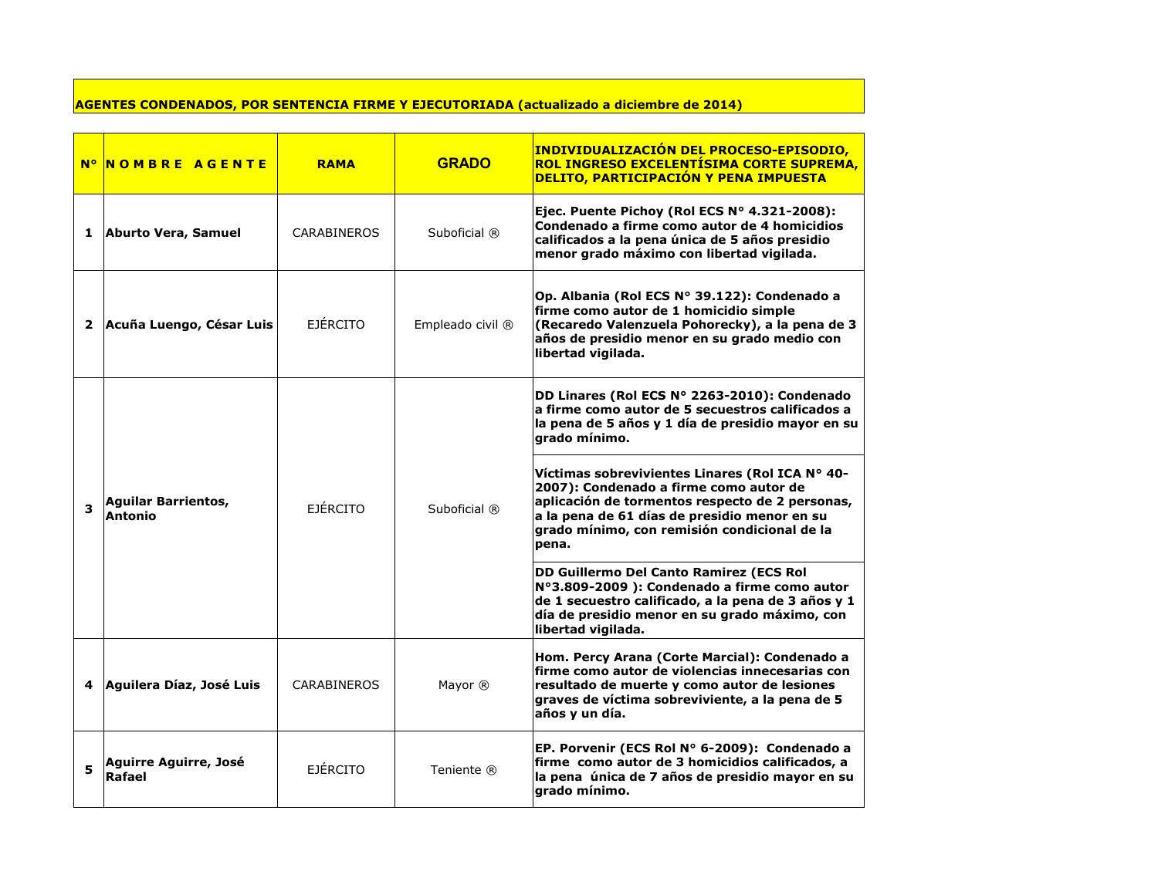## **AGENTES CONDENADOS, POR SENTENCIA FIRME Y EJECUTORIADA (actualizado a diciembre de 2014)**

|   | N° NOMBRE AGENTE                             | <b>RAMA</b>        | <b>GRADO</b>     | INDIVIDUALIZACIÓN DEL PROCESO-EPISODIO,<br>ROL INGRESO EXCELENTÍSIMA CORTE SUPREMA,<br><b>DELITO, PARTICIPACIÓN Y PENA IMPUESTA</b>                                                                                                                   |
|---|----------------------------------------------|--------------------|------------------|-------------------------------------------------------------------------------------------------------------------------------------------------------------------------------------------------------------------------------------------------------|
|   | 1 Aburto Vera, Samuel                        | <b>CARABINEROS</b> | Suboficial ®     | Ejec. Puente Pichoy (Rol ECS Nº 4.321-2008):<br>Condenado a firme como autor de 4 homicidios<br>calificados a la pena única de 5 años presidio<br>menor grado máximo con libertad vigilada.                                                           |
|   | 2 Acuña Luengo, César Luis                   | EJÉRCITO           | Empleado civil ® | Op. Albania (Rol ECS Nº 39.122): Condenado a<br>firme como autor de 1 homicidio simple<br>(Recaredo Valenzuela Pohorecky), a la pena de 3<br>años de presidio menor en su grado medio con<br>libertad vigilada.                                       |
|   |                                              |                    |                  | DD Linares (Rol ECS Nº 2263-2010): Condenado<br>a firme como autor de 5 secuestros calificados a<br>la pena de 5 años y 1 día de presidio mayor en su<br>grado mínimo.                                                                                |
| 3 | <b>Aguilar Barrientos,</b><br><b>Antonio</b> | EJÉRCITO           | Suboficial ®     | Víctimas sobrevivientes Linares (Rol ICA Nº 40-<br>2007): Condenado a firme como autor de<br>aplicación de tormentos respecto de 2 personas,<br>a la pena de 61 días de presidio menor en su<br>grado mínimo, con remisión condicional de la<br>pena. |
|   |                                              |                    |                  | DD Guillermo Del Canto Ramirez (ECS Rol<br>Nº3.809-2009): Condenado a firme como autor<br>de 1 secuestro calificado, a la pena de 3 años y 1<br>día de presidio menor en su grado máximo, con<br>libertad vigilada.                                   |
| 4 | Aguilera Díaz, José Luis                     | <b>CARABINEROS</b> | Mayor ®          | Hom. Percy Arana (Corte Marcial): Condenado a<br>firme como autor de violencias innecesarias con<br>resultado de muerte y como autor de lesiones<br>graves de víctima sobreviviente, a la pena de 5<br>años y un día.                                 |
| 5 | Aguirre Aguirre, José<br>Rafael              | <b>FIÉRCITO</b>    | Teniente ®       | EP. Porvenir (ECS Rol Nº 6-2009): Condenado a<br>firme como autor de 3 homicidios calificados, a<br>la pena única de 7 años de presidio mayor en su<br>grado mínimo.                                                                                  |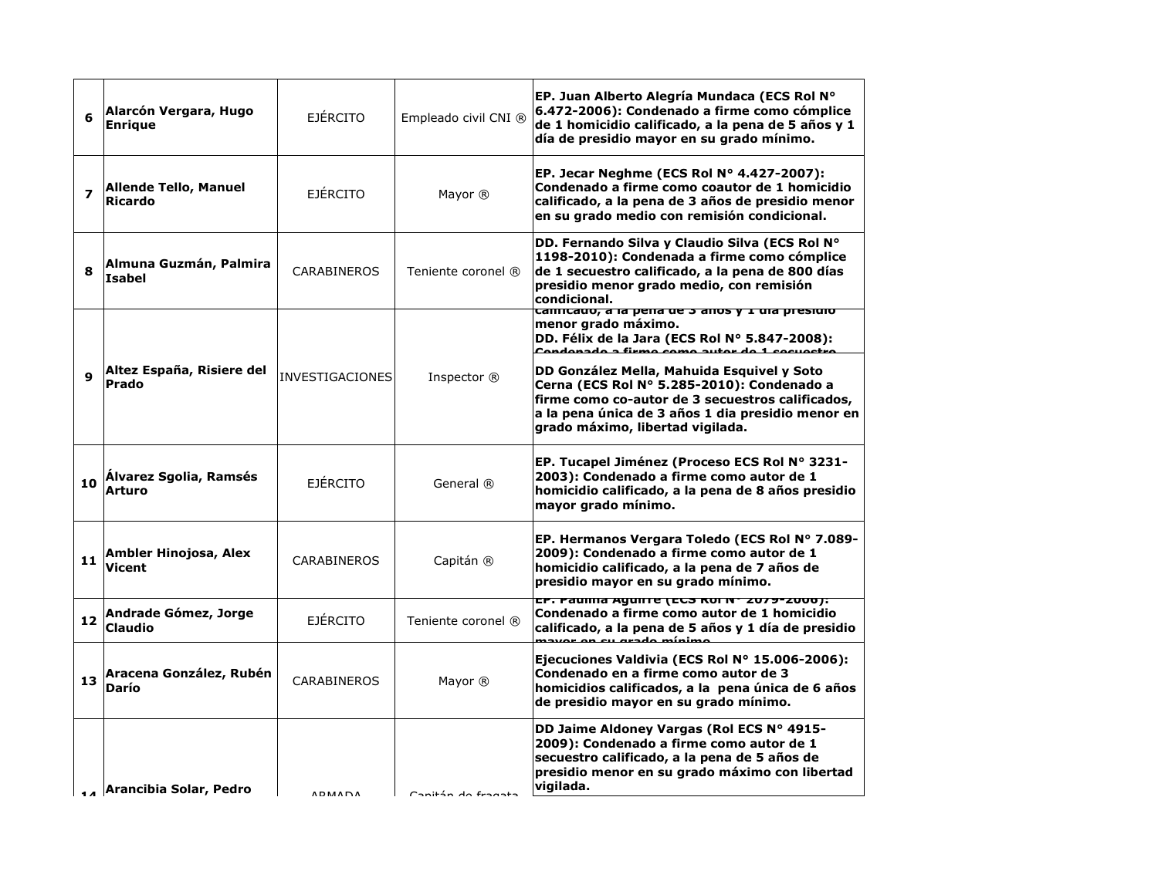| 6              | Alarcón Vergara, Hugo<br>Enrique               | <b>EJÉRCITO</b>        | Empleado civil CNI ® | EP. Juan Alberto Alegría Mundaca (ECS Rol N°<br>6.472-2006): Condenado a firme como cómplice<br>de 1 homicidio calificado, a la pena de 5 años y 1<br>día de presidio mayor en su grado mínimo.                                       |
|----------------|------------------------------------------------|------------------------|----------------------|---------------------------------------------------------------------------------------------------------------------------------------------------------------------------------------------------------------------------------------|
| $\overline{z}$ | <b>Allende Tello, Manuel</b><br><b>Ricardo</b> | EJÉRCITO               | Mayor ®              | EP. Jecar Neghme (ECS Rol Nº 4.427-2007):<br>Condenado a firme como coautor de 1 homicidio<br>calificado, a la pena de 3 años de presidio menor<br>en su grado medio con remisión condicional.                                        |
| 8              | Almuna Guzmán, Palmira<br><b>Isabel</b>        | <b>CARABINEROS</b>     | Teniente coronel ®   | DD. Fernando Silva y Claudio Silva (ECS Rol Nº<br>1198-2010): Condenada a firme como cómplice<br>de 1 secuestro calificado, a la pena de 800 días<br>presidio menor grado medio, con remisión<br>condicional.                         |
|                |                                                |                        |                      | canricado, a la pena de 5 anos y 1 día presidio<br>menor grado máximo.<br>DD. Félix de la Jara (ECS Rol Nº 5.847-2008):<br>Candanzda z firma cama zutar da 1 cacu                                                                     |
| 9              | Altez España, Risiere del<br>Prado             | <b>INVESTIGACIONES</b> | Inspector ®          | DD González Mella, Mahuida Esquivel y Soto<br>Cerna (ECS Rol Nº 5.285-2010): Condenado a<br>firme como co-autor de 3 secuestros calificados,<br>a la pena única de 3 años 1 dia presidio menor en<br>grado máximo, libertad vigilada. |
| 10             | Álvarez Sgolia, Ramsés<br>Arturo               | <b>EJÉRCITO</b>        | General ®            | EP. Tucapel Jiménez (Proceso ECS Rol Nº 3231-<br>2003): Condenado a firme como autor de 1<br>homicidio calificado, a la pena de 8 años presidio<br>mayor grado mínimo.                                                                |
| 11             | Ambler Hinojosa, Alex<br>Vicent                | <b>CARABINEROS</b>     | Capitán ®            | EP. Hermanos Vergara Toledo (ECS Rol Nº 7.089-<br>2009): Condenado a firme como autor de 1<br>homicidio calificado, a la pena de 7 años de<br>presidio mayor en su grado mínimo.                                                      |
| 12             | Andrade Gómez, Jorge<br><b>Claudio</b>         | EJÉRCITO               | Teniente coronel ®   | EP. Paulina Aguirre (ECS ROI N° 2079-2006):<br>Condenado a firme como autor de 1 homicidio<br>calificado, a la pena de 5 años y 1 día de presidio<br>ayar an cu grada mínim                                                           |
| 13             | Aracena González, Rubén<br>Darío               | <b>CARABINEROS</b>     | Mayor ®              | Ejecuciones Valdivia (ECS Rol Nº 15.006-2006):<br>Condenado en a firme como autor de 3<br>homicidios calificados, a la pena única de 6 años<br>de presidio mayor en su grado mínimo.                                                  |
|                | 14 Arancibia Solar, Pedro                      | <b>ADMADA</b>          | Coniffin do function | DD Jaime Aldoney Vargas (Rol ECS Nº 4915-<br>2009): Condenado a firme como autor de 1<br>secuestro calificado, a la pena de 5 años de<br>presidio menor en su grado máximo con libertad<br>vigilada.                                  |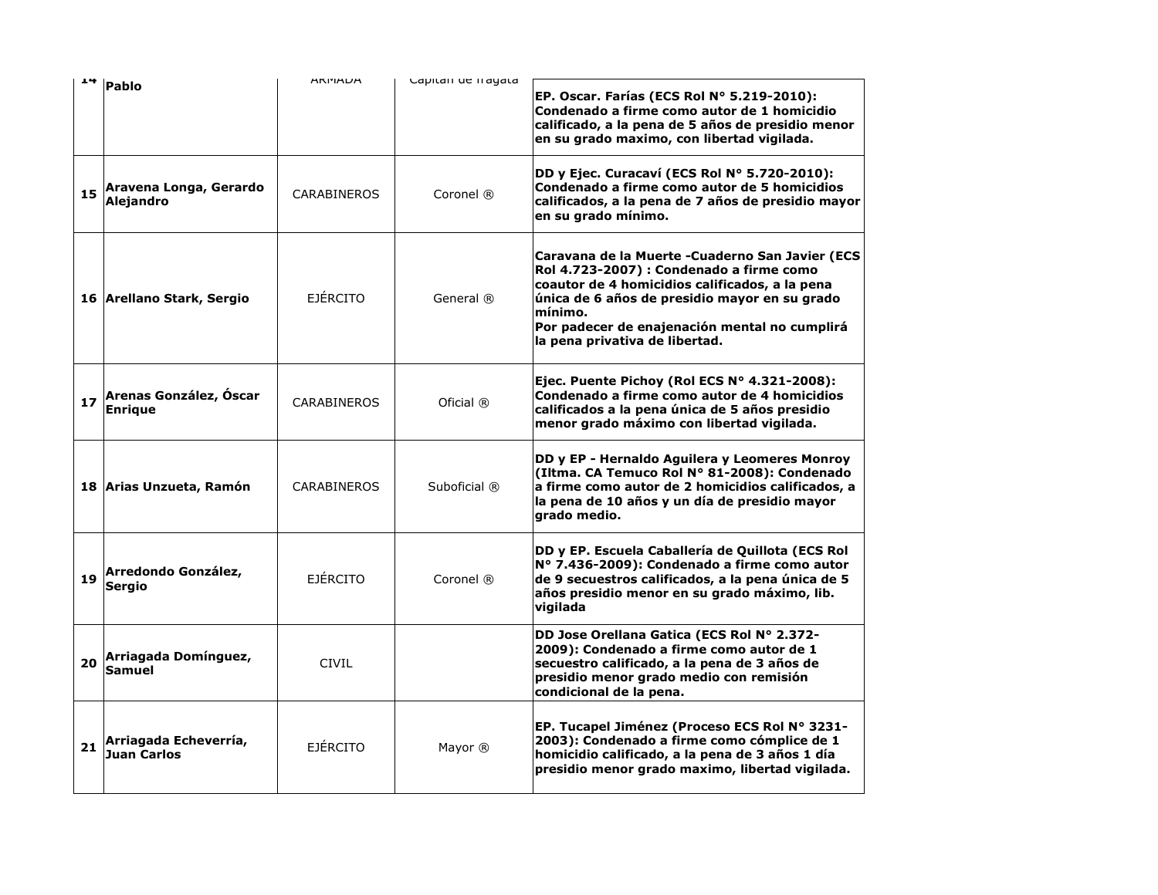|    |                                            | <b>AKIYIAUA</b>    | Capitali de li agata |                                                                                                                                                                                                                                                                                              |
|----|--------------------------------------------|--------------------|----------------------|----------------------------------------------------------------------------------------------------------------------------------------------------------------------------------------------------------------------------------------------------------------------------------------------|
|    | 14 Pablo                                   |                    |                      | EP. Oscar. Farías (ECS Rol Nº 5.219-2010):<br>Condenado a firme como autor de 1 homicidio<br>calificado, a la pena de 5 años de presidio menor<br>en su grado maximo, con libertad vigilada.                                                                                                 |
| 15 | Aravena Longa, Gerardo<br><b>Alejandro</b> | <b>CARABINEROS</b> | Coronel ®            | DD y Ejec. Curacaví (ECS Rol Nº 5.720-2010):<br>Condenado a firme como autor de 5 homicidios<br>calificados, a la pena de 7 años de presidio mayor<br>en su grado mínimo.                                                                                                                    |
|    | 16 Arellano Stark, Sergio                  | EJÉRCITO           | General ®            | Caravana de la Muerte -Cuaderno San Javier (ECS<br>Rol 4.723-2007) : Condenado a firme como<br>coautor de 4 homicidios calificados, a la pena<br>única de 6 años de presidio mayor en su grado<br>mínimo.<br>Por padecer de enajenación mental no cumplirá<br>la pena privativa de libertad. |
| 17 | Arenas González, Óscar<br><b>Enrique</b>   | <b>CARABINEROS</b> | Oficial ®            | Ejec. Puente Pichoy (Rol ECS Nº 4.321-2008):<br>Condenado a firme como autor de 4 homicidios<br>calificados a la pena única de 5 años presidio<br>menor grado máximo con libertad vigilada.                                                                                                  |
|    | 18 Arias Unzueta, Ramón                    | <b>CARABINEROS</b> | Suboficial ®         | DD y EP - Hernaldo Aguilera y Leomeres Monroy<br>(Iltma. CA Temuco Rol Nº 81-2008): Condenado<br>a firme como autor de 2 homicidios calificados, a<br>la pena de 10 años y un día de presidio mayor<br>grado medio.                                                                          |
| 19 | Arredondo González,<br><b>Sergio</b>       | <b>FIÉRCITO</b>    | Coronel ®            | DD y EP. Escuela Caballería de Quillota (ECS Rol<br>Nº 7.436-2009): Condenado a firme como autor<br>de 9 secuestros calificados, a la pena única de 5<br>años presidio menor en su grado máximo, lib.<br>vigilada                                                                            |
|    | 20 Arriagada Domínguez,<br><b>Samuel</b>   | <b>CIVIL</b>       |                      | DD Jose Orellana Gatica (ECS Rol Nº 2.372-<br>2009): Condenado a firme como autor de 1<br>secuestro calificado, a la pena de 3 años de<br>presidio menor grado medio con remisión<br>condicional de la pena.                                                                                 |
| 21 | Arriagada Echeverría,<br>Juan Carlos       | EJÉRCITO           | Mayor ®              | EP. Tucapel Jiménez (Proceso ECS Rol Nº 3231-<br>2003): Condenado a firme como cómplice de 1<br>homicidio calificado, a la pena de 3 años 1 día<br>presidio menor grado maximo, libertad vigilada.                                                                                           |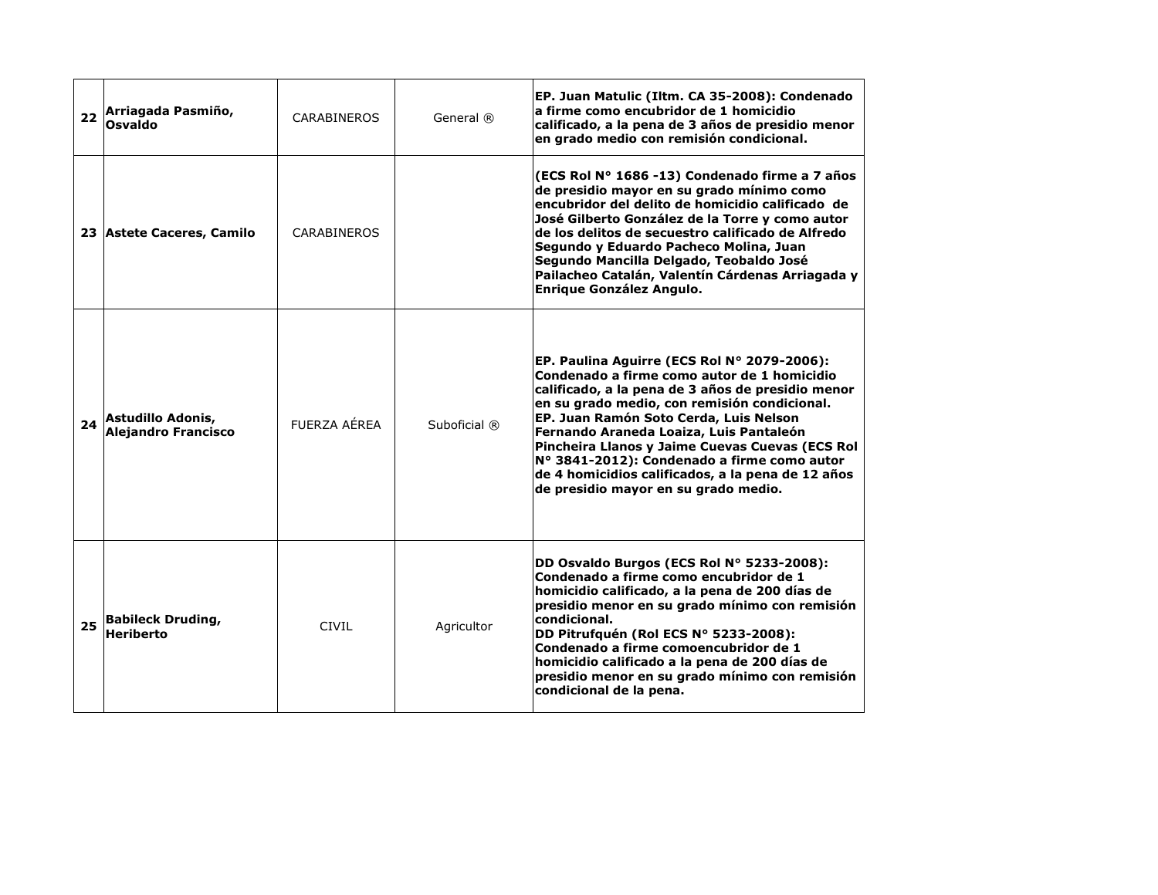| 22 | Arriagada Pasmiño,<br>Osvaldo                   | <b>CARABINEROS</b> | General ®    | EP. Juan Matulic (Iltm. CA 35-2008): Condenado<br>a firme como encubridor de 1 homicidio<br>calificado, a la pena de 3 años de presidio menor<br>en grado medio con remisión condicional.                                                                                                                                                                                                                                                                                           |
|----|-------------------------------------------------|--------------------|--------------|-------------------------------------------------------------------------------------------------------------------------------------------------------------------------------------------------------------------------------------------------------------------------------------------------------------------------------------------------------------------------------------------------------------------------------------------------------------------------------------|
|    | 23 Astete Caceres, Camilo                       | <b>CARABINEROS</b> |              | (ECS Rol Nº 1686 -13) Condenado firme a 7 años<br>de presidio mayor en su grado mínimo como<br>encubridor del delito de homicidio calificado de<br>José Gilberto González de la Torre y como autor<br>de los delitos de secuestro calificado de Alfredo<br>Segundo y Eduardo Pacheco Molina, Juan<br>Segundo Mancilla Delgado, Teobaldo José<br>Pailacheo Catalán, Valentín Cárdenas Arriagada y<br><b>Enrique González Angulo.</b>                                                 |
| 24 | Astudillo Adonis,<br><b>Alejandro Francisco</b> | FUERZA AÉREA       | Suboficial ® | EP. Paulina Aguirre (ECS Rol Nº 2079-2006):<br>Condenado a firme como autor de 1 homicidio<br>calificado, a la pena de 3 años de presidio menor<br>en su grado medio, con remisión condicional.<br>EP. Juan Ramón Soto Cerda, Luis Nelson<br>Fernando Araneda Loaiza, Luis Pantaleón<br>Pincheira Llanos y Jaime Cuevas Cuevas (ECS Rol<br>Nº 3841-2012): Condenado a firme como autor<br>de 4 homicidios calificados, a la pena de 12 años<br>de presidio mayor en su grado medio. |
| 25 | <b>Babileck Druding,</b><br><b>Heriberto</b>    | <b>CIVIL</b>       | Agricultor   | DD Osvaldo Burgos (ECS Rol Nº 5233-2008):<br>Condenado a firme como encubridor de 1<br>homicidio calificado, a la pena de 200 días de<br>presidio menor en su grado mínimo con remisión<br>condicional.<br>DD Pitrufquén (Rol ECS Nº 5233-2008):<br>Condenado a firme comoencubridor de 1<br>homicidio calificado a la pena de 200 días de<br>presidio menor en su grado mínimo con remisión<br>condicional de la pena.                                                             |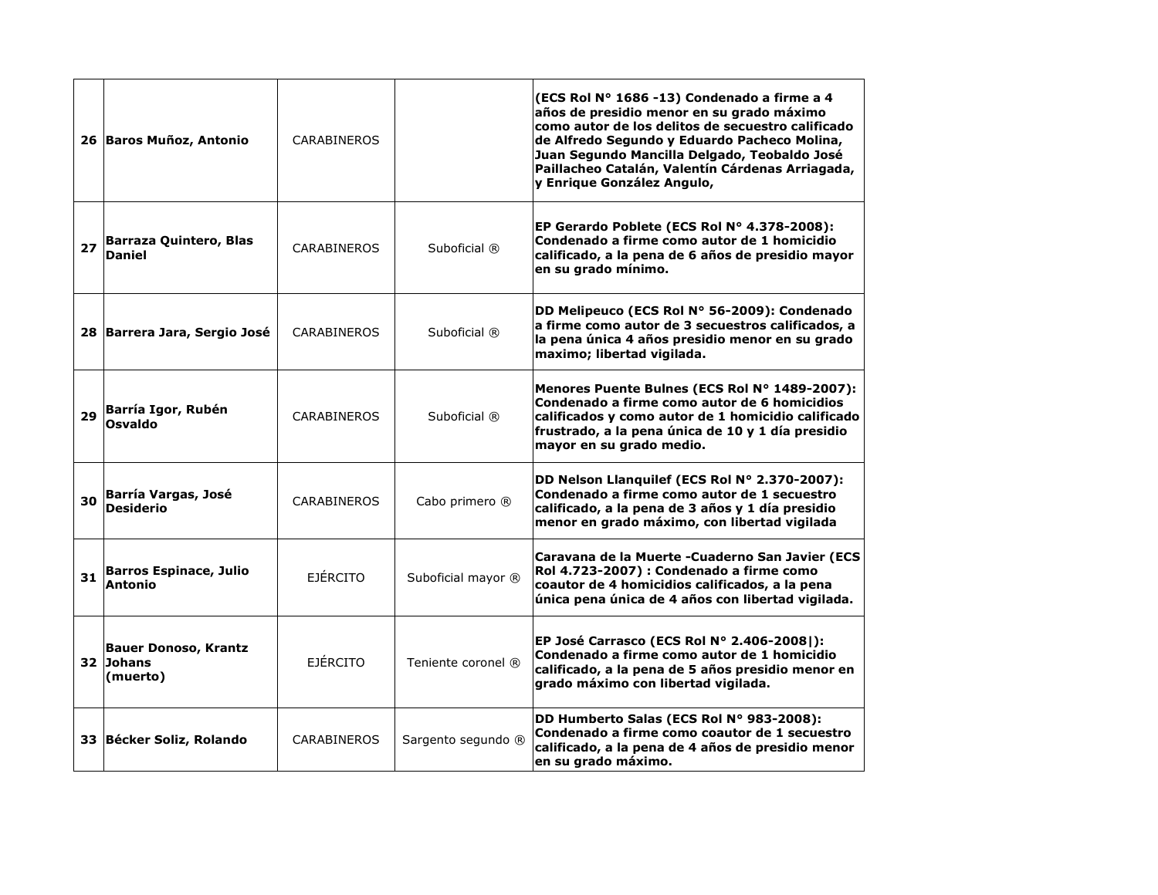|    | 26 Baros Muñoz, Antonio                              | <b>CARABINEROS</b> |                    | (ECS Rol Nº 1686 -13) Condenado a firme a 4<br>años de presidio menor en su grado máximo<br>como autor de los delitos de secuestro calificado<br>de Alfredo Segundo y Eduardo Pacheco Molina,<br>Juan Segundo Mancilla Delgado, Teobaldo José<br>Paillacheo Catalán, Valentín Cárdenas Arriagada,<br>y Enrique González Angulo, |
|----|------------------------------------------------------|--------------------|--------------------|---------------------------------------------------------------------------------------------------------------------------------------------------------------------------------------------------------------------------------------------------------------------------------------------------------------------------------|
| 27 | <b>Barraza Quintero, Blas</b><br><b>Daniel</b>       | <b>CARABINEROS</b> | Suboficial ®       | EP Gerardo Poblete (ECS Rol Nº 4.378-2008):<br>Condenado a firme como autor de 1 homicidio<br>calificado, a la pena de 6 años de presidio mavor<br>en su grado mínimo.                                                                                                                                                          |
|    | 28 Barrera Jara, Sergio José                         | <b>CARABINEROS</b> | Suboficial ®       | DD Melipeuco (ECS Rol Nº 56-2009): Condenado<br>a firme como autor de 3 secuestros calificados, a<br>la pena única 4 años presidio menor en su grado<br>maximo; libertad vigilada.                                                                                                                                              |
| 29 | Barría Igor, Rubén<br>Osvaldo                        | <b>CARABINEROS</b> | Suboficial ®       | Menores Puente Bulnes (ECS Rol Nº 1489-2007):<br>Condenado a firme como autor de 6 homicidios<br>calificados y como autor de 1 homicidio calificado<br>frustrado, a la pena única de 10 y 1 día presidio<br>mayor en su grado medio.                                                                                            |
| 30 | <b>Barría Vargas, José</b><br><b>Desiderio</b>       | CARABINEROS        | Cabo primero ®     | DD Nelson Llanquilef (ECS Rol Nº 2.370-2007):<br>Condenado a firme como autor de 1 secuestro<br>calificado, a la pena de 3 años y 1 día presidio<br>menor en grado máximo, con libertad vigilada                                                                                                                                |
| 31 | <b>Barros Espinace, Julio</b><br><b>Antonio</b>      | EJÉRCITO           | Suboficial mayor ® | Caravana de la Muerte -Cuaderno San Javier (ECS<br>Rol 4.723-2007) : Condenado a firme como<br>coautor de 4 homicidios calificados, a la pena<br>única pena única de 4 años con libertad vigilada.                                                                                                                              |
|    | <b>Bauer Donoso, Krantz</b><br>32 Johans<br>(muerto) | EJÉRCITO           | Teniente coronel ® | EP José Carrasco (ECS Rol Nº 2.406-2008)):<br>Condenado a firme como autor de 1 homicidio<br>calificado, a la pena de 5 años presidio menor en<br>grado máximo con libertad vigilada.                                                                                                                                           |
|    | 33 Bécker Soliz, Rolando                             | <b>CARABINEROS</b> | Sargento segundo ® | DD Humberto Salas (ECS Rol Nº 983-2008):<br>Condenado a firme como coautor de 1 secuestro<br>calificado, a la pena de 4 años de presidio menor<br>en su grado máximo.                                                                                                                                                           |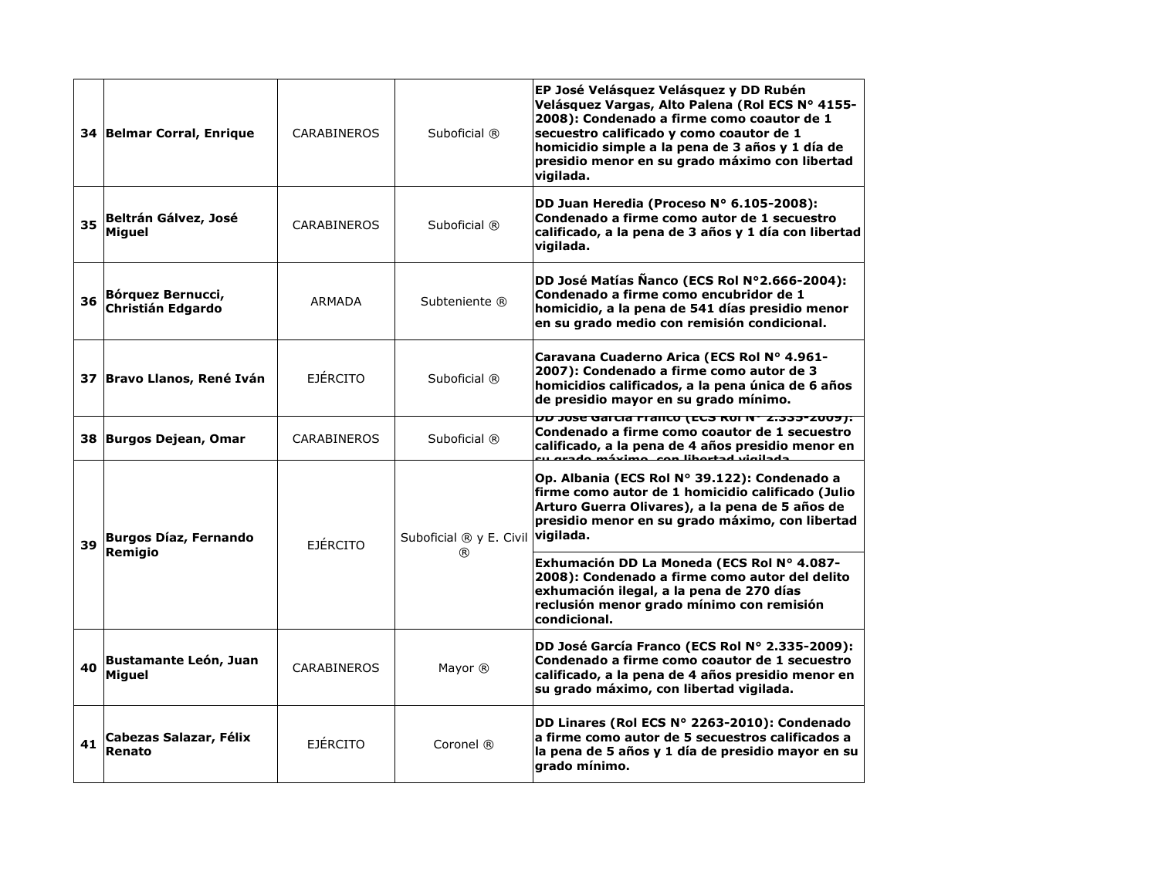|    | 34 Belmar Corral, Enrique               | <b>CARABINEROS</b> | Suboficial ®                   | EP José Velásquez Velásquez y DD Rubén<br>Velásquez Vargas, Alto Palena (Rol ECS Nº 4155-<br>2008): Condenado a firme como coautor de 1<br>secuestro calificado y como coautor de 1<br>homicidio simple a la pena de 3 años y 1 día de<br>presidio menor en su grado máximo con libertad<br>vigilada. |
|----|-----------------------------------------|--------------------|--------------------------------|-------------------------------------------------------------------------------------------------------------------------------------------------------------------------------------------------------------------------------------------------------------------------------------------------------|
| 35 | Beltrán Gálvez, José<br>Miguel          | <b>CARABINEROS</b> | Suboficial ®                   | DD Juan Heredia (Proceso Nº 6.105-2008):<br>Condenado a firme como autor de 1 secuestro<br>calificado, a la pena de 3 años y 1 día con libertad<br>vigilada.                                                                                                                                          |
| 36 | Bórquez Bernucci,<br>Christián Edgardo  | <b>ARMADA</b>      | Subteniente ®                  | DD José Matías Ñanco (ECS Rol N°2.666-2004):<br>Condenado a firme como encubridor de 1<br>homicidio, a la pena de 541 días presidio menor<br>en su grado medio con remisión condicional.                                                                                                              |
|    | 37 Bravo Llanos, René Iván              | <b>EJÉRCITO</b>    | Suboficial ®                   | Caravana Cuaderno Arica (ECS Rol Nº 4.961-<br>2007): Condenado a firme como autor de 3<br>homicidios calificados, a la pena única de 6 años<br>de presidio mayor en su grado mínimo.                                                                                                                  |
|    | 38 Burgos Dejean, Omar                  | CARABINEROS        | Suboficial ®                   | וסט Jose Garcia Franco (ככב א הוא 2.355-2007):<br>Condenado a firme como coautor de 1 secuestro<br>calificado, a la pena de 4 años presidio menor en<br>da máxima aon libertad viailada                                                                                                               |
| 39 | <b>Burgos Díaz, Fernando</b><br>Remigio | EJÉRCITO           | Suboficial ® y E. Civil<br>(R) | Op. Albania (ECS Rol Nº 39.122): Condenado a<br>firme como autor de 1 homicidio calificado (Julio<br>Arturo Guerra Olivares), a la pena de 5 años de<br>presidio menor en su grado máximo, con libertad<br>vigilada.                                                                                  |
|    |                                         |                    |                                | Exhumación DD La Moneda (ECS Rol Nº 4.087-<br>2008): Condenado a firme como autor del delito<br>exhumación ilegal, a la pena de 270 días<br>reclusión menor grado mínimo con remisión<br>condicional.                                                                                                 |
| 40 | Bustamante León, Juan<br><b>Miguel</b>  | <b>CARABINEROS</b> | Mayor ®                        | DD José García Franco (ECS Rol Nº 2.335-2009):<br>Condenado a firme como coautor de 1 secuestro<br>calificado, a la pena de 4 años presidio menor en<br>su grado máximo, con libertad vigilada.                                                                                                       |
| 41 | Cabezas Salazar, Félix<br>Renato        | EJÉRCITO           | Coronel ®                      | DD Linares (Rol ECS Nº 2263-2010): Condenado<br>a firme como autor de 5 secuestros calificados a<br>la pena de 5 años y 1 día de presidio mayor en su<br>grado mínimo.                                                                                                                                |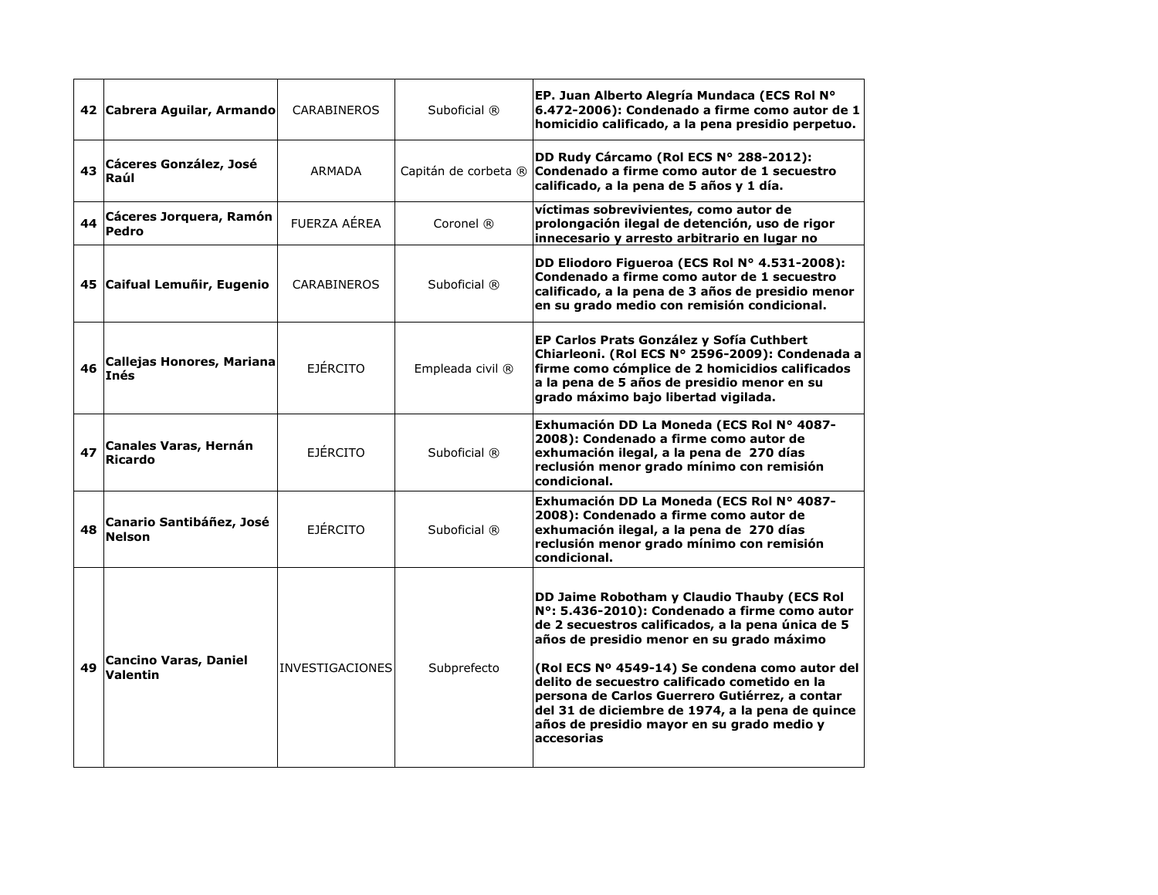|    | 42 Cabrera Aguilar, Armando                    | <b>CARABINEROS</b>     | Suboficial ®         | EP. Juan Alberto Alegría Mundaca (ECS Rol Nº<br>6.472-2006): Condenado a firme como autor de 1<br>homicidio calificado, a la pena presidio perpetuo.                                                                                                                                                                                                                                                                                                                |
|----|------------------------------------------------|------------------------|----------------------|---------------------------------------------------------------------------------------------------------------------------------------------------------------------------------------------------------------------------------------------------------------------------------------------------------------------------------------------------------------------------------------------------------------------------------------------------------------------|
| 43 | Cáceres González, José<br>Raúl                 | <b>ARMADA</b>          | Capitán de corbeta ® | DD Rudy Cárcamo (Rol ECS Nº 288-2012):<br>Condenado a firme como autor de 1 secuestro<br>calificado, a la pena de 5 años y 1 día.                                                                                                                                                                                                                                                                                                                                   |
| 44 | Cáceres Jorquera, Ramón<br>Pedro               | FUERZA AÉREA           | Coronel ®            | víctimas sobrevivientes, como autor de<br>prolongación ilegal de detención, uso de rigor<br>innecesario y arresto arbitrario en lugar no                                                                                                                                                                                                                                                                                                                            |
|    | 45 Caifual Lemuñir, Eugenio                    | CARABINEROS            | Suboficial ®         | DD Eliodoro Figueroa (ECS Rol Nº 4.531-2008):<br>Condenado a firme como autor de 1 secuestro<br>calificado, a la pena de 3 años de presidio menor<br>en su grado medio con remisión condicional.                                                                                                                                                                                                                                                                    |
| 46 | Callejas Honores, Mariana<br><b>Inés</b>       | EJÉRCITO               | Empleada civil ®     | EP Carlos Prats González y Sofía Cuthbert<br>Chiarleoni. (Rol ECS Nº 2596-2009): Condenada a<br>firme como cómplice de 2 homicidios calificados<br>a la pena de 5 años de presidio menor en su<br>grado máximo bajo libertad vigilada.                                                                                                                                                                                                                              |
| 47 | <b>Canales Varas, Hernán</b><br><b>Ricardo</b> | EJÉRCITO               | Suboficial ®         | Exhumación DD La Moneda (ECS Rol Nº 4087-<br>2008): Condenado a firme como autor de<br>exhumación ilegal, a la pena de 270 días<br>reclusión menor grado mínimo con remisión<br>condicional.                                                                                                                                                                                                                                                                        |
| 48 | Canario Santibáñez, José<br>Nelson             | EJÉRCITO               | Suboficial ®         | Exhumación DD La Moneda (ECS Rol Nº 4087-<br>2008): Condenado a firme como autor de<br>exhumación ilegal, a la pena de 270 días<br>reclusión menor grado mínimo con remisión<br>condicional.                                                                                                                                                                                                                                                                        |
| 49 | <b>Cancino Varas, Daniel</b><br>Valentin       | <b>INVESTIGACIONES</b> | Subprefecto          | DD Jaime Robotham y Claudio Thauby (ECS Rol<br>N°: 5.436-2010): Condenado a firme como autor<br>de 2 secuestros calificados, a la pena única de 5<br>años de presidio menor en su grado máximo<br>(Rol ECS Nº 4549-14) Se condena como autor del<br>delito de secuestro calificado cometido en la<br>persona de Carlos Guerrero Gutiérrez, a contar<br>del 31 de diciembre de 1974, a la pena de quince<br>años de presidio mayor en su grado medio y<br>accesorias |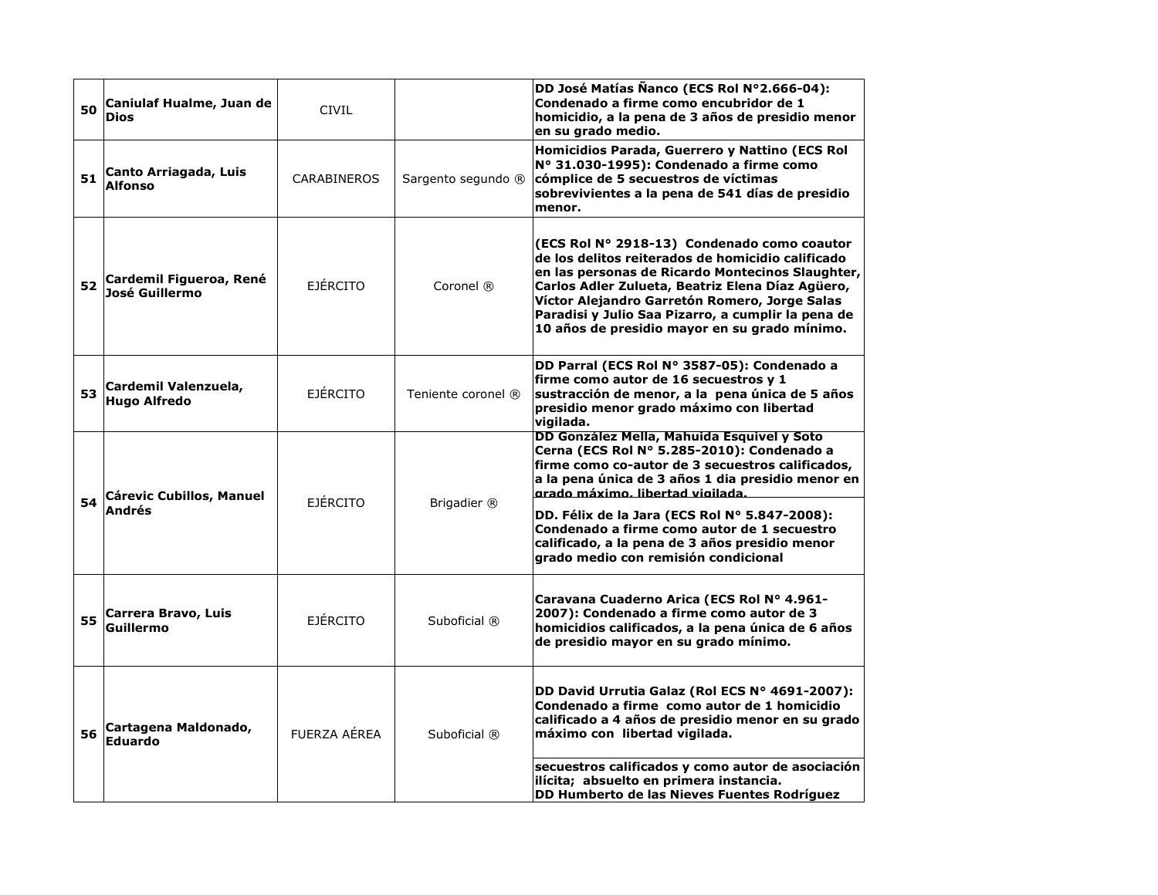| 50 | Caniulaf Hualme, Juan de<br><b>Dios</b>     | <b>CIVIL</b>       |                    | DD José Matías Ñanco (ECS Rol Nº2.666-04):<br>Condenado a firme como encubridor de 1<br>homicidio, a la pena de 3 años de presidio menor<br>en su grado medio.                                                                                                                                                                                                   |
|----|---------------------------------------------|--------------------|--------------------|------------------------------------------------------------------------------------------------------------------------------------------------------------------------------------------------------------------------------------------------------------------------------------------------------------------------------------------------------------------|
| 51 | Canto Arriagada, Luis<br><b>Alfonso</b>     | <b>CARABINEROS</b> | Sargento segundo ® | Homicidios Parada, Guerrero y Nattino (ECS Rol<br>Nº 31.030-1995): Condenado a firme como<br>cómplice de 5 secuestros de víctimas<br>sobrevivientes a la pena de 541 días de presidio<br>menor.                                                                                                                                                                  |
| 52 | Cardemil Figueroa, René<br>José Guillermo   | <b>EJÉRCITO</b>    | Coronel ®          | (ECS Rol Nº 2918-13) Condenado como coautor<br>de los delitos reiterados de homicidio calificado<br>en las personas de Ricardo Montecinos Slaughter,<br>Carlos Adler Zulueta, Beatriz Elena Díaz Agüero,<br>Víctor Alejandro Garretón Romero, Jorge Salas<br>Paradisi y Julio Saa Pizarro, a cumplir la pena de<br>10 años de presidio mayor en su grado mínimo. |
| 53 | Cardemil Valenzuela,<br><b>Hugo Alfredo</b> | <b>EJÉRCITO</b>    | Teniente coronel ® | DD Parral (ECS Rol Nº 3587-05): Condenado a<br>firme como autor de 16 secuestros y 1<br>sustracción de menor, a la pena única de 5 años<br>presidio menor grado máximo con libertad<br>vigilada.                                                                                                                                                                 |
|    | 54 Cárevic Cubillos, Manuel                 | <b>EJÉRCITO</b>    | Brigadier ®        | DD González Mella, Mahuida Esquivel y Soto<br>Cerna (ECS Rol Nº 5.285-2010): Condenado a<br>firme como co-autor de 3 secuestros calificados,<br>a la pena única de 3 años 1 dia presidio menor en<br>grado máximo, libertad vigilada.                                                                                                                            |
|    | <b>Andrés</b>                               |                    |                    | DD. Félix de la Jara (ECS Rol Nº 5.847-2008):<br>Condenado a firme como autor de 1 secuestro<br>calificado, a la pena de 3 años presidio menor<br>grado medio con remisión condicional                                                                                                                                                                           |
| 55 | Carrera Bravo, Luis<br>Guillermo            | <b>FIÉRCITO</b>    | Suboficial ®       | Caravana Cuaderno Arica (ECS Rol Nº 4.961-<br>2007): Condenado a firme como autor de 3<br>homicidios calificados, a la pena única de 6 años<br>de presidio mayor en su grado mínimo.                                                                                                                                                                             |
|    | 56 Cartagena Maldonado,<br><b>Eduardo</b>   | FUERZA AÉREA       | Suboficial ®       | DD David Urrutia Galaz (Rol ECS Nº 4691-2007):<br>Condenado a firme como autor de 1 homicidio<br>calificado a 4 años de presidio menor en su grado<br>máximo con libertad vigilada.                                                                                                                                                                              |
|    |                                             |                    |                    | secuestros calificados y como autor de asociación<br>ilícita; absuelto en primera instancia.<br>DD Humberto de las Nieves Fuentes Rodríguez                                                                                                                                                                                                                      |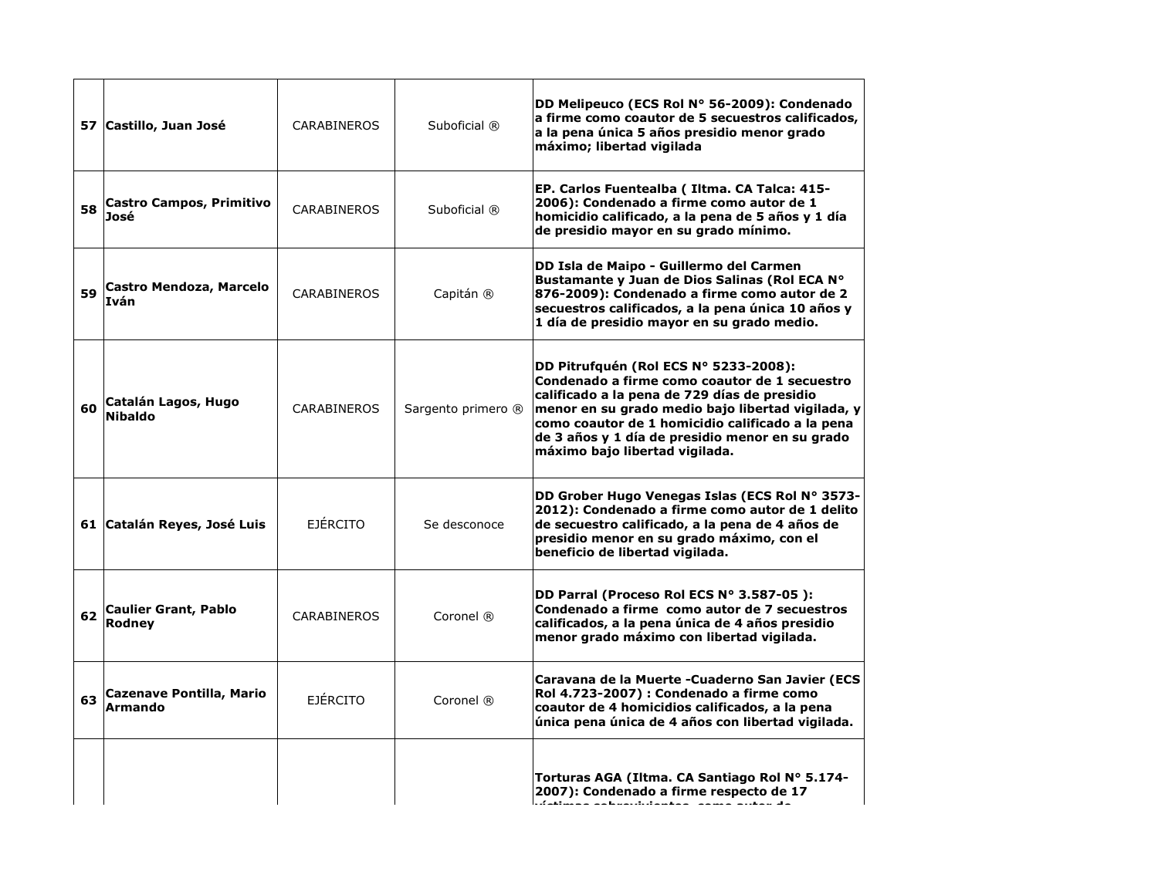|    | 57 Castillo, Juan José                     | CARABINEROS        | Suboficial ®       | DD Melipeuco (ECS Rol Nº 56-2009): Condenado<br>a firme como coautor de 5 secuestros calificados,<br>a la pena única 5 años presidio menor grado<br>máximo; libertad vigilada                                                                                                                                                        |
|----|--------------------------------------------|--------------------|--------------------|--------------------------------------------------------------------------------------------------------------------------------------------------------------------------------------------------------------------------------------------------------------------------------------------------------------------------------------|
| 58 | <b>Castro Campos, Primitivo</b><br>José    | <b>CARABINEROS</b> | Suboficial ®       | EP. Carlos Fuentealba (Iltma. CA Talca: 415-<br>2006): Condenado a firme como autor de 1<br>homicidio calificado, a la pena de 5 años y 1 día<br>de presidio mayor en su grado mínimo.                                                                                                                                               |
| 59 | Castro Mendoza, Marcelo<br>Iván            | <b>CARABINEROS</b> | Capitán ®          | DD Isla de Maipo - Guillermo del Carmen<br>Bustamante y Juan de Dios Salinas (Rol ECA Nº<br>876-2009): Condenado a firme como autor de 2<br>secuestros calificados, a la pena única 10 años y<br>1 día de presidio mayor en su grado medio.                                                                                          |
| 60 | Catalán Lagos, Hugo<br><b>Nibaldo</b>      | <b>CARABINEROS</b> | Sargento primero ® | DD Pitrufquén (Rol ECS N° 5233-2008):<br>Condenado a firme como coautor de 1 secuestro<br>calificado a la pena de 729 días de presidio<br>menor en su grado medio bajo libertad vigilada, y<br>como coautor de 1 homicidio calificado a la pena<br>de 3 años y 1 día de presidio menor en su grado<br>máximo bajo libertad vigilada. |
|    | 61 Catalán Reyes, José Luis                | EJÉRCITO           | Se desconoce       | DD Grober Hugo Venegas Islas (ECS Rol Nº 3573-<br>2012): Condenado a firme como autor de 1 delito<br>de secuestro calificado, a la pena de 4 años de<br>presidio menor en su grado máximo, con el<br>beneficio de libertad vigilada.                                                                                                 |
| 62 | <b>Caulier Grant, Pablo</b><br>Rodnev      | CARABINEROS        | Coronel ®          | DD Parral (Proceso Rol ECS Nº 3.587-05):<br>Condenado a firme como autor de 7 secuestros<br>calificados, a la pena única de 4 años presidio<br>menor grado máximo con libertad vigilada.                                                                                                                                             |
| 63 | Cazenave Pontilla, Mario<br><b>Armando</b> | <b>EJÉRCITO</b>    | Coronel ®          | Caravana de la Muerte -Cuaderno San Javier (ECS<br>Rol 4.723-2007) : Condenado a firme como<br>coautor de 4 homicidios calificados, a la pena<br>única pena única de 4 años con libertad vigilada.                                                                                                                                   |
|    |                                            |                    |                    | Torturas AGA (Iltma. CA Santiago Rol Nº 5.174-<br>2007): Condenado a firme respecto de 17<br>d'autorizat en la constitut a courant.                                                                                                                                                                                                  |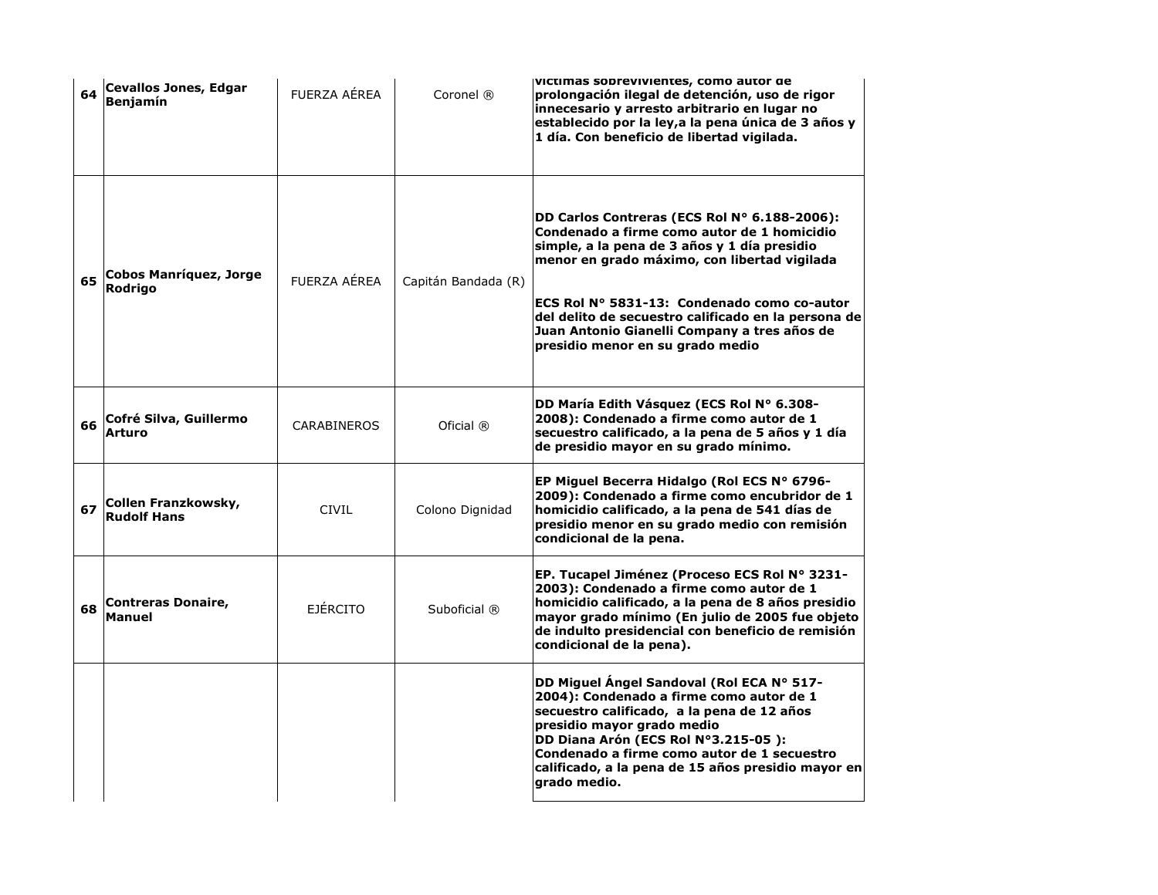| 64 | Cevallos Jones, Edgar<br><b>Beniamín</b>  | <b>FUERZA AÉREA</b> | Coronel ®           | victimas soprevivientes, como autor de<br>prolongación ilegal de detención, uso de rigor<br>innecesario y arresto arbitrario en lugar no<br>establecido por la ley, a la pena única de 3 años y<br>1 día. Con beneficio de libertad vigilada.                                                                                                                                         |
|----|-------------------------------------------|---------------------|---------------------|---------------------------------------------------------------------------------------------------------------------------------------------------------------------------------------------------------------------------------------------------------------------------------------------------------------------------------------------------------------------------------------|
| 65 | Cobos Manríquez, Jorge<br><b>Rodrigo</b>  | FUERZA AÉREA        | Capitán Bandada (R) | DD Carlos Contreras (ECS Rol Nº 6.188-2006):<br>Condenado a firme como autor de 1 homicidio<br>simple, a la pena de 3 años y 1 día presidio<br>menor en grado máximo, con libertad vigilada<br>ECS Rol Nº 5831-13: Condenado como co-autor<br>del delito de secuestro calificado en la persona de<br>Juan Antonio Gianelli Company a tres años de<br>presidio menor en su grado medio |
| 66 | Cofré Silva, Guillermo<br><b>Arturo</b>   | <b>CARABINEROS</b>  | Oficial ®           | DD María Edith Vásquez (ECS Rol Nº 6.308-<br>2008): Condenado a firme como autor de 1<br>secuestro calificado, a la pena de 5 años y 1 día<br>de presidio mayor en su grado mínimo.                                                                                                                                                                                                   |
| 67 | Collen Franzkowsky,<br><b>Rudolf Hans</b> | <b>CIVIL</b>        | Colono Dignidad     | EP Miguel Becerra Hidalgo (Rol ECS Nº 6796-<br>2009): Condenado a firme como encubridor de 1<br>homicidio calificado, a la pena de 541 días de<br>presidio menor en su grado medio con remisión<br>condicional de la pena.                                                                                                                                                            |
| 68 | Contreras Donaire,<br><b>Manuel</b>       | <b>EJÉRCITO</b>     | Suboficial ®        | EP. Tucapel Jiménez (Proceso ECS Rol N° 3231-<br>2003): Condenado a firme como autor de 1<br>homicidio calificado, a la pena de 8 años presidio<br>mayor grado mínimo (En julio de 2005 fue objeto<br>de indulto presidencial con beneficio de remisión<br>condicional de la pena).                                                                                                   |
|    |                                           |                     |                     | DD Miguel Angel Sandoval (Rol ECA N° 517-<br>2004): Condenado a firme como autor de 1<br>secuestro calificado, a la pena de 12 años<br>presidio mayor grado medio<br>DD Diana Arón (ECS Rol Nº3.215-05):<br>Condenado a firme como autor de 1 secuestro<br>calificado, a la pena de 15 años presidio mayor en<br>grado medio.                                                         |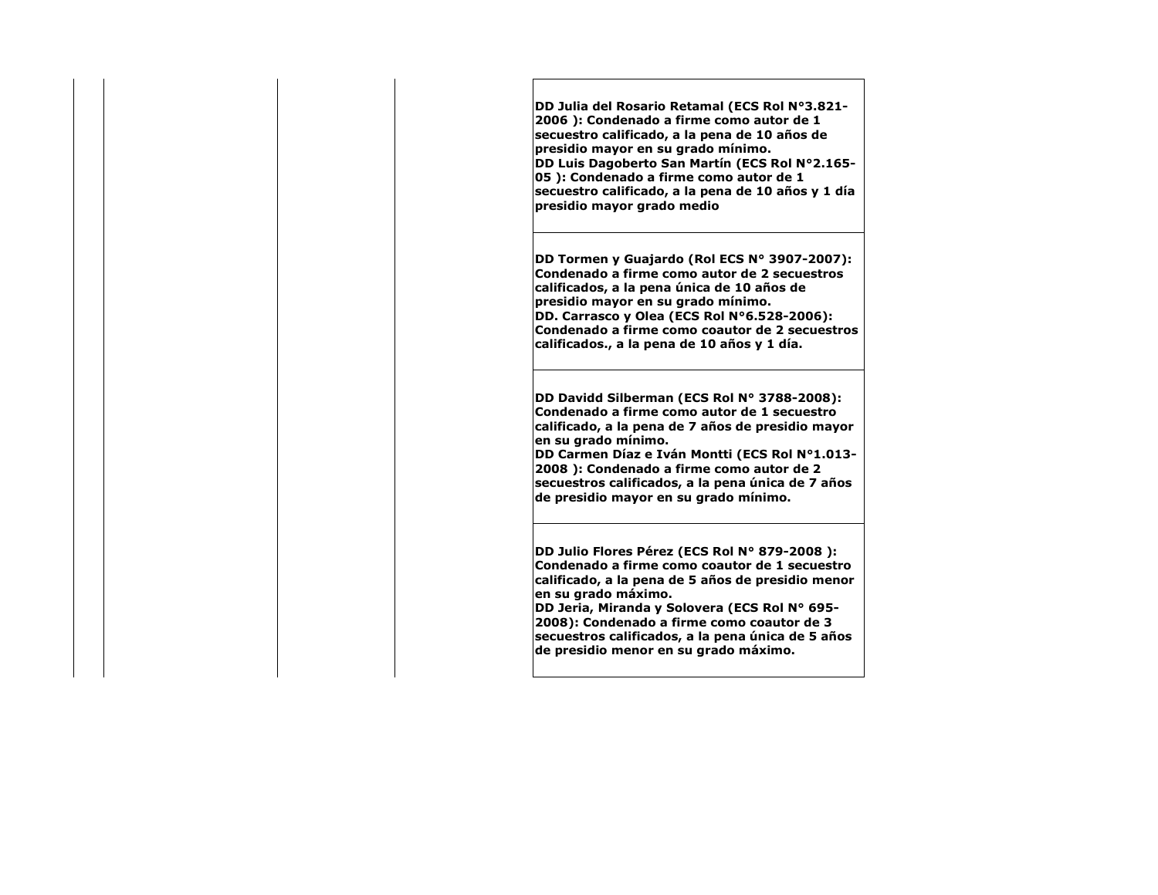**DD Julia del Rosario Retamal (ECS Rol N°3.821- 2006 ): Condenado a firme como autor de 1 secuestro calificado, a la pena de 10 años de presidio mayor en su grado mínimo. DD Luis Dagoberto San Martín (ECS Rol N°2.165- 05 ): Condenado a firme como autor de 1 secuestro calificado, a la pena de 10 años y 1 día presidio mayor grado medio**

**DD Tormen y Guajardo (Rol ECS N° 3907-2007): Condenado a firme como autor de 2 secuestros calificados, a la pena única de 10 años de presidio mayor en su grado mínimo. DD. Carrasco y Olea (ECS Rol N°6.528-2006): Condenado a firme como coautor de 2 secuestros calificados., a la pena de 10 años y 1 día.**

**DD Davidd Silberman (ECS Rol N° 3788-2008): Condenado a firme como autor de 1 secuestro calificado, a la pena de 7 años de presidio mayor en su grado mínimo.** 

**DD Carmen Díaz e Iván Montti (ECS Rol N°1.013- 2008 ): Condenado a firme como autor de 2 secuestros calificados, a la pena única de 7 años de presidio mayor en su grado mínimo.**

**DD Julio Flores Pérez (ECS Rol N° 879-2008 ): Condenado a firme como coautor de 1 secuestro calificado, a la pena de 5 años de presidio menor en su grado máximo.**

**DD Jeria, Miranda y Solovera (ECS Rol N° 695- 2008): Condenado a firme como coautor de 3 secuestros calificados, a la pena única de 5 años de presidio menor en su grado máximo.**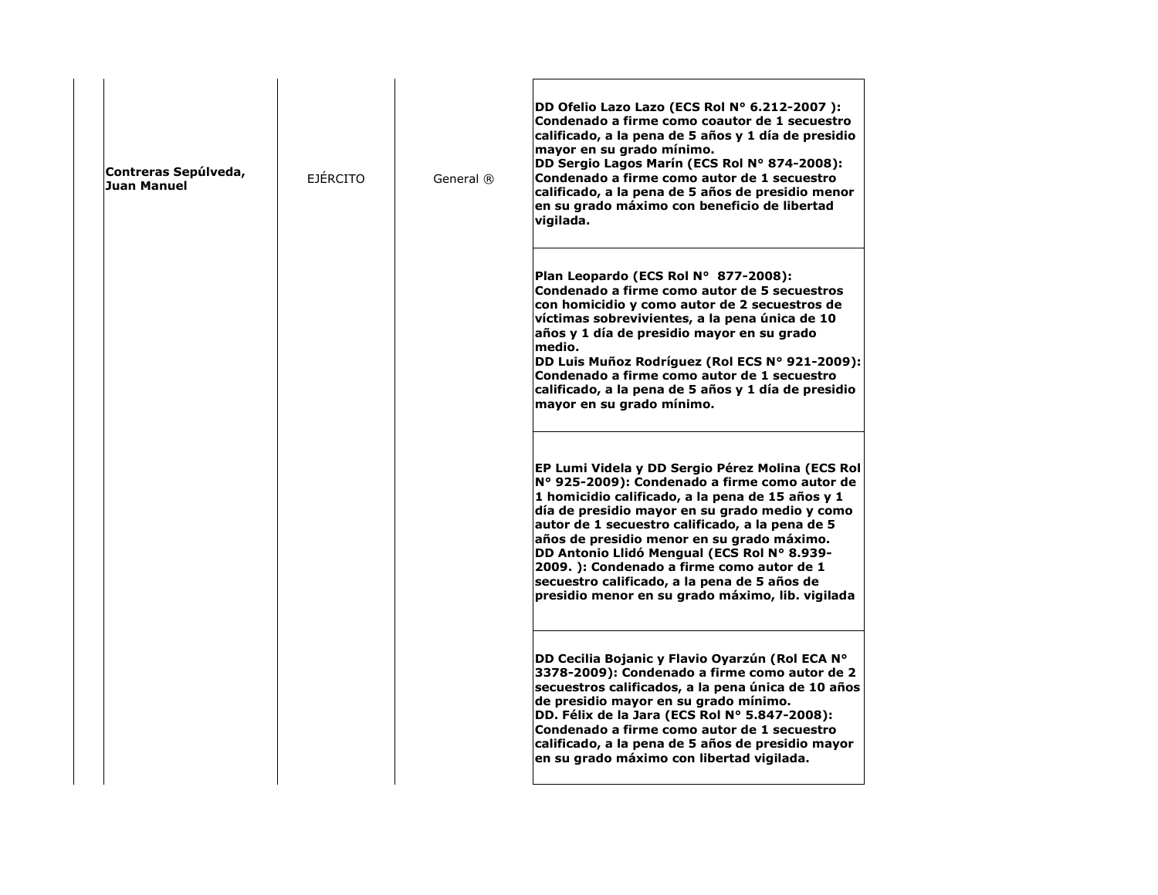| Contreras Sepúlveda,<br>Juan Manuel | <b>EJÉRCITO</b> | General ® | DD Ofelio Lazo Lazo (ECS Rol Nº 6.212-2007):<br>Condenado a firme como coautor de 1 secuestro<br>calificado, a la pena de 5 años y 1 día de presidio<br>mayor en su grado mínimo.<br>DD Sergio Lagos Marín (ECS Rol Nº 874-2008):<br>Condenado a firme como autor de 1 secuestro<br>calificado, a la pena de 5 años de presidio menor<br>en su grado máximo con beneficio de libertad<br>vigilada.                                                                                                        |
|-------------------------------------|-----------------|-----------|-----------------------------------------------------------------------------------------------------------------------------------------------------------------------------------------------------------------------------------------------------------------------------------------------------------------------------------------------------------------------------------------------------------------------------------------------------------------------------------------------------------|
|                                     |                 |           | Plan Leopardo (ECS Rol Nº 877-2008):<br>Condenado a firme como autor de 5 secuestros<br>con homicidio y como autor de 2 secuestros de<br>víctimas sobrevivientes, a la pena única de 10<br>años y 1 día de presidio mayor en su grado<br>medio.<br>DD Luis Muñoz Rodríguez (Rol ECS Nº 921-2009):<br>Condenado a firme como autor de 1 secuestro<br>calificado, a la pena de 5 años y 1 día de presidio<br>mayor en su grado mínimo.                                                                      |
|                                     |                 |           | EP Lumi Videla y DD Sergio Pérez Molina (ECS Rol<br>Nº 925-2009): Condenado a firme como autor de<br>1 homicidio calificado, a la pena de 15 años y 1<br>día de presidio mayor en su grado medio y como<br>autor de 1 secuestro calificado, a la pena de 5<br>años de presidio menor en su grado máximo.<br>DD Antonio Llidó Mengual (ECS Rol Nº 8.939-<br>2009. ): Condenado a firme como autor de 1<br>secuestro calificado, a la pena de 5 años de<br>presidio menor en su grado máximo, lib. vigilada |
|                                     |                 |           | DD Cecilia Bojanic y Flavio Oyarzún (Rol ECA Nº<br>3378-2009): Condenado a firme como autor de 2<br>secuestros calificados, a la pena única de 10 años<br>de presidio mayor en su grado mínimo.<br>DD. Félix de la Jara (ECS Rol Nº 5.847-2008):<br>Condenado a firme como autor de 1 secuestro<br>calificado, a la pena de 5 años de presidio mayor<br>en su grado máximo con libertad vigilada.                                                                                                         |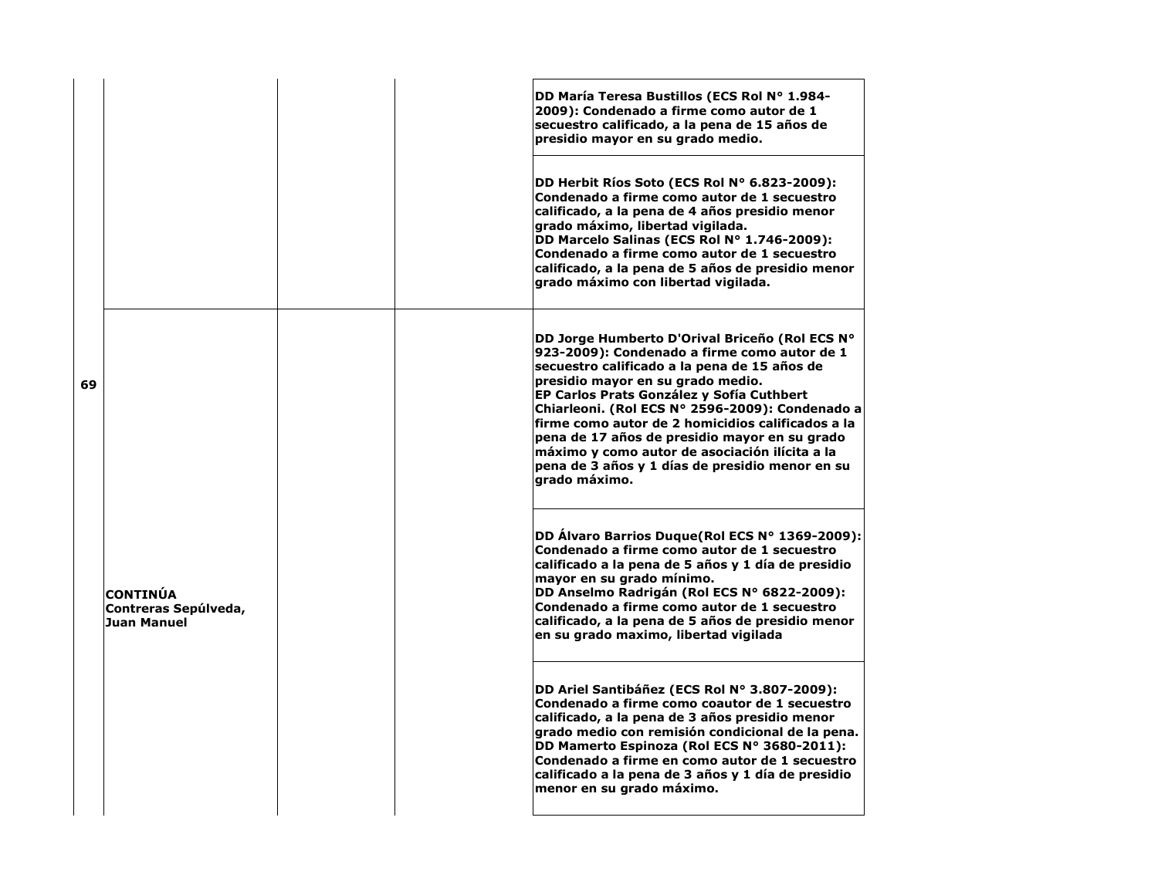|                      | DD María Teresa Bustillos (ECS Rol Nº 1.984-<br>2009): Condenado a firme como autor de 1<br>secuestro calificado, a la pena de 15 años de<br>presidio mayor en su grado medio.                                                                                                                                                                                                                                                                                                                                  |
|----------------------|-----------------------------------------------------------------------------------------------------------------------------------------------------------------------------------------------------------------------------------------------------------------------------------------------------------------------------------------------------------------------------------------------------------------------------------------------------------------------------------------------------------------|
|                      | DD Herbit Ríos Soto (ECS Rol Nº 6.823-2009):<br>Condenado a firme como autor de 1 secuestro<br>calificado, a la pena de 4 años presidio menor<br>grado máximo, libertad vigilada.<br>DD Marcelo Salinas (ECS Rol Nº 1.746-2009):<br>Condenado a firme como autor de 1 secuestro<br>calificado, a la pena de 5 años de presidio menor<br>grado máximo con libertad vigilada.                                                                                                                                     |
|                      | DD Jorge Humberto D'Orival Briceño (Rol ECS Nº<br>923-2009): Condenado a firme como autor de 1<br>secuestro calificado a la pena de 15 años de<br>presidio mayor en su grado medio.<br>EP Carlos Prats González y Sofía Cuthbert<br>Chiarleoni. (Rol ECS Nº 2596-2009): Condenado a<br>firme como autor de 2 homicidios calificados a la<br>pena de 17 años de presidio mayor en su grado<br>máximo y como autor de asociación ilícita a la<br>pena de 3 años y 1 días de presidio menor en su<br>grado máximo. |
|                      | DD Álvaro Barrios Duque(Rol ECS Nº 1369-2009):<br>Condenado a firme como autor de 1 secuestro<br>calificado a la pena de 5 años y 1 día de presidio<br>mayor en su grado mínimo.<br>DD Anselmo Radrigán (Rol ECS Nº 6822-2009):<br>Condenado a firme como autor de 1 secuestro<br>calificado, a la pena de 5 años de presidio menor<br>en su grado maximo, libertad vigilada                                                                                                                                    |
|                      | DD Ariel Santibáñez (ECS Rol Nº 3.807-2009):<br>Condenado a firme como coautor de 1 secuestro<br>calificado, a la pena de 3 años presidio menor<br>grado medio con remisión condicional de la pena.<br>DD Mamerto Espinoza (Rol ECS N° 3680-2011):<br>Condenado a firme en como autor de 1 secuestro<br>calificado a la pena de 3 años y 1 día de presidio<br>menor en su grado máximo.                                                                                                                         |
| Contreras Sepúlveda, |                                                                                                                                                                                                                                                                                                                                                                                                                                                                                                                 |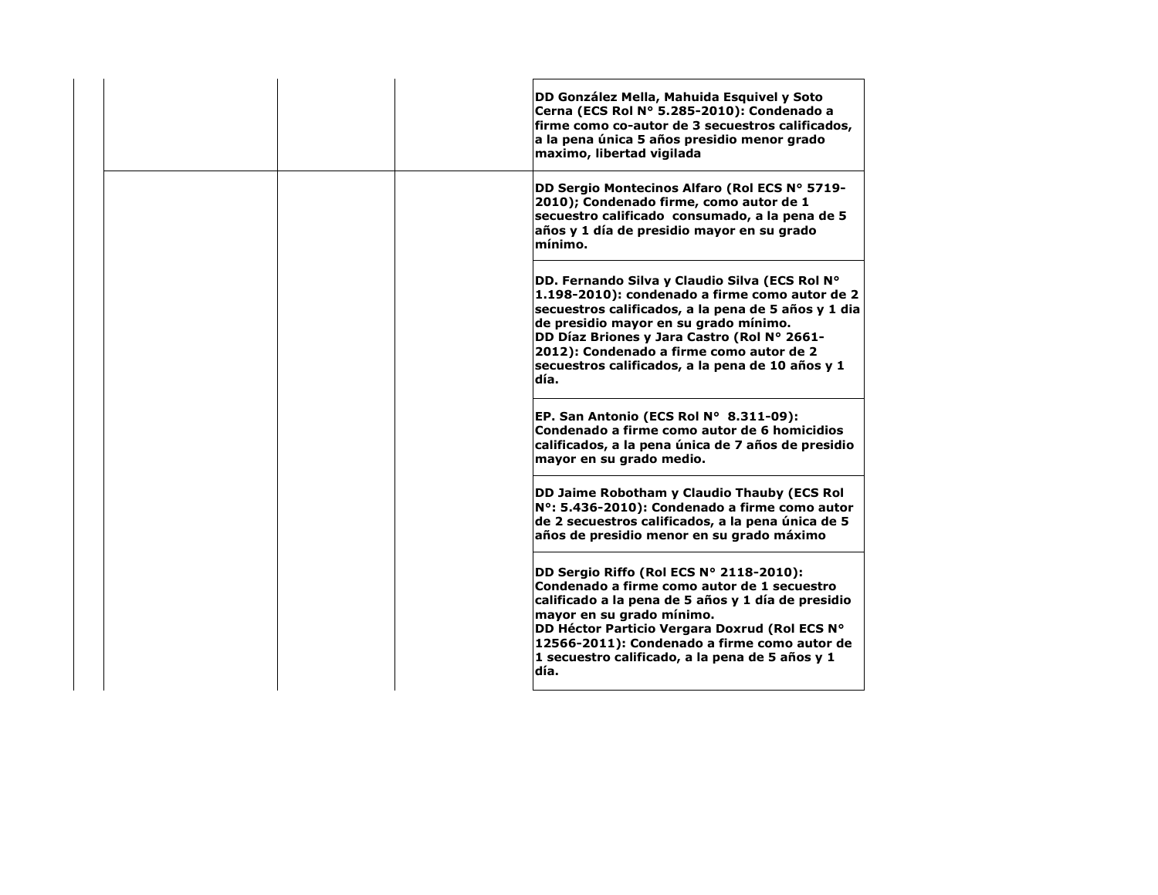| DD González Mella, Mahuida Esquivel y Soto<br>Cerna (ECS Rol Nº 5.285-2010): Condenado a<br>firme como co-autor de 3 secuestros calificados,<br>a la pena única 5 años presidio menor grado<br>maximo, libertad vigilada                                                                                                                                |
|---------------------------------------------------------------------------------------------------------------------------------------------------------------------------------------------------------------------------------------------------------------------------------------------------------------------------------------------------------|
| DD Sergio Montecinos Alfaro (Rol ECS Nº 5719-<br>2010); Condenado firme, como autor de 1<br>secuestro calificado consumado, a la pena de 5<br>años y 1 día de presidio mayor en su grado<br>mínimo.                                                                                                                                                     |
| DD. Fernando Silva y Claudio Silva (ECS Rol Nº<br>1.198-2010): condenado a firme como autor de 2<br>secuestros calificados, a la pena de 5 años y 1 dia<br>de presidio mayor en su grado mínimo.<br>DD Díaz Briones y Jara Castro (Rol Nº 2661-<br>2012): Condenado a firme como autor de 2<br>secuestros calificados, a la pena de 10 años y 1<br>día. |
| EP. San Antonio (ECS Rol N° 8.311-09):<br>Condenado a firme como autor de 6 homicidios<br>calificados, a la pena única de 7 años de presidio<br>mayor en su grado medio.                                                                                                                                                                                |
| DD Jaime Robotham y Claudio Thauby (ECS Rol<br>N°: 5.436-2010): Condenado a firme como autor<br>de 2 secuestros calificados, a la pena única de 5<br>años de presidio menor en su grado máximo                                                                                                                                                          |
| DD Sergio Riffo (Rol ECS Nº 2118-2010):<br>Condenado a firme como autor de 1 secuestro<br>calificado a la pena de 5 años y 1 día de presidio<br>mayor en su grado mínimo.<br>DD Héctor Particio Vergara Doxrud (Rol ECS Nº<br>12566-2011): Condenado a firme como autor de<br>1 secuestro calificado, a la pena de 5 años y 1<br>día.                   |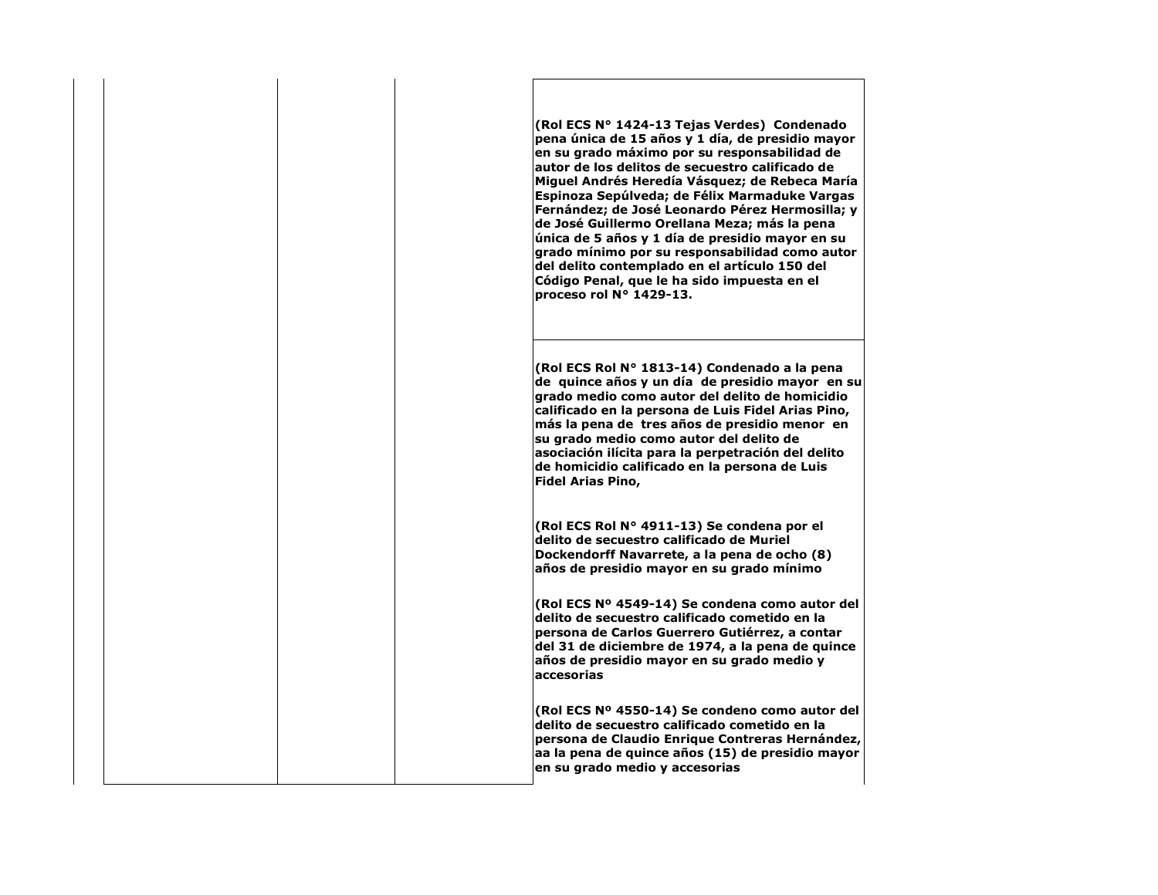**(Rol ECS N° 1424-13 Tejas Verdes) Condenado pena única de 15 años y 1 día, de presidio mayor en su grado máximo por su responsabilidad de autor de los delitos de secuestro calificado de Miguel Andrés Heredía Vásquez; de Rebeca María Espinoza Sepúlveda; de Félix Marmaduke Vargas Fernández; de José Leonardo Pérez Hermosilla; y de José Guillermo Orellana Meza; más la pena única de 5 años y 1 día de presidio mayor en su grado mínimo por su responsabilidad como autor del delito contemplado en el artículo 150 del Código Penal, que le ha sido impuesta en el proceso rol N° 1429-13.**

**(Rol ECS Rol N° 1813-14) Condenado a la pena de quince años y un día de presidio mayor en su grado medio como autor del delito de homicidio calificado en la persona de Luis Fidel Arias Pino, más la pena de tres años de presidio menor en su grado medio como autor del delito de asociación ilícita para la perpetración del delito de homicidio calificado en la persona de Luis Fidel Arias Pino,**

**(Rol ECS Rol N° 4911-13) Se condena por el delito de secuestro calificado de Muriel Dockendorff Navarrete, a la pena de ocho (8) años de presidio mayor en su grado mínimo**

**(Rol ECS Nº 4549-14) Se condena como autor del delito de secuestro calificado cometido en la persona de Carlos Guerrero Gutiérrez, a contar del 31 de diciembre de 1974, a la pena de quince años de presidio mayor en su grado medio y accesorias**

**(Rol ECS Nº 4550-14) Se condeno como autor del delito de secuestro calificado cometido en la persona de Claudio Enrique Contreras Hernández, aa la pena de quince años (15) de presidio mayor en su grado medio y accesorias**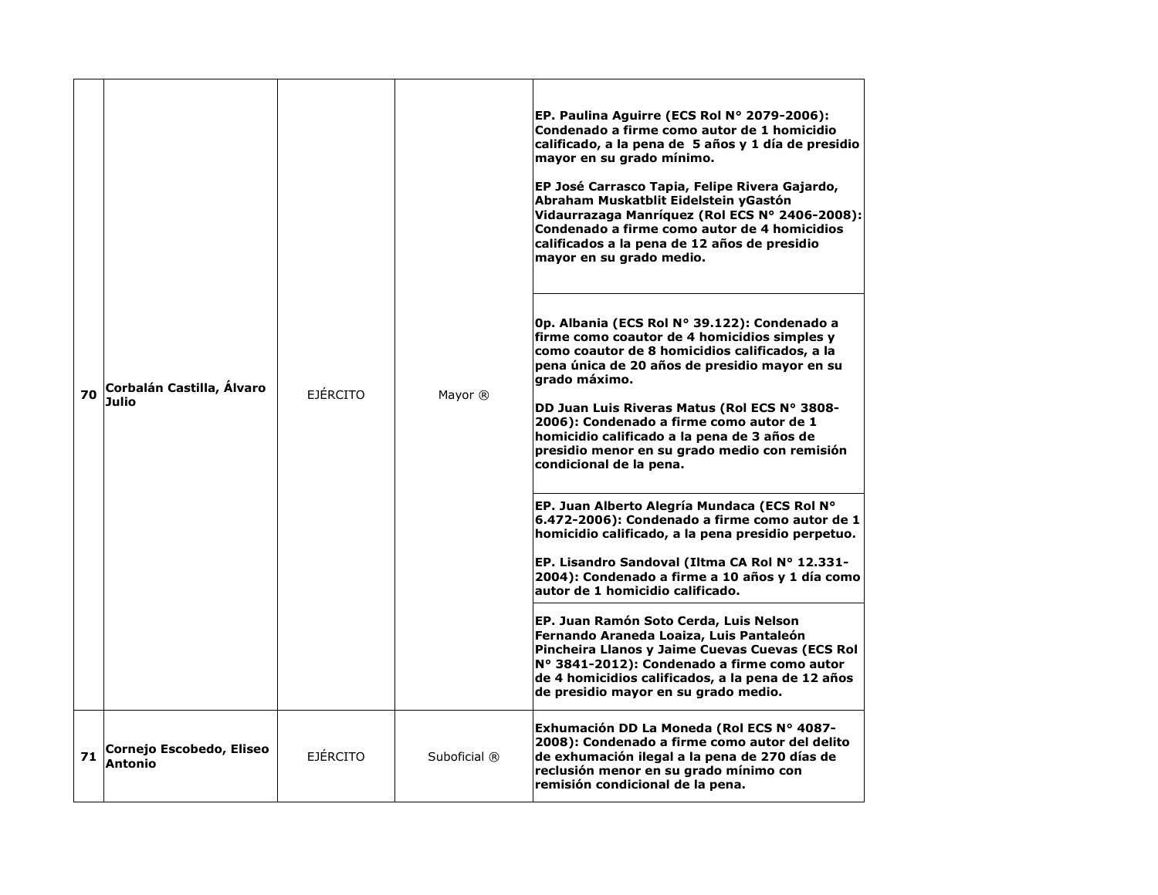| 70 | Corbalán Castilla, Álvaro<br>Julio         | <b>FJÉRCITO</b> | Mayor ®      | EP. Paulina Aquirre (ECS Rol N° 2079-2006):<br>Condenado a firme como autor de 1 homicidio<br>calificado, a la pena de 5 años y 1 día de presidio<br>mayor en su grado mínimo.<br>EP José Carrasco Tapia, Felipe Rivera Gajardo,<br>Abraham Muskatblit Eidelstein yGastón<br>Vidaurrazaga Manríquez (Rol ECS Nº 2406-2008):<br>Condenado a firme como autor de 4 homicidios<br>calificados a la pena de 12 años de presidio<br>mayor en su grado medio.<br>Op. Albania (ECS Rol Nº 39.122): Condenado a<br>firme como coautor de 4 homicidios simples y<br>como coautor de 8 homicidios calificados, a la<br>pena única de 20 años de presidio mayor en su<br>grado máximo.<br>DD Juan Luis Riveras Matus (Rol ECS Nº 3808-<br>2006): Condenado a firme como autor de 1<br>homicidio calificado a la pena de 3 años de<br>presidio menor en su grado medio con remisión<br>condicional de la pena.<br>EP. Juan Alberto Alegría Mundaca (ECS Rol Nº<br>6.472-2006): Condenado a firme como autor de 1<br>homicidio calificado, a la pena presidio perpetuo.<br>EP. Lisandro Sandoval (Iltma CA Rol Nº 12.331-<br>2004): Condenado a firme a 10 años y 1 día como<br>autor de 1 homicidio calificado.<br>EP. Juan Ramón Soto Cerda, Luis Nelson<br>Fernando Araneda Loaiza, Luis Pantaleón<br>Pincheira Llanos y Jaime Cuevas Cuevas (ECS Rol<br>Nº 3841-2012): Condenado a firme como autor<br>de 4 homicidios calificados, a la pena de 12 años<br>de presidio mayor en su grado medio. |
|----|--------------------------------------------|-----------------|--------------|-----------------------------------------------------------------------------------------------------------------------------------------------------------------------------------------------------------------------------------------------------------------------------------------------------------------------------------------------------------------------------------------------------------------------------------------------------------------------------------------------------------------------------------------------------------------------------------------------------------------------------------------------------------------------------------------------------------------------------------------------------------------------------------------------------------------------------------------------------------------------------------------------------------------------------------------------------------------------------------------------------------------------------------------------------------------------------------------------------------------------------------------------------------------------------------------------------------------------------------------------------------------------------------------------------------------------------------------------------------------------------------------------------------------------------------------------------------------------------------------|
| 71 | Cornejo Escobedo, Eliseo<br><b>Antonio</b> | EJÉRCITO        | Suboficial ® | Exhumación DD La Moneda (Rol ECS Nº 4087-<br>2008): Condenado a firme como autor del delito<br>de exhumación ilegal a la pena de 270 días de<br>reclusión menor en su grado mínimo con<br>remisión condicional de la pena.                                                                                                                                                                                                                                                                                                                                                                                                                                                                                                                                                                                                                                                                                                                                                                                                                                                                                                                                                                                                                                                                                                                                                                                                                                                              |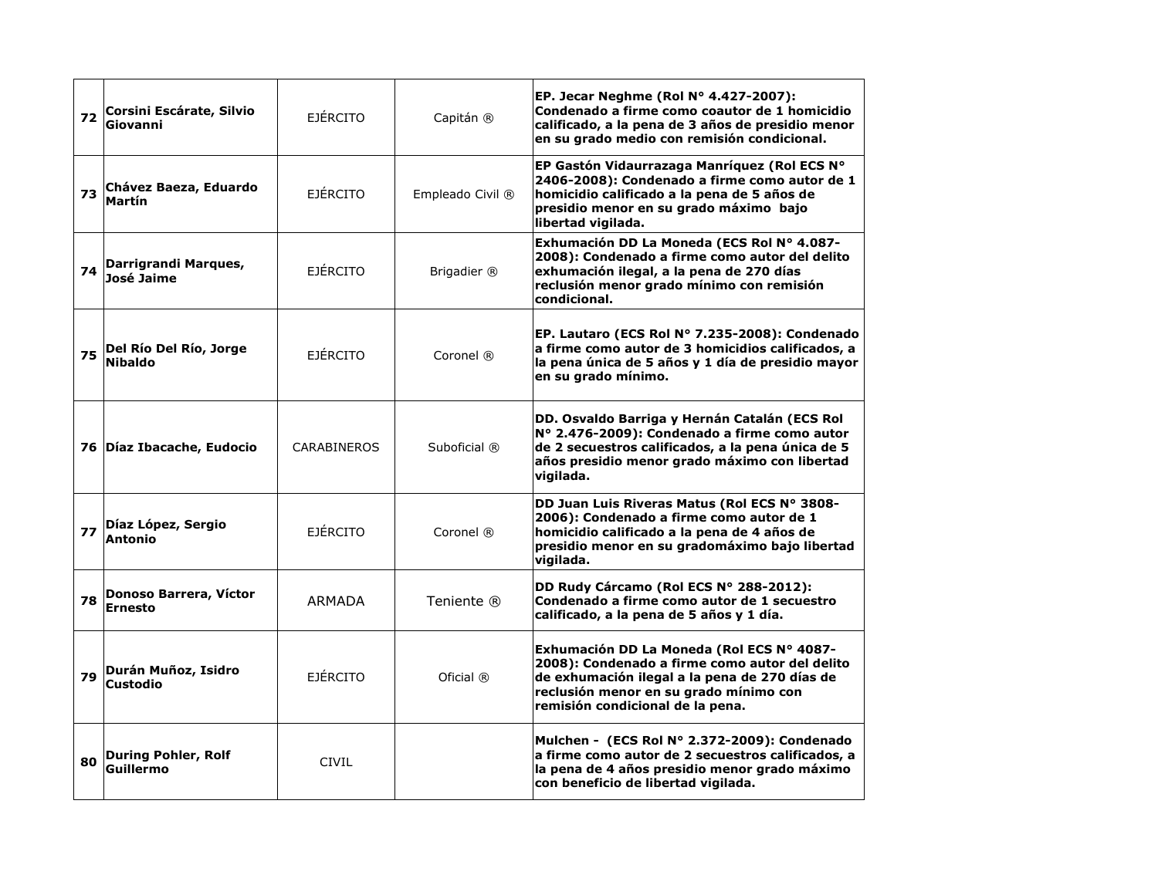| 72 | Corsini Escárate, Silvio<br>Giovanni     | EJÉRCITO        | Capitán ®        | EP. Jecar Neghme (Rol $N^{\circ}$ 4.427-2007):<br>Condenado a firme como coautor de 1 homicidio<br>calificado, a la pena de 3 años de presidio menor<br>en su grado medio con remisión condicional.                        |
|----|------------------------------------------|-----------------|------------------|----------------------------------------------------------------------------------------------------------------------------------------------------------------------------------------------------------------------------|
| 73 | Chávez Baeza, Eduardo<br>Martín          | <b>EJÉRCITO</b> | Empleado Civil ® | EP Gastón Vidaurrazaga Manríquez (Rol ECS N°<br>2406-2008): Condenado a firme como autor de 1<br>homicidio calificado a la pena de 5 años de<br>presidio menor en su grado máximo bajo<br>libertad vigilada.               |
| 74 | Darrigrandi Marques,<br>José Jaime       | EJÉRCITO        | Brigadier ®      | Exhumación DD La Moneda (ECS Rol Nº 4.087-<br>2008): Condenado a firme como autor del delito<br>exhumación ilegal, a la pena de 270 días<br>reclusión menor grado mínimo con remisión<br>condicional.                      |
| 75 | Del Río Del Río, Jorge<br><b>Nibaldo</b> | <b>EJÉRCITO</b> | Coronel ®        | EP. Lautaro (ECS Rol Nº 7.235-2008): Condenado<br>a firme como autor de 3 homicidios calificados, a<br>la pena única de 5 años y 1 día de presidio mayor<br>en su grado mínimo.                                            |
|    | 76 Díaz Ibacache, Eudocio                | CARABINEROS     | Suboficial ®     | DD. Osvaldo Barriga y Hernán Catalán (ECS Rol<br>Nº 2.476-2009): Condenado a firme como autor<br>de 2 secuestros calificados, a la pena única de 5<br>años presidio menor grado máximo con libertad<br>vigilada.           |
| 77 | Díaz López, Sergio<br>Antonio            | EJÉRCITO        | Coronel ®        | DD Juan Luis Riveras Matus (Rol ECS Nº 3808-<br>2006): Condenado a firme como autor de 1<br>homicidio calificado a la pena de 4 años de<br>presidio menor en su gradomáximo bajo libertad<br>vigilada.                     |
| 78 | Donoso Barrera, Víctor<br><b>Ernesto</b> | <b>ARMADA</b>   | Teniente ®       | DD Rudy Cárcamo (Rol ECS Nº 288-2012):<br>Condenado a firme como autor de 1 secuestro<br>calificado, a la pena de 5 años y 1 día.                                                                                          |
| 79 | Durán Muñoz, Isidro<br>Custodio          | <b>EJÉRCITO</b> | Oficial ®        | Exhumación DD La Moneda (Rol ECS Nº 4087-<br>2008): Condenado a firme como autor del delito<br>de exhumación ilegal a la pena de 270 días de<br>reclusión menor en su grado mínimo con<br>remisión condicional de la pena. |
| 80 | <b>During Pohler, Rolf</b><br>Guillermo  | <b>CIVIL</b>    |                  | Mulchen - (ECS Rol Nº 2.372-2009): Condenado<br>a firme como autor de 2 secuestros calificados, a<br>la pena de 4 años presidio menor grado máximo<br>con beneficio de libertad vigilada.                                  |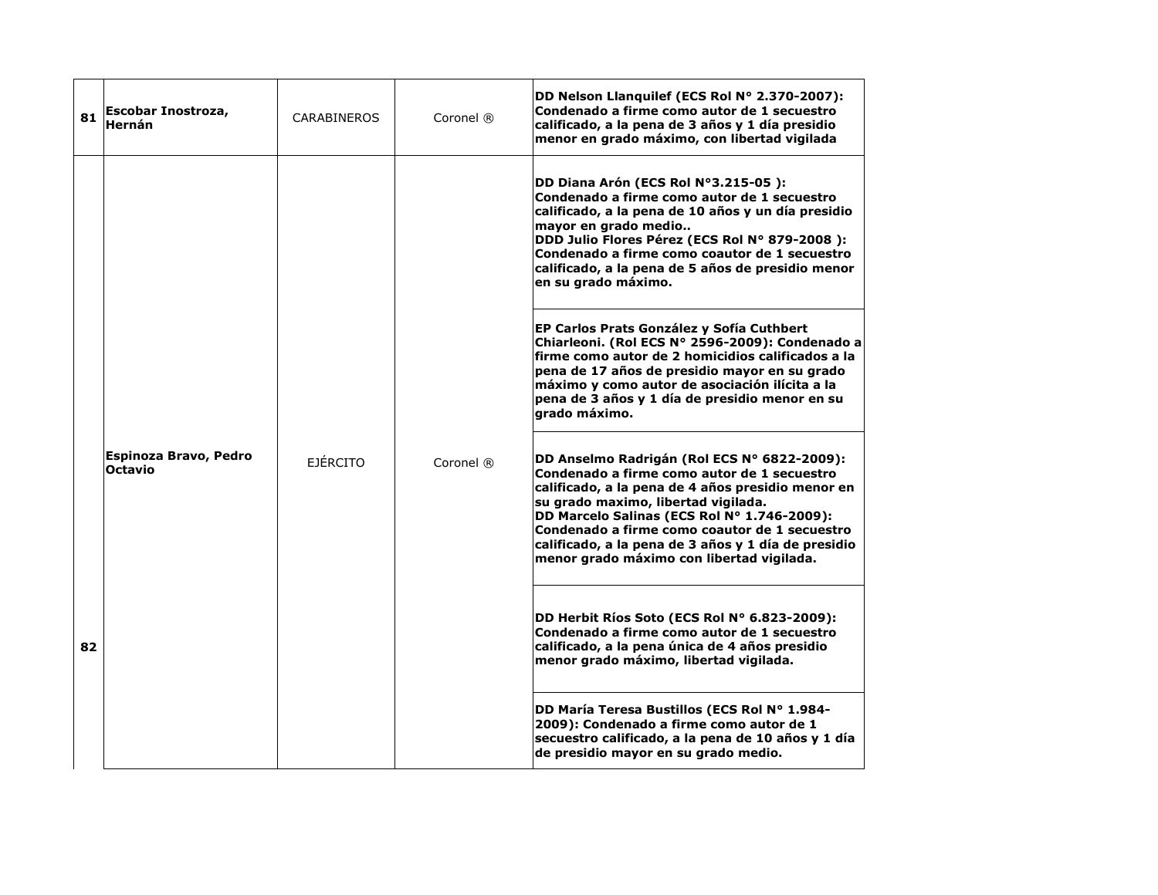| 81 | Escobar Inostroza,<br>Hernán            | <b>CARABINEROS</b> | Coronel ® | DD Nelson Llanquilef (ECS Rol Nº 2.370-2007):<br>Condenado a firme como autor de 1 secuestro<br>calificado, a la pena de 3 años y 1 día presidio<br>menor en grado máximo, con libertad vigilada                                                                                                                                                                                           |
|----|-----------------------------------------|--------------------|-----------|--------------------------------------------------------------------------------------------------------------------------------------------------------------------------------------------------------------------------------------------------------------------------------------------------------------------------------------------------------------------------------------------|
|    |                                         |                    |           | DD Diana Arón (ECS Rol Nº3.215-05):<br>Condenado a firme como autor de 1 secuestro<br>calificado, a la pena de 10 años y un día presidio<br>mayor en grado medio<br>DDD Julio Flores Pérez (ECS Rol Nº 879-2008):<br>Condenado a firme como coautor de 1 secuestro<br>calificado, a la pena de 5 años de presidio menor<br>en su grado máximo.                                             |
|    |                                         |                    |           | EP Carlos Prats González y Sofía Cuthbert<br>Chiarleoni. (Rol ECS Nº 2596-2009): Condenado a<br>firme como autor de 2 homicidios calificados a la<br>pena de 17 años de presidio mayor en su grado<br>máximo y como autor de asociación ilícita a la<br>pena de 3 años y 1 día de presidio menor en su<br>arado máximo.                                                                    |
|    | Espinoza Bravo, Pedro<br><b>Octavio</b> | EJÉRCITO           | Coronel ® | DD Anselmo Radrigán (Rol ECS Nº 6822-2009):<br>Condenado a firme como autor de 1 secuestro<br>calificado, a la pena de 4 años presidio menor en<br>su grado maximo, libertad vigilada.<br>DD Marcelo Salinas (ECS Rol Nº 1.746-2009):<br>Condenado a firme como coautor de 1 secuestro<br>calificado, a la pena de 3 años y 1 día de presidio<br>menor grado máximo con libertad vigilada. |
| 82 |                                         |                    |           | DD Herbit Ríos Soto (ECS Rol Nº 6.823-2009):<br>Condenado a firme como autor de 1 secuestro<br>calificado, a la pena única de 4 años presidio<br>menor grado máximo, libertad vigilada.                                                                                                                                                                                                    |
|    |                                         |                    |           | DD María Teresa Bustillos (ECS Rol Nº 1.984-<br>2009): Condenado a firme como autor de 1<br>secuestro calificado, a la pena de 10 años y 1 día<br>de presidio mayor en su grado medio.                                                                                                                                                                                                     |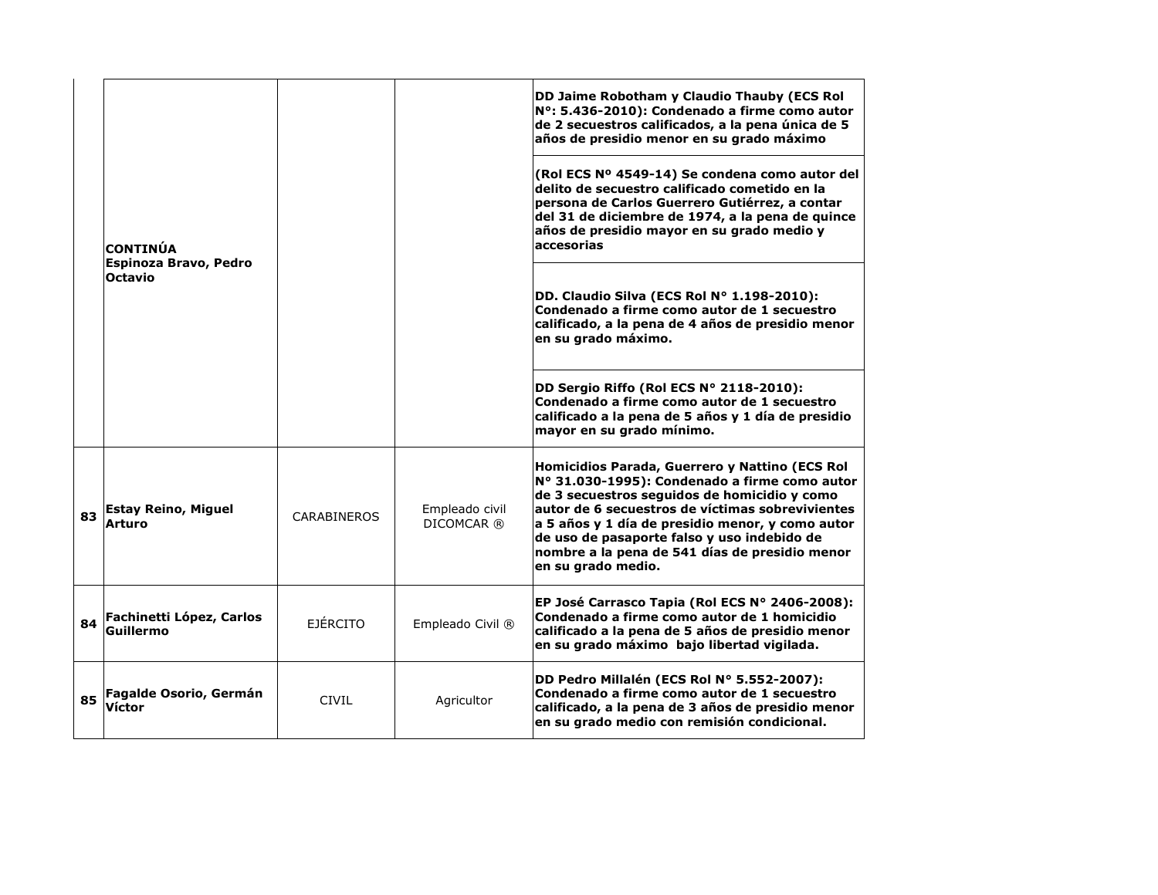|    | <b>CONTINÚA</b><br>Espinoza Bravo, Pedro<br><b>Octavio</b> |                    |                              | DD Jaime Robotham y Claudio Thauby (ECS Rol<br>N°: 5.436-2010): Condenado a firme como autor<br>de 2 secuestros calificados, a la pena única de 5<br>años de presidio menor en su grado máximo<br>(Rol ECS Nº 4549-14) Se condena como autor del<br>delito de secuestro calificado cometido en la<br>persona de Carlos Guerrero Gutiérrez, a contar<br>del 31 de diciembre de 1974, a la pena de quince<br>años de presidio mayor en su grado medio y<br>accesorias |
|----|------------------------------------------------------------|--------------------|------------------------------|---------------------------------------------------------------------------------------------------------------------------------------------------------------------------------------------------------------------------------------------------------------------------------------------------------------------------------------------------------------------------------------------------------------------------------------------------------------------|
|    |                                                            |                    |                              | DD. Claudio Silva (ECS Rol Nº 1.198-2010):<br>Condenado a firme como autor de 1 secuestro<br>calificado, a la pena de 4 años de presidio menor<br>en su grado máximo.                                                                                                                                                                                                                                                                                               |
|    |                                                            |                    |                              | DD Sergio Riffo (Rol ECS Nº 2118-2010):<br>Condenado a firme como autor de 1 secuestro<br>calificado a la pena de 5 años y 1 día de presidio<br>mayor en su grado mínimo.                                                                                                                                                                                                                                                                                           |
| 83 | <b>Estay Reino, Miguel</b><br>Arturo                       | <b>CARABINEROS</b> | Empleado civil<br>DICOMCAR ® | Homicidios Parada, Guerrero y Nattino (ECS Rol<br>Nº 31.030-1995): Condenado a firme como autor<br>de 3 secuestros seguidos de homicidio y como<br>autor de 6 secuestros de víctimas sobrevivientes<br>a 5 años y 1 día de presidio menor, y como autor<br>de uso de pasaporte falso y uso indebido de<br>nombre a la pena de 541 días de presidio menor<br>en su grado medio.                                                                                      |
| 84 | Fachinetti López, Carlos<br>Guillermo                      | <b>EJÉRCITO</b>    | Empleado Civil ®             | EP José Carrasco Tapia (Rol ECS Nº 2406-2008):<br>Condenado a firme como autor de 1 homicidio<br>calificado a la pena de 5 años de presidio menor<br>en su grado máximo bajo libertad vigilada.                                                                                                                                                                                                                                                                     |
| 85 | <b>Fagalde Osorio, Germán</b><br>Víctor                    | <b>CIVIL</b>       | Agricultor                   | DD Pedro Millalén (ECS Rol Nº 5.552-2007):<br>Condenado a firme como autor de 1 secuestro<br>calificado, a la pena de 3 años de presidio menor<br>en su grado medio con remisión condicional.                                                                                                                                                                                                                                                                       |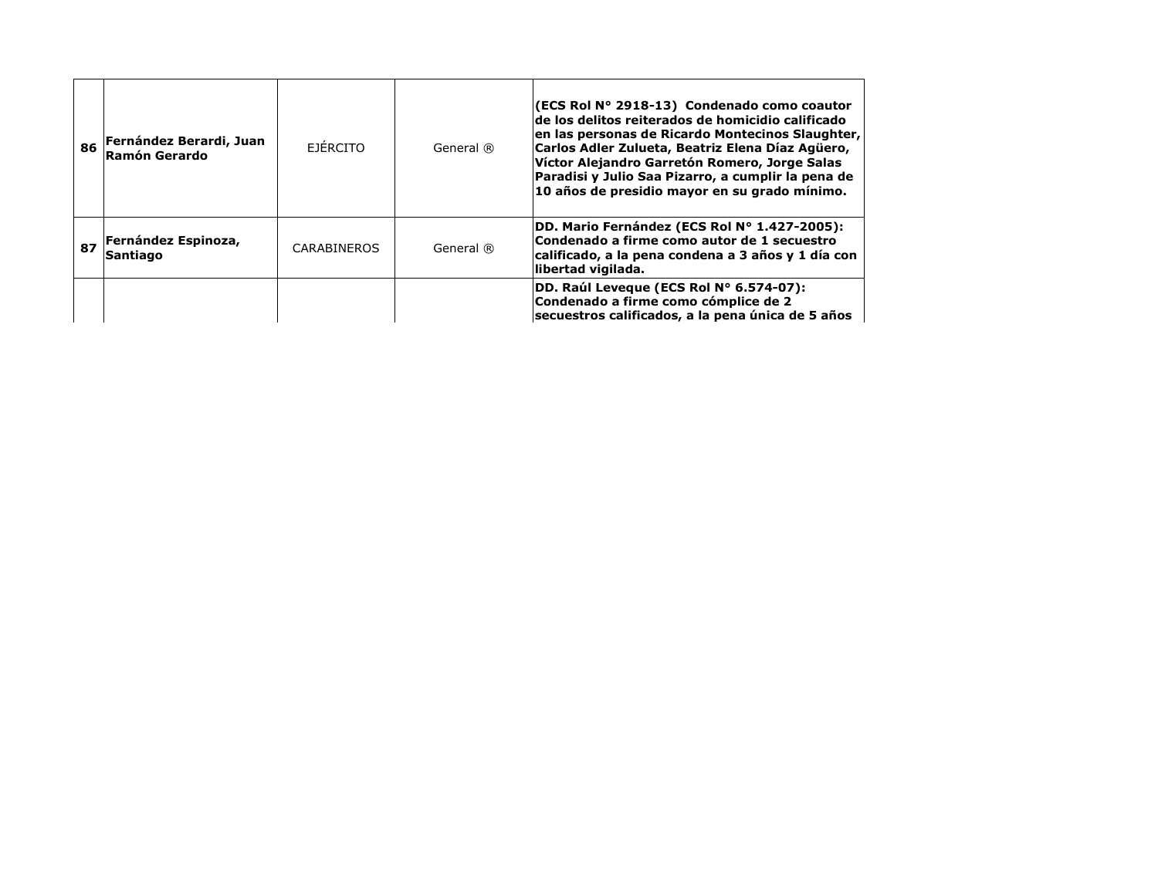| 86 | Fernández Berardi, Juan<br>Ramón Gerardo | EJÉRCITO           | General ® | (ECS Rol Nº 2918-13) Condenado como coautor<br>de los delitos reiterados de homicidio calificado<br>en las personas de Ricardo Montecinos Slaughter,<br>Carlos Adler Zulueta, Beatriz Elena Díaz Agüero,<br>Víctor Alejandro Garretón Romero, Jorge Salas<br>Paradisi y Julio Saa Pizarro, a cumplir la pena de<br>10 años de presidio mayor en su grado mínimo. |
|----|------------------------------------------|--------------------|-----------|------------------------------------------------------------------------------------------------------------------------------------------------------------------------------------------------------------------------------------------------------------------------------------------------------------------------------------------------------------------|
| 87 | Fernández Espinoza,<br><b>Santiago</b>   | <b>CARABINEROS</b> | General ® | DD. Mario Fernández (ECS Rol Nº 1.427-2005):<br>Condenado a firme como autor de 1 secuestro<br>calificado, a la pena condena a 3 años y 1 día con<br>libertad vigilada.                                                                                                                                                                                          |
|    |                                          |                    |           | DD. Raúl Leveque (ECS Rol N° 6.574-07):<br>Condenado a firme como cómplice de 2<br>secuestros calificados, a la pena única de 5 años                                                                                                                                                                                                                             |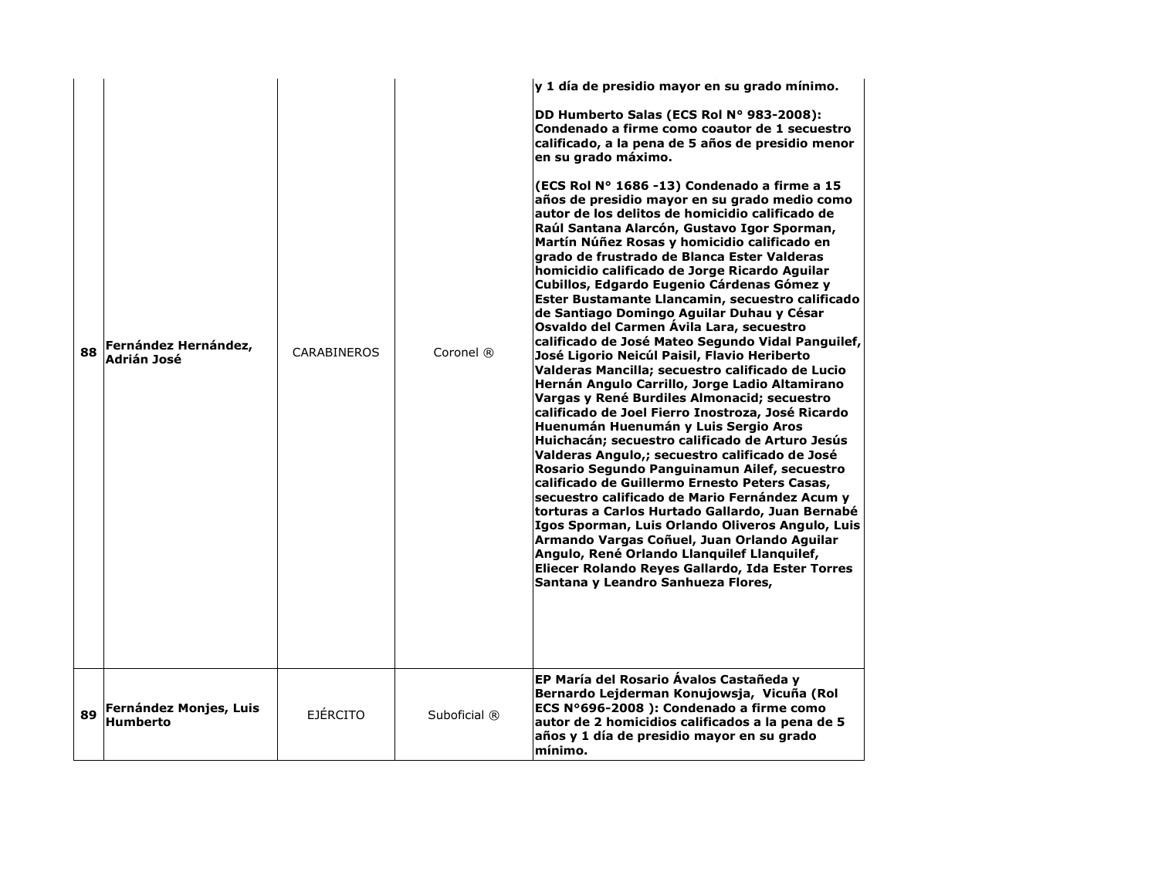|    |                                           |                    |              | y 1 día de presidio mayor en su grado mínimo.                                                                                                                                                                                                                                                                                                                                                                                                                                                                                                                                                                                                                                                                                                                                                                                                                                                                                                                                                                                                                                                                                                                                                                                                                                                                                                                                                                                                                                                                                                                                                                                      |
|----|-------------------------------------------|--------------------|--------------|------------------------------------------------------------------------------------------------------------------------------------------------------------------------------------------------------------------------------------------------------------------------------------------------------------------------------------------------------------------------------------------------------------------------------------------------------------------------------------------------------------------------------------------------------------------------------------------------------------------------------------------------------------------------------------------------------------------------------------------------------------------------------------------------------------------------------------------------------------------------------------------------------------------------------------------------------------------------------------------------------------------------------------------------------------------------------------------------------------------------------------------------------------------------------------------------------------------------------------------------------------------------------------------------------------------------------------------------------------------------------------------------------------------------------------------------------------------------------------------------------------------------------------------------------------------------------------------------------------------------------------|
| 88 | Fernández Hernández,<br>Adrián José       | <b>CARABINEROS</b> | Coronel ®    | DD Humberto Salas (ECS Rol Nº 983-2008):<br>Condenado a firme como coautor de 1 secuestro<br>calificado, a la pena de 5 años de presidio menor<br>en su grado máximo.<br>(ECS Rol Nº 1686 -13) Condenado a firme a 15<br>años de presidio mayor en su grado medio como<br>autor de los delitos de homicidio calificado de<br>Raúl Santana Alarcón, Gustavo Igor Sporman,<br>Martín Núñez Rosas y homicidio calificado en<br>grado de frustrado de Blanca Ester Valderas<br>homicidio calificado de Jorge Ricardo Aguilar<br>Cubillos, Edgardo Eugenio Cárdenas Gómez y<br>Ester Bustamante Llancamin, secuestro calificado<br>de Santiago Domingo Aguilar Duhau y César<br>Osvaldo del Carmen Ávila Lara, secuestro<br>calificado de José Mateo Segundo Vidal Panguilef,<br>José Ligorio Neicúl Paisil, Flavio Heriberto<br>Valderas Mancilla; secuestro calificado de Lucio<br>Hernán Angulo Carrillo, Jorge Ladio Altamirano<br>Vargas y René Burdiles Almonacid; secuestro<br>calificado de Joel Fierro Inostroza, José Ricardo<br>Huenumán Huenumán y Luis Sergio Aros<br>Huichacán; secuestro calificado de Arturo Jesús<br>Valderas Angulo,; secuestro calificado de José<br>Rosario Segundo Panguinamun Ailef, secuestro<br>calificado de Guillermo Ernesto Peters Casas,<br>secuestro calificado de Mario Fernández Acum y<br>torturas a Carlos Hurtado Gallardo, Juan Bernabé<br>Igos Sporman, Luis Orlando Oliveros Angulo, Luis<br>Armando Vargas Coñuel, Juan Orlando Aguilar<br>Angulo, René Orlando Llanquilef Llanquilef,<br>Eliecer Rolando Reyes Gallardo, Ida Ester Torres<br>Santana y Leandro Sanhueza Flores, |
| 89 | Fernández Monjes, Luis<br><b>Humberto</b> | EJÉRCITO           | Suboficial ® | EP María del Rosario Ávalos Castañeda y<br>Bernardo Lejderman Konujowsja, Vicuña (Rol<br>ECS N°696-2008): Condenado a firme como<br>autor de 2 homicidios calificados a la pena de 5<br>años y 1 día de presidio mayor en su grado<br>mínimo.                                                                                                                                                                                                                                                                                                                                                                                                                                                                                                                                                                                                                                                                                                                                                                                                                                                                                                                                                                                                                                                                                                                                                                                                                                                                                                                                                                                      |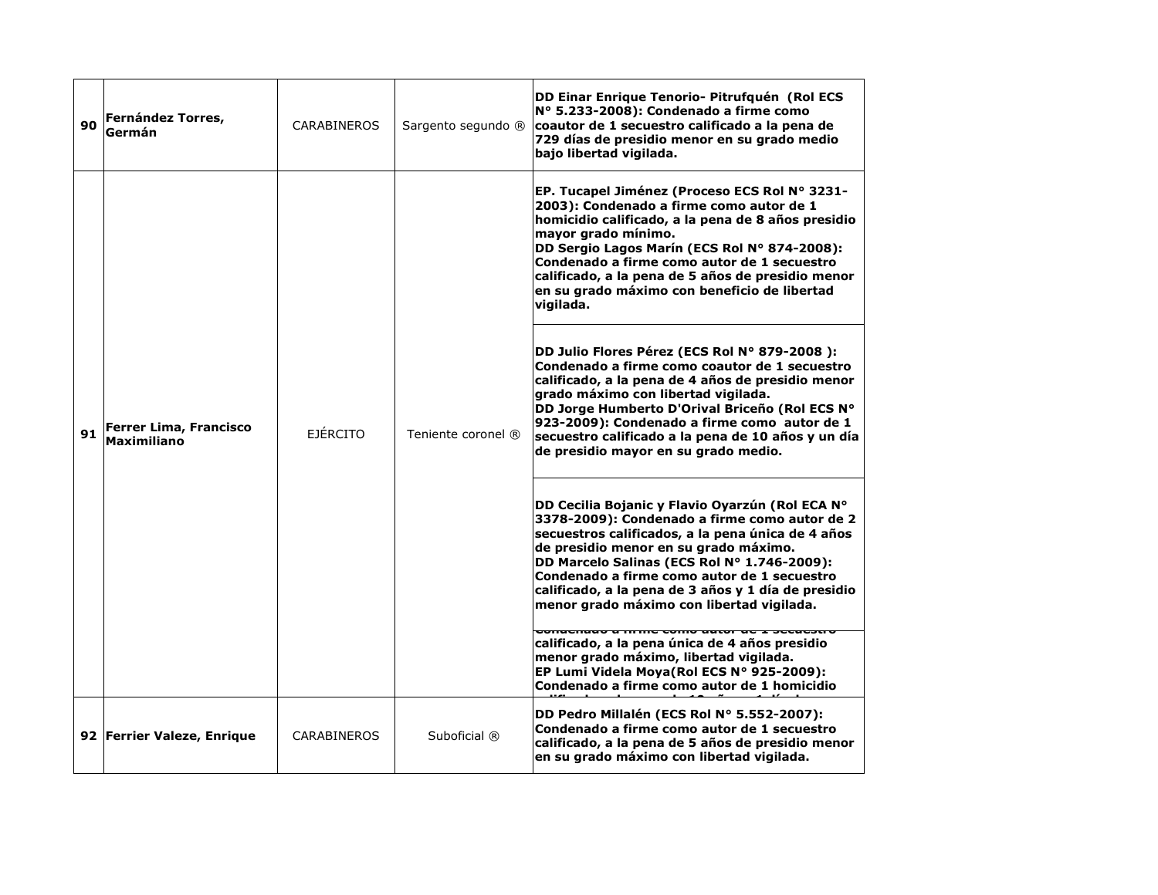| 90 | Fernández Torres,<br>Germán                         | <b>CARABINEROS</b> | Sargento segundo ® | DD Einar Enrique Tenorio- Pitrufquén (Rol ECS<br>Nº 5.233-2008): Condenado a firme como<br>coautor de 1 secuestro calificado a la pena de<br>729 días de presidio menor en su grado medio<br>bajo libertad vigilada.                                                                                                                                                                             |
|----|-----------------------------------------------------|--------------------|--------------------|--------------------------------------------------------------------------------------------------------------------------------------------------------------------------------------------------------------------------------------------------------------------------------------------------------------------------------------------------------------------------------------------------|
|    | <b>Ferrer Lima, Francisco</b><br><b>Maximiliano</b> | <b>EJÉRCITO</b>    | Teniente coronel ® | EP. Tucapel Jiménez (Proceso ECS Rol Nº 3231-<br>2003): Condenado a firme como autor de 1<br>homicidio calificado, a la pena de 8 años presidio<br>mayor grado mínimo.<br>DD Sergio Lagos Marín (ECS Rol Nº 874-2008):<br>Condenado a firme como autor de 1 secuestro<br>calificado, a la pena de 5 años de presidio menor<br>en su grado máximo con beneficio de libertad<br>vigilada.          |
| 91 |                                                     |                    |                    | DD Julio Flores Pérez (ECS Rol Nº 879-2008):<br>Condenado a firme como coautor de 1 secuestro<br>calificado, a la pena de 4 años de presidio menor<br>grado máximo con libertad vigilada.<br>DD Jorge Humberto D'Orival Briceño (Rol ECS Nº<br>923-2009): Condenado a firme como autor de 1<br>secuestro calificado a la pena de 10 años y un día<br>de presidio mayor en su grado medio.        |
|    |                                                     |                    |                    | DD Cecilia Bojanic y Flavio Oyarzún (Rol ECA Nº<br>3378-2009): Condenado a firme como autor de 2<br>secuestros calificados, a la pena única de 4 años<br>de presidio menor en su grado máximo.<br>DD Marcelo Salinas (ECS Rol Nº 1.746-2009):<br>Condenado a firme como autor de 1 secuestro<br>calificado, a la pena de 3 años y 1 día de presidio<br>menor grado máximo con libertad vigilada. |
|    |                                                     |                    |                    | calificado, a la pena única de 4 años presidio<br>menor grado máximo, libertad vigilada.<br>EP Lumi Videla Moya (Rol ECS Nº 925-2009):<br>Condenado a firme como autor de 1 homicidio                                                                                                                                                                                                            |
|    | 92 Ferrier Valeze, Enrique                          | <b>CARABINEROS</b> | Suboficial ®       | DD Pedro Millalén (ECS Rol Nº 5.552-2007):<br>Condenado a firme como autor de 1 secuestro<br>calificado, a la pena de 5 años de presidio menor<br>en su grado máximo con libertad vigilada.                                                                                                                                                                                                      |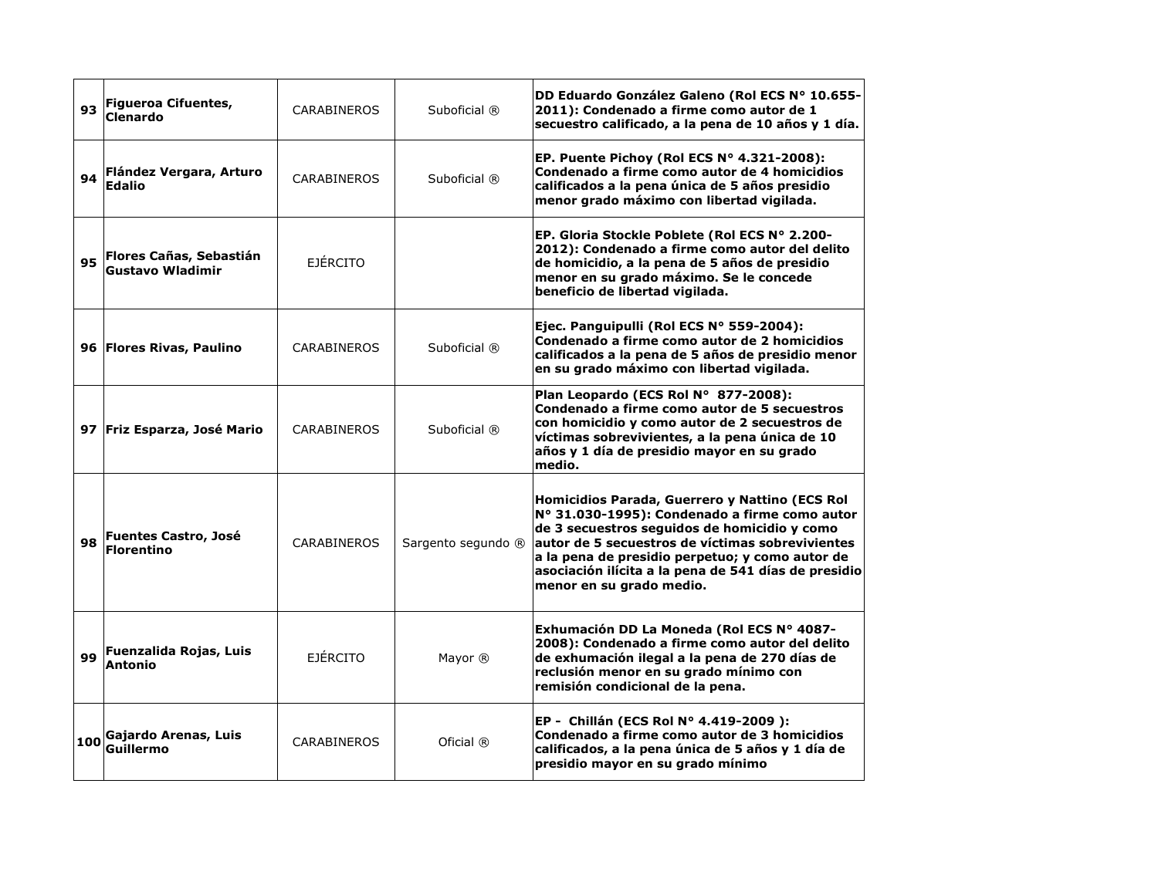| 93 | <b>Figueroa Cifuentes,</b><br>Clenardo                    | <b>CARABINEROS</b> | Suboficial ®       | DD Eduardo González Galeno (Rol ECS Nº 10.655-<br>2011): Condenado a firme como autor de 1<br>secuestro calificado, a la pena de 10 años y 1 día.                                                                                                                                                                                          |
|----|-----------------------------------------------------------|--------------------|--------------------|--------------------------------------------------------------------------------------------------------------------------------------------------------------------------------------------------------------------------------------------------------------------------------------------------------------------------------------------|
| 94 | Flández Vergara, Arturo<br><b>Edalio</b>                  | CARABINEROS        | Suboficial ®       | EP. Puente Pichoy (Rol ECS Nº 4.321-2008):<br>Condenado a firme como autor de 4 homicidios<br>calificados a la pena única de 5 años presidio<br>menor grado máximo con libertad vigilada.                                                                                                                                                  |
| 95 | <b>Flores Cañas, Sebastián</b><br><b>Gustavo Wladimir</b> | EJÉRCITO           |                    | EP. Gloria Stockle Poblete (Rol ECS Nº 2.200-<br>2012): Condenado a firme como autor del delito<br>de homicidio, a la pena de 5 años de presidio<br>menor en su grado máximo. Se le concede<br>beneficio de libertad vigilada.                                                                                                             |
|    | 96 Flores Rivas, Paulino                                  | <b>CARABINEROS</b> | Suboficial ®       | Ejec. Panguipulli (Rol ECS Nº 559-2004):<br>Condenado a firme como autor de 2 homicidios<br>calificados a la pena de 5 años de presidio menor<br>en su grado máximo con libertad vigilada.                                                                                                                                                 |
|    | 97 Friz Esparza, José Mario                               | <b>CARABINEROS</b> | Suboficial ®       | Plan Leopardo (ECS Rol Nº 877-2008):<br>Condenado a firme como autor de 5 secuestros<br>con homicidio y como autor de 2 secuestros de<br>víctimas sobrevivientes, a la pena única de 10<br>años y 1 día de presidio mayor en su grado<br>medio.                                                                                            |
| 98 | <b>Fuentes Castro, José</b><br><b>Florentino</b>          | <b>CARABINEROS</b> | Sargento segundo ® | Homicidios Parada, Guerrero y Nattino (ECS Rol<br>Nº 31.030-1995): Condenado a firme como autor<br>de 3 secuestros seguidos de homicidio y como<br>autor de 5 secuestros de víctimas sobrevivientes<br>a la pena de presidio perpetuo; y como autor de<br>asociación ilícita a la pena de 541 días de presidio<br>menor en su grado medio. |
| 99 | <b>Fuenzalida Rojas, Luis</b><br><b>Antonio</b>           | <b>EJÉRCITO</b>    | Mayor ®            | Exhumación DD La Moneda (Rol ECS Nº 4087-<br>2008): Condenado a firme como autor del delito<br>de exhumación ilegal a la pena de 270 días de<br>reclusión menor en su grado mínimo con<br>remisión condicional de la pena.                                                                                                                 |
|    | 100 Gajardo Arenas, Luis<br>Guillermo                     | <b>CARABINEROS</b> | Oficial ®          | EP - Chillán (ECS Rol Nº 4.419-2009):<br>Condenado a firme como autor de 3 homicidios<br>calificados, a la pena única de 5 años y 1 día de<br>presidio mayor en su grado mínimo                                                                                                                                                            |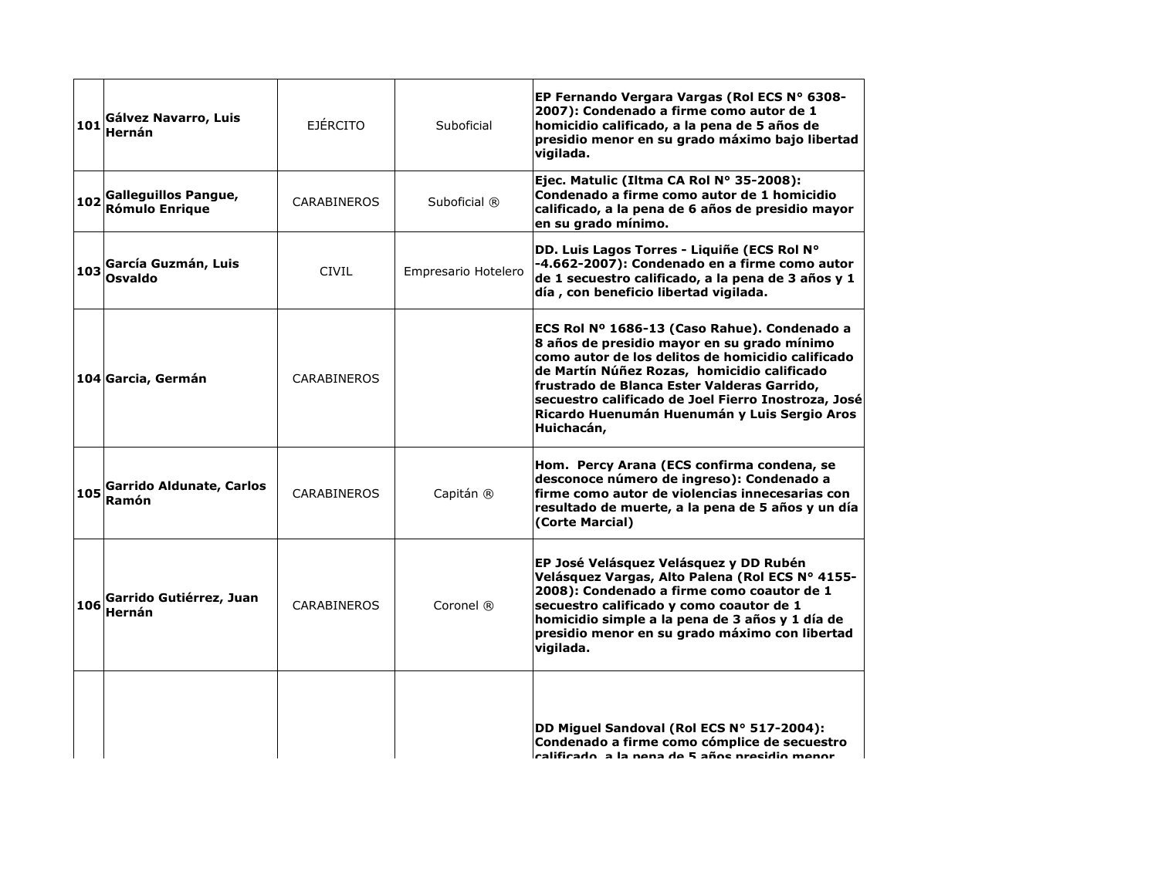| 101 | Gálvez Navarro, Luis<br>Hernán             | <b>EJÉRCITO</b>    | Suboficial          | EP Fernando Vergara Vargas (Rol ECS N° 6308-<br>2007): Condenado a firme como autor de 1<br>homicidio calificado, a la pena de 5 años de<br>presidio menor en su grado máximo bajo libertad<br>vigilada.                                                                                                                                                            |
|-----|--------------------------------------------|--------------------|---------------------|---------------------------------------------------------------------------------------------------------------------------------------------------------------------------------------------------------------------------------------------------------------------------------------------------------------------------------------------------------------------|
|     | 102 Galleguillos Pangue,<br>Rómulo Enrique | CARABINEROS        | Suboficial ®        | Ejec. Matulic (Iltma CA Rol Nº 35-2008):<br>Condenado a firme como autor de 1 homicidio<br>calificado, a la pena de 6 años de presidio mayor<br>en su grado mínimo.                                                                                                                                                                                                 |
| 103 | García Guzmán, Luis<br>Osvaldo             | <b>CIVIL</b>       | Empresario Hotelero | DD. Luis Lagos Torres - Liquiñe (ECS Rol Nº<br>-4.662-2007): Condenado en a firme como autor<br>de 1 secuestro calificado, a la pena de 3 años y 1<br>día, con beneficio libertad vigilada.                                                                                                                                                                         |
|     | 104 Garcia, Germán                         | <b>CARABINEROS</b> |                     | ECS Rol Nº 1686-13 (Caso Rahue). Condenado a<br>8 años de presidio mayor en su grado mínimo<br>como autor de los delitos de homicidio calificado<br>de Martín Núñez Rozas, homicidio calificado<br>frustrado de Blanca Ester Valderas Garrido,<br>secuestro calificado de Joel Fierro Inostroza, José<br>Ricardo Huenumán Huenumán y Luis Sergio Aros<br>Huichacán, |
|     | 105 Garrido Aldunate, Carlos<br>Ramón      | <b>CARABINEROS</b> | Capitán ®           | Hom. Percy Arana (ECS confirma condena, se<br>desconoce número de ingreso): Condenado a<br>firme como autor de violencias innecesarias con<br>resultado de muerte, a la pena de 5 años y un día<br>(Corte Marcial)                                                                                                                                                  |
|     | 106 Garrido Gutiérrez, Juan<br>Hernán      | <b>CARABINEROS</b> | Coronel ®           | EP José Velásquez Velásquez y DD Rubén<br>Velásquez Vargas, Alto Palena (Rol ECS Nº 4155-<br>2008): Condenado a firme como coautor de 1<br>secuestro calificado y como coautor de 1<br>homicidio simple a la pena de 3 años y 1 día de<br>presidio menor en su grado máximo con libertad<br>vigilada.                                                               |
|     |                                            |                    |                     | DD Miguel Sandoval (Rol ECS Nº 517-2004):<br>Condenado a firme como cómplice de secuestro<br>calificado a la nona do 5 años prosidio monor                                                                                                                                                                                                                          |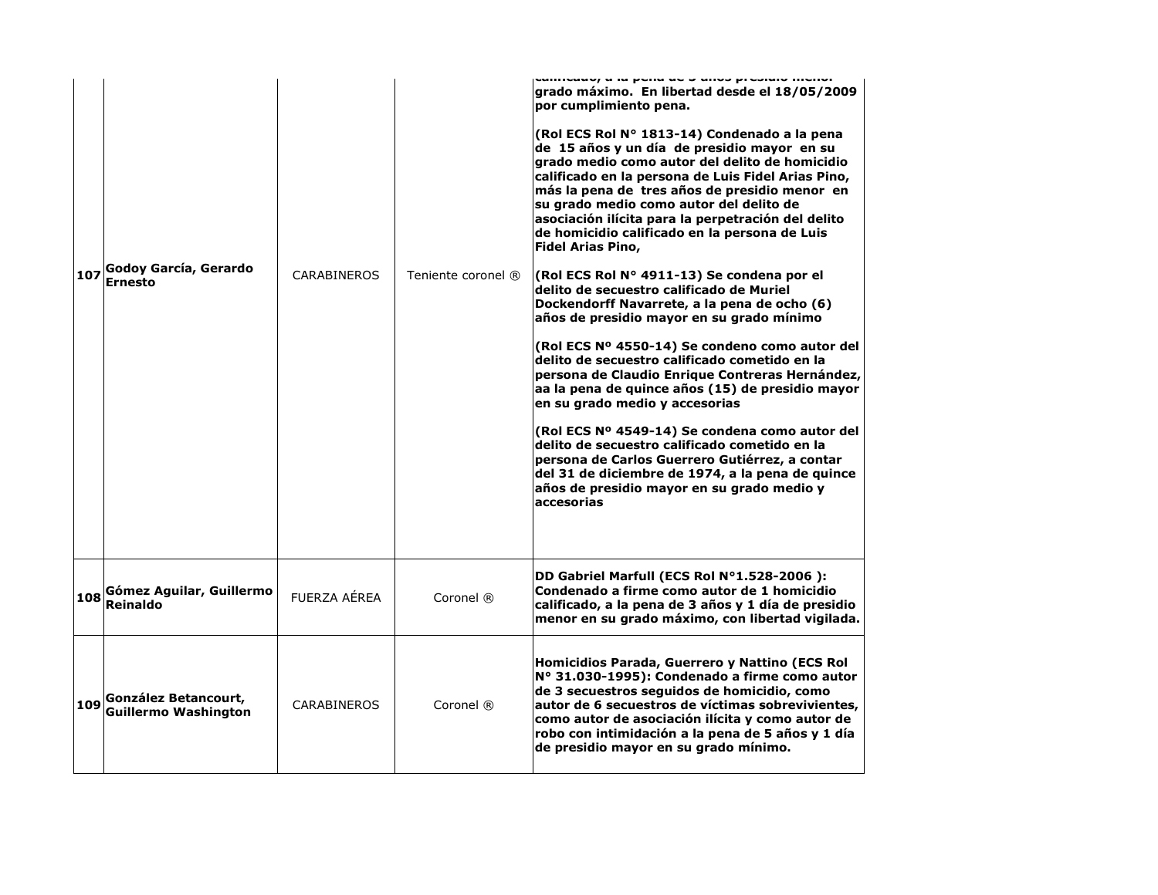|     | 107 Godoy García, Gerardo<br><b>Ernesto</b>             | <b>CARABINEROS</b>  | Teniente coronel ® | aoj a la polla ao o allos prosialo illoilor<br>grado máximo. En libertad desde el 18/05/2009<br>por cumplimiento pena.<br>(Rol ECS Rol Nº 1813-14) Condenado a la pena<br>de 15 años y un día de presidio mayor en su<br>grado medio como autor del delito de homicidio<br>calificado en la persona de Luis Fidel Arias Pino,<br>más la pena de tres años de presidio menor en<br>su grado medio como autor del delito de<br>asociación ilícita para la perpetración del delito<br>de homicidio calificado en la persona de Luis<br><b>Fidel Arias Pino,</b><br>(Rol ECS Rol Nº 4911-13) Se condena por el<br>delito de secuestro calificado de Muriel<br>Dockendorff Navarrete, a la pena de ocho (6)<br>años de presidio mayor en su grado mínimo<br>(Rol ECS Nº 4550-14) Se condeno como autor del<br>delito de secuestro calificado cometido en la<br>persona de Claudio Enrique Contreras Hernández,<br>aa la pena de quince años (15) de presidio mayor<br>en su grado medio y accesorias<br>(Rol ECS Nº 4549-14) Se condena como autor del<br>delito de secuestro calificado cometido en la<br>persona de Carlos Guerrero Gutiérrez, a contar<br>del 31 de diciembre de 1974, a la pena de quince<br>años de presidio mayor en su grado medio y<br>accesorias |
|-----|---------------------------------------------------------|---------------------|--------------------|----------------------------------------------------------------------------------------------------------------------------------------------------------------------------------------------------------------------------------------------------------------------------------------------------------------------------------------------------------------------------------------------------------------------------------------------------------------------------------------------------------------------------------------------------------------------------------------------------------------------------------------------------------------------------------------------------------------------------------------------------------------------------------------------------------------------------------------------------------------------------------------------------------------------------------------------------------------------------------------------------------------------------------------------------------------------------------------------------------------------------------------------------------------------------------------------------------------------------------------------------------------------|
| 108 | Gómez Aguilar, Guillermo<br>Reinaldo                    | <b>FUERZA AÉREA</b> | Coronel ®          | DD Gabriel Marfull (ECS Rol N°1.528-2006):<br>Condenado a firme como autor de 1 homicidio<br>calificado, a la pena de 3 años y 1 día de presidio<br>menor en su grado máximo, con libertad vigilada.                                                                                                                                                                                                                                                                                                                                                                                                                                                                                                                                                                                                                                                                                                                                                                                                                                                                                                                                                                                                                                                                 |
|     | 109 González Betancourt,<br><b>Guillermo Washington</b> | <b>CARABINEROS</b>  | Coronel ®          | Homicidios Parada, Guerrero y Nattino (ECS Rol<br>Nº 31.030-1995): Condenado a firme como autor<br>de 3 secuestros seguidos de homicidio, como<br>autor de 6 secuestros de víctimas sobrevivientes,<br>como autor de asociación ilícita y como autor de<br>robo con intimidación a la pena de 5 años y 1 día<br>de presidio mayor en su grado mínimo.                                                                                                                                                                                                                                                                                                                                                                                                                                                                                                                                                                                                                                                                                                                                                                                                                                                                                                                |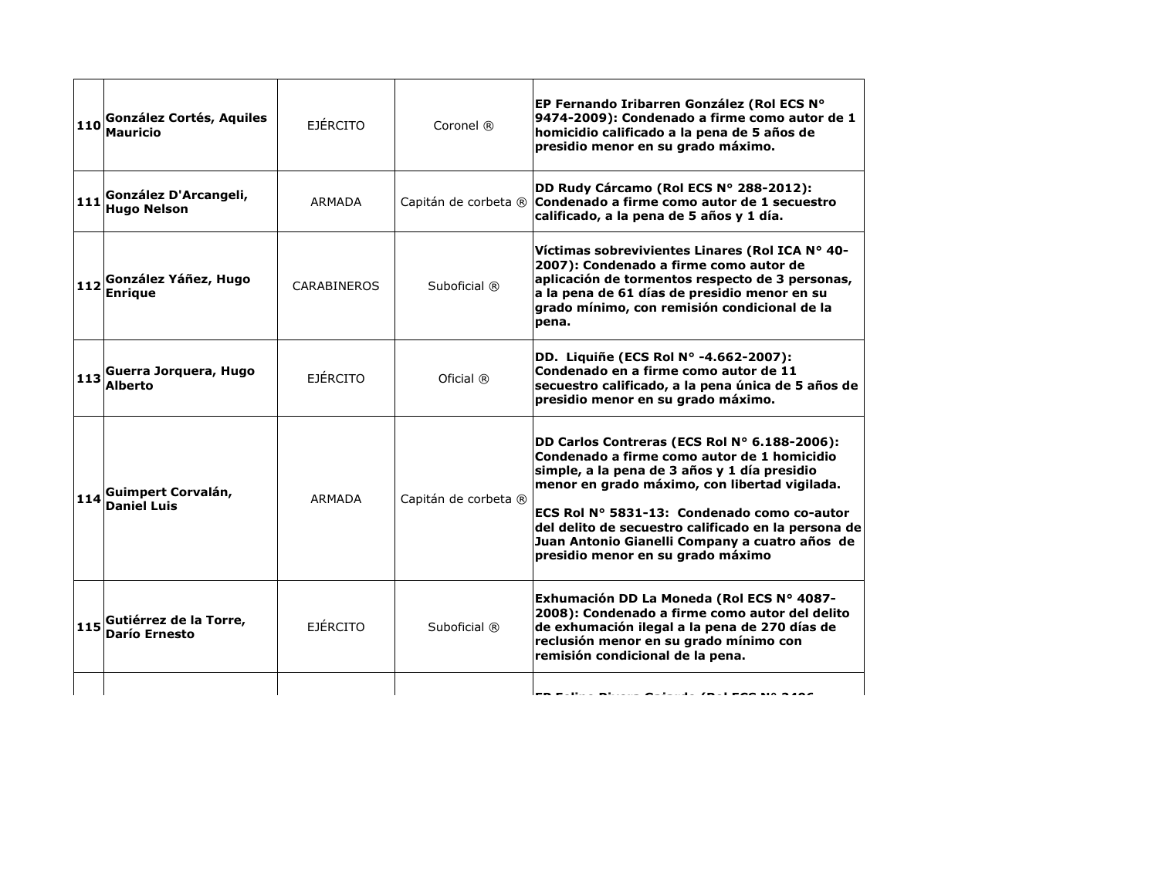|     | 110 González Cortés, Aquiles                       | <b>EJÉRCITO</b> | Coronel ®            | EP Fernando Iribarren González (Rol ECS Nº<br>9474-2009): Condenado a firme como autor de 1<br>homicidio calificado a la pena de 5 años de<br>presidio menor en su grado máximo.                                                                                                                                                                                                          |
|-----|----------------------------------------------------|-----------------|----------------------|-------------------------------------------------------------------------------------------------------------------------------------------------------------------------------------------------------------------------------------------------------------------------------------------------------------------------------------------------------------------------------------------|
| 111 | González D'Arcangeli,<br><b>Hugo Nelson</b>        | ARMADA          | Capitán de corbeta ® | DD Rudy Cárcamo (Rol ECS Nº 288-2012):<br>Condenado a firme como autor de 1 secuestro<br>calificado, a la pena de 5 años y 1 día.                                                                                                                                                                                                                                                         |
|     | 112 González Yáñez, Hugo<br>Enrique                | CARABINEROS     | Suboficial ®         | Víctimas sobrevivientes Linares (Rol ICA Nº 40-<br>2007): Condenado a firme como autor de<br>aplicación de tormentos respecto de 3 personas,<br>a la pena de 61 días de presidio menor en su<br>grado mínimo, con remisión condicional de la<br>pena.                                                                                                                                     |
|     | 113 Guerra Jorquera, Hugo<br><b>Alberto</b>        | <b>FIÉRCITO</b> | Oficial ®            | DD. Liquiñe (ECS Rol Nº -4.662-2007):<br>Condenado en a firme como autor de 11<br>secuestro calificado, a la pena única de 5 años de<br>presidio menor en su grado máximo.                                                                                                                                                                                                                |
| 114 | Guimpert Corvalán,<br><b>Daniel Luis</b>           | ARMADA          | Capitán de corbeta ® | DD Carlos Contreras (ECS Rol Nº 6.188-2006):<br>Condenado a firme como autor de 1 homicidio<br>simple, a la pena de 3 años y 1 día presidio<br>menor en grado máximo, con libertad vigilada.<br>ECS Rol Nº 5831-13: Condenado como co-autor<br>del delito de secuestro calificado en la persona de<br>Juan Antonio Gianelli Company a cuatro años de<br>presidio menor en su grado máximo |
|     | 115 Gutiérrez de la Torre,<br><b>Darío Ernesto</b> | <b>FJÉRCITO</b> | Suboficial ®         | Exhumación DD La Moneda (Rol ECS Nº 4087-<br>2008): Condenado a firme como autor del delito<br>de exhumación ilegal a la pena de 270 días de<br>reclusión menor en su grado mínimo con<br>remisión condicional de la pena.                                                                                                                                                                |
|     |                                                    |                 |                      |                                                                                                                                                                                                                                                                                                                                                                                           |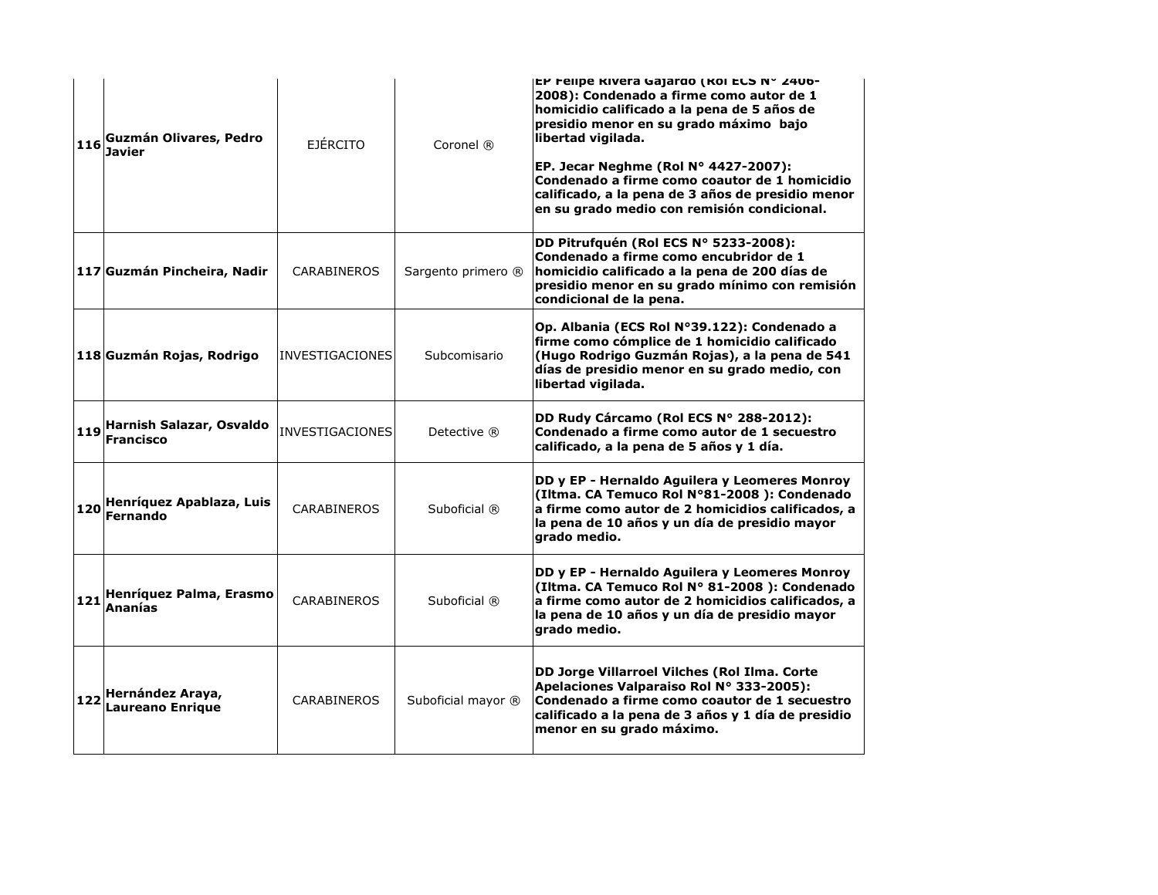| 116 Guzmán Olivares, Pedro<br>  Javier           | <b>EJÉRCITO</b>        | Coronel ®          | EP Felipe Kivera Gajardo (ROI ECS Nº 2406-<br>2008): Condenado a firme como autor de 1<br>homicidio calificado a la pena de 5 años de<br>presidio menor en su grado máximo bajo<br>libertad vigilada.<br>EP. Jecar Neghme (Rol Nº 4427-2007):<br>Condenado a firme como coautor de 1 homicidio<br>calificado, a la pena de 3 años de presidio menor<br>en su grado medio con remisión condicional. |
|--------------------------------------------------|------------------------|--------------------|----------------------------------------------------------------------------------------------------------------------------------------------------------------------------------------------------------------------------------------------------------------------------------------------------------------------------------------------------------------------------------------------------|
| 117 Guzmán Pincheira, Nadir                      | <b>CARABINEROS</b>     | Sargento primero ® | DD Pitrufquén (Rol ECS Nº 5233-2008):<br>Condenado a firme como encubridor de 1<br>homicidio calificado a la pena de 200 días de<br>presidio menor en su grado mínimo con remisión<br>condicional de la pena.                                                                                                                                                                                      |
| 118 Guzmán Rojas, Rodrigo                        | INVESTIGACIONES        | Subcomisario       | Op. Albania (ECS Rol Nº39.122): Condenado a<br>firme como cómplice de 1 homicidio calificado<br>(Hugo Rodrigo Guzmán Rojas), a la pena de 541<br>días de presidio menor en su grado medio, con<br>libertad vigilada.                                                                                                                                                                               |
| 119 Harnish Salazar, Osvaldo<br><b>Francisco</b> | <b>INVESTIGACIONES</b> | Detective ®        | DD Rudy Cárcamo (Rol ECS Nº 288-2012):<br>Condenado a firme como autor de 1 secuestro<br>calificado, a la pena de 5 años y 1 día.                                                                                                                                                                                                                                                                  |
| 120 Henríquez Apablaza, Luis<br>Fernando         | <b>CARABINEROS</b>     | Suboficial ®       | DD y EP - Hernaldo Aguilera y Leomeres Monroy<br>(Iltma. CA Temuco Rol Nº81-2008): Condenado<br>a firme como autor de 2 homicidios calificados, a<br>la pena de 10 años y un día de presidio mayor<br>grado medio.                                                                                                                                                                                 |
| 121 Henríquez Palma, Erasmo<br>Ananías           | <b>CARABINEROS</b>     | Suboficial ®       | DD y EP - Hernaldo Aguilera y Leomeres Monroy<br>(Iltma. CA Temuco Rol Nº 81-2008 ): Condenado<br>a firme como autor de 2 homicidios calificados, a<br>la pena de 10 años y un día de presidio mayor<br>grado medio.                                                                                                                                                                               |
| 122 Hernández Araya,<br>Laureano Enrique         | <b>CARABINEROS</b>     | Suboficial mayor ® | DD Jorge Villarroel Vilches (Rol Ilma. Corte<br>Apelaciones Valparaiso Rol Nº 333-2005):<br>Condenado a firme como coautor de 1 secuestro<br>calificado a la pena de 3 años y 1 día de presidio<br>menor en su grado máximo.                                                                                                                                                                       |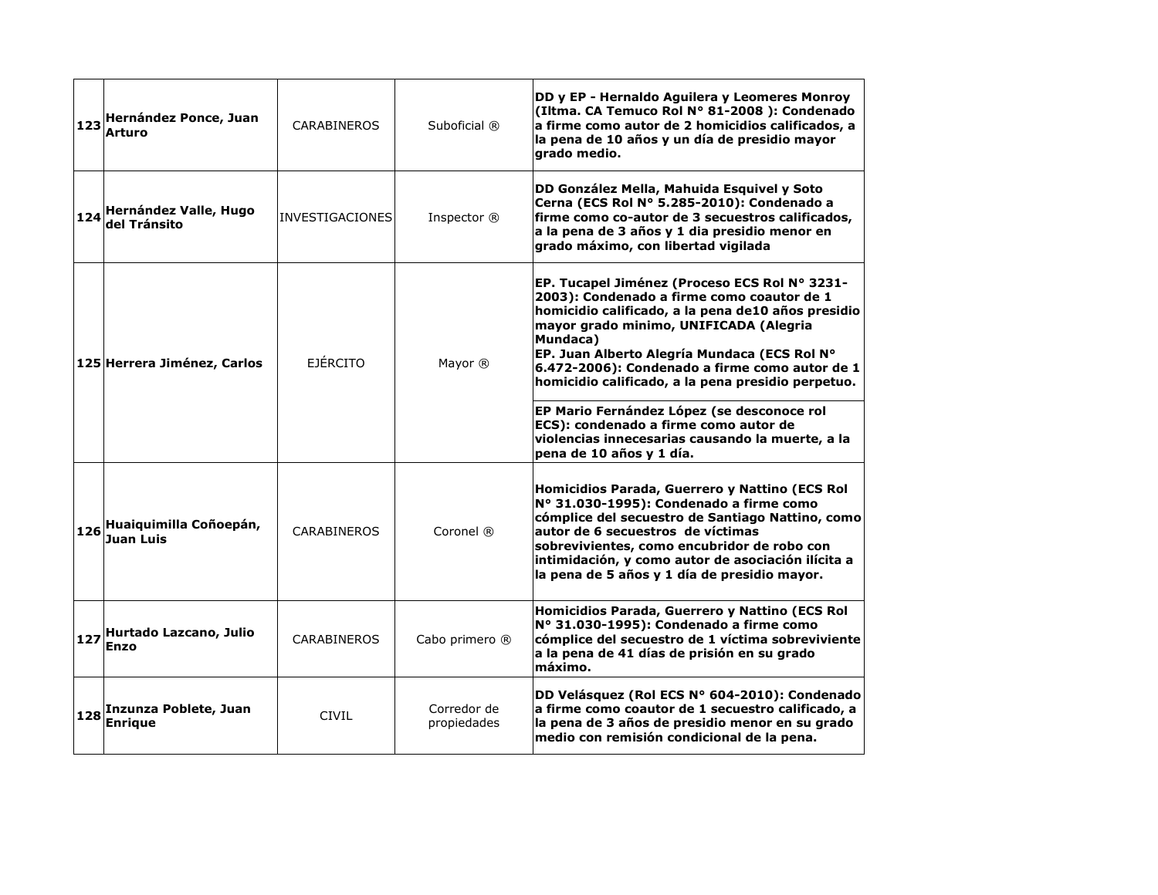| 123 Hernández Ponce, Juan<br>Arturo       | <b>CARABINEROS</b>     | Suboficial ®               | DD y EP - Hernaldo Aguilera y Leomeres Monroy<br>(Iltma. CA Temuco Rol Nº 81-2008 ): Condenado<br>a firme como autor de 2 homicidios calificados, a<br>la pena de 10 años y un día de presidio mayor<br>arado medio.                                                                                                                                            |
|-------------------------------------------|------------------------|----------------------------|-----------------------------------------------------------------------------------------------------------------------------------------------------------------------------------------------------------------------------------------------------------------------------------------------------------------------------------------------------------------|
| 124 Hernández Valle, Hugo<br>del Tránsito | <b>INVESTIGACIONES</b> | Inspector ®                | DD González Mella, Mahuida Esquivel y Soto<br>Cerna (ECS Rol Nº 5.285-2010): Condenado a<br>firme como co-autor de 3 secuestros calificados,<br>a la pena de 3 años y 1 dia presidio menor en<br>grado máximo, con libertad vigilada                                                                                                                            |
| 125 Herrera Jiménez, Carlos               | <b>EJÉRCITO</b>        | Mayor ®                    | EP. Tucapel Jiménez (Proceso ECS Rol Nº 3231-<br>2003): Condenado a firme como coautor de 1<br>homicidio calificado, a la pena de10 años presidio<br>mayor grado minimo, UNIFICADA (Alegria<br>Mundaca)<br>EP. Juan Alberto Alegría Mundaca (ECS Rol Nº<br>6.472-2006): Condenado a firme como autor de 1<br>homicidio calificado, a la pena presidio perpetuo. |
|                                           |                        |                            | EP Mario Fernández López (se desconoce rol<br>ECS): condenado a firme como autor de<br>violencias innecesarias causando la muerte, a la<br>pena de 10 años y 1 día.                                                                                                                                                                                             |
| 126 Huaiquimilla Coñoepán,<br>Juan Luis   | <b>CARABINEROS</b>     | Coronel ®                  | Homicidios Parada, Guerrero y Nattino (ECS Rol<br>Nº 31.030-1995): Condenado a firme como<br>cómplice del secuestro de Santiago Nattino, como<br>autor de 6 secuestros de víctimas<br>sobrevivientes, como encubridor de robo con<br>intimidación, y como autor de asociación ilícita a<br>la pena de 5 años y 1 día de presidio mayor.                         |
| 127 Hurtado Lazcano, Julio<br>Enzo        | <b>CARABINEROS</b>     | Cabo primero ®             | Homicidios Parada, Guerrero y Nattino (ECS Rol<br>Nº 31.030-1995): Condenado a firme como<br>cómplice del secuestro de 1 víctima sobreviviente<br>a la pena de 41 días de prisión en su grado<br>máximo.                                                                                                                                                        |
| 128 Inzunza Poblete, Juan<br>Enrique      | <b>CIVIL</b>           | Corredor de<br>propiedades | DD Velásquez (Rol ECS Nº 604-2010): Condenado<br>a firme como coautor de 1 secuestro calificado, a<br>la pena de 3 años de presidio menor en su grado<br>medio con remisión condicional de la pena.                                                                                                                                                             |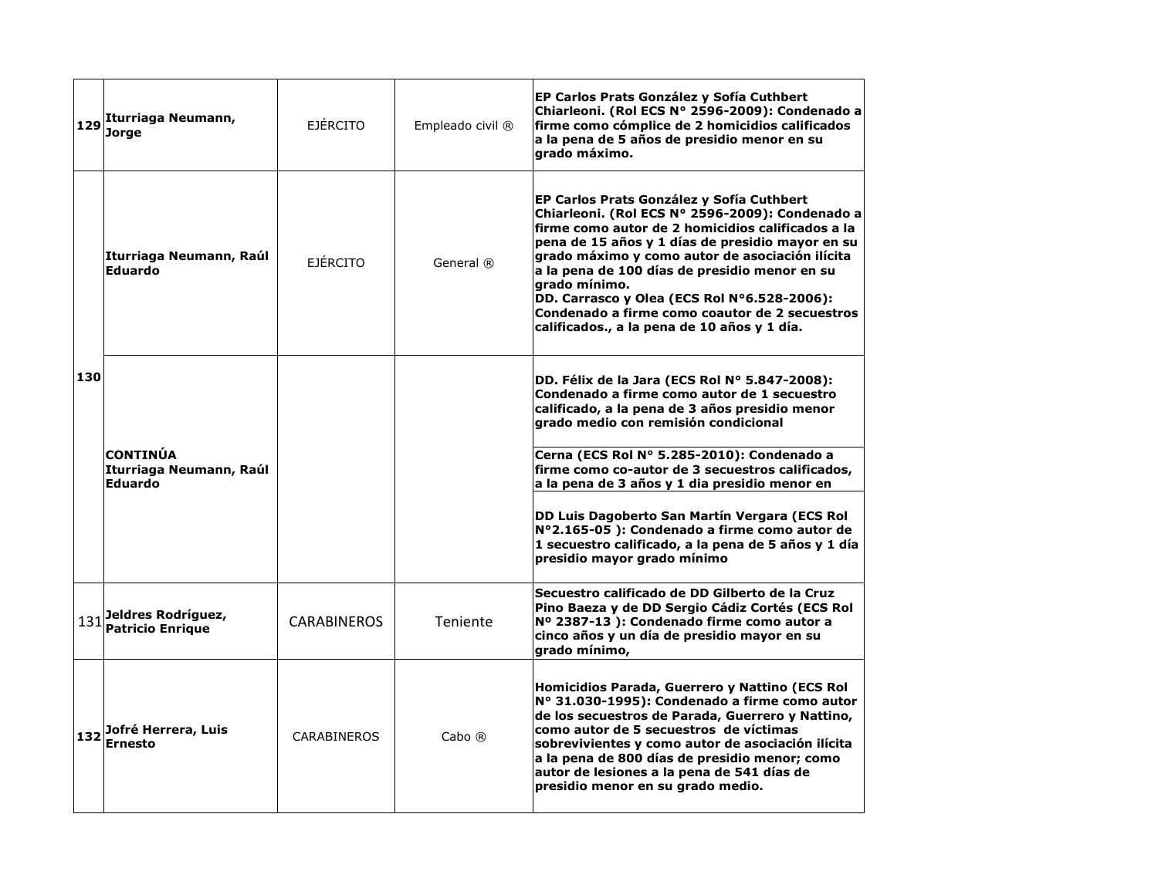|     | 129 Iturriaga Neumann,<br>Jorge                       | EJÉRCITO           | Empleado civil ® | EP Carlos Prats González y Sofía Cuthbert<br>Chiarleoni. (Rol ECS Nº 2596-2009): Condenado a<br>firme como cómplice de 2 homicidios calificados<br>a la pena de 5 años de presidio menor en su<br>grado máximo.                                                                                                                                                                                                                                                            |
|-----|-------------------------------------------------------|--------------------|------------------|----------------------------------------------------------------------------------------------------------------------------------------------------------------------------------------------------------------------------------------------------------------------------------------------------------------------------------------------------------------------------------------------------------------------------------------------------------------------------|
| 130 | Iturriaga Neumann, Raúl<br>Eduardo                    | EJÉRCITO           | General ®        | EP Carlos Prats González y Sofía Cuthbert<br>Chiarleoni. (Rol ECS Nº 2596-2009): Condenado a<br>firme como autor de 2 homicidios calificados a la<br>pena de 15 años y 1 días de presidio mayor en su<br>grado máximo y como autor de asociación ilícita<br>a la pena de 100 días de presidio menor en su<br>grado mínimo.<br>DD. Carrasco y Olea (ECS Rol Nº6.528-2006):<br>Condenado a firme como coautor de 2 secuestros<br>calificados., a la pena de 10 años y 1 día. |
|     |                                                       |                    |                  | DD. Félix de la Jara (ECS Rol Nº 5.847-2008):<br>Condenado a firme como autor de 1 secuestro<br>calificado, a la pena de 3 años presidio menor<br>grado medio con remisión condicional                                                                                                                                                                                                                                                                                     |
|     | <b>CONTINÚA</b><br>Iturriaga Neumann, Raúl<br>Eduardo |                    |                  | Cerna (ECS Rol Nº 5.285-2010): Condenado a<br>firme como co-autor de 3 secuestros calificados,<br>a la pena de 3 años y 1 dia presidio menor en                                                                                                                                                                                                                                                                                                                            |
|     |                                                       |                    |                  | DD Luis Dagoberto San Martín Vergara (ECS Rol<br>N°2.165-05): Condenado a firme como autor de<br>1 secuestro calificado, a la pena de 5 años y 1 día<br>presidio mayor grado mínimo                                                                                                                                                                                                                                                                                        |
|     | $131$ Jeldres Rodríguez,<br>Patricio Enrique          | <b>CARABINEROS</b> | Teniente         | Secuestro calificado de DD Gilberto de la Cruz<br>Pino Baeza y de DD Sergio Cádiz Cortés (ECS Rol<br>Nº 2387-13): Condenado firme como autor a<br>cinco años y un día de presidio mayor en su<br>grado mínimo,                                                                                                                                                                                                                                                             |
|     | 132 Jofré Herrera, Luis<br>Ernesto                    | <b>CARABINEROS</b> | $Cabo$ $R$       | Homicidios Parada, Guerrero y Nattino (ECS Rol<br>Nº 31.030-1995): Condenado a firme como autor<br>de los secuestros de Parada, Guerrero y Nattino,<br>como autor de 5 secuestros de víctimas<br>sobrevivientes y como autor de asociación ilícita<br>a la pena de 800 días de presidio menor; como<br>autor de lesiones a la pena de 541 días de<br>presidio menor en su grado medio.                                                                                     |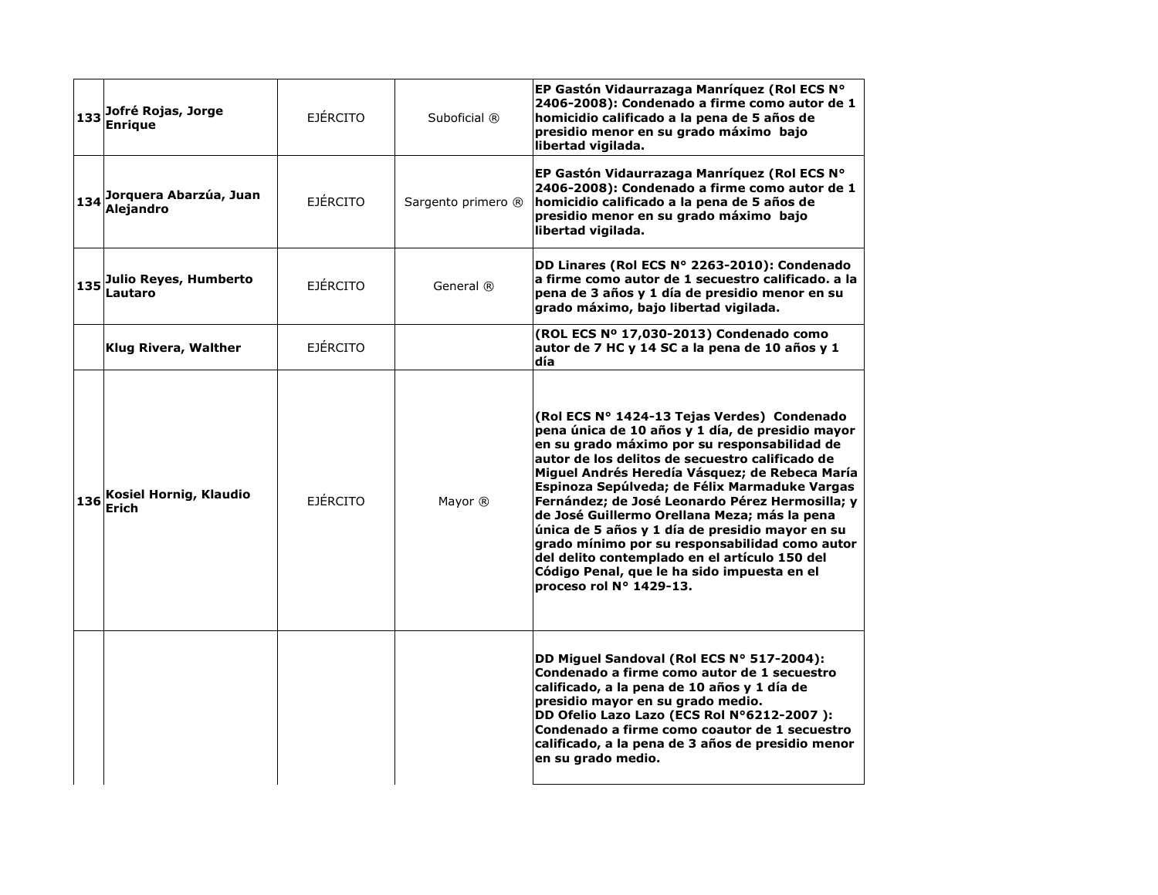|     | 133 Jofré Rojas, Jorge<br><b>Enrigue</b>   | <b>EJÉRCITO</b> | Suboficial ®       | EP Gastón Vidaurrazaga Manríquez (Rol ECS N°<br>2406-2008): Condenado a firme como autor de 1<br>homicidio calificado a la pena de 5 años de<br>presidio menor en su grado máximo bajo<br>libertad vigilada.                                                                                                                                                                                                                                                                                                                                                                                                                             |
|-----|--------------------------------------------|-----------------|--------------------|------------------------------------------------------------------------------------------------------------------------------------------------------------------------------------------------------------------------------------------------------------------------------------------------------------------------------------------------------------------------------------------------------------------------------------------------------------------------------------------------------------------------------------------------------------------------------------------------------------------------------------------|
| 134 | Jorquera Abarzúa, Juan<br><b>Alejandro</b> | <b>EJÉRCITO</b> | Sargento primero ® | EP Gastón Vidaurrazaga Manríquez (Rol ECS N°<br>2406-2008): Condenado a firme como autor de 1<br>homicidio calificado a la pena de 5 años de<br>presidio menor en su grado máximo bajo<br>libertad vigilada.                                                                                                                                                                                                                                                                                                                                                                                                                             |
|     | 135 Julio Reyes, Humberto                  | <b>EJÉRCITO</b> | General ®          | DD Linares (Rol ECS N° 2263-2010): Condenado<br>a firme como autor de 1 secuestro calificado. a la<br>pena de 3 años y 1 día de presidio menor en su<br>grado máximo, bajo libertad vigilada.                                                                                                                                                                                                                                                                                                                                                                                                                                            |
|     | Klug Rivera, Walther                       | <b>EJÉRCITO</b> |                    | (ROL ECS Nº 17,030-2013) Condenado como<br>autor de 7 HC y 14 SC a la pena de 10 años y 1<br>día                                                                                                                                                                                                                                                                                                                                                                                                                                                                                                                                         |
| 136 | Kosiel Hornig, Klaudio<br>Erich            | <b>EJÉRCITO</b> | Mayor ®            | (Rol ECS Nº 1424-13 Tejas Verdes) Condenado<br>pena única de 10 años y 1 día, de presidio mayor<br>en su grado máximo por su responsabilidad de<br>autor de los delitos de secuestro calificado de<br>Miguel Andrés Heredía Vásquez; de Rebeca María<br>Espinoza Sepúlveda; de Félix Marmaduke Vargas<br>Fernández; de José Leonardo Pérez Hermosilla; y<br>de José Guillermo Orellana Meza; más la pena<br>única de 5 años y 1 día de presidio mayor en su<br>grado mínimo por su responsabilidad como autor<br>del delito contemplado en el artículo 150 del<br>Código Penal, que le ha sido impuesta en el<br>proceso rol N° 1429-13. |
|     |                                            |                 |                    | DD Miquel Sandoval (Rol ECS Nº 517-2004):<br>Condenado a firme como autor de 1 secuestro<br>calificado, a la pena de 10 años y 1 día de<br>presidio mayor en su grado medio.<br>DD Ofelio Lazo Lazo (ECS Rol N°6212-2007):<br>Condenado a firme como coautor de 1 secuestro<br>calificado, a la pena de 3 años de presidio menor<br>en su grado medio.                                                                                                                                                                                                                                                                                   |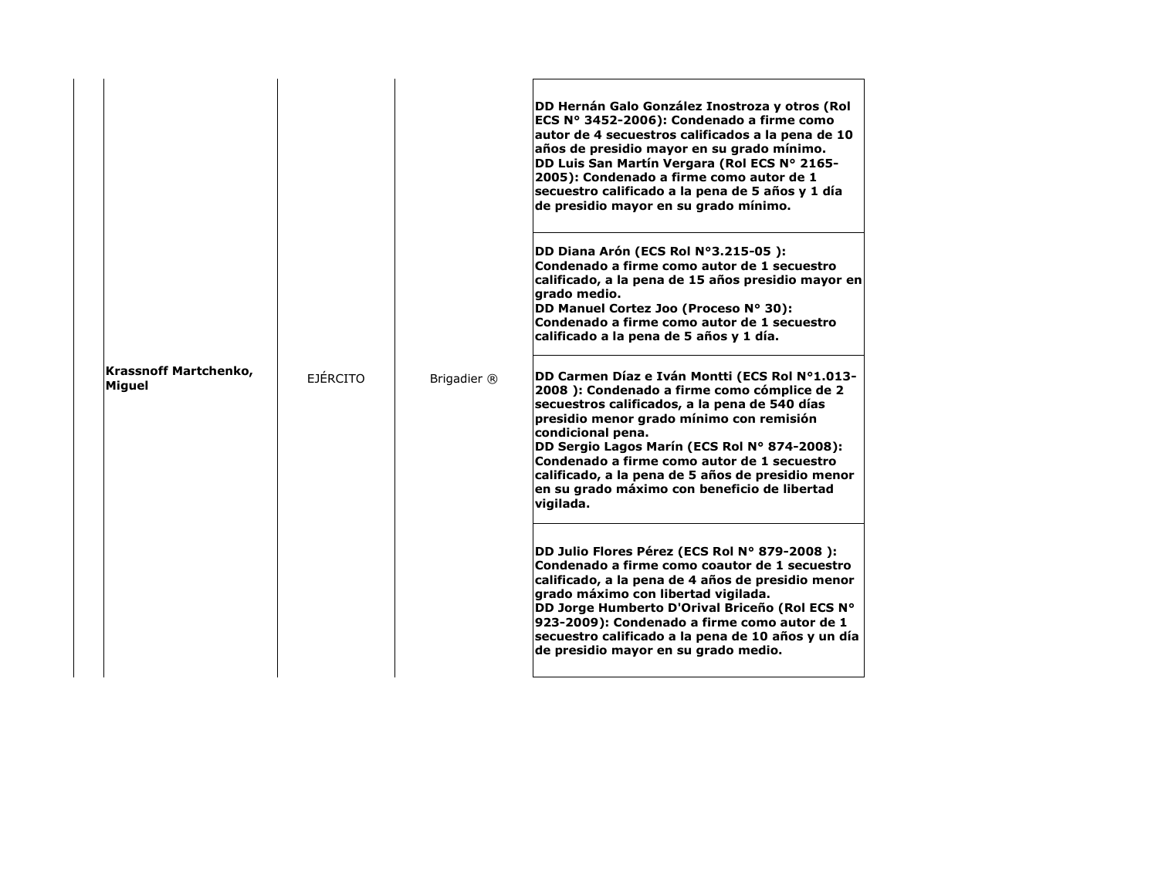|                                        |                 |             | DD Hernán Galo González Inostroza y otros (Rol<br>ECS Nº 3452-2006): Condenado a firme como<br>autor de 4 secuestros calificados a la pena de 10<br>años de presidio mayor en su grado mínimo.<br>DD Luis San Martín Vergara (Rol ECS Nº 2165-<br>2005): Condenado a firme como autor de 1<br>secuestro calificado a la pena de 5 años y 1 día<br>de presidio mayor en su grado mínimo.                                          |
|----------------------------------------|-----------------|-------------|----------------------------------------------------------------------------------------------------------------------------------------------------------------------------------------------------------------------------------------------------------------------------------------------------------------------------------------------------------------------------------------------------------------------------------|
|                                        |                 |             | DD Diana Arón (ECS Rol Nº3.215-05):<br>Condenado a firme como autor de 1 secuestro<br>calificado, a la pena de 15 años presidio mayor en<br>grado medio.<br>DD Manuel Cortez Joo (Proceso Nº 30):<br>Condenado a firme como autor de 1 secuestro<br>calificado a la pena de 5 años y 1 día.                                                                                                                                      |
| <b>Krassnoff Martchenko,</b><br>Miguel | <b>FIÉRCITO</b> | Brigadier ® | DD Carmen Díaz e Iván Montti (ECS Rol Nº1.013-<br>2008): Condenado a firme como cómplice de 2<br>secuestros calificados, a la pena de 540 días<br>presidio menor grado mínimo con remisión<br>condicional pena.<br>DD Sergio Lagos Marín (ECS Rol Nº 874-2008):<br>Condenado a firme como autor de 1 secuestro<br>calificado, a la pena de 5 años de presidio menor<br>en su grado máximo con beneficio de libertad<br>vigilada. |
|                                        |                 |             | DD Julio Flores Pérez (ECS Rol Nº 879-2008):<br>Condenado a firme como coautor de 1 secuestro<br>calificado, a la pena de 4 años de presidio menor<br>grado máximo con libertad vigilada.<br>DD Jorge Humberto D'Orival Briceño (Rol ECS N°<br>923-2009): Condenado a firme como autor de 1<br>secuestro calificado a la pena de 10 años y un día<br>de presidio mayor en su grado medio.                                        |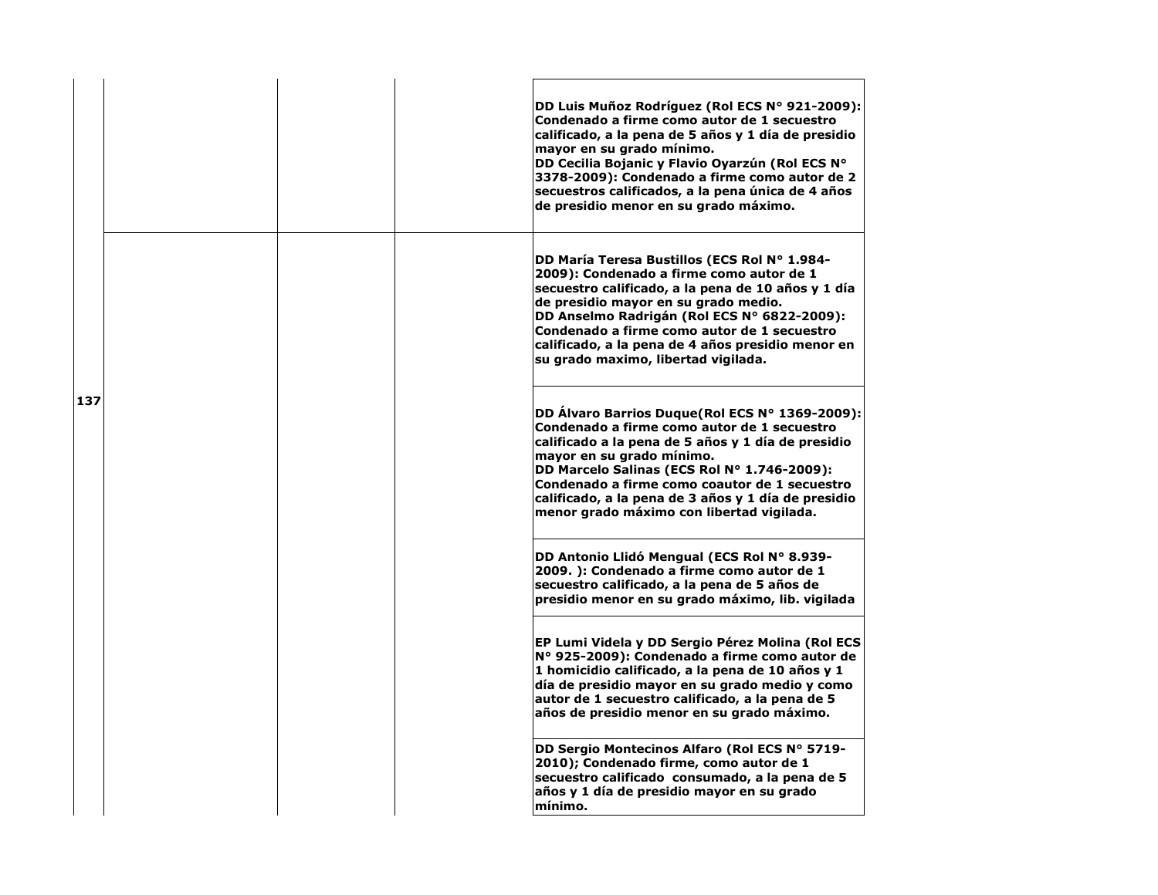|     |  | DD Luis Muñoz Rodríguez (Rol ECS Nº 921-2009):<br>Condenado a firme como autor de 1 secuestro<br>calificado, a la pena de 5 años y 1 día de presidio<br>mayor en su grado mínimo.<br>DD Cecilia Bojanic y Flavio Oyarzún (Rol ECS N°<br>3378-2009): Condenado a firme como autor de 2<br>secuestros calificados, a la pena única de 4 años<br>de presidio menor en su grado máximo.   |
|-----|--|---------------------------------------------------------------------------------------------------------------------------------------------------------------------------------------------------------------------------------------------------------------------------------------------------------------------------------------------------------------------------------------|
| 137 |  | DD María Teresa Bustillos (ECS Rol Nº 1.984-<br>2009): Condenado a firme como autor de 1<br>secuestro calificado, a la pena de 10 años y 1 día<br>de presidio mayor en su grado medio.<br>DD Anselmo Radrigán (Rol ECS Nº 6822-2009):<br>Condenado a firme como autor de 1 secuestro<br>calificado, a la pena de 4 años presidio menor en<br>su grado maximo, libertad vigilada.      |
|     |  | DD Álvaro Barrios Duque (Rol ECS Nº 1369-2009):<br>Condenado a firme como autor de 1 secuestro<br>calificado a la pena de 5 años y 1 día de presidio<br>mayor en su grado mínimo.<br>DD Marcelo Salinas (ECS Rol Nº 1.746-2009):<br>Condenado a firme como coautor de 1 secuestro<br>calificado, a la pena de 3 años y 1 día de presidio<br>menor grado máximo con libertad vigilada. |
|     |  | DD Antonio Llidó Mengual (ECS Rol Nº 8.939-<br>2009. ): Condenado a firme como autor de 1<br>secuestro calificado, a la pena de 5 años de<br>presidio menor en su grado máximo, lib. vigilada                                                                                                                                                                                         |
|     |  | EP Lumi Videla y DD Sergio Pérez Molina (Rol ECS<br>N° 925-2009): Condenado a firme como autor de<br>1 homicidio calificado, a la pena de 10 años y 1<br>día de presidio mayor en su grado medio y como<br>autor de 1 secuestro calificado, a la pena de 5<br>años de presidio menor en su grado máximo.                                                                              |
|     |  | DD Sergio Montecinos Alfaro (Rol ECS Nº 5719-<br>2010); Condenado firme, como autor de 1<br>secuestro calificado consumado, a la pena de 5<br>años y 1 día de presidio mayor en su grado<br>mínimo.                                                                                                                                                                                   |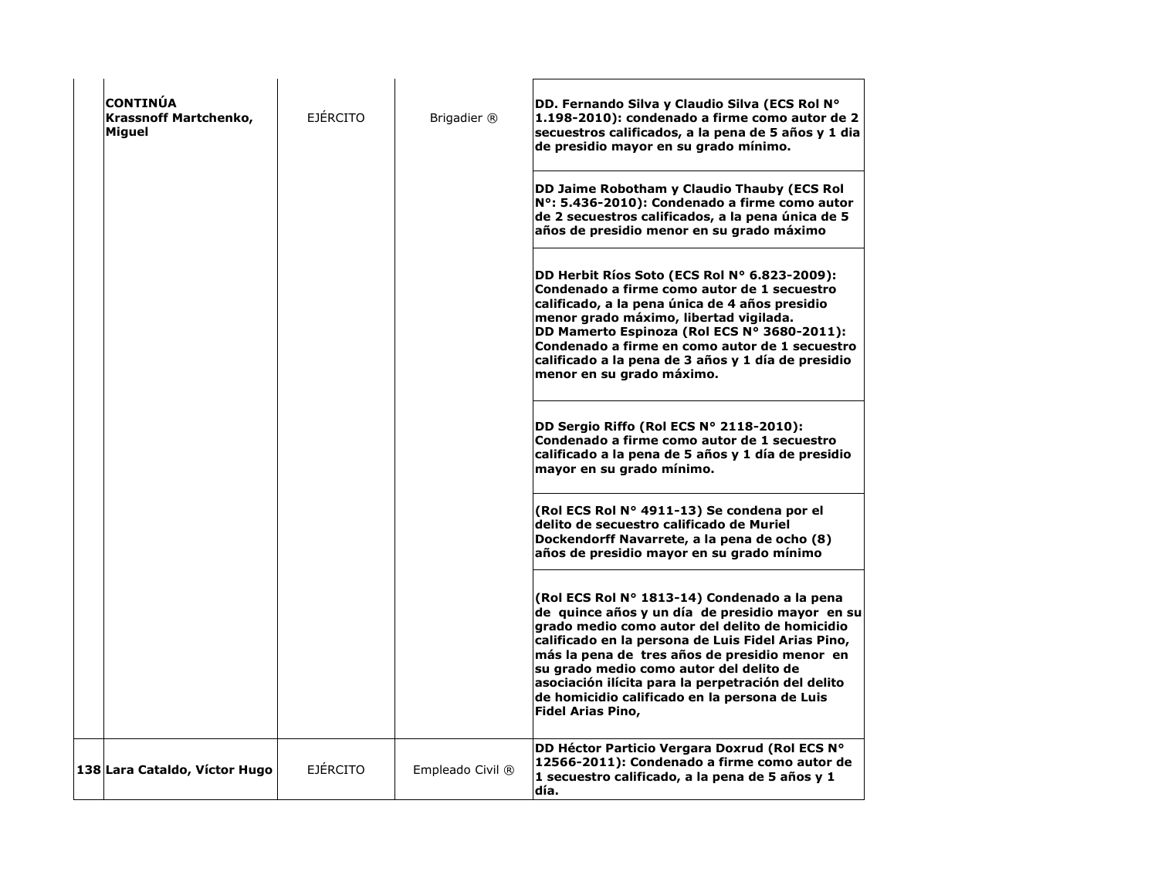| <b>CONTINÚA</b><br>Krassnoff Martchenko,<br><b>Miguel</b> | <b>EJÉRCITO</b> | Brigadier ®      | DD. Fernando Silva y Claudio Silva (ECS Rol Nº<br>1.198-2010): condenado a firme como autor de 2<br>secuestros calificados, a la pena de 5 años y 1 dia<br>de presidio mayor en su grado mínimo.                                                                                                                                                                                                                                       |
|-----------------------------------------------------------|-----------------|------------------|----------------------------------------------------------------------------------------------------------------------------------------------------------------------------------------------------------------------------------------------------------------------------------------------------------------------------------------------------------------------------------------------------------------------------------------|
|                                                           |                 |                  | DD Jaime Robotham y Claudio Thauby (ECS Rol<br>Nº: 5.436-2010): Condenado a firme como autor<br>de 2 secuestros calificados, a la pena única de 5<br>años de presidio menor en su grado máximo                                                                                                                                                                                                                                         |
|                                                           |                 |                  | DD Herbit Ríos Soto (ECS Rol Nº 6.823-2009):<br>Condenado a firme como autor de 1 secuestro<br>calificado, a la pena única de 4 años presidio<br>menor grado máximo, libertad vigilada.<br>DD Mamerto Espinoza (Rol ECS Nº 3680-2011):<br>Condenado a firme en como autor de 1 secuestro<br>calificado a la pena de 3 años y 1 día de presidio<br>menor en su grado máximo.                                                            |
|                                                           |                 |                  | DD Sergio Riffo (Rol ECS Nº 2118-2010):<br>Condenado a firme como autor de 1 secuestro<br>calificado a la pena de 5 años y 1 día de presidio<br>mayor en su grado mínimo.                                                                                                                                                                                                                                                              |
|                                                           |                 |                  | (Rol ECS Rol Nº 4911-13) Se condena por el<br>delito de secuestro calificado de Muriel<br>Dockendorff Navarrete, a la pena de ocho (8)<br>años de presidio mayor en su grado mínimo                                                                                                                                                                                                                                                    |
|                                                           |                 |                  | (Rol ECS Rol Nº 1813-14) Condenado a la pena<br>de quince años y un día de presidio mayor en su<br>grado medio como autor del delito de homicidio<br>calificado en la persona de Luis Fidel Arias Pino,<br>más la pena de tres años de presidio menor en<br>su grado medio como autor del delito de<br>asociación ilícita para la perpetración del delito<br>de homicidio calificado en la persona de Luis<br><b>Fidel Arias Pino,</b> |
| 138 Lara Cataldo, Víctor Hugo                             | <b>EJÉRCITO</b> | Empleado Civil ® | DD Héctor Particio Vergara Doxrud (Rol ECS Nº<br>12566-2011): Condenado a firme como autor de<br>1 secuestro calificado, a la pena de 5 años y 1<br>día.                                                                                                                                                                                                                                                                               |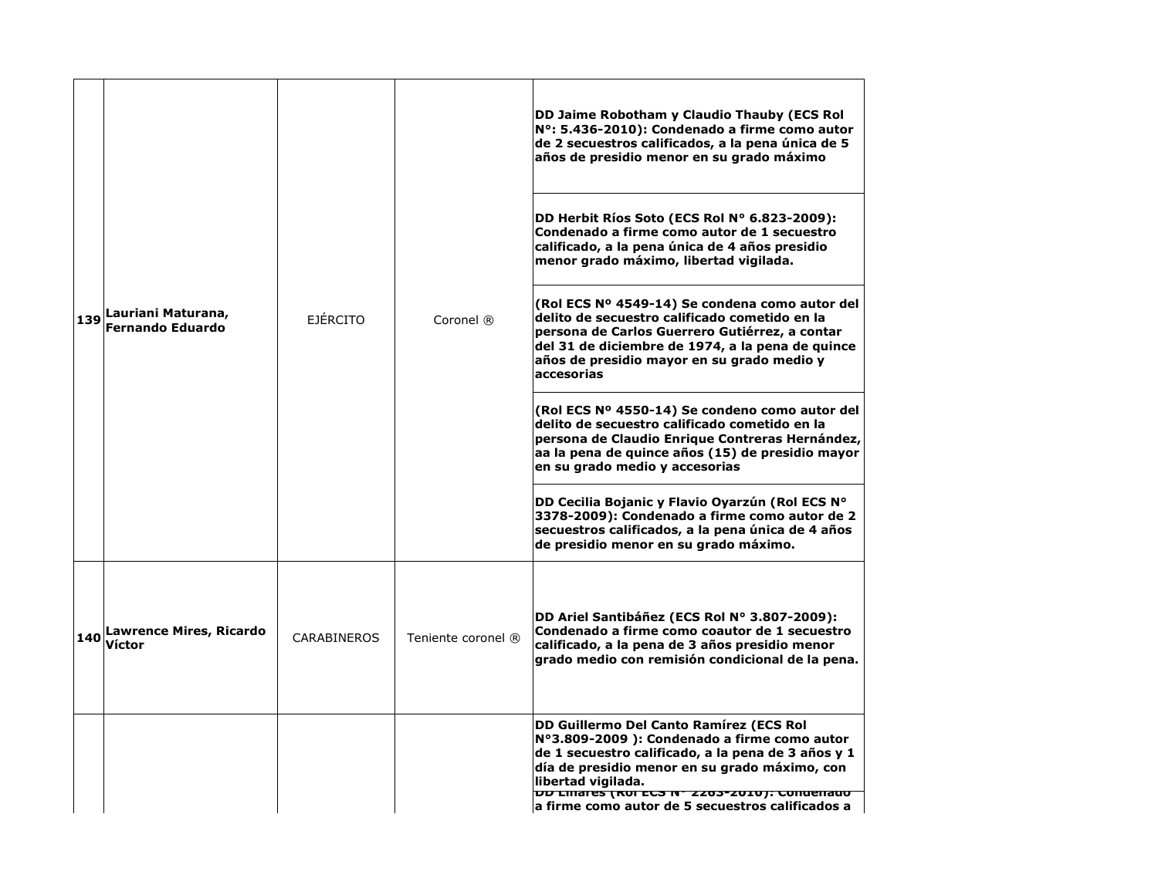| 139 | Lauriani Maturana,<br><b>Fernando Eduardo</b>            | EJÉRCITO           | Coronel ®          | DD Jaime Robotham y Claudio Thauby (ECS Rol<br>Nº: 5.436-2010): Condenado a firme como autor<br>de 2 secuestros calificados, a la pena única de 5<br>años de presidio menor en su grado máximo<br>DD Herbit Ríos Soto (ECS Rol Nº 6.823-2009):<br>Condenado a firme como autor de 1 secuestro<br>calificado, a la pena única de 4 años presidio<br>menor grado máximo, libertad vigilada.<br>(Rol ECS Nº 4549-14) Se condena como autor del<br>delito de secuestro calificado cometido en la<br>persona de Carlos Guerrero Gutiérrez, a contar<br>del 31 de diciembre de 1974, a la pena de quince<br>años de presidio mayor en su grado medio y<br>accesorias<br>(Rol ECS Nº 4550-14) Se condeno como autor del<br>delito de secuestro calificado cometido en la<br>persona de Claudio Enrique Contreras Hernández,<br>aa la pena de quince años (15) de presidio mayor<br>en su grado medio y accesorias<br>DD Cecilia Bojanic y Flavio Oyarzún (Rol ECS N° |
|-----|----------------------------------------------------------|--------------------|--------------------|---------------------------------------------------------------------------------------------------------------------------------------------------------------------------------------------------------------------------------------------------------------------------------------------------------------------------------------------------------------------------------------------------------------------------------------------------------------------------------------------------------------------------------------------------------------------------------------------------------------------------------------------------------------------------------------------------------------------------------------------------------------------------------------------------------------------------------------------------------------------------------------------------------------------------------------------------------------|
|     |                                                          |                    |                    | 3378-2009): Condenado a firme como autor de 2<br>secuestros calificados, a la pena única de 4 años<br>de presidio menor en su grado máximo.                                                                                                                                                                                                                                                                                                                                                                                                                                                                                                                                                                                                                                                                                                                                                                                                                   |
|     | <b>Lawrence Mires, Ricardo</b><br>$140\frac{L}{V}$ íctor | <b>CARABINEROS</b> | Teniente coronel ® | DD Ariel Santibáñez (ECS Rol Nº 3.807-2009):<br>Condenado a firme como coautor de 1 secuestro<br>calificado, a la pena de 3 años presidio menor<br>grado medio con remisión condicional de la pena.                                                                                                                                                                                                                                                                                                                                                                                                                                                                                                                                                                                                                                                                                                                                                           |
|     |                                                          |                    |                    | DD Guillermo Del Canto Ramírez (ECS Rol<br>N°3.809-2009): Condenado a firme como autor<br>de 1 secuestro calificado, a la pena de 3 años y 1<br>día de presidio menor en su grado máximo, con<br>libertad vigilada.<br>UD LINATES (ROI ECS Nº 2263-2010): Condenado<br>a firme como autor de 5 secuestros calificados a                                                                                                                                                                                                                                                                                                                                                                                                                                                                                                                                                                                                                                       |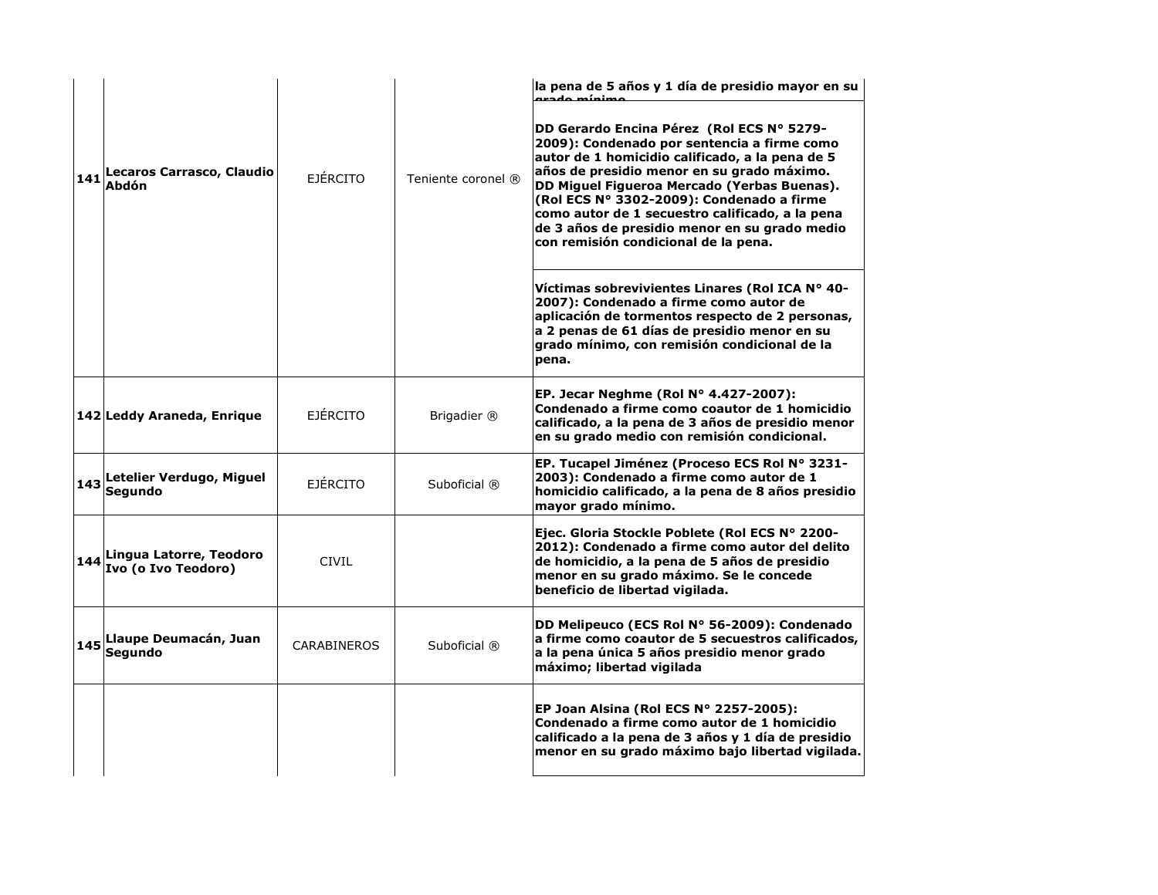|     |                                                        |                    |                    | la pena de 5 años y 1 día de presidio mayor en su<br>arada mínima                                                                                                                                                                                                                                                                                                                                                                 |
|-----|--------------------------------------------------------|--------------------|--------------------|-----------------------------------------------------------------------------------------------------------------------------------------------------------------------------------------------------------------------------------------------------------------------------------------------------------------------------------------------------------------------------------------------------------------------------------|
| 141 | Lecaros Carrasco, Claudio<br>Abdón                     | <b>EJÉRCITO</b>    | Teniente coronel ® | DD Gerardo Encina Pérez (Rol ECS Nº 5279-<br>2009): Condenado por sentencia a firme como<br>autor de 1 homicidio calificado, a la pena de 5<br>años de presidio menor en su grado máximo.<br>DD Miquel Figueroa Mercado (Yerbas Buenas).<br>(Rol ECS Nº 3302-2009): Condenado a firme<br>como autor de 1 secuestro calificado, a la pena<br>de 3 años de presidio menor en su grado medio<br>con remisión condicional de la pena. |
|     |                                                        |                    |                    | Víctimas sobrevivientes Linares (Rol ICA Nº 40-<br>2007): Condenado a firme como autor de<br>aplicación de tormentos respecto de 2 personas,<br>a 2 penas de 61 días de presidio menor en su<br>grado mínimo, con remisión condicional de la<br>pena.                                                                                                                                                                             |
|     | 142 Leddy Araneda, Enrique                             | <b>EJÉRCITO</b>    | Brigadier ®        | EP. Jecar Neghme (Rol Nº 4.427-2007):<br>Condenado a firme como coautor de 1 homicidio<br>calificado, a la pena de 3 años de presidio menor<br>en su grado medio con remisión condicional.                                                                                                                                                                                                                                        |
|     | 143 Letelier Verdugo, Miguel<br>Segundo                | <b>EJÉRCITO</b>    | Suboficial ®       | EP. Tucapel Jiménez (Proceso ECS Rol Nº 3231-<br>2003): Condenado a firme como autor de 1<br>homicidio calificado, a la pena de 8 años presidio<br>mayor grado mínimo.                                                                                                                                                                                                                                                            |
|     | 144 Lingua Latorre, Teodoro<br>144 Ivo (o Ivo Teodoro) | <b>CIVIL</b>       |                    | Ejec. Gloria Stockle Poblete (Rol ECS N° 2200-<br>2012): Condenado a firme como autor del delito<br>de homicidio, a la pena de 5 años de presidio<br>menor en su grado máximo. Se le concede<br>beneficio de libertad vigilada.                                                                                                                                                                                                   |
|     | 145 Llaupe Deumacán, Juan<br>Segundo                   | <b>CARABINEROS</b> | Suboficial ®       | DD Melipeuco (ECS Rol Nº 56-2009): Condenado<br>a firme como coautor de 5 secuestros calificados,<br>a la pena única 5 años presidio menor grado<br>máximo; libertad vigilada                                                                                                                                                                                                                                                     |
|     |                                                        |                    |                    | EP Joan Alsina (Rol ECS N° 2257-2005):<br>Condenado a firme como autor de 1 homicidio<br>calificado a la pena de 3 años y 1 día de presidio<br>menor en su grado máximo bajo libertad vigilada.                                                                                                                                                                                                                                   |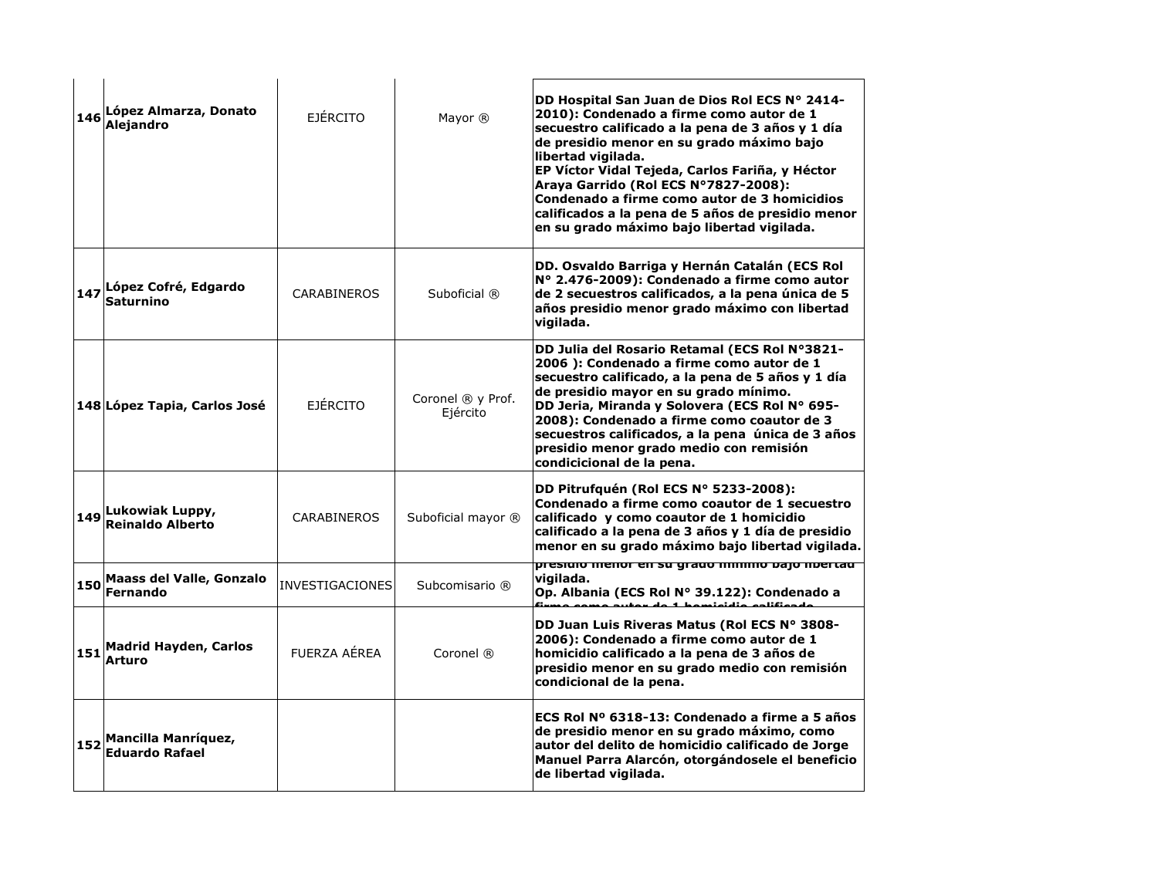| 146 López Almarza, Donato<br>Alejandro       | EJÉRCITO               | Mayor ®                       | DD Hospital San Juan de Dios Rol ECS N° 2414-<br>2010): Condenado a firme como autor de 1<br>secuestro calificado a la pena de 3 años y 1 día<br>de presidio menor en su grado máximo bajo<br>libertad vigilada.<br>EP Víctor Vidal Tejeda, Carlos Fariña, y Héctor<br>Araya Garrido (Rol ECS Nº7827-2008):<br>Condenado a firme como autor de 3 homicidios<br>calificados a la pena de 5 años de presidio menor<br>en su grado máximo bajo libertad vigilada. |
|----------------------------------------------|------------------------|-------------------------------|----------------------------------------------------------------------------------------------------------------------------------------------------------------------------------------------------------------------------------------------------------------------------------------------------------------------------------------------------------------------------------------------------------------------------------------------------------------|
| 147 López Cofré, Edgardo<br><b>Saturnino</b> | <b>CARABINEROS</b>     | Suboficial ®                  | DD. Osvaldo Barriga y Hernán Catalán (ECS Rol<br>Nº 2.476-2009): Condenado a firme como autor<br>de 2 secuestros calificados, a la pena única de 5<br>años presidio menor grado máximo con libertad<br>vigilada.                                                                                                                                                                                                                                               |
| 148 López Tapia, Carlos José                 | <b>FIÉRCITO</b>        | Coronel ® y Prof.<br>Eiército | DD Julia del Rosario Retamal (ECS Rol Nº3821-<br>2006): Condenado a firme como autor de 1<br>secuestro calificado, a la pena de 5 años y 1 día<br>de presidio mayor en su grado mínimo.<br>DD Jeria, Miranda y Solovera (ECS Rol Nº 695-<br>2008): Condenado a firme como coautor de 3<br>secuestros calificados, a la pena única de 3 años<br>presidio menor grado medio con remisión<br>condicicional de la pena.                                            |
| 149 Lukowiak Luppy,<br>Reinaldo Alberto      | <b>CARABINEROS</b>     | Suboficial mayor ®            | DD Pitrufquén (Rol ECS N° 5233-2008):<br>Condenado a firme como coautor de 1 secuestro<br>calificado y como coautor de 1 homicidio<br>calificado a la pena de 3 años y 1 día de presidio<br>menor en su grado máximo bajo libertad vigilada.<br>presigio menor en su grago minimo pajo libertag                                                                                                                                                                |
| 150 Maass del Valle, Gonzalo<br>Fernando     | <b>INVESTIGACIONES</b> | Subcomisario ®                | vigilada.<br>Op. Albania (ECS Rol Nº 39.122): Condenado a<br>na autor de 1 homicidio calificado                                                                                                                                                                                                                                                                                                                                                                |
| 151 Madrid Hayden, Carlos<br>Arturo          | FUERZA AÉREA           | Coronel ®                     | DD Juan Luis Riveras Matus (Rol ECS Nº 3808-<br>2006): Condenado a firme como autor de 1<br>homicidio calificado a la pena de 3 años de<br>presidio menor en su grado medio con remisión<br>condicional de la pena.                                                                                                                                                                                                                                            |
| Mancilla Manríquez,<br>152 Francesco         |                        |                               | ECS Rol Nº 6318-13: Condenado a firme a 5 años<br>de presidio menor en su grado máximo, como<br>autor del delito de homicidio calificado de Jorge<br>Manuel Parra Alarcón, otorgándosele el beneficio<br>de libertad vigilada.                                                                                                                                                                                                                                 |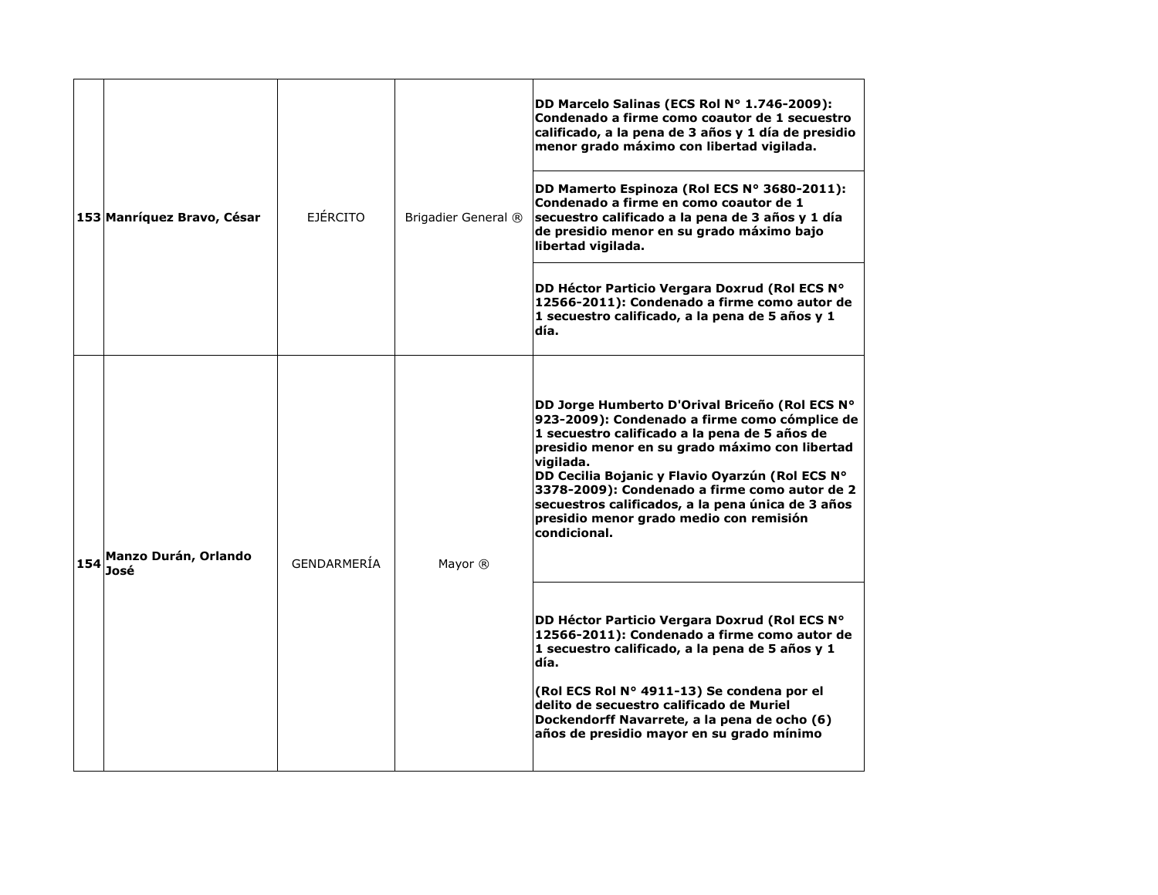|     | 153 Manríquez Bravo, César   | <b>FJÉRCITO</b> | Brigadier General ® | DD Marcelo Salinas (ECS Rol Nº 1.746-2009):<br>Condenado a firme como coautor de 1 secuestro<br>calificado, a la pena de 3 años y 1 día de presidio<br>menor grado máximo con libertad vigilada.<br>DD Mamerto Espinoza (Rol ECS Nº 3680-2011):<br>Condenado a firme en como coautor de 1<br>secuestro calificado a la pena de 3 años y 1 día<br>de presidio menor en su grado máximo bajo<br>libertad vigilada.<br><b>DD Héctor Particio Vergara Doxrud (Rol ECS N°</b><br>12566-2011): Condenado a firme como autor de<br>1 secuestro calificado, a la pena de 5 años y 1<br>día. |
|-----|------------------------------|-----------------|---------------------|-------------------------------------------------------------------------------------------------------------------------------------------------------------------------------------------------------------------------------------------------------------------------------------------------------------------------------------------------------------------------------------------------------------------------------------------------------------------------------------------------------------------------------------------------------------------------------------|
| 154 | Manzo Durán, Orlando<br>José | GENDARMERÍA     | Mayor ®             | DD Jorge Humberto D'Orival Briceño (Rol ECS N°<br>923-2009): Condenado a firme como cómplice de<br>1 secuestro calificado a la pena de 5 años de<br>presidio menor en su grado máximo con libertad<br>vigilada.<br>DD Cecilia Bojanic y Flavio Oyarzún (Rol ECS N°<br>3378-2009): Condenado a firme como autor de 2<br>secuestros calificados, a la pena única de 3 años<br>presidio menor grado medio con remisión<br>condicional.                                                                                                                                                 |
|     |                              |                 |                     | <b>DD Héctor Particio Vergara Doxrud (Rol ECS N°</b><br>12566-2011): Condenado a firme como autor de<br>1 secuestro calificado, a la pena de 5 años y 1<br>día.<br>(Rol ECS Rol Nº 4911-13) Se condena por el<br>delito de secuestro calificado de Muriel<br>Dockendorff Navarrete, a la pena de ocho (6)<br>años de presidio mayor en su grado mínimo                                                                                                                                                                                                                              |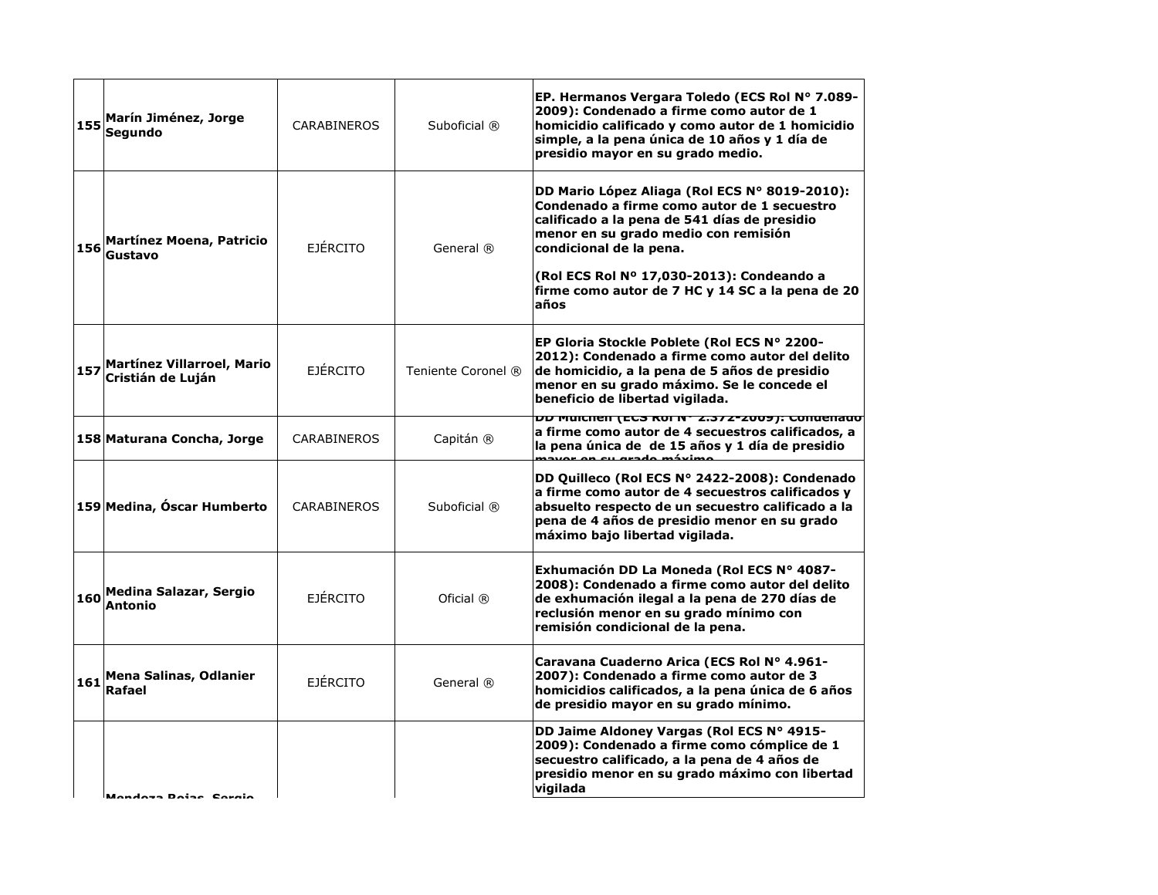|     | 155 Marín Jiménez, Jorge<br>Segundo                 | <b>CARABINEROS</b> | Suboficial ®       | EP. Hermanos Vergara Toledo (ECS Rol Nº 7.089-<br>2009): Condenado a firme como autor de 1<br>homicidio calificado y como autor de 1 homicidio<br>simple, a la pena única de 10 años y 1 día de<br>presidio mayor en su grado medio.                                                                                     |
|-----|-----------------------------------------------------|--------------------|--------------------|--------------------------------------------------------------------------------------------------------------------------------------------------------------------------------------------------------------------------------------------------------------------------------------------------------------------------|
|     | 156 Martínez Moena, Patricio<br>Gustavo             | <b>EJÉRCITO</b>    | General ®          | DD Mario López Aliaga (Rol ECS N° 8019-2010):<br>Condenado a firme como autor de 1 secuestro<br>calificado a la pena de 541 días de presidio<br>menor en su grado medio con remisión<br>condicional de la pena.<br>(Rol ECS Rol Nº 17,030-2013): Condeando a<br>firme como autor de 7 HC y 14 SC a la pena de 20<br>años |
|     | 157 Martínez Villarroel, Mario<br>Cristián de Luján | <b>EJÉRCITO</b>    | Teniente Coronel ® | EP Gloria Stockle Poblete (Rol ECS Nº 2200-<br>2012): Condenado a firme como autor del delito<br>de homicidio, a la pena de 5 años de presidio<br>menor en su grado máximo. Se le concede el<br>beneficio de libertad vigilada.                                                                                          |
|     | 158 Maturana Concha, Jorge                          | <b>CARABINEROS</b> | Capitán ®          | <u> דאר Mulchen (ECS Rol N° 2.372-2009): Condenado</u><br>a firme como autor de 4 secuestros calificados, a<br>la pena única de de 15 años y 1 día de presidio<br>navor on cu arado mávimo                                                                                                                               |
|     | 159 Medina, Óscar Humberto                          | <b>CARABINEROS</b> | Suboficial ®       | DD Quilleco (Rol ECS Nº 2422-2008): Condenado<br>a firme como autor de 4 secuestros calificados y<br>absuelto respecto de un secuestro calificado a la<br>pena de 4 años de presidio menor en su grado<br>máximo bajo libertad vigilada.                                                                                 |
|     | 160 Medina Salazar, Sergio                          | <b>FIÉRCITO</b>    | Oficial ®          | Exhumación DD La Moneda (Rol ECS Nº 4087-<br>2008): Condenado a firme como autor del delito<br>de exhumación ilegal a la pena de 270 días de<br>reclusión menor en su grado mínimo con<br>remisión condicional de la pena.                                                                                               |
| 161 | Mena Salinas, Odlanier<br>Rafael                    | <b>EJÉRCITO</b>    | General ®          | Caravana Cuaderno Arica (ECS Rol Nº 4.961-<br>2007): Condenado a firme como autor de 3<br>homicidios calificados, a la pena única de 6 años<br>de presidio mayor en su grado mínimo.                                                                                                                                     |
|     | $\mathbf{r}$ and $\mathbf{r}$ and $\mathbf{r}$      |                    |                    | DD Jaime Aldoney Vargas (Rol ECS Nº 4915-<br>2009): Condenado a firme como cómplice de 1<br>secuestro calificado, a la pena de 4 años de<br>presidio menor en su grado máximo con libertad<br>vigilada                                                                                                                   |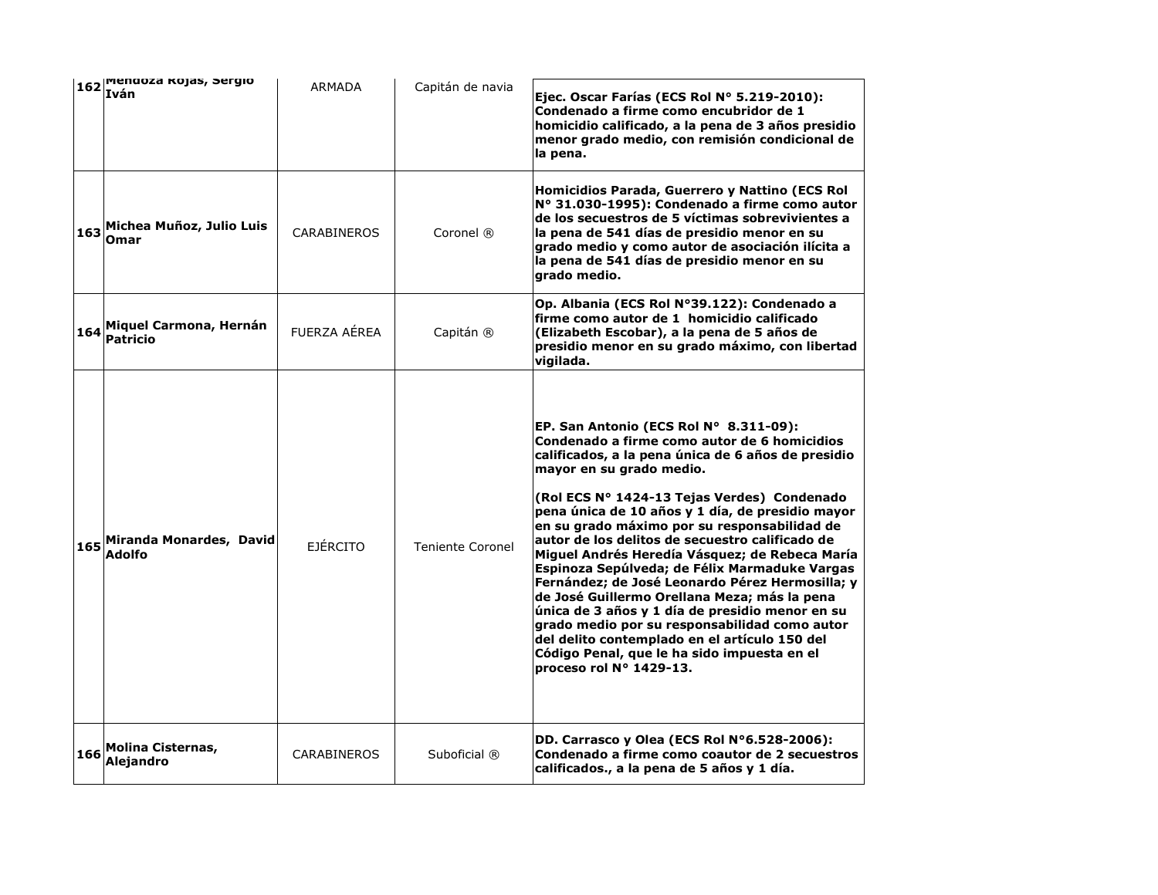| $\left  162\right $ mengoza kojas, sergio    | ARMADA             | Capitán de navia        | Ejec. Oscar Farías (ECS Rol Nº 5.219-2010):<br>Condenado a firme como encubridor de 1<br>homicidio calificado, a la pena de 3 años presidio<br>menor grado medio, con remisión condicional de<br>la pena.                                                                                                                                                                                                                                                                                                                                                                                                                                                                                                                                                                                                                    |
|----------------------------------------------|--------------------|-------------------------|------------------------------------------------------------------------------------------------------------------------------------------------------------------------------------------------------------------------------------------------------------------------------------------------------------------------------------------------------------------------------------------------------------------------------------------------------------------------------------------------------------------------------------------------------------------------------------------------------------------------------------------------------------------------------------------------------------------------------------------------------------------------------------------------------------------------------|
| 163 Michea Muñoz, Julio Luis<br>Omar         | CARABINEROS        | Coronel ®               | Homicidios Parada, Guerrero y Nattino (ECS Rol<br>N° 31.030-1995): Condenado a firme como autor<br>de los secuestros de 5 víctimas sobrevivientes a<br>la pena de 541 días de presidio menor en su<br>grado medio y como autor de asociación ilícita a<br>la pena de 541 días de presidio menor en su<br>grado medio.                                                                                                                                                                                                                                                                                                                                                                                                                                                                                                        |
| 164 Miquel Carmona, Hernán<br>Patricio       | FUERZA AÉREA       | Capitán ®               | Op. Albania (ECS Rol Nº39.122): Condenado a<br>firme como autor de 1 homicidio calificado<br>(Elizabeth Escobar), a la pena de 5 años de<br>presidio menor en su grado máximo, con libertad<br>vigilada.                                                                                                                                                                                                                                                                                                                                                                                                                                                                                                                                                                                                                     |
| 165 Miranda Monardes, David<br><b>Adolfo</b> | <b>EJÉRCITO</b>    | <b>Teniente Coronel</b> | EP. San Antonio (ECS Rol $N^{\circ}$ 8.311-09):<br>Condenado a firme como autor de 6 homicidios<br>calificados, a la pena única de 6 años de presidio<br>mayor en su grado medio.<br>(Rol ECS Nº 1424-13 Tejas Verdes) Condenado<br>pena única de 10 años y 1 día, de presidio mayor<br>en su grado máximo por su responsabilidad de<br>autor de los delitos de secuestro calificado de<br>Miguel Andrés Heredía Vásquez; de Rebeca María<br>Espinoza Sepúlveda; de Félix Marmaduke Vargas<br>Fernández; de José Leonardo Pérez Hermosilla; y<br>de José Guillermo Orellana Meza; más la pena<br>única de 3 años y 1 día de presidio menor en su<br>grado medio por su responsabilidad como autor<br>del delito contemplado en el artículo 150 del<br>Código Penal, que le ha sido impuesta en el<br>proceso rol N° 1429-13. |
| 166 Molina Cisternas,<br>Alejandro           | <b>CARABINEROS</b> | Suboficial ®            | DD. Carrasco y Olea (ECS Rol Nº6.528-2006):<br>Condenado a firme como coautor de 2 secuestros<br>calificados., a la pena de 5 años y 1 día.                                                                                                                                                                                                                                                                                                                                                                                                                                                                                                                                                                                                                                                                                  |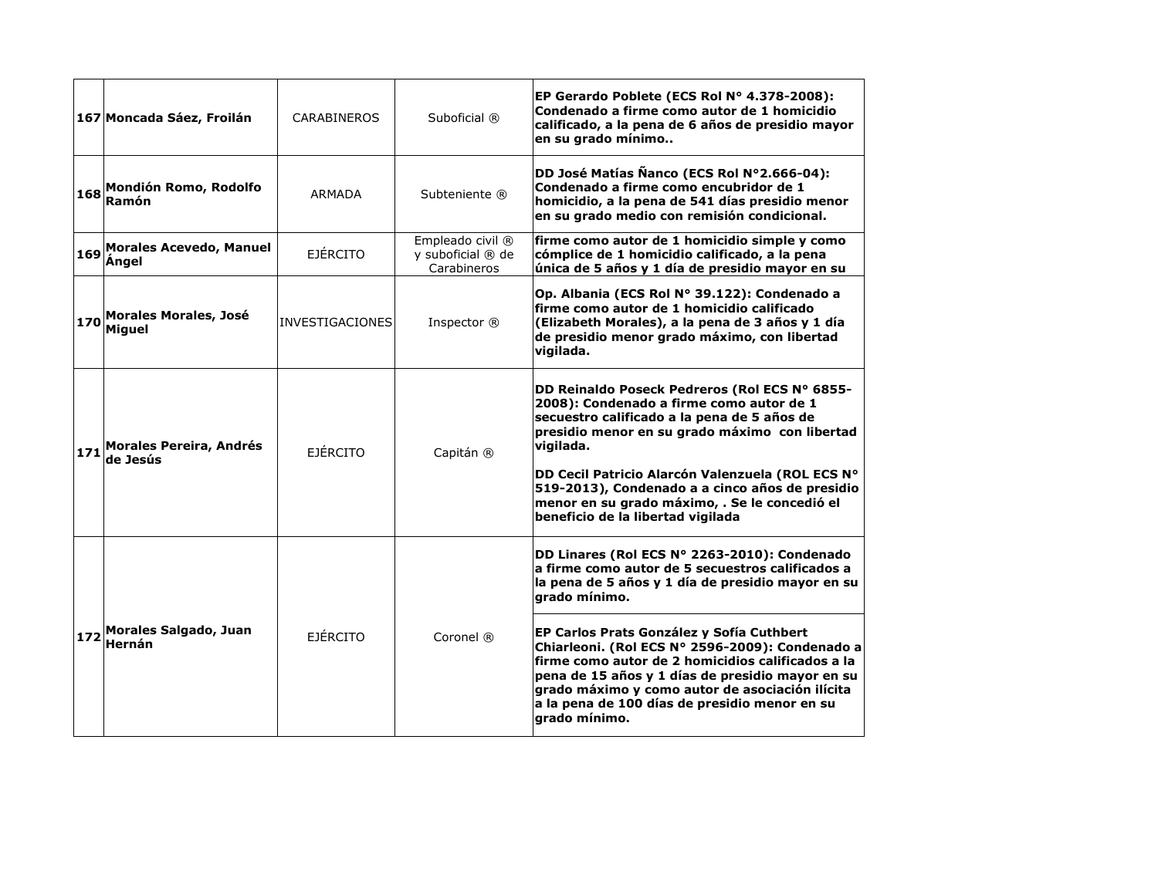|     | 167 Moncada Sáez, Froilán               | <b>CARABINEROS</b>     | Suboficial ®                                         | EP Gerardo Poblete (ECS Rol Nº 4.378-2008):<br>Condenado a firme como autor de 1 homicidio<br>calificado, a la pena de 6 años de presidio mayor<br>en su grado mínimo                                                                                                                                                                                                                                |
|-----|-----------------------------------------|------------------------|------------------------------------------------------|------------------------------------------------------------------------------------------------------------------------------------------------------------------------------------------------------------------------------------------------------------------------------------------------------------------------------------------------------------------------------------------------------|
|     | 168 Mondión Romo, Rodolfo<br>Ramón      | <b>ARMADA</b>          | Subteniente ®                                        | DD José Matías Ñanco (ECS Rol N°2.666-04):<br>Condenado a firme como encubridor de 1<br>homicidio, a la pena de 541 días presidio menor<br>en su grado medio con remisión condicional.                                                                                                                                                                                                               |
| 169 | <b>Morales Acevedo, Manuel</b><br>Ángel | <b>EJÉRCITO</b>        | Empleado civil ®<br>y suboficial ® de<br>Carabineros | firme como autor de 1 homicidio simple y como<br>cómplice de 1 homicidio calificado, a la pena<br>única de 5 años y 1 día de presidio mayor en su                                                                                                                                                                                                                                                    |
| 170 | Morales Morales, José<br><b>Miguel</b>  | <b>INVESTIGACIONES</b> | Inspector ®                                          | Op. Albania (ECS Rol Nº 39.122): Condenado a<br>firme como autor de 1 homicidio calificado<br>(Elizabeth Morales), a la pena de 3 años y 1 día<br>de presidio menor grado máximo, con libertad<br>vigilada.                                                                                                                                                                                          |
|     | 171 Morales Pereira, Andrés<br>de Jesús | EJÉRCITO               | Capitán ®                                            | DD Reinaldo Poseck Pedreros (Rol ECS Nº 6855-<br>2008): Condenado a firme como autor de 1<br>secuestro calificado a la pena de 5 años de<br>presidio menor en su grado máximo con libertad<br>vigilada.<br>DD Cecil Patricio Alarcón Valenzuela (ROL ECS Nº<br>519-2013), Condenado a a cinco años de presidio<br>menor en su grado máximo, . Se le concedió el<br>beneficio de la libertad vigilada |
|     |                                         |                        |                                                      | DD Linares (Rol ECS Nº 2263-2010): Condenado<br>a firme como autor de 5 secuestros calificados a<br>la pena de 5 años y 1 día de presidio mayor en su<br>grado mínimo.                                                                                                                                                                                                                               |
|     | 172 Morales Salgado, Juan<br>Hernán     | <b>FIÉRCITO</b>        | Coronel ®                                            | EP Carlos Prats González y Sofía Cuthbert<br>Chiarleoni. (Rol ECS Nº 2596-2009): Condenado a<br>firme como autor de 2 homicidios calificados a la<br>pena de 15 años y 1 días de presidio mayor en su<br>grado máximo y como autor de asociación ilícita<br>a la pena de 100 días de presidio menor en su<br>grado mínimo.                                                                           |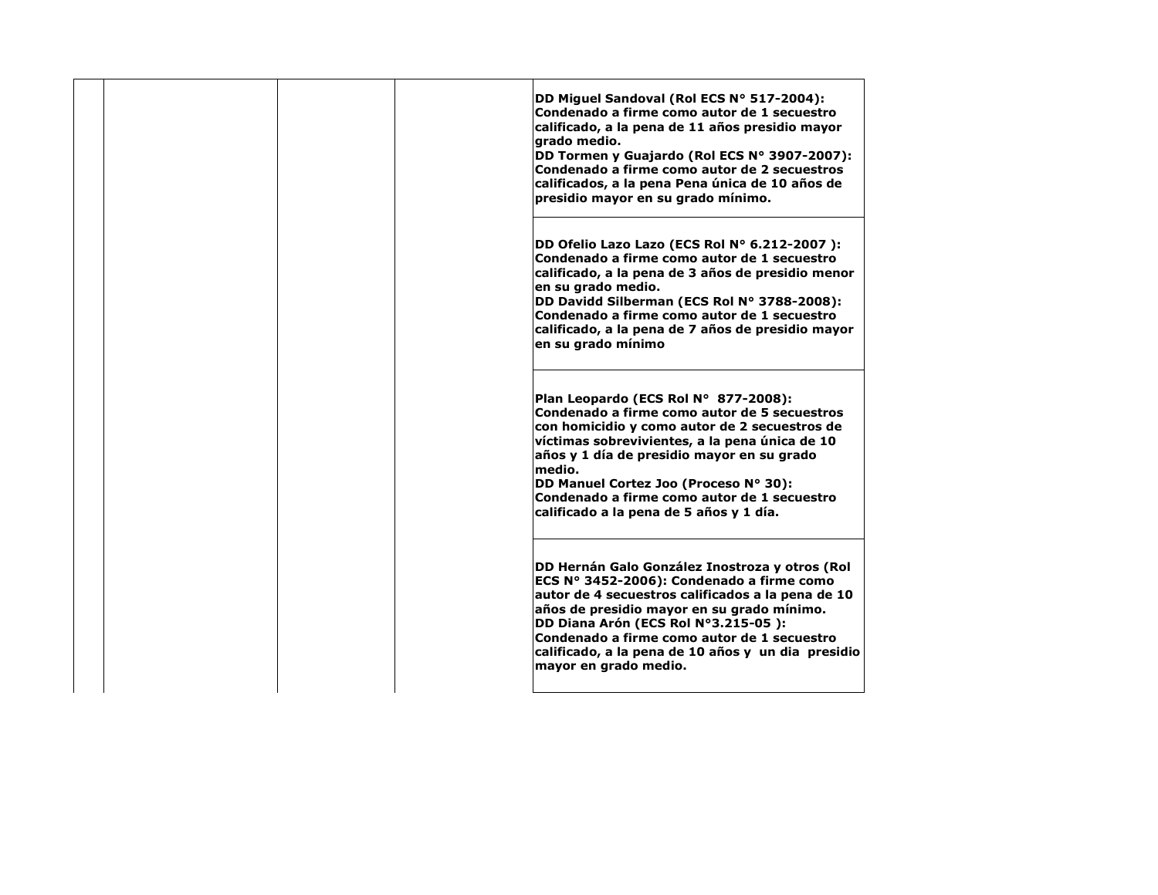| DD Miguel Sandoval (Rol ECS Nº 517-2004):<br>Condenado a firme como autor de 1 secuestro<br>calificado, a la pena de 11 años presidio mayor<br>arado medio.<br>DD Tormen y Guajardo (Rol ECS Nº 3907-2007):<br>Condenado a firme como autor de 2 secuestros<br>calificados, a la pena Pena única de 10 años de<br>presidio mayor en su grado mínimo.                               |
|------------------------------------------------------------------------------------------------------------------------------------------------------------------------------------------------------------------------------------------------------------------------------------------------------------------------------------------------------------------------------------|
| DD Ofelio Lazo Lazo (ECS Rol Nº 6.212-2007):<br>Condenado a firme como autor de 1 secuestro<br>calificado, a la pena de 3 años de presidio menor<br>en su grado medio.<br>DD Davidd Silberman (ECS Rol Nº 3788-2008):<br>Condenado a firme como autor de 1 secuestro<br>calificado, a la pena de 7 años de presidio mayor<br>en su grado mínimo                                    |
| Plan Leopardo (ECS Rol Nº 877-2008):<br>Condenado a firme como autor de 5 secuestros<br>con homicidio y como autor de 2 secuestros de<br>víctimas sobrevivientes, a la pena única de 10<br>años y 1 día de presidio mayor en su grado<br>medio.<br>DD Manuel Cortez Joo (Proceso Nº 30):<br>Condenado a firme como autor de 1 secuestro<br>calificado a la pena de 5 años y 1 día. |
| DD Hernán Galo González Inostroza y otros (Rol<br>ECS Nº 3452-2006): Condenado a firme como<br>autor de 4 secuestros calificados a la pena de 10<br>años de presidio mayor en su grado mínimo.<br>DD Diana Arón (ECS Rol Nº3.215-05):<br>Condenado a firme como autor de 1 secuestro<br>calificado, a la pena de 10 años y un dia presidio<br>mayor en grado medio.                |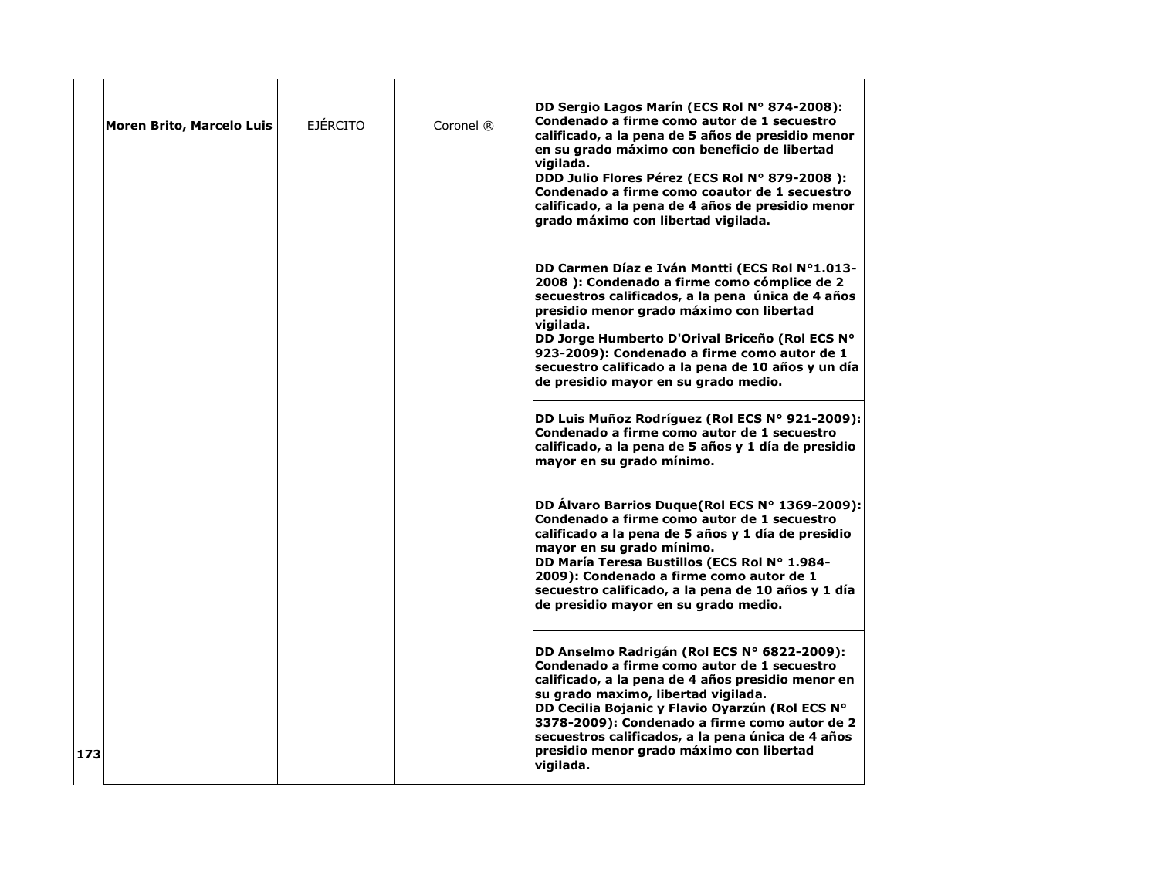|     | <b>Moren Brito, Marcelo Luis</b> | EJÉRCITO | Coronel ® | DD Sergio Lagos Marín (ECS Rol Nº 874-2008):<br>Condenado a firme como autor de 1 secuestro<br>calificado, a la pena de 5 años de presidio menor<br>en su grado máximo con beneficio de libertad<br>vigilada.<br>DDD Julio Flores Pérez (ECS Rol Nº 879-2008):<br>Condenado a firme como coautor de 1 secuestro<br>calificado, a la pena de 4 años de presidio menor<br>grado máximo con libertad vigilada. |
|-----|----------------------------------|----------|-----------|-------------------------------------------------------------------------------------------------------------------------------------------------------------------------------------------------------------------------------------------------------------------------------------------------------------------------------------------------------------------------------------------------------------|
|     |                                  |          |           | DD Carmen Díaz e Iván Montti (ECS Rol Nº1.013-<br>2008): Condenado a firme como cómplice de 2<br>secuestros calificados, a la pena única de 4 años<br>presidio menor grado máximo con libertad<br>vigilada.<br>DD Jorge Humberto D'Orival Briceño (Rol ECS Nº<br>923-2009): Condenado a firme como autor de 1<br>secuestro calificado a la pena de 10 años y un día<br>de presidio mayor en su grado medio. |
|     |                                  |          |           | DD Luis Muñoz Rodríguez (Rol ECS Nº 921-2009):<br>Condenado a firme como autor de 1 secuestro<br>calificado, a la pena de 5 años y 1 día de presidio<br>mayor en su grado mínimo.                                                                                                                                                                                                                           |
|     |                                  |          |           | DD Álvaro Barrios Duque(Rol ECS Nº 1369-2009):<br>Condenado a firme como autor de 1 secuestro<br>calificado a la pena de 5 años y 1 día de presidio<br>mayor en su grado mínimo.<br>DD María Teresa Bustillos (ECS Rol Nº 1.984-<br>2009): Condenado a firme como autor de 1<br>secuestro calificado, a la pena de 10 años y 1 día<br>de presidio mayor en su grado medio.                                  |
| 173 |                                  |          |           | DD Anselmo Radrigán (Rol ECS Nº 6822-2009):<br>Condenado a firme como autor de 1 secuestro<br>calificado, a la pena de 4 años presidio menor en<br>su grado maximo, libertad vigilada.<br>DD Cecilia Bojanic y Flavio Oyarzún (Rol ECS Nº<br>3378-2009): Condenado a firme como autor de 2<br>secuestros calificados, a la pena única de 4 años<br>presidio menor grado máximo con libertad<br>vigilada.    |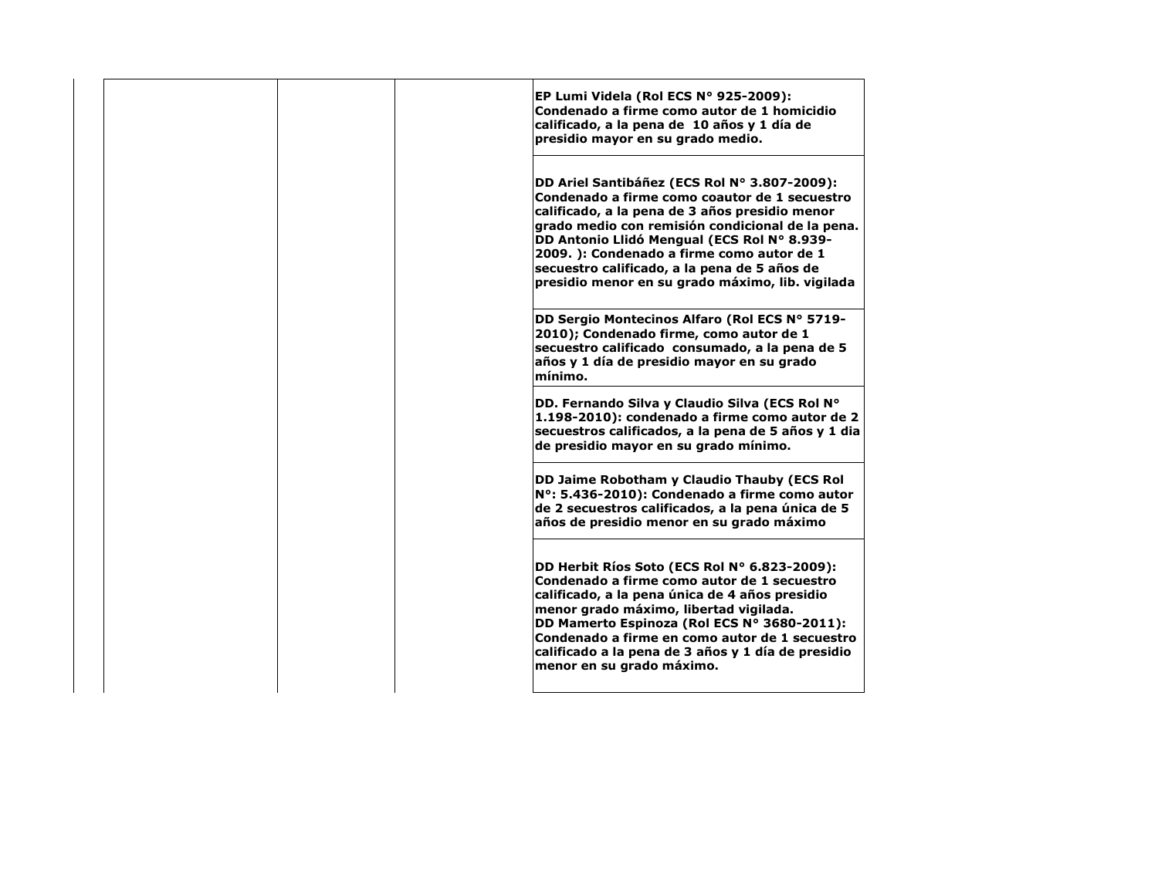|  | EP Lumi Videla (Rol ECS Nº 925-2009):<br>Condenado a firme como autor de 1 homicidio<br>calificado, a la pena de 10 años y 1 día de<br>presidio mayor en su grado medio.                                                                                                                                                                                                                             |
|--|------------------------------------------------------------------------------------------------------------------------------------------------------------------------------------------------------------------------------------------------------------------------------------------------------------------------------------------------------------------------------------------------------|
|  | DD Ariel Santibáñez (ECS Rol Nº 3.807-2009):<br>Condenado a firme como coautor de 1 secuestro<br>calificado, a la pena de 3 años presidio menor<br>grado medio con remisión condicional de la pena.<br>DD Antonio Llidó Mengual (ECS Rol Nº 8.939-<br>2009. ): Condenado a firme como autor de 1<br>secuestro calificado, a la pena de 5 años de<br>presidio menor en su grado máximo, lib. vigilada |
|  | DD Sergio Montecinos Alfaro (Rol ECS Nº 5719-<br>2010); Condenado firme, como autor de 1<br>secuestro calificado consumado, a la pena de 5<br>años y 1 día de presidio mayor en su grado<br>mínimo.                                                                                                                                                                                                  |
|  | DD. Fernando Silva y Claudio Silva (ECS Rol Nº<br>1.198-2010): condenado a firme como autor de 2<br>secuestros calificados, a la pena de 5 años y 1 dia<br>de presidio mayor en su grado mínimo.                                                                                                                                                                                                     |
|  | DD Jaime Robotham y Claudio Thauby (ECS Rol<br>Nº: 5.436-2010): Condenado a firme como autor<br>de 2 secuestros calificados, a la pena única de 5<br>años de presidio menor en su grado máximo                                                                                                                                                                                                       |
|  | DD Herbit Ríos Soto (ECS Rol Nº 6.823-2009):<br>Condenado a firme como autor de 1 secuestro<br>calificado, a la pena única de 4 años presidio<br>menor grado máximo, libertad vigilada.<br>DD Mamerto Espinoza (Rol ECS Nº 3680-2011):<br>Condenado a firme en como autor de 1 secuestro<br>calificado a la pena de 3 años y 1 día de presidio<br>menor en su grado máximo.                          |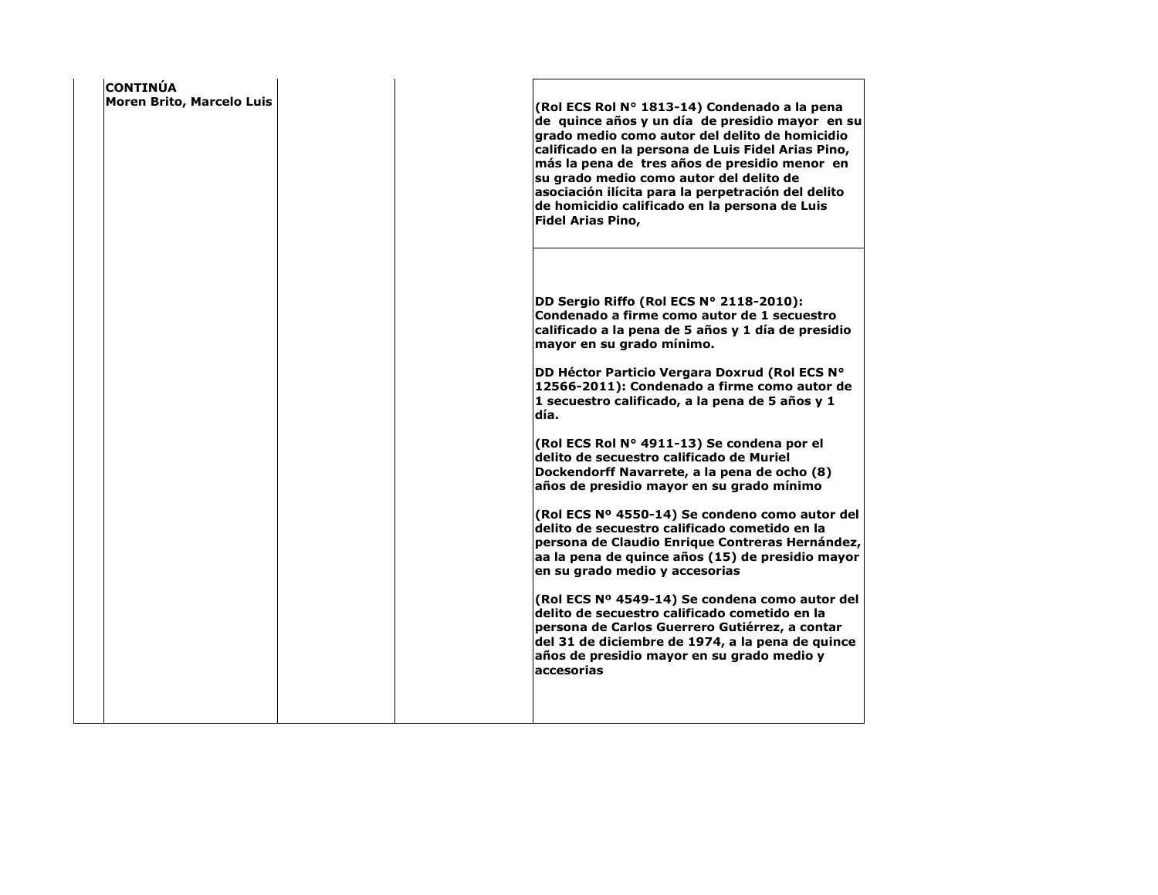| <b>CONTINÚA</b><br>Moren Brito, Marcelo Luis | (Rol ECS Rol Nº 1813-14) Condenado a la pena<br>de quince años y un día de presidio mayor en su<br>grado medio como autor del delito de homicidio<br>calificado en la persona de Luis Fidel Arias Pino,<br>más la pena de tres años de presidio menor en<br>su grado medio como autor del delito de<br>asociación ilícita para la perpetración del delito<br>de homicidio calificado en la persona de Luis<br><b>Fidel Arias Pino,</b> |
|----------------------------------------------|----------------------------------------------------------------------------------------------------------------------------------------------------------------------------------------------------------------------------------------------------------------------------------------------------------------------------------------------------------------------------------------------------------------------------------------|
|                                              | DD Sergio Riffo (Rol ECS Nº 2118-2010):<br>Condenado a firme como autor de 1 secuestro<br>calificado a la pena de 5 años y 1 día de presidio<br>mayor en su grado mínimo.<br>DD Héctor Particio Vergara Doxrud (Rol ECS N°<br>12566-2011): Condenado a firme como autor de<br>1 secuestro calificado, a la pena de 5 años y 1<br>día.                                                                                                  |
|                                              | (Rol ECS Rol Nº 4911-13) Se condena por el<br>delito de secuestro calificado de Muriel<br>Dockendorff Navarrete, a la pena de ocho (8)<br>años de presidio mayor en su grado mínimo                                                                                                                                                                                                                                                    |
|                                              | (Rol ECS Nº 4550-14) Se condeno como autor del<br>delito de secuestro calificado cometido en la<br>persona de Claudio Enrique Contreras Hernández,<br>aa la pena de quince años (15) de presidio mayor<br>en su grado medio y accesorias                                                                                                                                                                                               |
|                                              | (Rol ECS Nº 4549-14) Se condena como autor del<br>delito de secuestro calificado cometido en la<br>persona de Carlos Guerrero Gutiérrez, a contar<br>del 31 de diciembre de 1974, a la pena de quince<br>años de presidio mayor en su grado medio y<br>accesorias                                                                                                                                                                      |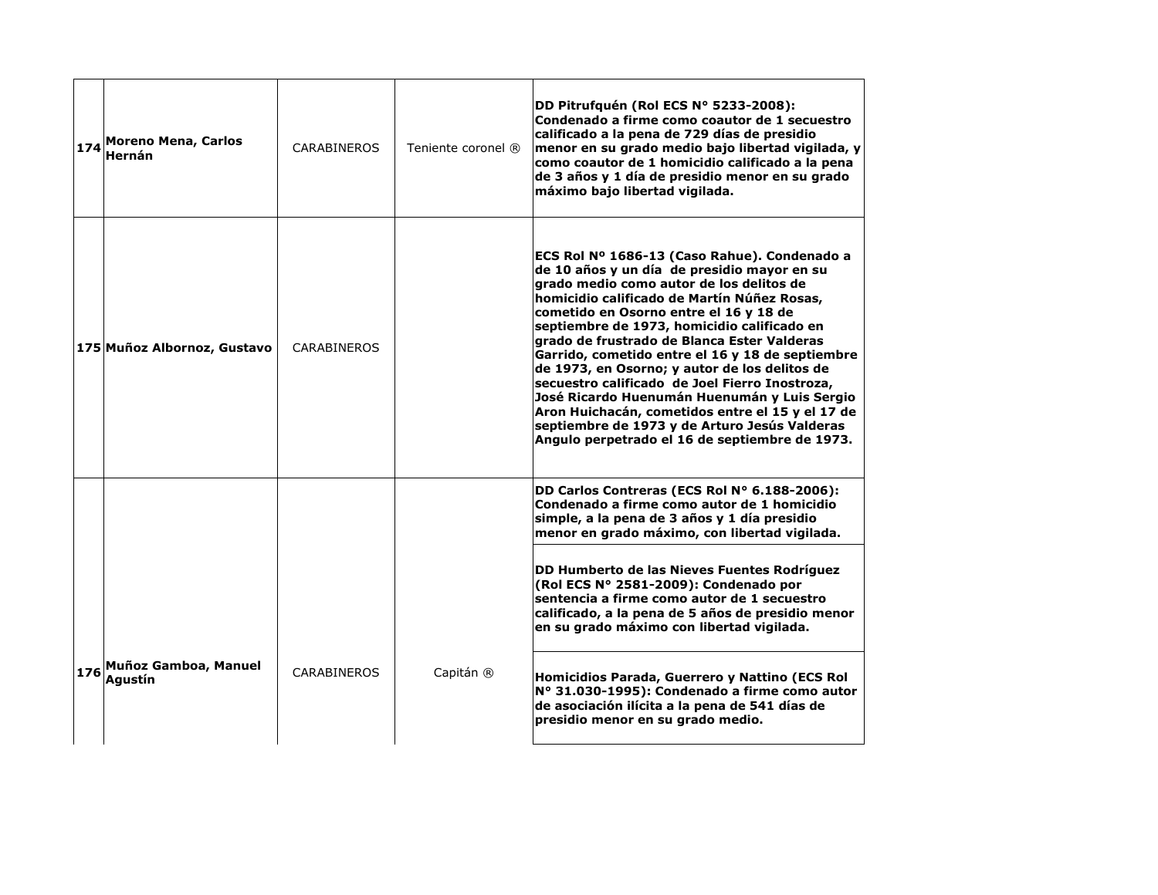| 174 Moreno Mena, Carlos<br>Hernán   | <b>CARABINEROS</b> | Teniente coronel ® | DD Pitrufquén (Rol ECS N° 5233-2008):<br>Condenado a firme como coautor de 1 secuestro<br>calificado a la pena de 729 días de presidio<br>menor en su grado medio bajo libertad vigilada, y<br>como coautor de 1 homicidio calificado a la pena<br>de 3 años y 1 día de presidio menor en su grado<br>máximo bajo libertad vigilada.                                                                                                                                                                                                                                                                                                                                                         |
|-------------------------------------|--------------------|--------------------|----------------------------------------------------------------------------------------------------------------------------------------------------------------------------------------------------------------------------------------------------------------------------------------------------------------------------------------------------------------------------------------------------------------------------------------------------------------------------------------------------------------------------------------------------------------------------------------------------------------------------------------------------------------------------------------------|
| 175 Muñoz Albornoz, Gustavo         | <b>CARABINEROS</b> |                    | ECS Rol Nº 1686-13 (Caso Rahue). Condenado a<br>de 10 años y un día de presidio mayor en su<br>grado medio como autor de los delitos de<br>homicidio calificado de Martín Núñez Rosas,<br>cometido en Osorno entre el 16 y 18 de<br>septiembre de 1973, homicidio calificado en<br>grado de frustrado de Blanca Ester Valderas<br>Garrido, cometido entre el 16 y 18 de septiembre<br>de 1973, en Osorno; y autor de los delitos de<br>secuestro calificado de Joel Fierro Inostroza,<br>José Ricardo Huenumán Huenumán y Luis Sergio<br>Aron Huichacán, cometidos entre el 15 y el 17 de<br>septiembre de 1973 y de Arturo Jesús Valderas<br>Angulo perpetrado el 16 de septiembre de 1973. |
|                                     |                    |                    | DD Carlos Contreras (ECS Rol Nº 6.188-2006):<br>Condenado a firme como autor de 1 homicidio<br>simple, a la pena de 3 años y 1 día presidio<br>menor en grado máximo, con libertad vigilada.                                                                                                                                                                                                                                                                                                                                                                                                                                                                                                 |
|                                     |                    |                    | DD Humberto de las Nieves Fuentes Rodríguez<br>(Rol ECS N° 2581-2009): Condenado por<br>sentencia a firme como autor de 1 secuestro<br>calificado, a la pena de 5 años de presidio menor<br>en su grado máximo con libertad vigilada.                                                                                                                                                                                                                                                                                                                                                                                                                                                        |
| 176 Muñoz Gamboa, Manuel<br>Agustín | <b>CARABINEROS</b> | Capitán ®          | Homicidios Parada, Guerrero y Nattino (ECS Rol<br>Nº 31.030-1995): Condenado a firme como autor<br>de asociación ilícita a la pena de 541 días de<br>presidio menor en su grado medio.                                                                                                                                                                                                                                                                                                                                                                                                                                                                                                       |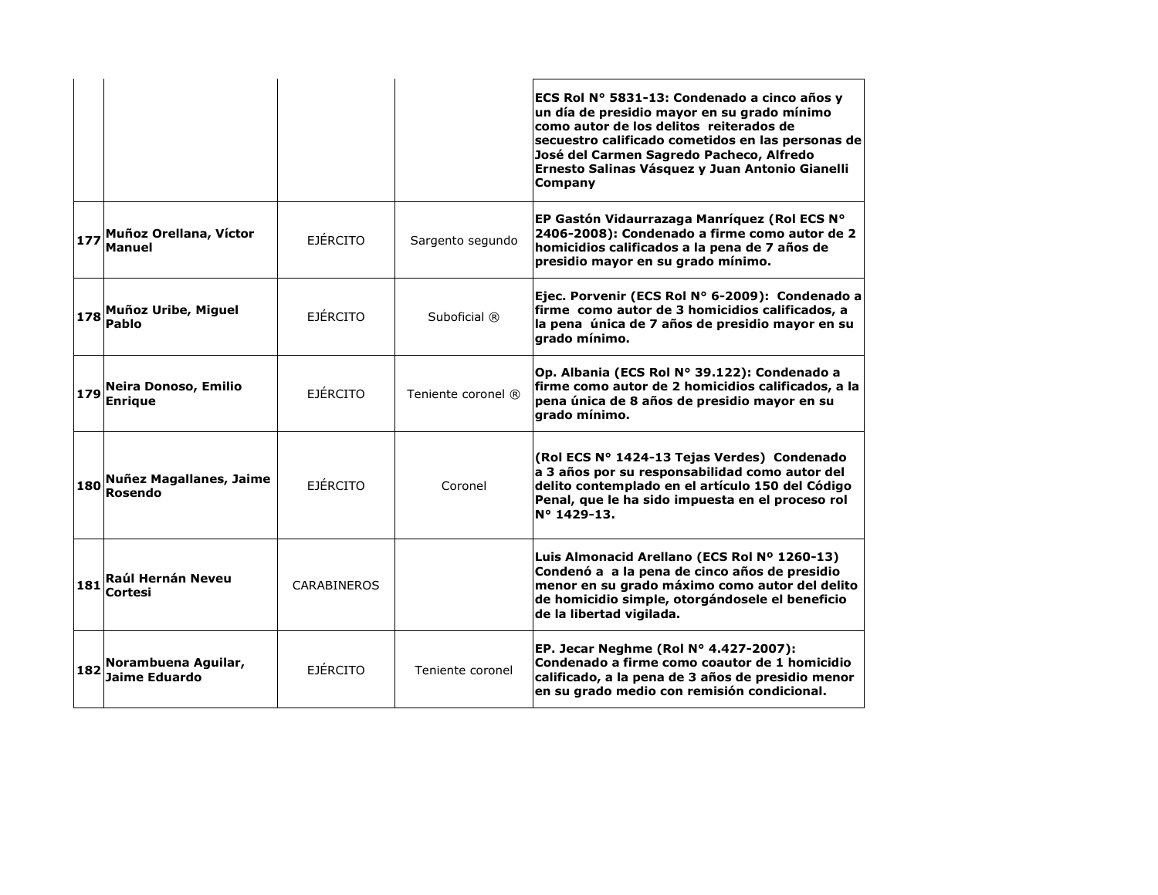|     |                                            |                    |                    | ECS Rol Nº 5831-13: Condenado a cinco años y<br>un día de presidio mayor en su grado mínimo<br>como autor de los delitos reiterados de<br>secuestro calificado cometidos en las personas de<br>José del Carmen Sagredo Pacheco, Alfredo<br>Ernesto Salinas Vásquez y Juan Antonio Gianelli<br>Company |
|-----|--------------------------------------------|--------------------|--------------------|-------------------------------------------------------------------------------------------------------------------------------------------------------------------------------------------------------------------------------------------------------------------------------------------------------|
|     | 177 Muñoz Orellana, Víctor<br>Manuel       | EJÉRCITO           | Sargento segundo   | EP Gastón Vidaurrazaga Manríquez (Rol ECS Nº<br>2406-2008): Condenado a firme como autor de 2<br>homicidios calificados a la pena de 7 años de<br>presidio mayor en su grado mínimo.                                                                                                                  |
| 178 | Muñoz Uribe, Miguel<br>Pablo               | EJÉRCITO           | Suboficial ®       | Ejec. Porvenir (ECS Rol Nº 6-2009): Condenado a<br>firme como autor de 3 homicidios calificados, a<br>la pena única de 7 años de presidio mayor en su<br>grado mínimo.                                                                                                                                |
|     | 179 Neira Donoso, Emilio<br><b>Enrique</b> | <b>FIÉRCITO</b>    | Teniente coronel ® | Op. Albania (ECS Rol Nº 39.122): Condenado a<br>firme como autor de 2 homicidios calificados, a la<br>pena única de 8 años de presidio mayor en su<br>grado mínimo.                                                                                                                                   |
|     | 180 Nuñez Magallanes, Jaime<br>Rosendo     | EJÉRCITO           | Coronel            | (Rol ECS Nº 1424-13 Tejas Verdes) Condenado<br>a 3 años por su responsabilidad como autor del<br>delito contemplado en el artículo 150 del Código<br>Penal, que le ha sido impuesta en el proceso rol<br>Nº 1429-13.                                                                                  |
| 181 | Raúl Hernán Neveu<br>Cortesi               | <b>CARABINEROS</b> |                    | Luis Almonacid Arellano (ECS Rol Nº 1260-13)<br>Condenó a a la pena de cinco años de presidio<br>menor en su grado máximo como autor del delito<br>de homicidio simple, otorgándosele el beneficio<br>de la libertad vigilada.                                                                        |
|     | 182 Norambuena Aguilar,<br>Jaime Eduardo   | <b>FIÉRCITO</b>    | Teniente coronel   | EP. Jecar Neghme (Rol Nº 4.427-2007):<br>Condenado a firme como coautor de 1 homicidio<br>calificado, a la pena de 3 años de presidio menor<br>en su grado medio con remisión condicional.                                                                                                            |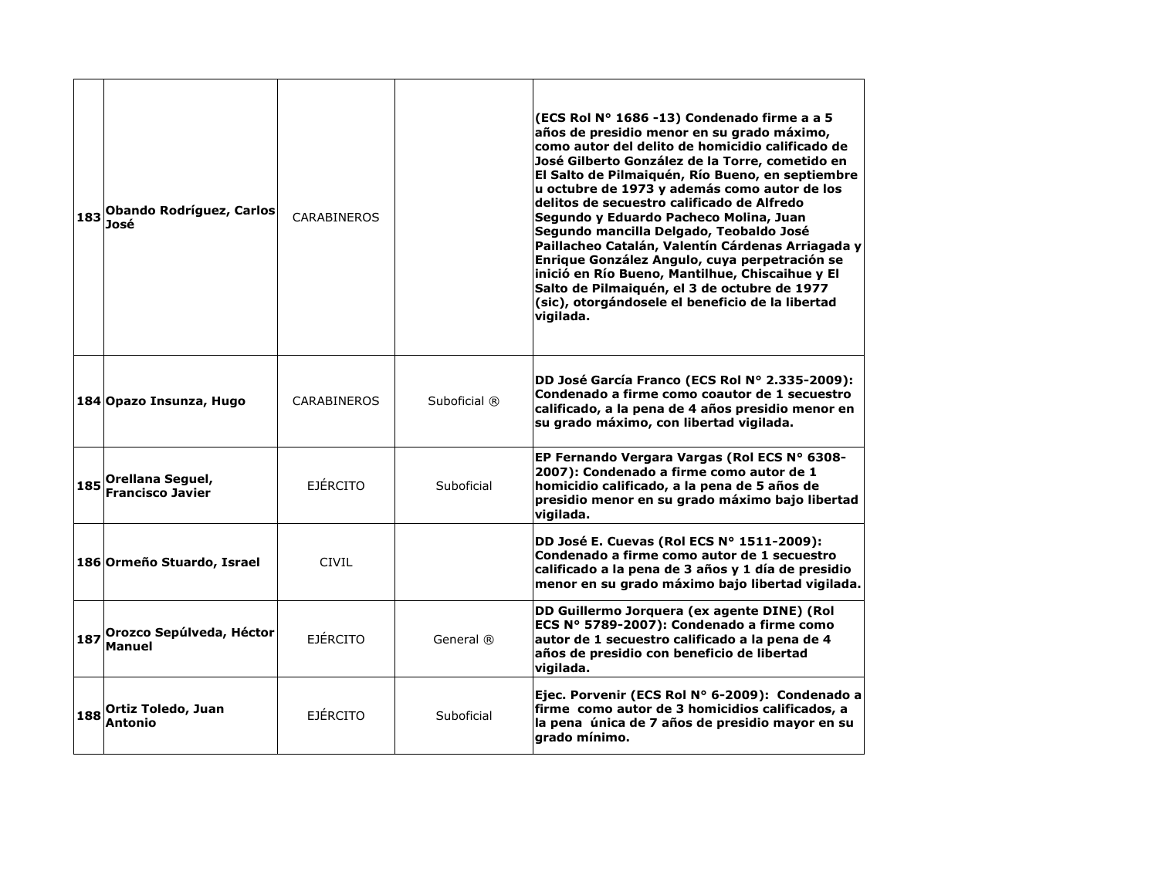| 183 | <b>Obando Rodríguez, Carlos</b><br>José         | CARABINEROS        |              | (ECS Rol Nº 1686 -13) Condenado firme a a 5<br>años de presidio menor en su grado máximo,<br>como autor del delito de homicidio calificado de<br>José Gilberto González de la Torre, cometido en<br>El Salto de Pilmaiquén, Río Bueno, en septiembre<br>u octubre de 1973 y además como autor de los<br>delitos de secuestro calificado de Alfredo<br>Segundo y Eduardo Pacheco Molina, Juan<br>Segundo mancilla Delgado, Teobaldo José<br>Paillacheo Catalán, Valentín Cárdenas Arriagada y<br>Enrique González Angulo, cuya perpetración se<br>inició en Río Bueno, Mantilhue, Chiscaihue y El<br>Salto de Pilmaiquén, el 3 de octubre de 1977<br>(sic), otorgándosele el beneficio de la libertad<br>vigilada. |
|-----|-------------------------------------------------|--------------------|--------------|-------------------------------------------------------------------------------------------------------------------------------------------------------------------------------------------------------------------------------------------------------------------------------------------------------------------------------------------------------------------------------------------------------------------------------------------------------------------------------------------------------------------------------------------------------------------------------------------------------------------------------------------------------------------------------------------------------------------|
|     | 184 Opazo Insunza, Hugo                         | <b>CARABINEROS</b> | Suboficial ® | DD José García Franco (ECS Rol Nº 2.335-2009):<br>Condenado a firme como coautor de 1 secuestro<br>calificado, a la pena de 4 años presidio menor en<br>su grado máximo, con libertad vigilada.                                                                                                                                                                                                                                                                                                                                                                                                                                                                                                                   |
|     | 185 Orellana Seguel,<br><b>Francisco Javier</b> | <b>EJÉRCITO</b>    | Suboficial   | EP Fernando Vergara Vargas (Rol ECS N° 6308-<br>2007): Condenado a firme como autor de 1<br>homicidio calificado, a la pena de 5 años de<br>presidio menor en su grado máximo bajo libertad<br>vigilada.                                                                                                                                                                                                                                                                                                                                                                                                                                                                                                          |
|     | 186 Ormeño Stuardo, Israel                      | <b>CIVIL</b>       |              | DD José E. Cuevas (Rol ECS Nº 1511-2009):<br>Condenado a firme como autor de 1 secuestro<br>calificado a la pena de 3 años y 1 día de presidio<br>menor en su grado máximo bajo libertad vigilada.                                                                                                                                                                                                                                                                                                                                                                                                                                                                                                                |
|     | 187 Orozco Sepúlveda, Héctor<br><b>Manuel</b>   | <b>EJÉRCITO</b>    | General ®    | DD Guillermo Jorquera (ex agente DINE) (Rol<br>ECS Nº 5789-2007): Condenado a firme como<br>autor de 1 secuestro calificado a la pena de 4<br>años de presidio con beneficio de libertad<br>vigilada.                                                                                                                                                                                                                                                                                                                                                                                                                                                                                                             |
|     | 188 Ortiz Toledo, Juan<br>Antonio               | <b>EJÉRCITO</b>    | Suboficial   | Ejec. Porvenir (ECS Rol Nº 6-2009): Condenado a<br>firme como autor de 3 homicidios calificados, a<br>la pena única de 7 años de presidio mayor en su<br>grado mínimo.                                                                                                                                                                                                                                                                                                                                                                                                                                                                                                                                            |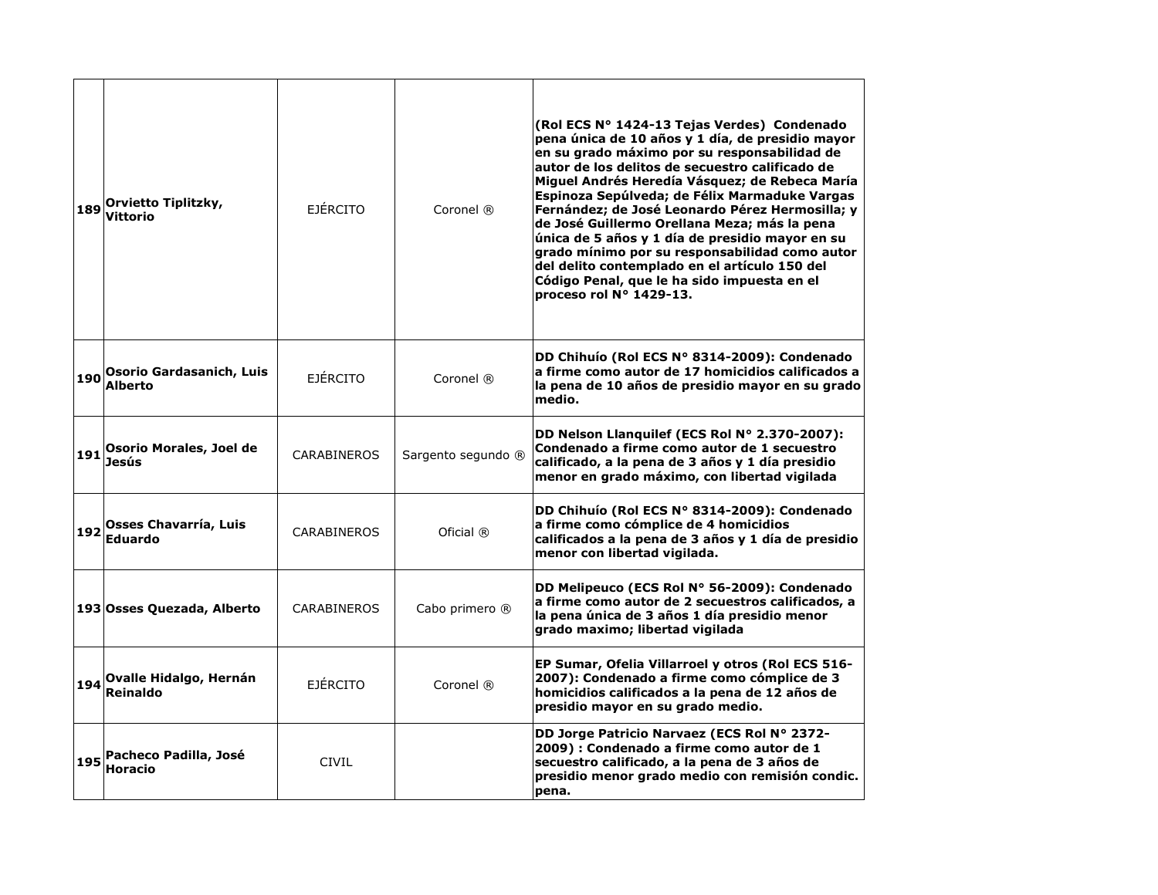| 189 Orvietto Tiplitzky,                          | <b>FJÉRCITO</b>    | Coronel ®          | (Rol ECS Nº 1424-13 Tejas Verdes) Condenado<br>pena única de 10 años y 1 día, de presidio mayor<br>en su grado máximo por su responsabilidad de<br>autor de los delitos de secuestro calificado de<br>Miguel Andrés Heredía Vásquez; de Rebeca María<br>Espinoza Sepúlveda; de Félix Marmaduke Vargas<br>Fernández; de José Leonardo Pérez Hermosilla; y<br>de José Guillermo Orellana Meza; más la pena<br>única de 5 años y 1 día de presidio mayor en su<br>grado mínimo por su responsabilidad como autor<br>del delito contemplado en el artículo 150 del<br>Código Penal, que le ha sido impuesta en el<br>proceso rol Nº 1429-13. |
|--------------------------------------------------|--------------------|--------------------|------------------------------------------------------------------------------------------------------------------------------------------------------------------------------------------------------------------------------------------------------------------------------------------------------------------------------------------------------------------------------------------------------------------------------------------------------------------------------------------------------------------------------------------------------------------------------------------------------------------------------------------|
| 190 Osorio Gardasanich, Luis<br><b>Alberto</b>   | EJÉRCITO           | Coronel ®          | DD Chihuío (Rol ECS Nº 8314-2009): Condenado<br>a firme como autor de 17 homicidios calificados a<br>la pena de 10 años de presidio mayor en su grado<br>medio.                                                                                                                                                                                                                                                                                                                                                                                                                                                                          |
| $\big 191\big $ Osorio Morales, Joel de<br>Jesús | <b>CARABINEROS</b> | Sargento segundo ® | DD Nelson Llanguilef (ECS Rol N° 2.370-2007):<br>Condenado a firme como autor de 1 secuestro<br>calificado, a la pena de 3 años y 1 día presidio<br>menor en grado máximo, con libertad vigilada                                                                                                                                                                                                                                                                                                                                                                                                                                         |
| 192 Osses Chavarría, Luis<br><b>Eduardo</b>      | <b>CARABINEROS</b> | Oficial ®          | DD Chihuío (Rol ECS Nº 8314-2009): Condenado<br>a firme como cómplice de 4 homicidios<br>calificados a la pena de 3 años y 1 día de presidio<br>menor con libertad vigilada.                                                                                                                                                                                                                                                                                                                                                                                                                                                             |
| 193 Osses Quezada, Alberto                       | <b>CARABINEROS</b> | Cabo primero ®     | DD Melipeuco (ECS Rol Nº 56-2009): Condenado<br>a firme como autor de 2 secuestros calificados, a<br>la pena única de 3 años 1 día presidio menor<br>grado maximo; libertad vigilada                                                                                                                                                                                                                                                                                                                                                                                                                                                     |
| 194 Ovalle Hidalgo, Hernán<br><b>Reinaldo</b>    | EJÉRCITO           | Coronel ®          | EP Sumar, Ofelia Villarroel y otros (Rol ECS 516-<br>2007): Condenado a firme como cómplice de 3<br>homicidios calificados a la pena de 12 años de<br>presidio mayor en su grado medio.                                                                                                                                                                                                                                                                                                                                                                                                                                                  |
| 195 Pacheco Padilla, José<br><b>Horacio</b>      | <b>CIVIL</b>       |                    | DD Jorge Patricio Narvaez (ECS Rol Nº 2372-<br>2009) : Condenado a firme como autor de 1<br>secuestro calificado, a la pena de 3 años de<br>presidio menor grado medio con remisión condic.<br>pena.                                                                                                                                                                                                                                                                                                                                                                                                                                     |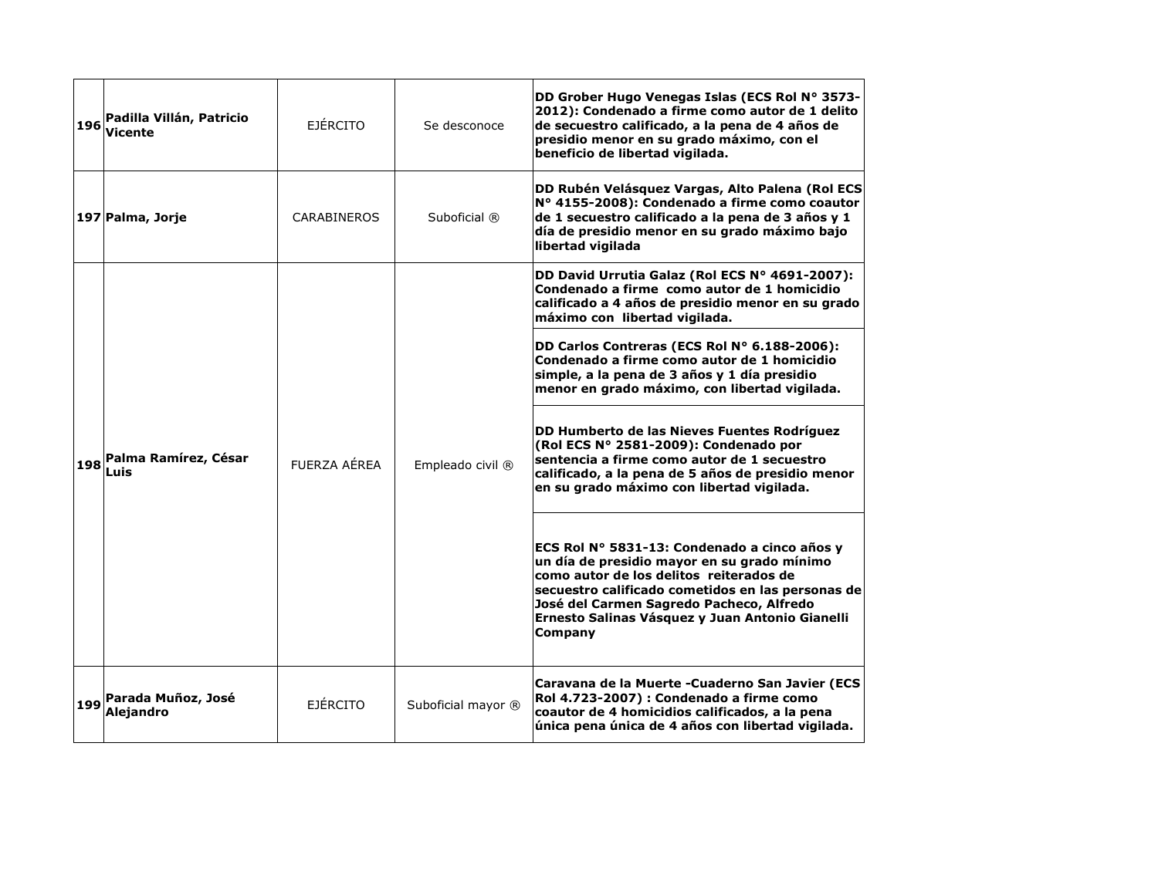|  | 196 Padilla Villán, Patricio<br>Vicente | <b>EJÉRCITO</b>    | Se desconoce       | DD Grober Hugo Venegas Islas (ECS Rol Nº 3573-<br>2012): Condenado a firme como autor de 1 delito<br>de secuestro calificado, a la pena de 4 años de<br>presidio menor en su grado máximo, con el<br>beneficio de libertad vigilada.                                                                  |
|--|-----------------------------------------|--------------------|--------------------|-------------------------------------------------------------------------------------------------------------------------------------------------------------------------------------------------------------------------------------------------------------------------------------------------------|
|  | 197 Palma, Jorje                        | <b>CARABINEROS</b> | Suboficial ®       | DD Rubén Velásquez Vargas, Alto Palena (Rol ECS<br>Nº 4155-2008): Condenado a firme como coautor<br>de 1 secuestro calificado a la pena de 3 años y 1<br>día de presidio menor en su grado máximo bajo<br>libertad vigilada                                                                           |
|  |                                         | FUFRZA AFRFA       | Empleado civil ®   | DD David Urrutia Galaz (Rol ECS Nº 4691-2007):<br>Condenado a firme como autor de 1 homicidio<br>calificado a 4 años de presidio menor en su grado<br>máximo con libertad vigilada.                                                                                                                   |
|  | 198 Palma Ramírez, César<br>Luis        |                    |                    | DD Carlos Contreras (ECS Rol Nº 6.188-2006):<br>Condenado a firme como autor de 1 homicidio<br>simple, a la pena de 3 años y 1 día presidio<br>menor en grado máximo, con libertad vigilada.                                                                                                          |
|  |                                         |                    |                    | DD Humberto de las Nieves Fuentes Rodríguez<br>(Rol ECS Nº 2581-2009): Condenado por<br>sentencia a firme como autor de 1 secuestro<br>calificado, a la pena de 5 años de presidio menor<br>en su grado máximo con libertad vigilada.                                                                 |
|  |                                         |                    |                    | ECS Rol Nº 5831-13: Condenado a cinco años y<br>un día de presidio mayor en su grado mínimo<br>como autor de los delitos reiterados de<br>secuestro calificado cometidos en las personas de<br>José del Carmen Sagredo Pacheco, Alfredo<br>Ernesto Salinas Vásquez y Juan Antonio Gianelli<br>Company |
|  | 199 Parada Muñoz, José<br>Alejandro     | EJÉRCITO           | Suboficial mayor ® | Caravana de la Muerte -Cuaderno San Javier (ECS<br>Rol 4.723-2007) : Condenado a firme como<br>coautor de 4 homicidios calificados, a la pena<br>única pena única de 4 años con libertad vigilada.                                                                                                    |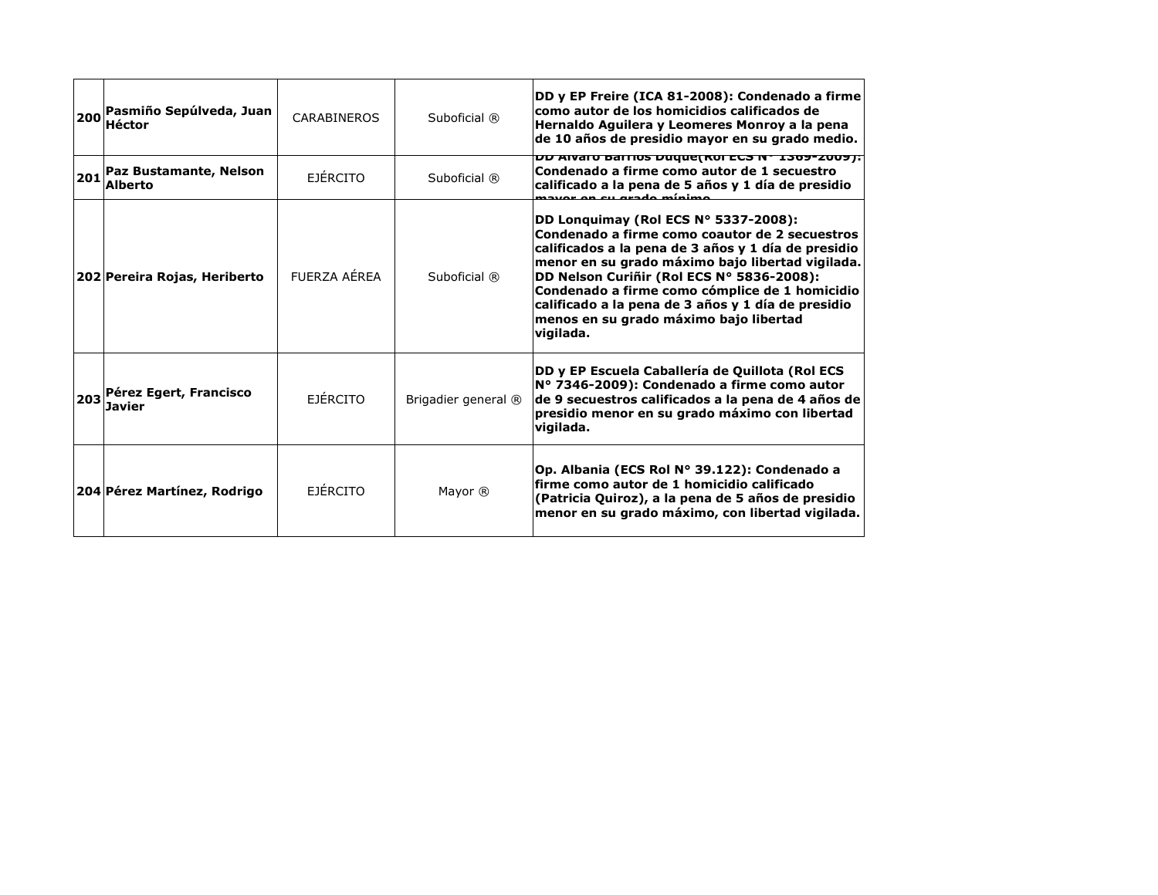| 200 | Pasmiño Sepúlveda, Juan<br>Héctor               | CARABINEROS     | Suboficial ®        | DD y EP Freire (ICA 81-2008): Condenado a firme<br>como autor de los homicidios calificados de<br>Hernaldo Aguilera y Leomeres Monroy a la pena<br>de 10 años de presidio mayor en su grado medio.                                                                                                                                                                                                            |
|-----|-------------------------------------------------|-----------------|---------------------|---------------------------------------------------------------------------------------------------------------------------------------------------------------------------------------------------------------------------------------------------------------------------------------------------------------------------------------------------------------------------------------------------------------|
| 201 | <b>Paz Bustamante, Nelson</b><br><b>Alberto</b> | <b>FIÉRCITO</b> | Suboficial ®        | UD AIVATO BATTIOS DUQUE( ROI ECS N° 1309-2009):<br>Condenado a firme como autor de 1 secuestro<br>calificado a la pena de 5 años y 1 día de presidio<br>cu arado mínimo                                                                                                                                                                                                                                       |
|     | 202 Pereira Rojas, Heriberto                    | FUERZA AÉREA    | Suboficial ®        | DD Longuimay (Rol ECS N° 5337-2008):<br>Condenado a firme como coautor de 2 secuestros<br>calificados a la pena de 3 años y 1 día de presidio<br>menor en su grado máximo bajo libertad vigilada.<br>DD Nelson Curiñir (Rol ECS Nº 5836-2008):<br>Condenado a firme como cómplice de 1 homicidio<br>calificado a la pena de 3 años y 1 día de presidio<br>menos en su grado máximo bajo libertad<br>vigilada. |
|     | 203 Pérez Egert, Francisco<br>Javier            | EJÉRCITO        | Brigadier general ® | DD y EP Escuela Caballería de Quillota (Rol ECS<br>Nº 7346-2009): Condenado a firme como autor<br>de 9 secuestros calificados a la pena de 4 años de<br>presidio menor en su grado máximo con libertad<br>vigilada.                                                                                                                                                                                           |
|     | 204 Pérez Martínez, Rodrigo                     | <b>FIÉRCITO</b> | Mayor ®             | Op. Albania (ECS Rol Nº 39.122): Condenado a<br>firme como autor de 1 homicidio calificado<br>(Patricia Quiroz), a la pena de 5 años de presidio<br>menor en su grado máximo, con libertad vigilada.                                                                                                                                                                                                          |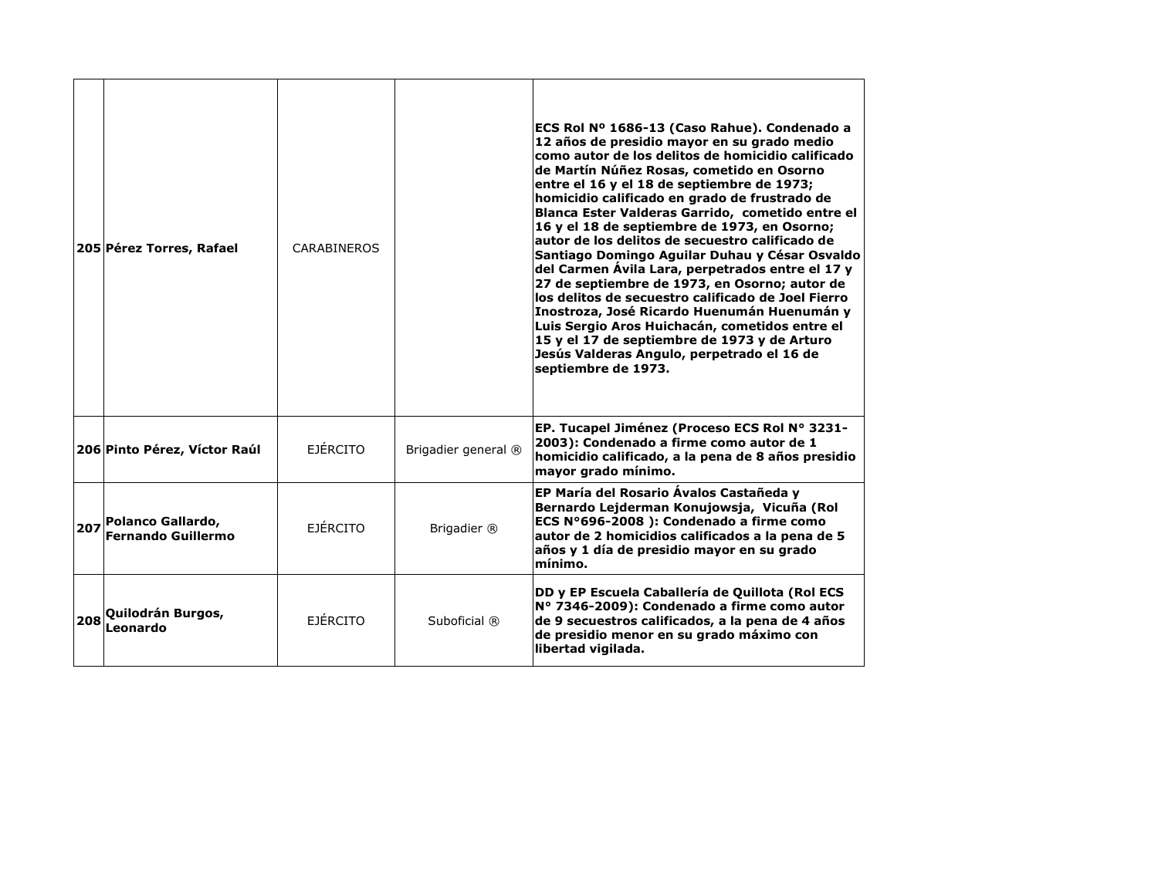| 205 Pérez Torres, Rafael                           | <b>CARABINEROS</b> |                     | ECS Rol Nº 1686-13 (Caso Rahue). Condenado a<br>12 años de presidio mayor en su grado medio<br>como autor de los delitos de homicidio calificado<br>de Martín Núñez Rosas, cometido en Osorno<br>entre el 16 y el 18 de septiembre de 1973;<br>homicidio calificado en grado de frustrado de<br>Blanca Ester Valderas Garrido, cometido entre el<br>16 y el 18 de septiembre de 1973, en Osorno;<br>autor de los delitos de secuestro calificado de<br>Santiago Domingo Aguilar Duhau y César Osvaldo<br>del Carmen Ávila Lara, perpetrados entre el 17 y<br>27 de septiembre de 1973, en Osorno; autor de<br>los delitos de secuestro calificado de Joel Fierro<br>Inostroza, José Ricardo Huenumán Huenumán y<br>Luis Sergio Aros Huichacán, cometidos entre el<br>15 y el 17 de septiembre de 1973 y de Arturo<br>Jesús Valderas Angulo, perpetrado el 16 de<br>septiembre de 1973. |
|----------------------------------------------------|--------------------|---------------------|----------------------------------------------------------------------------------------------------------------------------------------------------------------------------------------------------------------------------------------------------------------------------------------------------------------------------------------------------------------------------------------------------------------------------------------------------------------------------------------------------------------------------------------------------------------------------------------------------------------------------------------------------------------------------------------------------------------------------------------------------------------------------------------------------------------------------------------------------------------------------------------|
| 206 Pinto Pérez, Víctor Raúl                       | <b>FIÉRCITO</b>    | Brigadier general ® | EP. Tucapel Jiménez (Proceso ECS Rol Nº 3231-<br>2003): Condenado a firme como autor de 1<br>homicidio calificado, a la pena de 8 años presidio<br>mayor grado mínimo.                                                                                                                                                                                                                                                                                                                                                                                                                                                                                                                                                                                                                                                                                                                 |
| 207 Polanco Gallardo,<br><b>Fernando Guillermo</b> | <b>FIÉRCITO</b>    | Brigadier ®         | EP María del Rosario Ávalos Castañeda y<br>Bernardo Lejderman Konujowsja, Vicuña (Rol<br>ECS Nº696-2008): Condenado a firme como<br>autor de 2 homicidios calificados a la pena de 5<br>años y 1 día de presidio mayor en su grado<br>mínimo.                                                                                                                                                                                                                                                                                                                                                                                                                                                                                                                                                                                                                                          |
| 208 Quilodrán Burgos,<br>Leonardo                  | <b>FIÉRCITO</b>    | Suboficial ®        | DD y EP Escuela Caballería de Quillota (Rol ECS<br>Nº 7346-2009): Condenado a firme como autor<br>de 9 secuestros calificados, a la pena de 4 años<br>de presidio menor en su grado máximo con<br>libertad vigilada.                                                                                                                                                                                                                                                                                                                                                                                                                                                                                                                                                                                                                                                                   |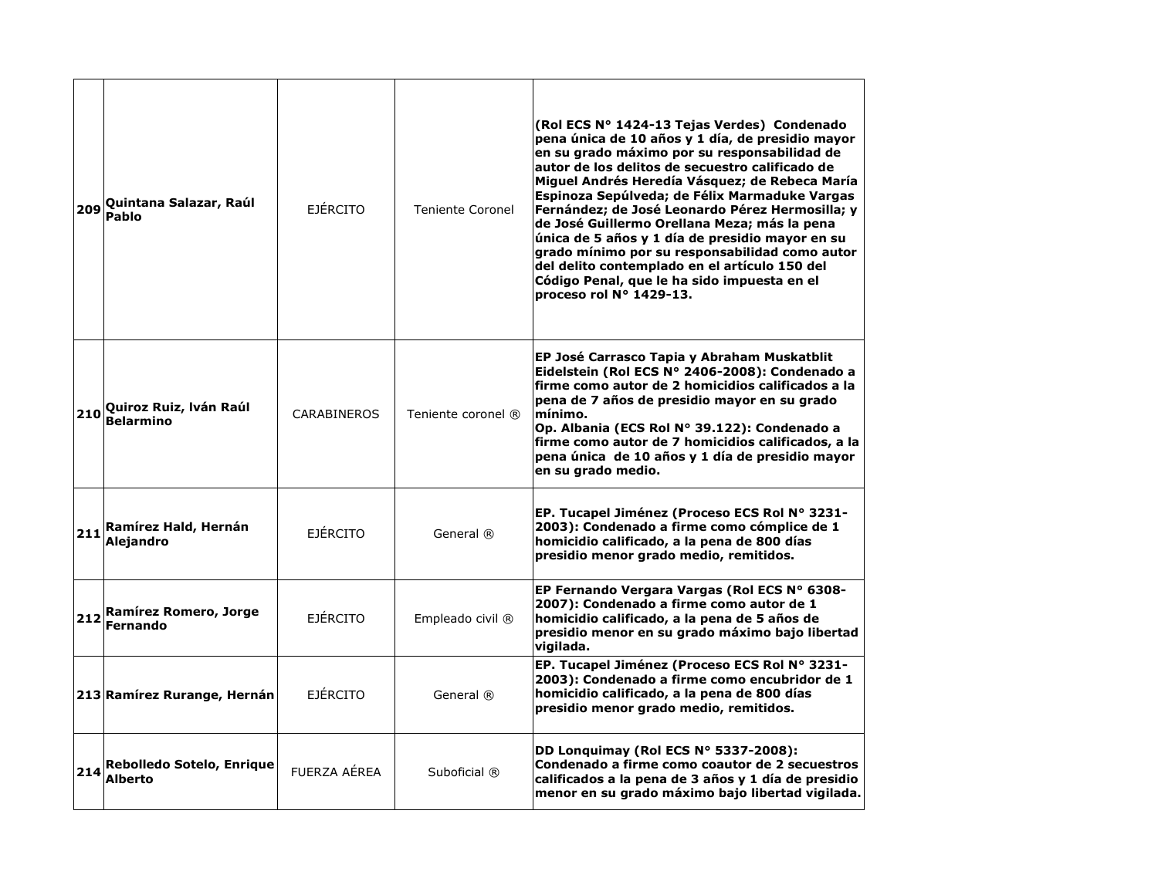| 209 Quintana Salazar, Raúl                      | EJÉRCITO           | <b>Teniente Coronel</b> | (Rol ECS N° 1424-13 Tejas Verdes) Condenado<br>pena única de 10 años y 1 día, de presidio mayor<br>en su grado máximo por su responsabilidad de<br>autor de los delitos de secuestro calificado de<br>Miguel Andrés Heredía Vásquez; de Rebeca María<br>Espinoza Sepúlveda; de Félix Marmaduke Vargas<br>Fernández; de José Leonardo Pérez Hermosilla; y<br>de José Guillermo Orellana Meza; más la pena<br>única de 5 años y 1 día de presidio mayor en su<br>grado mínimo por su responsabilidad como autor<br>del delito contemplado en el artículo 150 del<br>Código Penal, que le ha sido impuesta en el<br>proceso rol N° 1429-13. |
|-------------------------------------------------|--------------------|-------------------------|------------------------------------------------------------------------------------------------------------------------------------------------------------------------------------------------------------------------------------------------------------------------------------------------------------------------------------------------------------------------------------------------------------------------------------------------------------------------------------------------------------------------------------------------------------------------------------------------------------------------------------------|
| 210 Quiroz Ruiz, Iván Raúl<br><b>Belarmino</b>  | <b>CARABINEROS</b> | Teniente coronel ®      | EP José Carrasco Tapia y Abraham Muskatblit<br>Eidelstein (Rol ECS Nº 2406-2008): Condenado a<br>firme como autor de 2 homicidios calificados a la<br>pena de 7 años de presidio mavor en su grado<br>mínimo.<br>Op. Albania (ECS Rol Nº 39.122): Condenado a<br>firme como autor de 7 homicidios calificados, a la<br>pena única de 10 años y 1 día de presidio mayor<br>en su grado medio.                                                                                                                                                                                                                                             |
| 211 Ramírez Hald, Hernán<br>Alejandro           | <b>EJÉRCITO</b>    | General ®               | EP. Tucapel Jiménez (Proceso ECS Rol Nº 3231-<br>2003): Condenado a firme como cómplice de 1<br>homicidio calificado, a la pena de 800 días<br>presidio menor grado medio, remitidos.                                                                                                                                                                                                                                                                                                                                                                                                                                                    |
| 212 Ramírez Romero, Jorge<br>Fernando           | <b>FIÉRCITO</b>    | Empleado civil ®        | EP Fernando Vergara Vargas (Rol ECS N° 6308-<br>2007): Condenado a firme como autor de 1<br>homicidio calificado, a la pena de 5 años de<br>presidio menor en su grado máximo bajo libertad<br>vigilada.                                                                                                                                                                                                                                                                                                                                                                                                                                 |
| 213 Ramírez Rurange, Hernán                     | EJÉRCITO           | General ®               | EP. Tucapel Jiménez (Proceso ECS Rol Nº 3231-<br>2003): Condenado a firme como encubridor de 1<br>homicidio calificado, a la pena de 800 días<br>presidio menor grado medio, remitidos.                                                                                                                                                                                                                                                                                                                                                                                                                                                  |
| 214 Rebolledo Sotelo, Enrique<br><b>Alberto</b> | FUERZA AÉREA       | Suboficial ®            | DD Longuimay (Rol ECS N° 5337-2008):<br>Condenado a firme como coautor de 2 secuestros<br>calificados a la pena de 3 años y 1 día de presidio<br>menor en su grado máximo bajo libertad vigilada.                                                                                                                                                                                                                                                                                                                                                                                                                                        |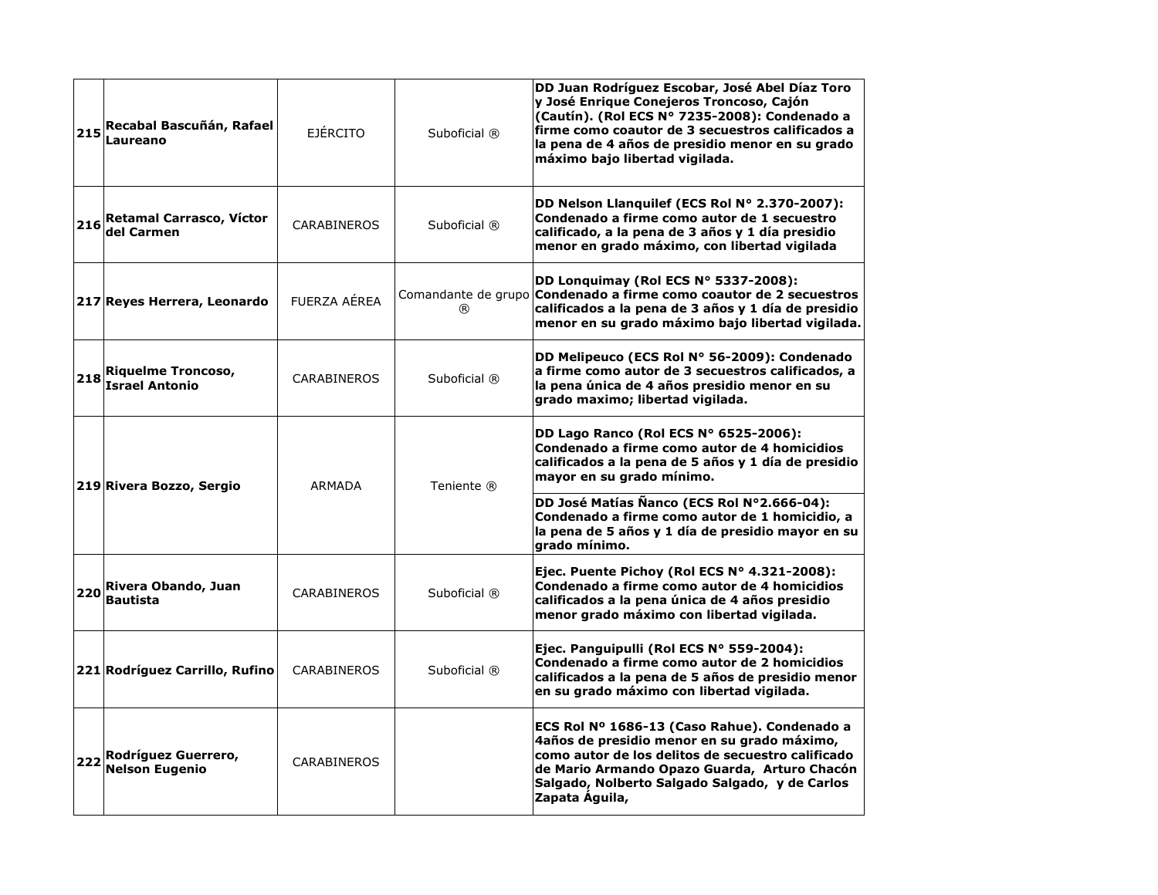|     | 215 Recabal Bascuñán, Rafael<br>Laureano   | <b>EJÉRCITO</b>    | Suboficial ® | DD Juan Rodríguez Escobar, José Abel Díaz Toro<br>y José Enrique Conejeros Troncoso, Cajón<br>(Cautín). (Rol ECS Nº 7235-2008): Condenado a<br>firme como coautor de 3 secuestros calificados a<br>la pena de 4 años de presidio menor en su grado<br>máximo bajo libertad vigilada. |
|-----|--------------------------------------------|--------------------|--------------|--------------------------------------------------------------------------------------------------------------------------------------------------------------------------------------------------------------------------------------------------------------------------------------|
|     | 216 Retamal Carrasco, Víctor<br>del Carmen | CARABINEROS        | Suboficial ® | DD Nelson Llanguilef (ECS Rol Nº 2.370-2007):<br>Condenado a firme como autor de 1 secuestro<br>calificado, a la pena de 3 años y 1 día presidio<br>menor en grado máximo, con libertad vigilada                                                                                     |
|     | 217 Reyes Herrera, Leonardo                | FUERZA AÉREA       | (R)          | DD Longuimay (Rol ECS N° 5337-2008):<br>Comandante de grupo Condenado a firme como coautor de 2 secuestros<br>calificados a la pena de 3 años y 1 día de presidio<br>menor en su grado máximo bajo libertad vigilada.                                                                |
|     | 218 Riquelme Troncoso,<br>Israel Antonio   | CARABINEROS        | Suboficial ® | DD Melipeuco (ECS Rol Nº 56-2009): Condenado<br>a firme como autor de 3 secuestros calificados, a<br>la pena única de 4 años presidio menor en su<br>grado maximo; libertad vigilada.                                                                                                |
|     | 219 Rivera Bozzo, Sergio                   | <b>ARMADA</b>      | Teniente ®   | DD Lago Ranco (Rol ECS Nº 6525-2006):<br>Condenado a firme como autor de 4 homicidios<br>calificados a la pena de 5 años y 1 día de presidio<br>mayor en su grado mínimo.                                                                                                            |
|     |                                            |                    |              | DD José Matías Ñanco (ECS Rol N°2.666-04):<br>Condenado a firme como autor de 1 homicidio, a<br>la pena de 5 años y 1 día de presidio mayor en su<br>grado mínimo.                                                                                                                   |
| 220 | Rivera Obando, Juan<br><b>Bautista</b>     | <b>CARABINEROS</b> | Suboficial ® | Ejec. Puente Pichoy (Rol ECS Nº 4.321-2008):<br>Condenado a firme como autor de 4 homicidios<br>calificados a la pena única de 4 años presidio<br>menor grado máximo con libertad vigilada.                                                                                          |
|     | 221 Rodríguez Carrillo, Rufino             | <b>CARABINEROS</b> | Suboficial ® | Ejec. Panguipulli (Rol ECS Nº 559-2004):<br>Condenado a firme como autor de 2 homicidios<br>calificados a la pena de 5 años de presidio menor<br>en su grado máximo con libertad vigilada.                                                                                           |
|     | 222 Rodríguez Guerrero,<br>Nelson Eugenio  | <b>CARABINEROS</b> |              | ECS Rol Nº 1686-13 (Caso Rahue). Condenado a<br>4años de presidio menor en su grado máximo,<br>como autor de los delitos de secuestro calificado<br>de Mario Armando Opazo Guarda, Arturo Chacón<br>Salgado, Nolberto Salgado Salgado, y de Carlos<br>Zapata Águila,                 |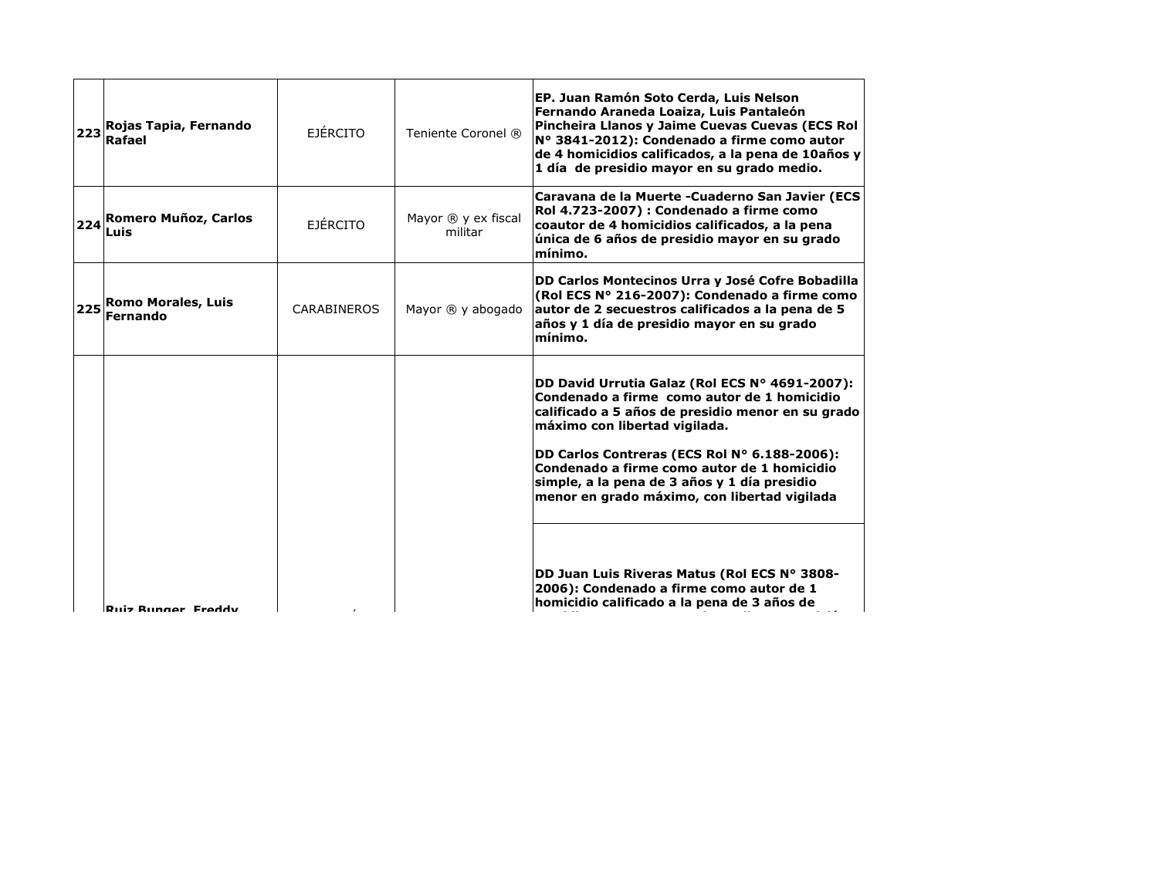|     | 223 Rojas Tapia, Fernando<br>Rafael   | EJÉRCITO           | Teniente Coronel ®             | EP. Juan Ramón Soto Cerda, Luis Nelson<br>Fernando Araneda Loaiza, Luis Pantaleón<br>Pincheira Llanos y Jaime Cuevas Cuevas (ECS Rol<br>Nº 3841-2012): Condenado a firme como autor<br>de 4 homicidios calificados, a la pena de 10años y<br>1 día de presidio mayor en su grado medio.                                                                                            |
|-----|---------------------------------------|--------------------|--------------------------------|------------------------------------------------------------------------------------------------------------------------------------------------------------------------------------------------------------------------------------------------------------------------------------------------------------------------------------------------------------------------------------|
| 224 | Romero Muñoz, Carlos<br>Luis          | <b>EJÉRCITO</b>    | Mayor ® y ex fiscal<br>militar | Caravana de la Muerte -Cuaderno San Javier (ECS<br>Rol 4.723-2007) : Condenado a firme como<br>coautor de 4 homicidios calificados, a la pena<br>única de 6 años de presidio mayor en su grado<br>mínimo.                                                                                                                                                                          |
| 225 | <b>Romo Morales, Luis</b><br>Fernando | <b>CARABINEROS</b> | Mayor ® y abogado              | DD Carlos Montecinos Urra y José Cofre Bobadilla<br>(Rol ECS Nº 216-2007): Condenado a firme como<br>autor de 2 secuestros calificados a la pena de 5<br>años y 1 día de presidio mayor en su grado<br>mínimo.                                                                                                                                                                     |
|     |                                       |                    |                                | DD David Urrutia Galaz (Rol ECS Nº 4691-2007):<br>Condenado a firme como autor de 1 homicidio<br>calificado a 5 años de presidio menor en su grado<br>máximo con libertad vigilada.<br>DD Carlos Contreras (ECS Rol Nº 6.188-2006):<br>Condenado a firme como autor de 1 homicidio<br>simple, a la pena de 3 años y 1 día presidio<br>menor en grado máximo, con libertad vigilada |
|     | Duiz Runger Freddy                    |                    |                                | DD Juan Luis Riveras Matus (Rol ECS Nº 3808-<br>2006): Condenado a firme como autor de 1<br>homicidio calificado a la pena de 3 años de                                                                                                                                                                                                                                            |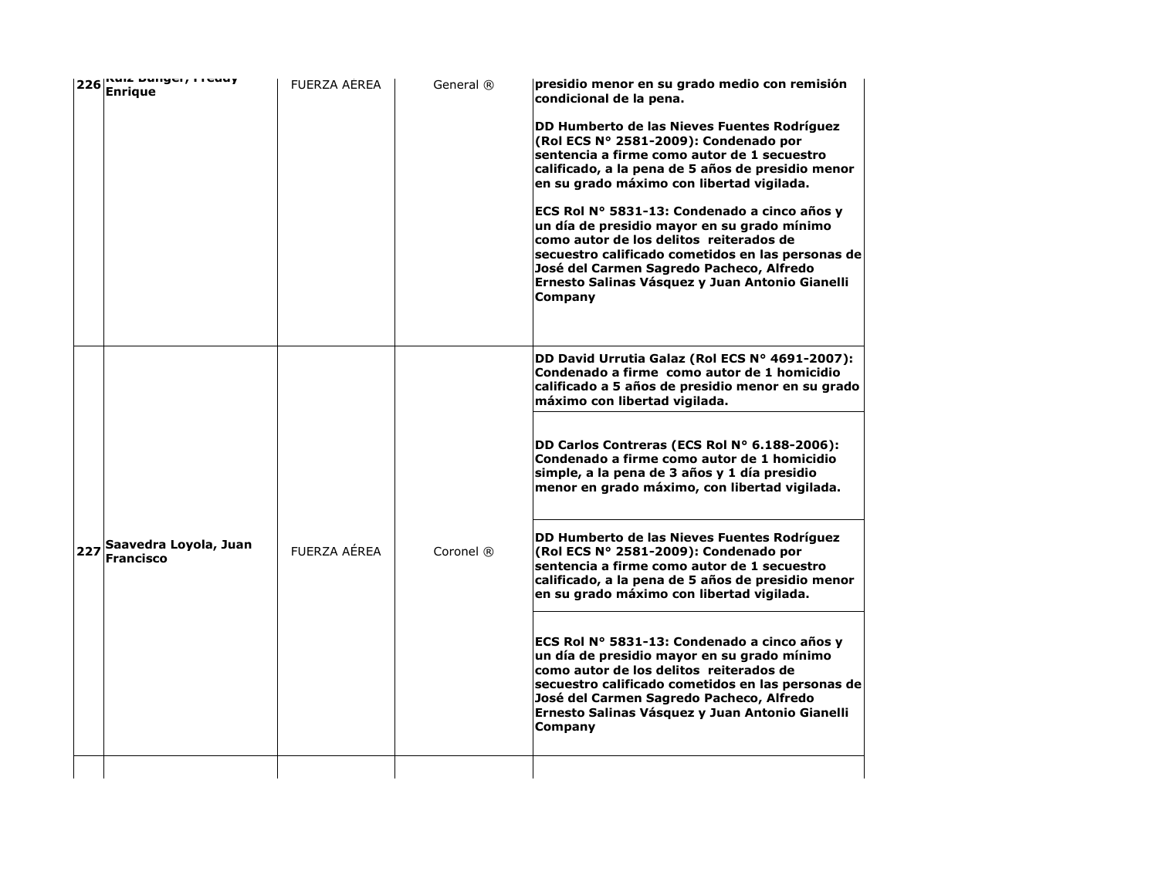| 226 <br>Enrique                        | <b>FUERZA AEREA</b> | General ® | presidio menor en su grado medio con remisión<br>condicional de la pena.<br>DD Humberto de las Nieves Fuentes Rodríguez<br>(Rol ECS Nº 2581-2009): Condenado por<br>sentencia a firme como autor de 1 secuestro<br>calificado, a la pena de 5 años de presidio menor<br>en su grado máximo con libertad vigilada.<br>ECS Rol Nº 5831-13: Condenado a cinco años y<br>un día de presidio mayor en su grado mínimo<br>como autor de los delitos reiterados de<br>secuestro calificado cometidos en las personas de<br>José del Carmen Sagredo Pacheco, Alfredo<br>Ernesto Salinas Vásquez y Juan Antonio Gianelli<br>Company |
|----------------------------------------|---------------------|-----------|----------------------------------------------------------------------------------------------------------------------------------------------------------------------------------------------------------------------------------------------------------------------------------------------------------------------------------------------------------------------------------------------------------------------------------------------------------------------------------------------------------------------------------------------------------------------------------------------------------------------------|
|                                        |                     |           | DD David Urrutia Galaz (Rol ECS Nº 4691-2007):<br>Condenado a firme como autor de 1 homicidio<br>calificado a 5 años de presidio menor en su grado<br>máximo con libertad vigilada.<br>DD Carlos Contreras (ECS Rol Nº 6.188-2006):<br>Condenado a firme como autor de 1 homicidio<br>simple, a la pena de 3 años y 1 día presidio<br>menor en grado máximo, con libertad vigilada.                                                                                                                                                                                                                                        |
| 227 Saavedra Loyola, Juan<br>Francisco | FUFRZA AFRFA        | Coronel ® | DD Humberto de las Nieves Fuentes Rodríguez<br>(Rol ECS Nº 2581-2009): Condenado por<br>sentencia a firme como autor de 1 secuestro<br>calificado, a la pena de 5 años de presidio menor<br>en su grado máximo con libertad vigilada.                                                                                                                                                                                                                                                                                                                                                                                      |
|                                        |                     |           | ECS Rol Nº 5831-13: Condenado a cinco años y<br>un día de presidio mayor en su grado mínimo<br>como autor de los delitos reiterados de<br>secuestro calificado cometidos en las personas de<br>José del Carmen Sagredo Pacheco, Alfredo<br>Ernesto Salinas Vásquez y Juan Antonio Gianelli<br>Company                                                                                                                                                                                                                                                                                                                      |
|                                        |                     |           |                                                                                                                                                                                                                                                                                                                                                                                                                                                                                                                                                                                                                            |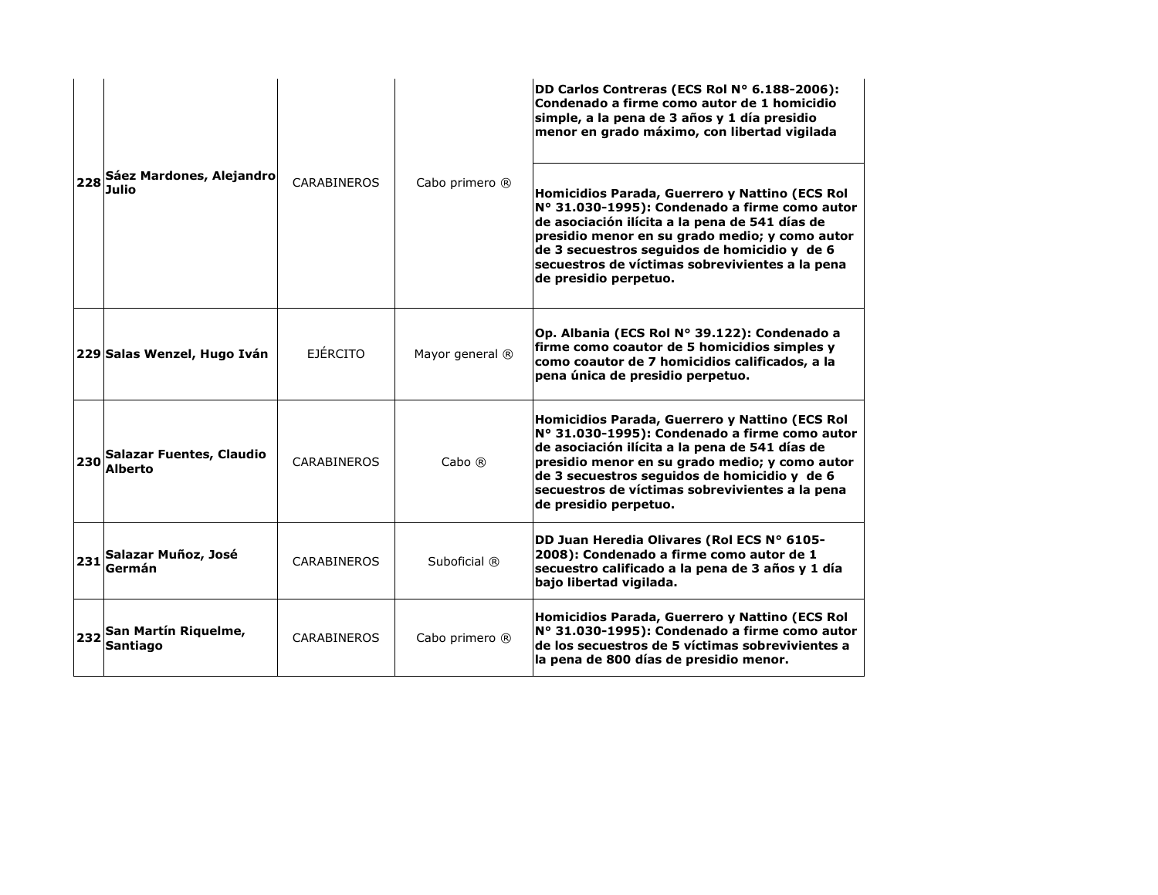|     | 228 Sáez Mardones, Alejandro<br>Julio             | CARABINEROS        | Cabo primero ®  | DD Carlos Contreras (ECS Rol Nº 6.188-2006):<br>Condenado a firme como autor de 1 homicidio<br>simple, a la pena de 3 años y 1 día presidio<br>menor en grado máximo, con libertad vigilada                                                                                                                                     |
|-----|---------------------------------------------------|--------------------|-----------------|---------------------------------------------------------------------------------------------------------------------------------------------------------------------------------------------------------------------------------------------------------------------------------------------------------------------------------|
|     |                                                   |                    |                 | Homicidios Parada, Guerrero y Nattino (ECS Rol<br>Nº 31.030-1995): Condenado a firme como autor<br>de asociación ilícita a la pena de 541 días de<br>presidio menor en su grado medio; y como autor<br>de 3 secuestros seguidos de homicidio y de 6<br>secuestros de víctimas sobrevivientes a la pena<br>de presidio perpetuo. |
|     | 229 Salas Wenzel, Hugo Iván                       | <b>FIÉRCITO</b>    | Mayor general ® | Op. Albania (ECS Rol Nº 39.122): Condenado a<br>firme como coautor de 5 homicidios simples y<br>como coautor de 7 homicidios calificados, a la<br>pena única de presidio perpetuo.                                                                                                                                              |
| 230 | <b>Salazar Fuentes, Claudio</b><br><b>Alberto</b> | <b>CARABINEROS</b> | $C$ aho $\Re$   | Homicidios Parada, Guerrero y Nattino (ECS Rol<br>Nº 31.030-1995): Condenado a firme como autor<br>de asociación ilícita a la pena de 541 días de<br>presidio menor en su grado medio; y como autor<br>de 3 secuestros seguidos de homicidio y de 6<br>secuestros de víctimas sobrevivientes a la pena<br>de presidio perpetuo. |
| 231 | Salazar Muñoz, José<br>Germán                     | <b>CARABINEROS</b> | Suboficial ®    | DD Juan Heredia Olivares (Rol ECS Nº 6105-<br>2008): Condenado a firme como autor de 1<br>secuestro calificado a la pena de 3 años y 1 día<br>bajo libertad vigilada.                                                                                                                                                           |
|     | 232 San Martín Riquelme,<br><b>Santiago</b>       | <b>CARABINEROS</b> | Cabo primero ®  | Homicidios Parada, Guerrero y Nattino (ECS Rol<br>Nº 31.030-1995): Condenado a firme como autor<br>de los secuestros de 5 víctimas sobrevivientes a<br>la pena de 800 días de presidio menor.                                                                                                                                   |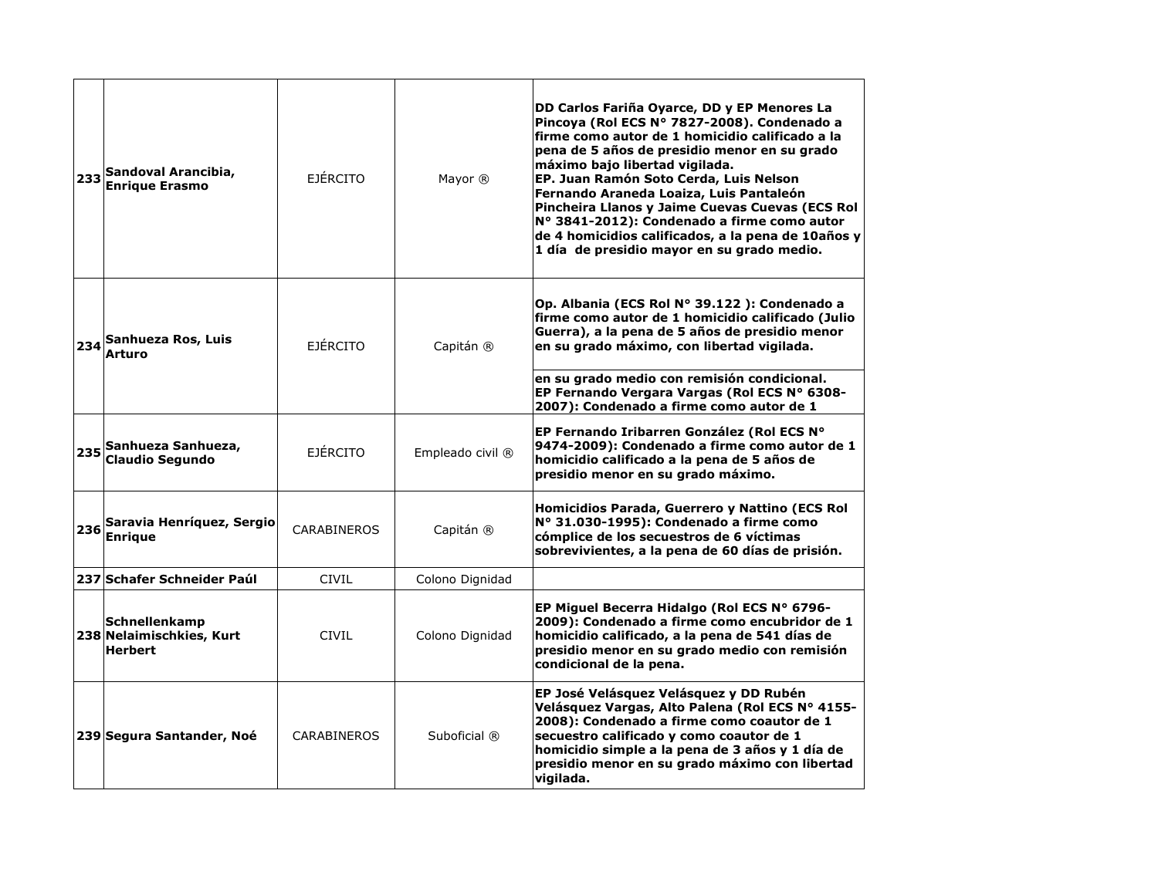| 233 Sandoval Arancibia,<br><b>Enrique Erasmo</b>            | EJÉRCITO           | Mayor ®          | DD Carlos Fariña Oyarce, DD y EP Menores La<br>Pincoya (Rol ECS Nº 7827-2008). Condenado a<br>firme como autor de 1 homicidio calificado a la<br>pena de 5 años de presidio menor en su grado<br>máximo bajo libertad vigilada.<br>EP. Juan Ramón Soto Cerda, Luis Nelson<br>Fernando Araneda Loaiza, Luis Pantaleón<br>Pincheira Llanos y Jaime Cuevas Cuevas (ECS Rol<br>Nº 3841-2012): Condenado a firme como autor<br>de 4 homicidios calificados, a la pena de 10años y<br>1 día de presidio mayor en su grado medio. |
|-------------------------------------------------------------|--------------------|------------------|----------------------------------------------------------------------------------------------------------------------------------------------------------------------------------------------------------------------------------------------------------------------------------------------------------------------------------------------------------------------------------------------------------------------------------------------------------------------------------------------------------------------------|
| 234 Sanhueza Ros, Luis<br>Arturo                            | <b>EJÉRCITO</b>    | Capitán ®        | Op. Albania (ECS Rol Nº 39.122): Condenado a<br>firme como autor de 1 homicidio calificado (Julio<br>Guerra), a la pena de 5 años de presidio menor<br>en su grado máximo, con libertad vigilada.                                                                                                                                                                                                                                                                                                                          |
|                                                             |                    |                  | en su grado medio con remisión condicional.<br>EP Fernando Vergara Vargas (Rol ECS N° 6308-<br>2007): Condenado a firme como autor de 1                                                                                                                                                                                                                                                                                                                                                                                    |
| 235 Sanhueza Sanhueza,<br><b>Claudio Segundo</b>            | <b>EJÉRCITO</b>    | Empleado civil ® | EP Fernando Iribarren González (Rol ECS N°<br>9474-2009): Condenado a firme como autor de 1<br>homicidio calificado a la pena de 5 años de<br>presidio menor en su grado máximo.                                                                                                                                                                                                                                                                                                                                           |
| 236 Saravia Henríquez, Sergio<br>Enrique                    | <b>CARABINEROS</b> | Capitán ®        | Homicidios Parada, Guerrero y Nattino (ECS Rol<br>Nº 31.030-1995): Condenado a firme como<br>cómplice de los secuestros de 6 víctimas<br>sobrevivientes, a la pena de 60 días de prisión.                                                                                                                                                                                                                                                                                                                                  |
| 237 Schafer Schneider Paul                                  | <b>CIVIL</b>       | Colono Dignidad  |                                                                                                                                                                                                                                                                                                                                                                                                                                                                                                                            |
| Schnellenkamp<br>238 Nelaimischkies, Kurt<br><b>Herbert</b> | <b>CIVIL</b>       | Colono Dignidad  | EP Miguel Becerra Hidalgo (Rol ECS Nº 6796-<br>2009): Condenado a firme como encubridor de 1<br>homicidio calificado, a la pena de 541 días de<br>presidio menor en su grado medio con remisión<br>condicional de la pena.                                                                                                                                                                                                                                                                                                 |
| 239 Segura Santander, Noé                                   | <b>CARABINEROS</b> | Suboficial ®     | EP José Velásquez Velásquez y DD Rubén<br>Velásquez Vargas, Alto Palena (Rol ECS Nº 4155-<br>2008): Condenado a firme como coautor de 1<br>secuestro calificado y como coautor de 1<br>homicidio simple a la pena de 3 años y 1 día de<br>presidio menor en su grado máximo con libertad<br>vigilada.                                                                                                                                                                                                                      |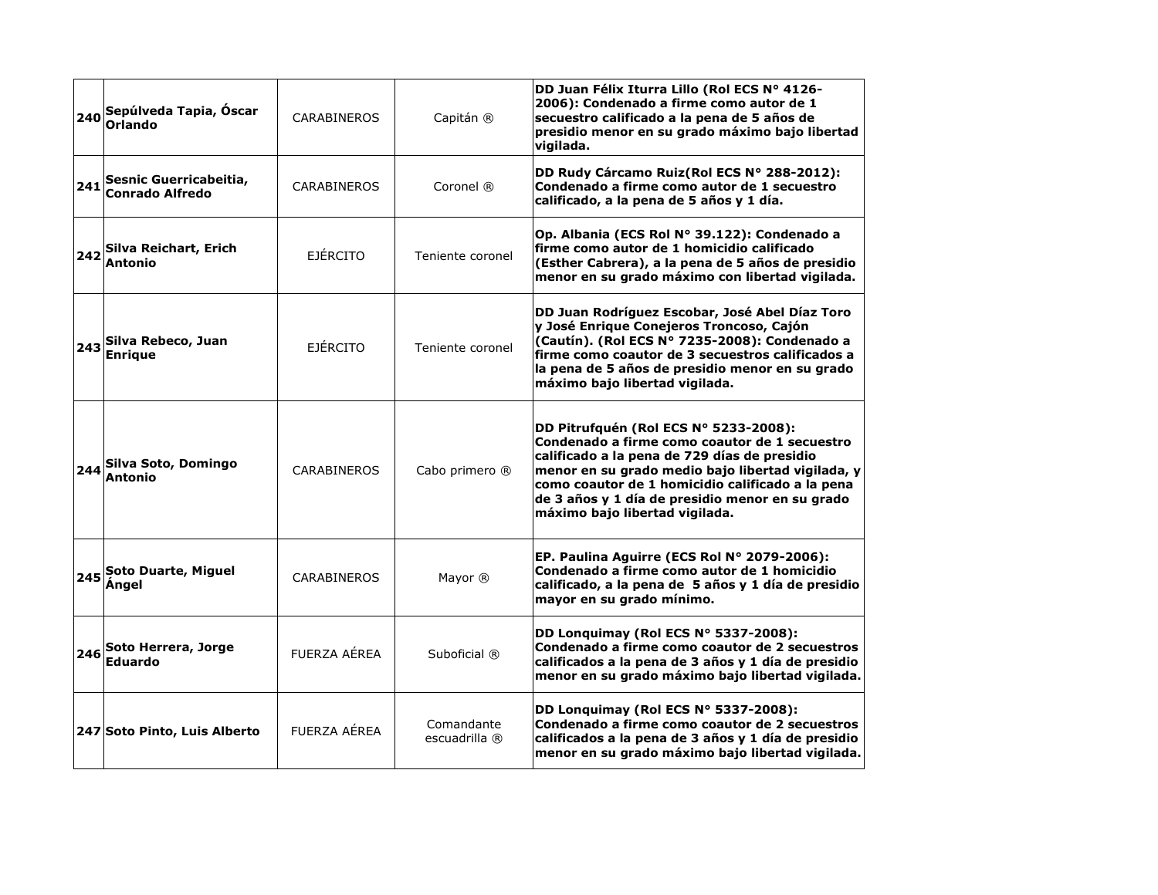| 240 | Sepúlveda Tapia, Óscar<br>Orlando             | <b>CARABINEROS</b> | Capitán ®                   | DD Juan Félix Iturra Lillo (Rol ECS Nº 4126-<br>2006): Condenado a firme como autor de 1<br>secuestro calificado a la pena de 5 años de<br>presidio menor en su grado máximo bajo libertad<br>vigilada.                                                                                                                              |
|-----|-----------------------------------------------|--------------------|-----------------------------|--------------------------------------------------------------------------------------------------------------------------------------------------------------------------------------------------------------------------------------------------------------------------------------------------------------------------------------|
|     | 241 Sesnic Guerricabeitia,<br>Conrado Alfredo | <b>CARABINEROS</b> | Coronel ®                   | DD Rudy Cárcamo Ruiz (Rol ECS Nº 288-2012):<br>Condenado a firme como autor de 1 secuestro<br>calificado, a la pena de 5 años y 1 día.                                                                                                                                                                                               |
|     | 242 Silva Reichart, Erich<br><b>Antonio</b>   | <b>EJÉRCITO</b>    | Teniente coronel            | Op. Albania (ECS Rol Nº 39.122): Condenado a<br>firme como autor de 1 homicidio calificado<br>(Esther Cabrera), a la pena de 5 años de presidio<br>menor en su grado máximo con libertad vigilada.                                                                                                                                   |
|     | 243 Silva Rebeco, Juan<br><b>Enrigue</b>      | <b>EJÉRCITO</b>    | Teniente coronel            | DD Juan Rodríguez Escobar, José Abel Díaz Toro<br>y José Enrique Conejeros Troncoso, Cajón<br>(Cautín). (Rol ECS Nº 7235-2008): Condenado a<br>firme como coautor de 3 secuestros calificados a<br>la pena de 5 años de presidio menor en su grado<br>máximo bajo libertad vigilada.                                                 |
|     | 244 Silva Soto, Domingo<br><b>Antonio</b>     | <b>CARABINEROS</b> | Cabo primero ®              | DD Pitrufquén (Rol ECS N° 5233-2008):<br>Condenado a firme como coautor de 1 secuestro<br>calificado a la pena de 729 días de presidio<br>menor en su grado medio bajo libertad vigilada, y<br>como coautor de 1 homicidio calificado a la pena<br>de 3 años y 1 día de presidio menor en su grado<br>máximo bajo libertad vigilada. |
|     | 245 Soto Duarte, Miguel<br>Ángel              | <b>CARABINEROS</b> | Mayor ®                     | EP. Paulina Aguirre (ECS Rol Nº 2079-2006):<br>Condenado a firme como autor de 1 homicidio<br>calificado, a la pena de 5 años y 1 día de presidio<br>mayor en su grado mínimo.                                                                                                                                                       |
|     | 246 Soto Herrera, Jorge<br>Eduardo            | FUERZA AÉREA       | Suboficial ®                | DD Longuimay (Rol ECS Nº 5337-2008):<br>Condenado a firme como coautor de 2 secuestros<br>calificados a la pena de 3 años y 1 día de presidio<br>menor en su grado máximo bajo libertad vigilada.                                                                                                                                    |
|     | 247 Soto Pinto, Luis Alberto                  | FUERZA AÉREA       | Comandante<br>escuadrilla ® | DD Lonquimay (Rol ECS N° 5337-2008):<br>Condenado a firme como coautor de 2 secuestros<br>calificados a la pena de 3 años y 1 día de presidio<br>menor en su grado máximo bajo libertad vigilada.                                                                                                                                    |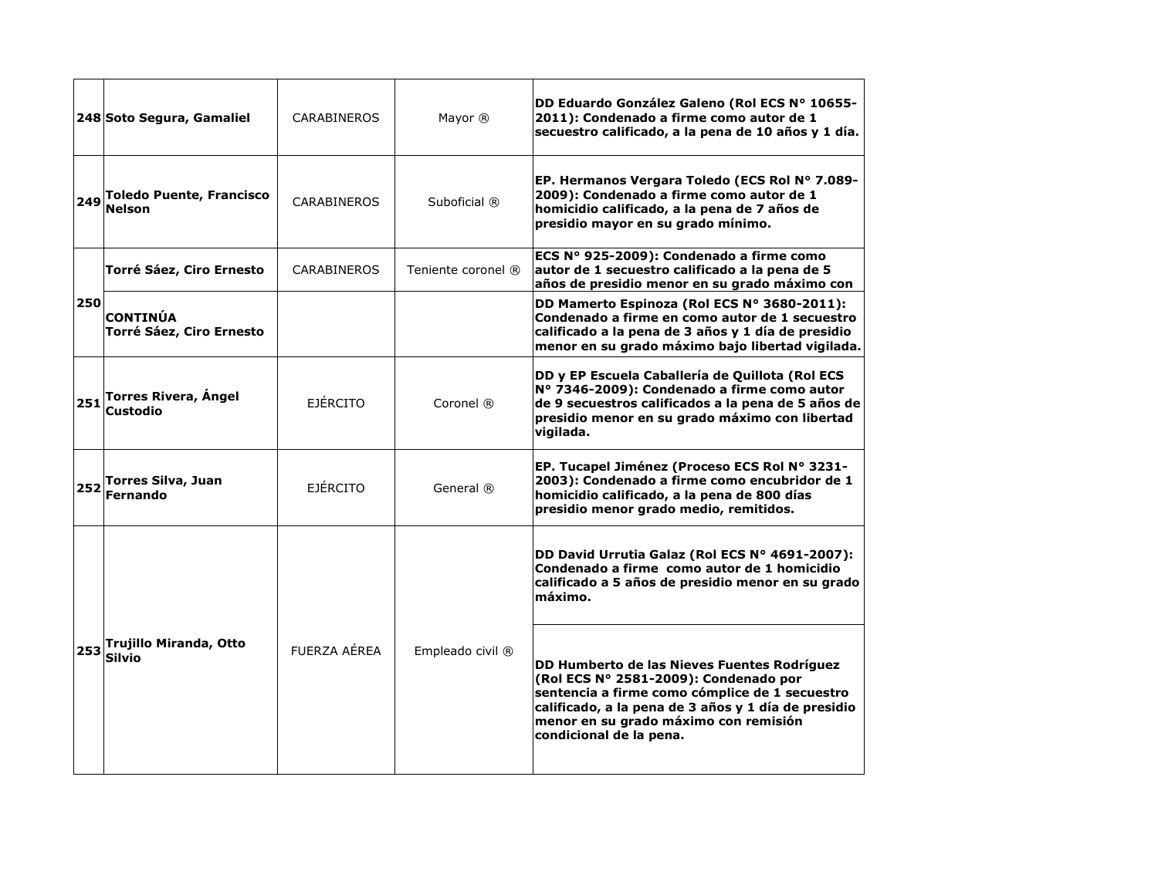|     | 248 Soto Segura, Gamaliel                          | <b>CARABINEROS</b> | Mayor ®            | DD Eduardo González Galeno (Rol ECS Nº 10655-<br>2011): Condenado a firme como autor de 1<br>secuestro calificado, a la pena de 10 años y 1 día.                                                                                                                  |
|-----|----------------------------------------------------|--------------------|--------------------|-------------------------------------------------------------------------------------------------------------------------------------------------------------------------------------------------------------------------------------------------------------------|
|     | 249 Toledo Puente, Francisco<br><b>Nelson</b>      | CARABINEROS        | Suboficial ®       | EP. Hermanos Vergara Toledo (ECS Rol Nº 7.089-<br>2009): Condenado a firme como autor de 1<br>homicidio calificado, a la pena de 7 años de<br>presidio mayor en su grado mínimo.                                                                                  |
|     | <b>Torré Sáez, Ciro Ernesto</b>                    | <b>CARABINEROS</b> | Teniente coronel ® | ECS Nº 925-2009): Condenado a firme como<br>autor de 1 secuestro calificado a la pena de 5<br>años de presidio menor en su grado máximo con                                                                                                                       |
| 250 | <b>CONTINÚA</b><br><b>Torré Sáez, Ciro Ernesto</b> |                    |                    | DD Mamerto Espinoza (Rol ECS Nº 3680-2011):<br>Condenado a firme en como autor de 1 secuestro<br>calificado a la pena de 3 años y 1 día de presidio<br>menor en su grado máximo bajo libertad vigilada.                                                           |
|     | 251 Torres Rivera, Ángel<br>Custodio               | <b>EJÉRCITO</b>    | Coronel ®          | DD y EP Escuela Caballería de Quillota (Rol ECS<br>Nº 7346-2009): Condenado a firme como autor<br>de 9 secuestros calificados a la pena de 5 años de<br>presidio menor en su grado máximo con libertad<br>vigilada.                                               |
| 252 | <b>Torres Silva, Juan</b><br>Fernando              | EJÉRCITO           | General ®          | EP. Tucapel Jiménez (Proceso ECS Rol Nº 3231-<br>2003): Condenado a firme como encubridor de 1<br>homicidio calificado, a la pena de 800 días<br>presidio menor grado medio, remitidos.                                                                           |
|     |                                                    |                    |                    | DD David Urrutia Galaz (Rol ECS Nº 4691-2007):<br>Condenado a firme como autor de 1 homicidio<br>calificado a 5 años de presidio menor en su grado<br>máximo.                                                                                                     |
|     | 253 Trujillo Miranda, Otto<br><b>Silvio</b>        | FUERZA AÉREA       | Empleado civil ®   | DD Humberto de las Nieves Fuentes Rodríguez<br>(Rol ECS Nº 2581-2009): Condenado por<br>sentencia a firme como cómplice de 1 secuestro<br>calificado, a la pena de 3 años y 1 día de presidio<br>menor en su grado máximo con remisión<br>condicional de la pena. |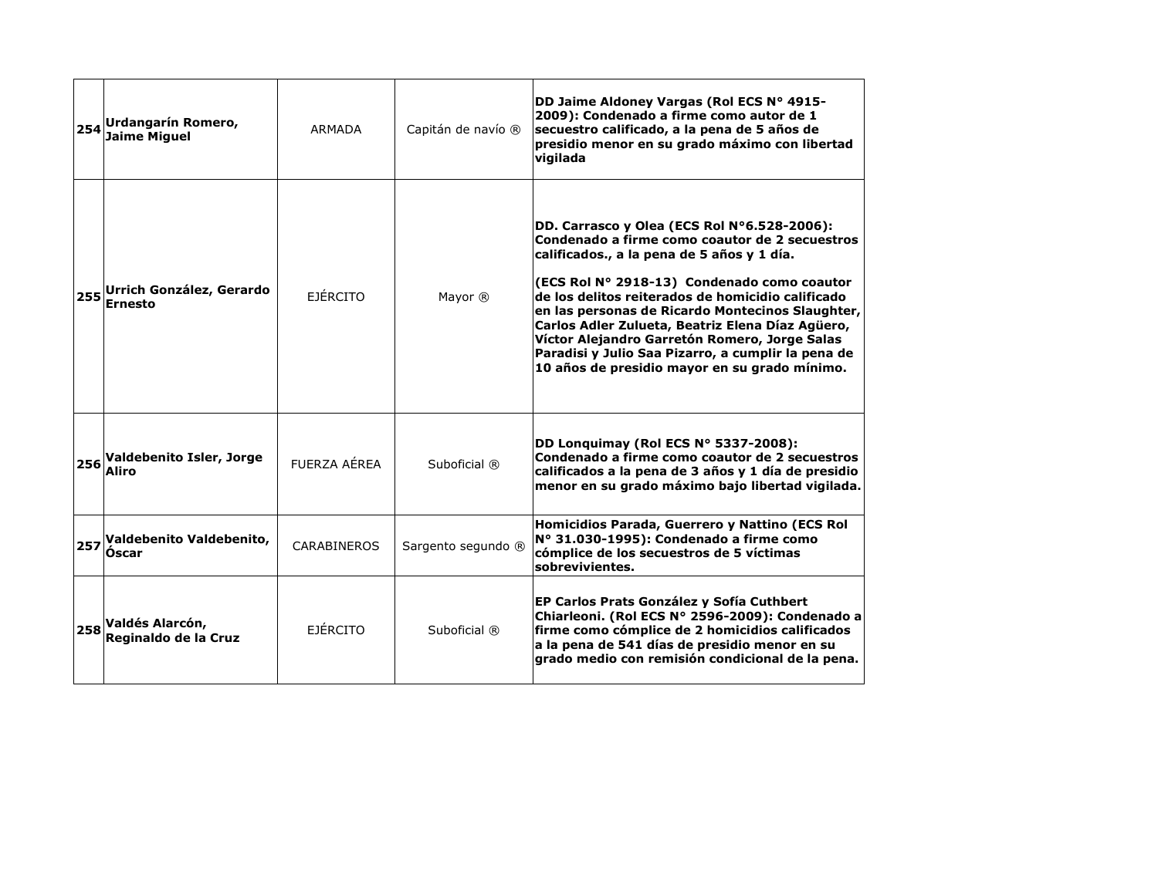| 254 | Urdangarín Romero,<br><b>Jaime Miguel</b>    | <b>ARMADA</b>   | Capitán de navío ® | DD Jaime Aldoney Vargas (Rol ECS Nº 4915-<br>2009): Condenado a firme como autor de 1<br>secuestro calificado, a la pena de 5 años de<br>presidio menor en su grado máximo con libertad<br>vigilada                                                                                                                                                                                                                                                                                                             |
|-----|----------------------------------------------|-----------------|--------------------|-----------------------------------------------------------------------------------------------------------------------------------------------------------------------------------------------------------------------------------------------------------------------------------------------------------------------------------------------------------------------------------------------------------------------------------------------------------------------------------------------------------------|
| 255 | Urrich González, Gerardo<br><b>Ernesto</b>   | <b>EJÉRCITO</b> | Mayor ®            | DD. Carrasco y Olea (ECS Rol Nº6.528-2006):<br>Condenado a firme como coautor de 2 secuestros<br>calificados., a la pena de 5 años y 1 día.<br>(ECS Rol Nº 2918-13) Condenado como coautor<br>de los delitos reiterados de homicidio calificado<br>en las personas de Ricardo Montecinos Slaughter,<br>Carlos Adler Zulueta, Beatriz Elena Díaz Agüero,<br>Víctor Alejandro Garretón Romero, Jorge Salas<br>Paradisi y Julio Saa Pizarro, a cumplir la pena de<br>10 años de presidio mayor en su grado mínimo. |
|     | 256 Valdebenito Isler, Jorge<br><b>Aliro</b> | FUERZA AÉREA    | Suboficial ®       | DD Longuimay (Rol ECS N° 5337-2008):<br>Condenado a firme como coautor de 2 secuestros<br>calificados a la pena de 3 años y 1 día de presidio<br>menor en su grado máximo bajo libertad vigilada.                                                                                                                                                                                                                                                                                                               |
|     | 257 Valdebenito Valdebenito,<br>Óscar        | CARABINEROS     | Sargento segundo ® | Homicidios Parada, Guerrero y Nattino (ECS Rol<br>Nº 31.030-1995): Condenado a firme como<br>cómplice de los secuestros de 5 víctimas<br>sobrevivientes.                                                                                                                                                                                                                                                                                                                                                        |
|     | 258 Valdés Alarcón,<br>Reginaldo de la Cruz  | EJÉRCITO        | Suboficial ®       | EP Carlos Prats González y Sofía Cuthbert<br>Chiarleoni. (Rol ECS Nº 2596-2009): Condenado a<br>firme como cómplice de 2 homicidios calificados<br>a la pena de 541 días de presidio menor en su<br>grado medio con remisión condicional de la pena.                                                                                                                                                                                                                                                            |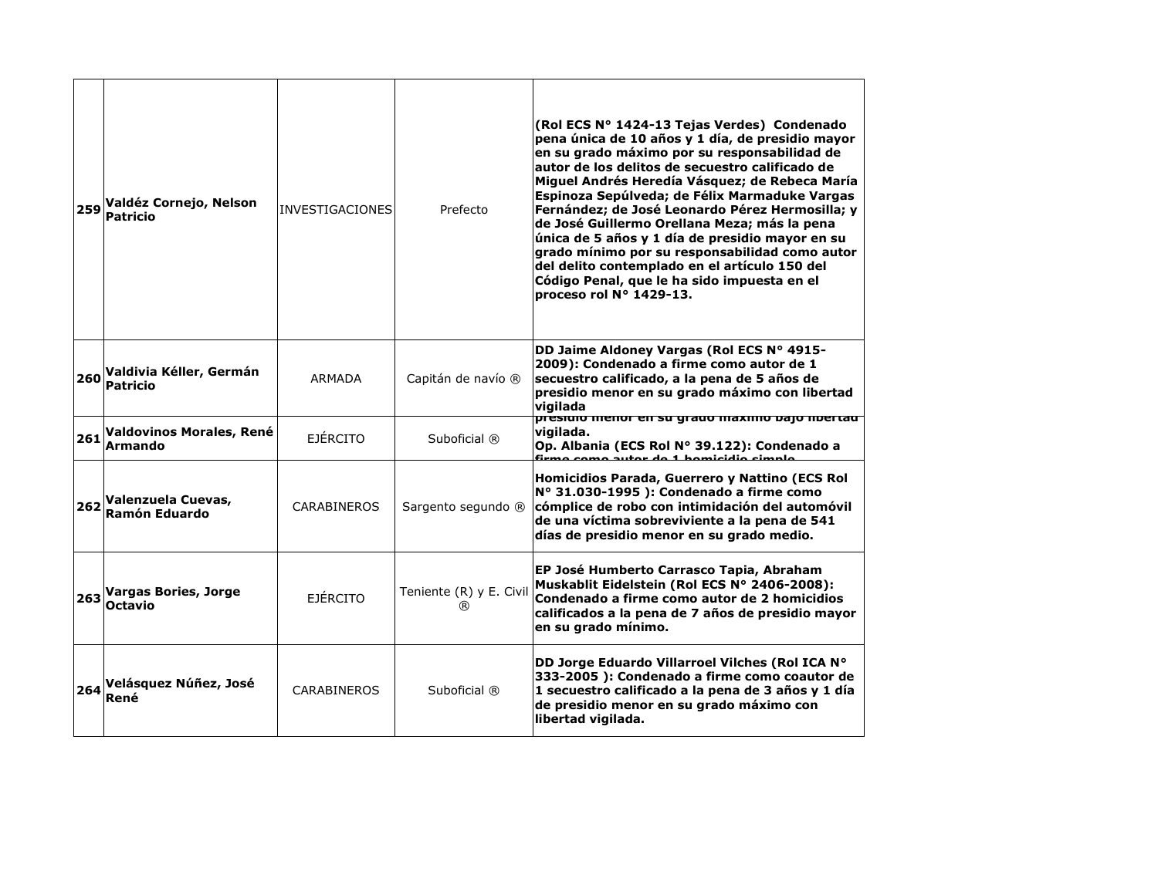|     | 259 Valdéz Cornejo, Nelson<br>Patricio     | <b>INVESTIGACIONES</b> | Prefecto                                            | (Rol ECS Nº 1424-13 Tejas Verdes) Condenado<br>pena única de 10 años y 1 día, de presidio mayor<br>en su grado máximo por su responsabilidad de<br>autor de los delitos de secuestro calificado de<br>Miguel Andrés Heredía Vásquez; de Rebeca María<br>Espinoza Sepúlveda; de Félix Marmaduke Vargas<br>Fernández; de José Leonardo Pérez Hermosilla; y<br>de José Guillermo Orellana Meza; más la pena<br>única de 5 años y 1 día de presidio mayor en su<br>grado mínimo por su responsabilidad como autor<br>del delito contemplado en el artículo 150 del<br>Código Penal, que le ha sido impuesta en el<br>proceso rol N° 1429-13. |
|-----|--------------------------------------------|------------------------|-----------------------------------------------------|------------------------------------------------------------------------------------------------------------------------------------------------------------------------------------------------------------------------------------------------------------------------------------------------------------------------------------------------------------------------------------------------------------------------------------------------------------------------------------------------------------------------------------------------------------------------------------------------------------------------------------------|
| 260 | Valdivia Kéller, Germán<br><b>Patricio</b> | ARMADA                 | Capitán de navío ®                                  | DD Jaime Aldoney Vargas (Rol ECS Nº 4915-<br>2009): Condenado a firme como autor de 1<br>secuestro calificado, a la pena de 5 años de<br>presidio menor en su grado máximo con libertad<br>vigilada                                                                                                                                                                                                                                                                                                                                                                                                                                      |
| 261 | Valdovinos Morales, René<br><b>Armando</b> | <b>FIÉRCITO</b>        | Suboficial ®                                        | presigio menor en su grago maximo pajo libertag<br>vigilada.<br>Op. Albania (ECS Rol Nº 39.122): Condenado a<br>como autor do 1 homicidio cimple                                                                                                                                                                                                                                                                                                                                                                                                                                                                                         |
|     | 262 Valenzuela Cuevas,<br>Ramón Eduardo    | <b>CARABINEROS</b>     | Sargento segundo ®                                  | Homicidios Parada, Guerrero y Nattino (ECS Rol<br>Nº 31.030-1995): Condenado a firme como<br>cómplice de robo con intimidación del automóvil<br>de una víctima sobreviviente a la pena de 541<br>días de presidio menor en su grado medio.                                                                                                                                                                                                                                                                                                                                                                                               |
|     | 263 Vargas Bories, Jorge<br><b>Octavio</b> | EJÉRCITO               | Teniente (R) y E. Civil<br>$(\widehat{\mathsf{R}})$ | EP José Humberto Carrasco Tapia, Abraham<br>Muskablit Eidelstein (Rol ECS Nº 2406-2008):<br>Condenado a firme como autor de 2 homicidios<br>calificados a la pena de 7 años de presidio mayor<br>en su grado mínimo.                                                                                                                                                                                                                                                                                                                                                                                                                     |
|     | 264 Velásquez Núñez, José<br>René          | <b>CARABINEROS</b>     | Suboficial ®                                        | DD Jorge Eduardo Villarroel Vilches (Rol ICA Nº<br>333-2005): Condenado a firme como coautor de<br>1 secuestro calificado a la pena de 3 años y 1 día<br>de presidio menor en su grado máximo con<br>libertad vigilada.                                                                                                                                                                                                                                                                                                                                                                                                                  |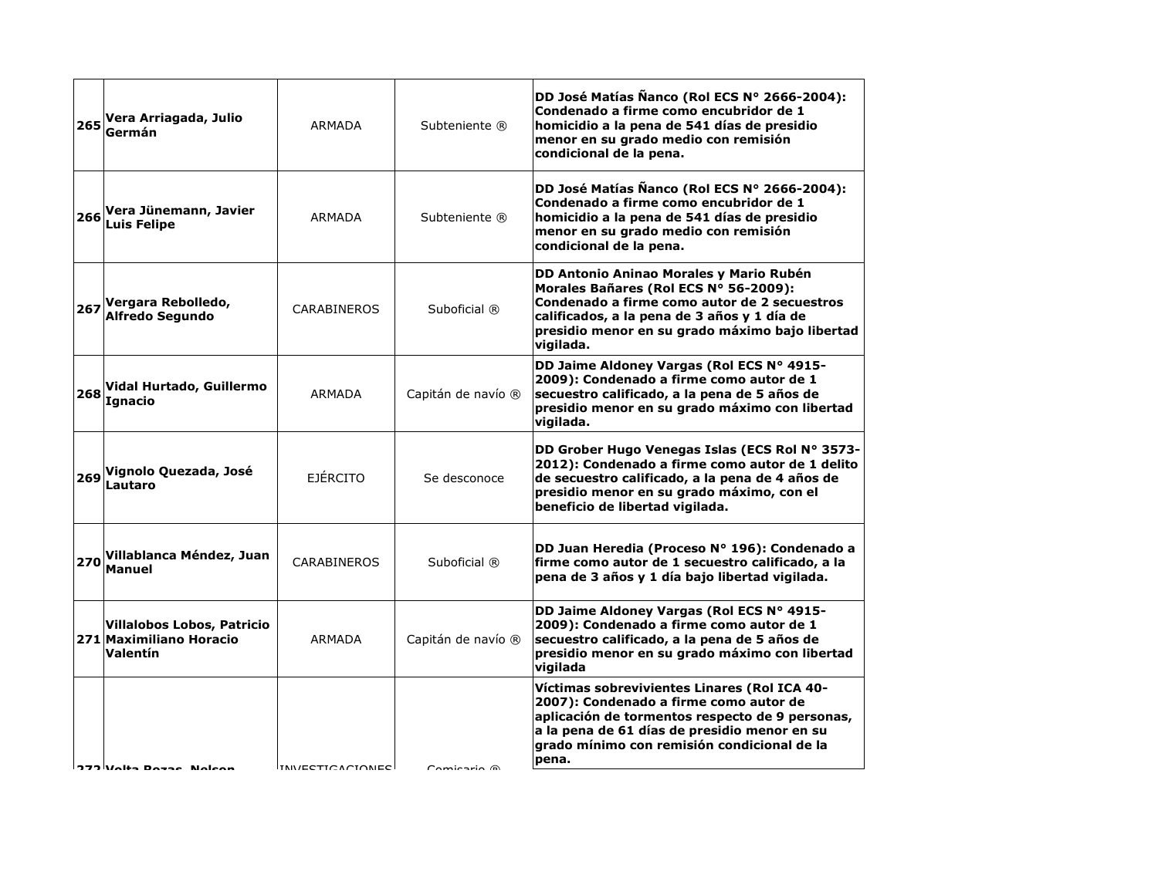|     | 265 Vera Arriagada, Julio                                         | <b>ARMADA</b>          | Subteniente ®              | DD José Matías Ñanco (Rol ECS N° 2666-2004):<br>Condenado a firme como encubridor de 1<br>homicidio a la pena de 541 días de presidio<br>menor en su grado medio con remisión<br>condicional de la pena.                                          |
|-----|-------------------------------------------------------------------|------------------------|----------------------------|---------------------------------------------------------------------------------------------------------------------------------------------------------------------------------------------------------------------------------------------------|
| 266 | Vera Jünemann, Javier<br><b>Luis Felipe</b>                       | ARMADA                 | Subteniente ®              | DD José Matías Ñanco (Rol ECS Nº 2666-2004):<br>Condenado a firme como encubridor de 1<br>homicidio a la pena de 541 días de presidio<br>menor en su grado medio con remisión<br>condicional de la pena.                                          |
|     | 267 Vergara Rebolledo,<br>Alfredo Segundo                         | <b>CARABINEROS</b>     | Suboficial ®               | DD Antonio Aninao Morales y Mario Rubén<br>Morales Bañares (Rol ECS Nº 56-2009):<br>Condenado a firme como autor de 2 secuestros<br>calificados, a la pena de 3 años y 1 día de<br>presidio menor en su grado máximo bajo libertad<br>vigilada.   |
| 268 | Vidal Hurtado, Guillermo<br>Ignacio                               | ARMADA                 | Capitán de navío ®         | DD Jaime Aldoney Vargas (Rol ECS Nº 4915-<br>2009): Condenado a firme como autor de 1<br>secuestro calificado, a la pena de 5 años de<br>presidio menor en su grado máximo con libertad<br>vigilada.                                              |
| 269 | Vignolo Quezada, José<br>Lautaro                                  | <b>EJÉRCITO</b>        | Se desconoce               | DD Grober Hugo Venegas Islas (ECS Rol Nº 3573-<br>2012): Condenado a firme como autor de 1 delito<br>de secuestro calificado, a la pena de 4 años de<br>presidio menor en su grado máximo, con el<br>beneficio de libertad vigilada.              |
|     | 270 Villablanca Méndez, Juan<br><b>Manuel</b>                     | <b>CARABINEROS</b>     | Suboficial ®               | DD Juan Heredia (Proceso Nº 196): Condenado a<br>firme como autor de 1 secuestro calificado, a la<br>pena de 3 años y 1 día bajo libertad vigilada.                                                                                               |
|     | Villalobos Lobos, Patricio<br>271 Maximiliano Horacio<br>Valentín | <b>ARMADA</b>          | Capitán de navío ®         | DD Jaime Aldoney Vargas (Rol ECS Nº 4915-<br>2009): Condenado a firme como autor de 1<br>secuestro calificado, a la pena de 5 años de<br>presidio menor en su grado máximo con libertad<br>vigilada                                               |
|     |                                                                   | <b>INVECTICACIONEC</b> | $C$ amianula $\widehat{A}$ | Víctimas sobrevivientes Linares (Rol ICA 40-<br>2007): Condenado a firme como autor de<br>aplicación de tormentos respecto de 9 personas,<br>a la pena de 61 días de presidio menor en su<br>grado mínimo con remisión condicional de la<br>pena. |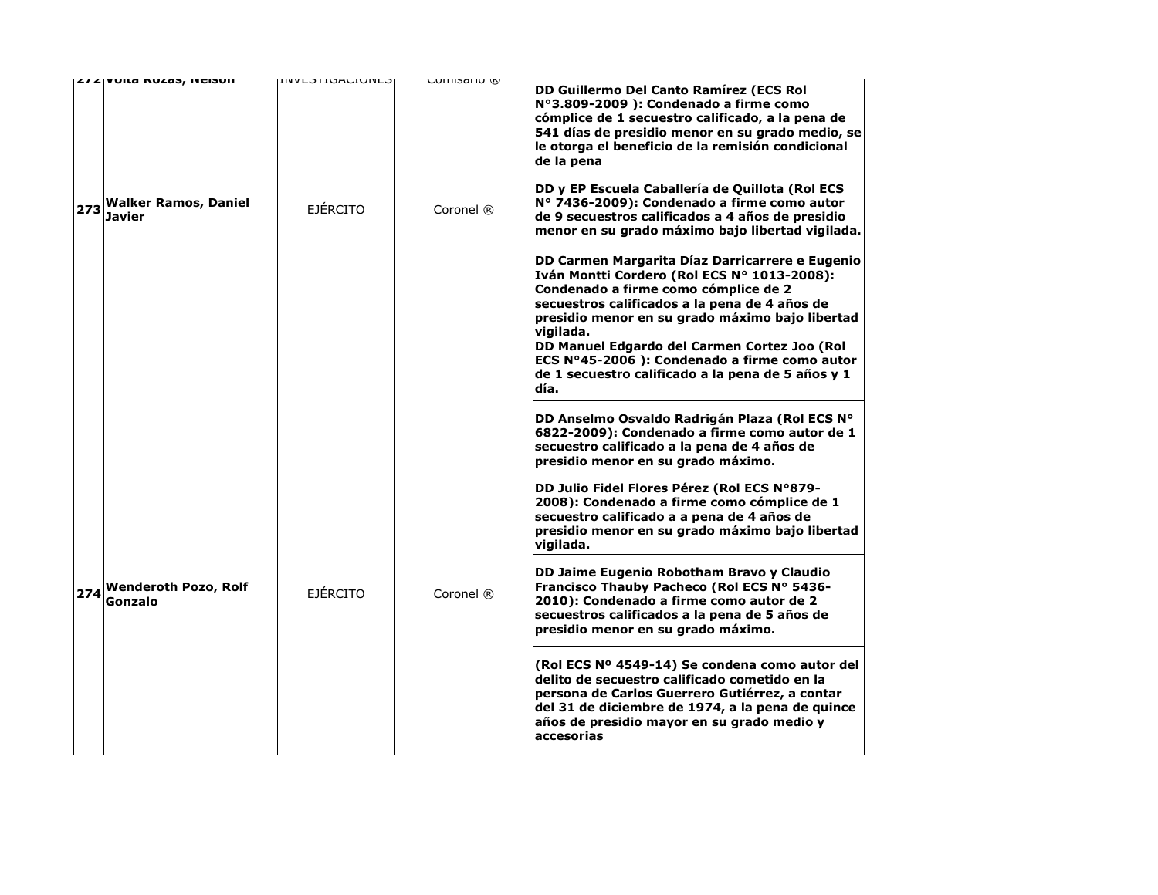|     | <b>Z/ZIVUILA KUZAS, IVEISUII</b>          | <b>LINVESTIGACIUNES</b> | <b>LUITINGHO (B)</b> | DD Guillermo Del Canto Ramírez (ECS Rol<br>Nº3.809-2009): Condenado a firme como<br>cómplice de 1 secuestro calificado, a la pena de<br>541 días de presidio menor en su grado medio, se<br>le otorga el beneficio de la remisión condicional<br>de la pena                                                                                                                                                          |
|-----|-------------------------------------------|-------------------------|----------------------|----------------------------------------------------------------------------------------------------------------------------------------------------------------------------------------------------------------------------------------------------------------------------------------------------------------------------------------------------------------------------------------------------------------------|
|     | 273 Walker Ramos, Daniel<br><b>Javier</b> | <b>EJÉRCITO</b>         | Coronel ®            | DD y EP Escuela Caballería de Quillota (Rol ECS)<br>Nº 7436-2009): Condenado a firme como autor<br>de 9 secuestros calificados a 4 años de presidio<br>menor en su grado máximo bajo libertad vigilada.                                                                                                                                                                                                              |
|     |                                           |                         |                      | DD Carmen Margarita Díaz Darricarrere e Eugenio<br>Iván Montti Cordero (Rol ECS Nº 1013-2008):<br>Condenado a firme como cómplice de 2<br>secuestros calificados a la pena de 4 años de<br>presidio menor en su grado máximo bajo libertad<br>vigilada.<br>DD Manuel Edgardo del Carmen Cortez Joo (Rol<br>ECS Nº45-2006): Condenado a firme como autor<br>de 1 secuestro calificado a la pena de 5 años y 1<br>día. |
|     |                                           |                         |                      | DD Anselmo Osvaldo Radrigán Plaza (Rol ECS Nº<br>6822-2009): Condenado a firme como autor de 1<br>secuestro calificado a la pena de 4 años de<br>presidio menor en su grado máximo.                                                                                                                                                                                                                                  |
|     |                                           |                         |                      | DD Julio Fidel Flores Pérez (Rol ECS N°879-<br>2008): Condenado a firme como cómplice de 1<br>secuestro calificado a a pena de 4 años de<br>presidio menor en su grado máximo bajo libertad<br>vigilada.                                                                                                                                                                                                             |
| 274 | <b>Wenderoth Pozo, Rolf</b><br>Gonzalo    | EJÉRCITO                | Coronel ®            | DD Jaime Eugenio Robotham Bravo y Claudio<br>Francisco Thauby Pacheco (Rol ECS Nº 5436-<br>2010): Condenado a firme como autor de 2<br>secuestros calificados a la pena de 5 años de<br>presidio menor en su grado máximo.                                                                                                                                                                                           |
|     |                                           |                         |                      | (Rol ECS Nº 4549-14) Se condena como autor del<br>delito de secuestro calificado cometido en la<br>persona de Carlos Guerrero Gutiérrez, a contar<br>del 31 de diciembre de 1974, a la pena de quince<br>años de presidio mayor en su grado medio y<br>accesorias                                                                                                                                                    |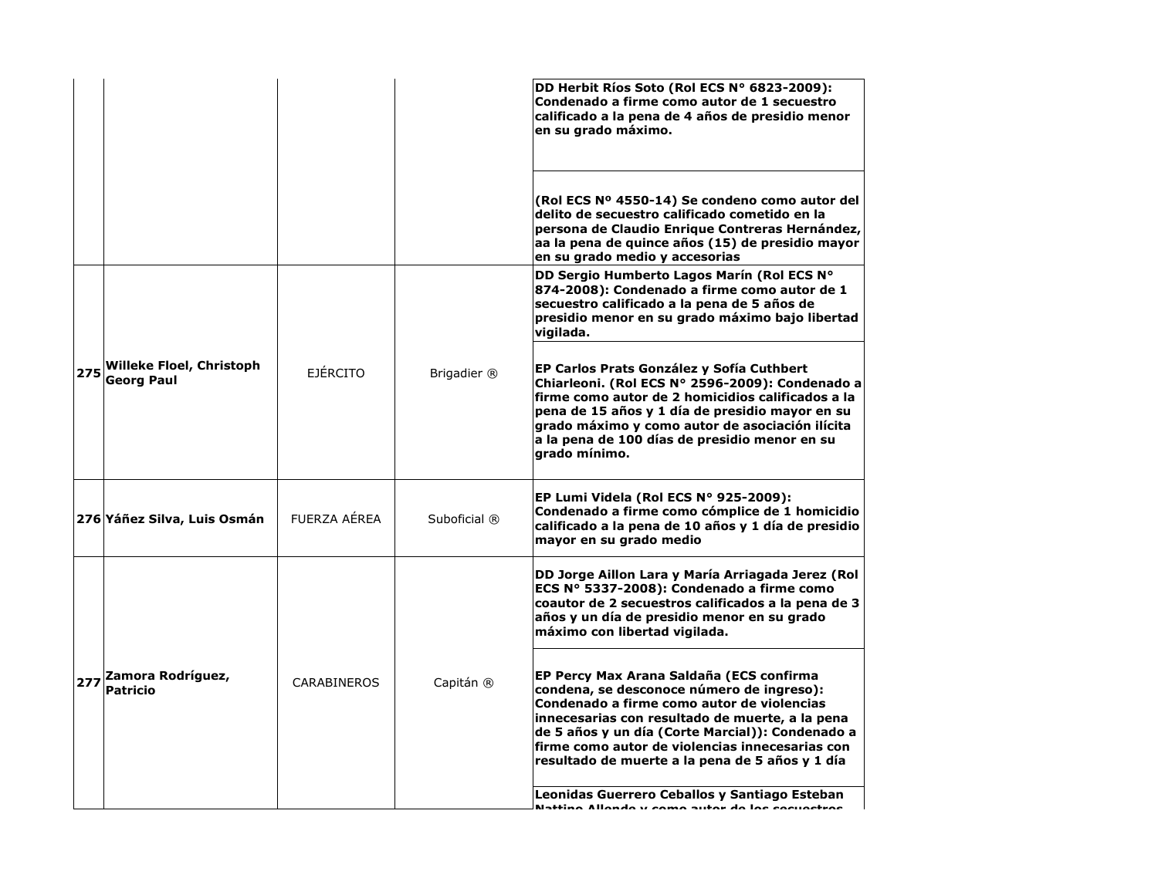|     |                                               |              |              | DD Herbit Ríos Soto (Rol ECS Nº 6823-2009):<br>Condenado a firme como autor de 1 secuestro<br>calificado a la pena de 4 años de presidio menor<br>en su grado máximo.                                                                                                                                                                            |
|-----|-----------------------------------------------|--------------|--------------|--------------------------------------------------------------------------------------------------------------------------------------------------------------------------------------------------------------------------------------------------------------------------------------------------------------------------------------------------|
|     |                                               |              |              | (Rol ECS Nº 4550-14) Se condeno como autor del<br>delito de secuestro calificado cometido en la<br>persona de Claudio Enrique Contreras Hernández,<br>aa la pena de quince años (15) de presidio mayor<br>en su grado medio y accesorias                                                                                                         |
|     |                                               |              |              | DD Sergio Humberto Lagos Marín (Rol ECS N°<br>874-2008): Condenado a firme como autor de 1<br>secuestro calificado a la pena de 5 años de<br>presidio menor en su grado máximo bajo libertad<br>vigilada.                                                                                                                                        |
| 275 | Willeke Floel, Christoph<br><b>Georg Paul</b> | EJÉRCITO     | Brigadier ®  | EP Carlos Prats González y Sofía Cuthbert<br>Chiarleoni. (Rol ECS Nº 2596-2009): Condenado a<br>firme como autor de 2 homicidios calificados a la<br>pena de 15 años y 1 día de presidio mayor en su<br>grado máximo y como autor de asociación ilícita<br>a la pena de 100 días de presidio menor en su<br>grado mínimo.                        |
|     | 276 Yáñez Silva, Luis Osmán                   | FUERZA AÉREA | Suboficial ® | EP Lumi Videla (Rol ECS Nº 925-2009):<br>Condenado a firme como cómplice de 1 homicidio<br>calificado a la pena de 10 años y 1 día de presidio<br>mayor en su grado medio                                                                                                                                                                        |
|     |                                               |              |              | DD Jorge Aillon Lara y María Arriagada Jerez (Rol<br>ECS Nº 5337-2008): Condenado a firme como<br>coautor de 2 secuestros calificados a la pena de 3<br>años y un día de presidio menor en su grado<br>máximo con libertad vigilada.                                                                                                             |
|     | 277 Zamora Rodríguez,<br><b>Patricio</b>      | CARABINEROS  | Capitán ®    | EP Percy Max Arana Saldaña (ECS confirma<br>condena, se desconoce número de ingreso):<br>Condenado a firme como autor de violencias<br>innecesarias con resultado de muerte, a la pena<br>de 5 años y un día (Corte Marcial)): Condenado a<br>firme como autor de violencias innecesarias con<br>resultado de muerte a la pena de 5 años y 1 día |
|     |                                               |              |              | Leonidas Guerrero Ceballos y Santiago Esteban<br>Nattina Allanda y asura aytay da las sasy                                                                                                                                                                                                                                                       |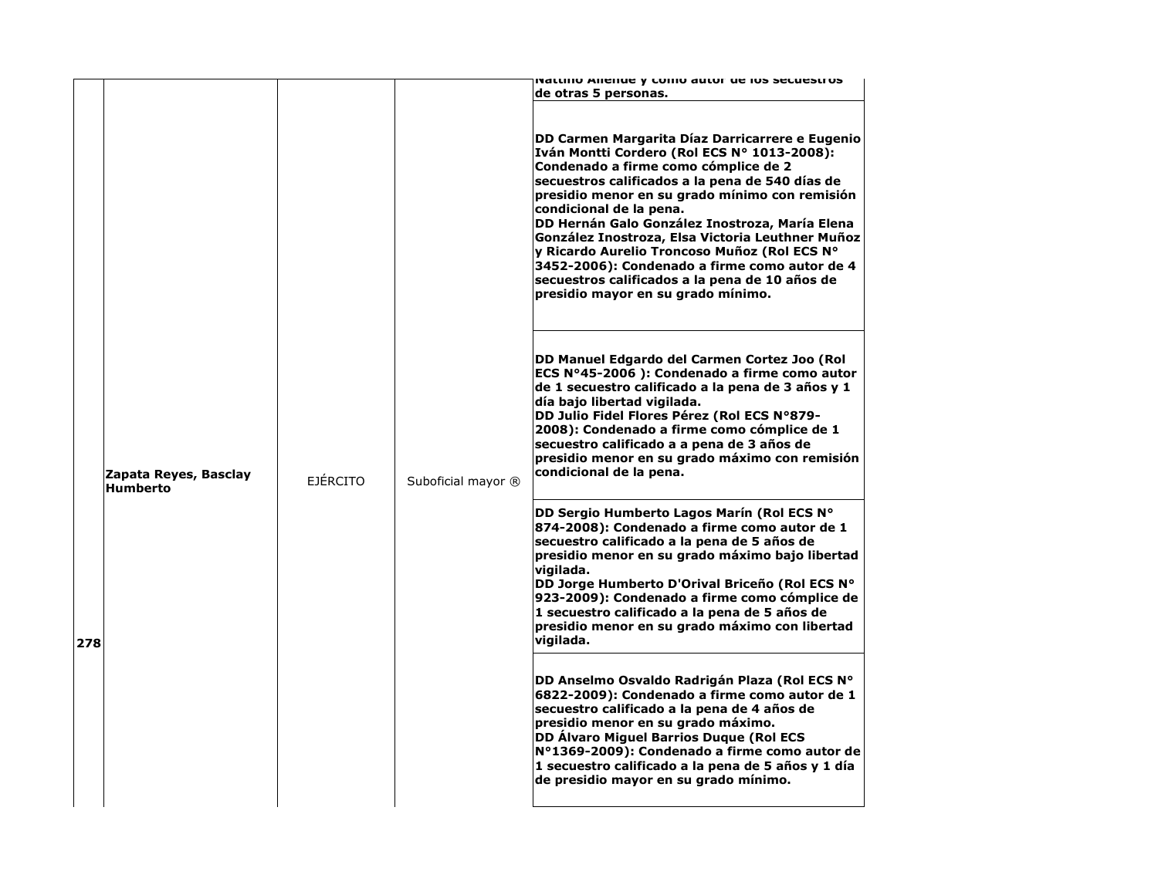|     |                                          |                 |                    | Nattino Allende y como autor de los secuestros                                                                                                                                                                                                                                                                                                                                                                                                                                                                                                                        |
|-----|------------------------------------------|-----------------|--------------------|-----------------------------------------------------------------------------------------------------------------------------------------------------------------------------------------------------------------------------------------------------------------------------------------------------------------------------------------------------------------------------------------------------------------------------------------------------------------------------------------------------------------------------------------------------------------------|
|     |                                          |                 |                    | de otras 5 personas.                                                                                                                                                                                                                                                                                                                                                                                                                                                                                                                                                  |
|     |                                          |                 |                    | DD Carmen Margarita Díaz Darricarrere e Eugenio<br>Iván Montti Cordero (Rol ECS Nº 1013-2008):<br>Condenado a firme como cómplice de 2<br>secuestros calificados a la pena de 540 días de<br>presidio menor en su grado mínimo con remisión<br>condicional de la pena.<br>DD Hernán Galo González Inostroza, María Elena<br>González Inostroza, Elsa Victoria Leuthner Muñoz<br>y Ricardo Aurelio Troncoso Muñoz (Rol ECS N°<br>3452-2006): Condenado a firme como autor de 4<br>secuestros calificados a la pena de 10 años de<br>presidio mayor en su grado mínimo. |
|     | Zapata Reyes, Basclay<br><b>Humberto</b> | <b>EJÉRCITO</b> | Suboficial mayor ® | DD Manuel Edgardo del Carmen Cortez Joo (Rol<br>ECS Nº45-2006): Condenado a firme como autor<br>de 1 secuestro calificado a la pena de 3 años y 1<br>día bajo libertad vigilada.<br>DD Julio Fidel Flores Pérez (Rol ECS N°879-<br>2008): Condenado a firme como cómplice de 1<br>secuestro calificado a a pena de 3 años de<br>presidio menor en su grado máximo con remisión<br>condicional de la pena.                                                                                                                                                             |
| 278 |                                          |                 |                    | DD Sergio Humberto Lagos Marín (Rol ECS N°<br>874-2008): Condenado a firme como autor de 1<br>secuestro calificado a la pena de 5 años de<br>presidio menor en su grado máximo bajo libertad<br>vigilada.<br>DD Jorge Humberto D'Orival Briceño (Rol ECS Nº<br>923-2009): Condenado a firme como cómplice de<br>1 secuestro calificado a la pena de 5 años de<br>presidio menor en su grado máximo con libertad<br>vigilada.                                                                                                                                          |
|     |                                          |                 |                    | DD Anselmo Osvaldo Radrigán Plaza (Rol ECS Nº<br>6822-2009): Condenado a firme como autor de 1<br>secuestro calificado a la pena de 4 años de<br>presidio menor en su grado máximo.<br><b>DD Álvaro Miquel Barrios Duque (Rol ECS)</b><br>Nº1369-2009): Condenado a firme como autor de<br>1 secuestro calificado a la pena de 5 años y 1 día<br>de presidio mayor en su grado mínimo.                                                                                                                                                                                |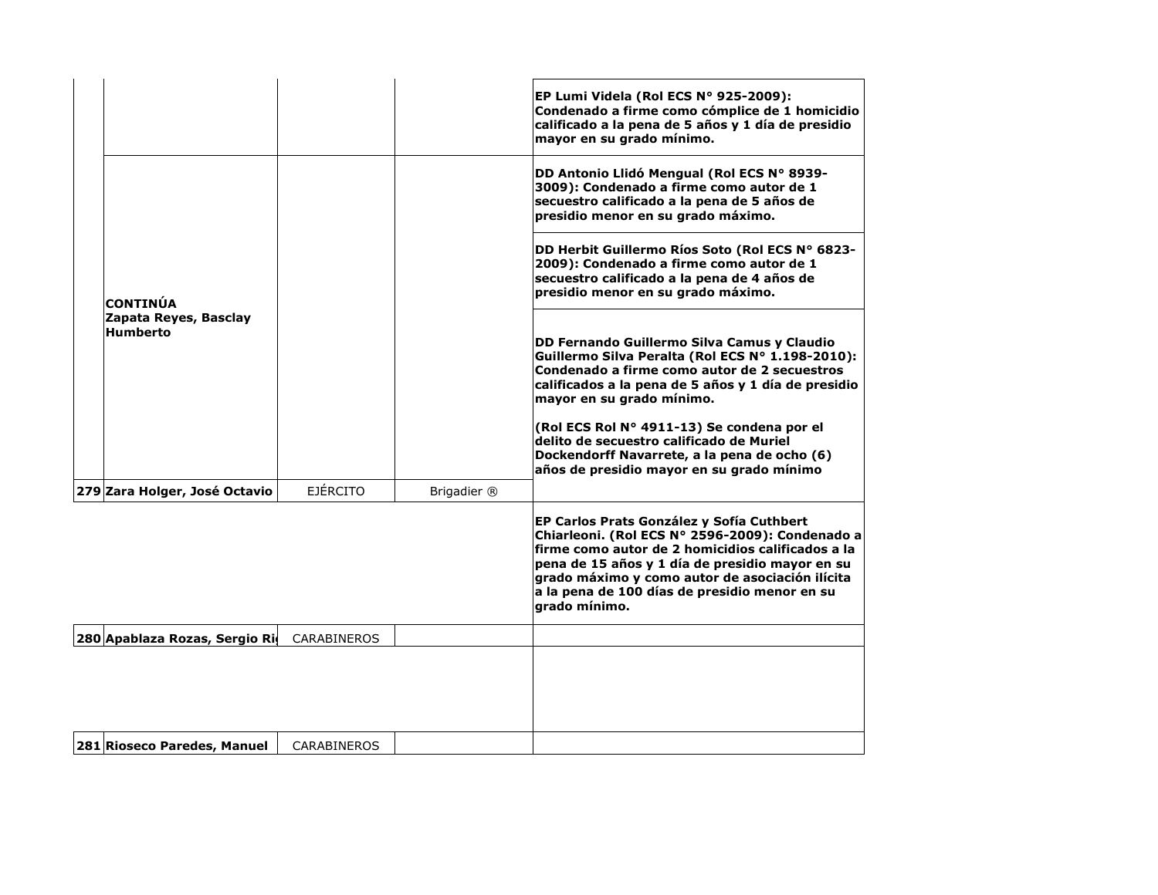|  |                                                      |                    |             | EP Lumi Videla (Rol ECS Nº 925-2009):<br>Condenado a firme como cómplice de 1 homicidio<br>calificado a la pena de 5 años y 1 día de presidio<br>mayor en su grado mínimo.                                                                                                                                                |
|--|------------------------------------------------------|--------------------|-------------|---------------------------------------------------------------------------------------------------------------------------------------------------------------------------------------------------------------------------------------------------------------------------------------------------------------------------|
|  |                                                      |                    |             | DD Antonio Llidó Mengual (Rol ECS Nº 8939-<br>3009): Condenado a firme como autor de 1<br>secuestro calificado a la pena de 5 años de<br>presidio menor en su grado máximo.                                                                                                                                               |
|  | <b>CONTINÚA</b><br>Zapata Reyes, Basclay<br>Humberto |                    |             | DD Herbit Guillermo Ríos Soto (Rol ECS Nº 6823-<br>2009): Condenado a firme como autor de 1<br>secuestro calificado a la pena de 4 años de<br>presidio menor en su grado máximo.                                                                                                                                          |
|  |                                                      |                    |             | DD Fernando Guillermo Silva Camus y Claudio<br>Guillermo Silva Peralta (Rol ECS Nº 1.198-2010):<br>Condenado a firme como autor de 2 secuestros<br>calificados a la pena de 5 años y 1 día de presidio<br>mayor en su grado mínimo.                                                                                       |
|  |                                                      |                    |             | (Rol ECS Rol Nº 4911-13) Se condena por el<br>delito de secuestro calificado de Muriel<br>Dockendorff Navarrete, a la pena de ocho (6)<br>años de presidio mayor en su grado mínimo                                                                                                                                       |
|  | 279 Zara Holger, José Octavio                        | <b>EJÉRCITO</b>    | Brigadier ® |                                                                                                                                                                                                                                                                                                                           |
|  |                                                      |                    |             | EP Carlos Prats González y Sofía Cuthbert<br>Chiarleoni. (Rol ECS Nº 2596-2009): Condenado a<br>firme como autor de 2 homicidios calificados a la<br>pena de 15 años y 1 día de presidio mayor en su<br>grado máximo y como autor de asociación ilícita<br>a la pena de 100 días de presidio menor en su<br>grado mínimo. |
|  | 280 Apablaza Rozas, Sergio Ri                        | <b>CARABINEROS</b> |             |                                                                                                                                                                                                                                                                                                                           |
|  |                                                      |                    |             |                                                                                                                                                                                                                                                                                                                           |
|  | 281 Rioseco Paredes, Manuel                          | <b>CARABINEROS</b> |             |                                                                                                                                                                                                                                                                                                                           |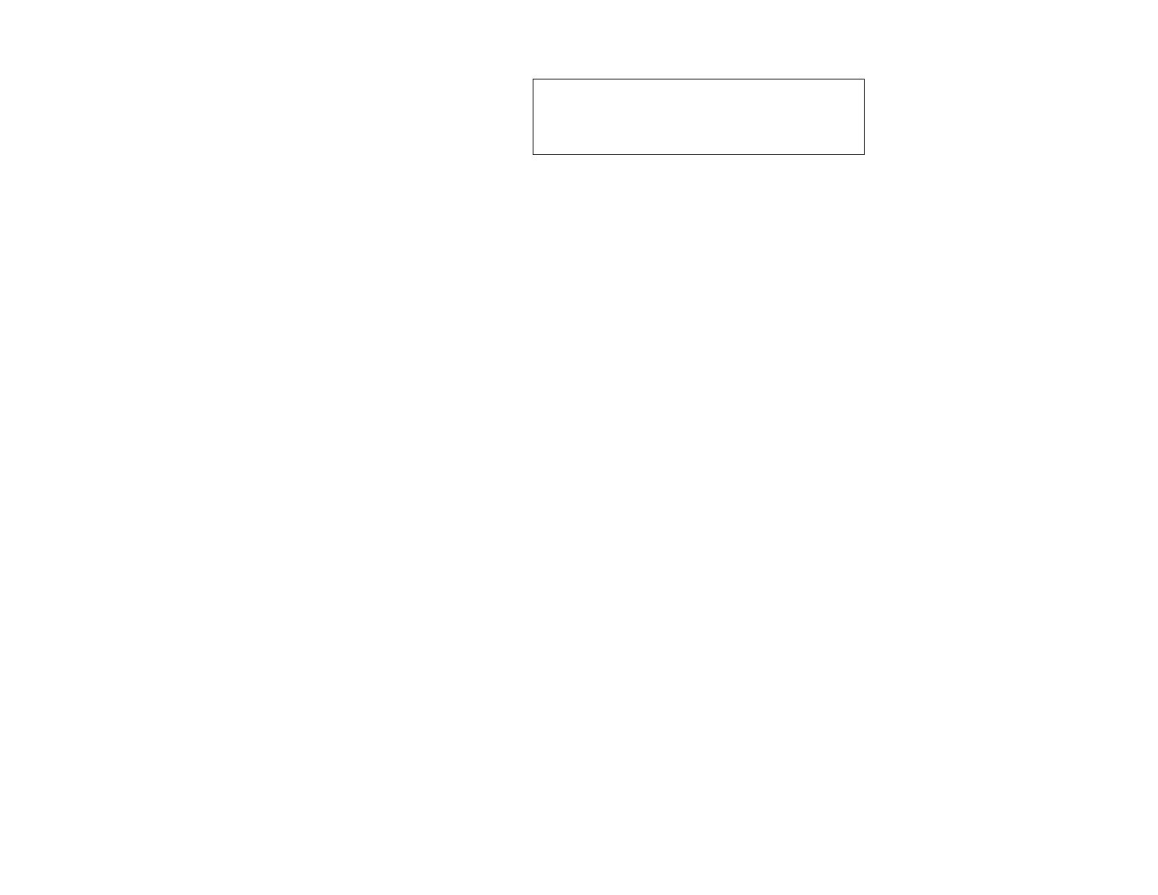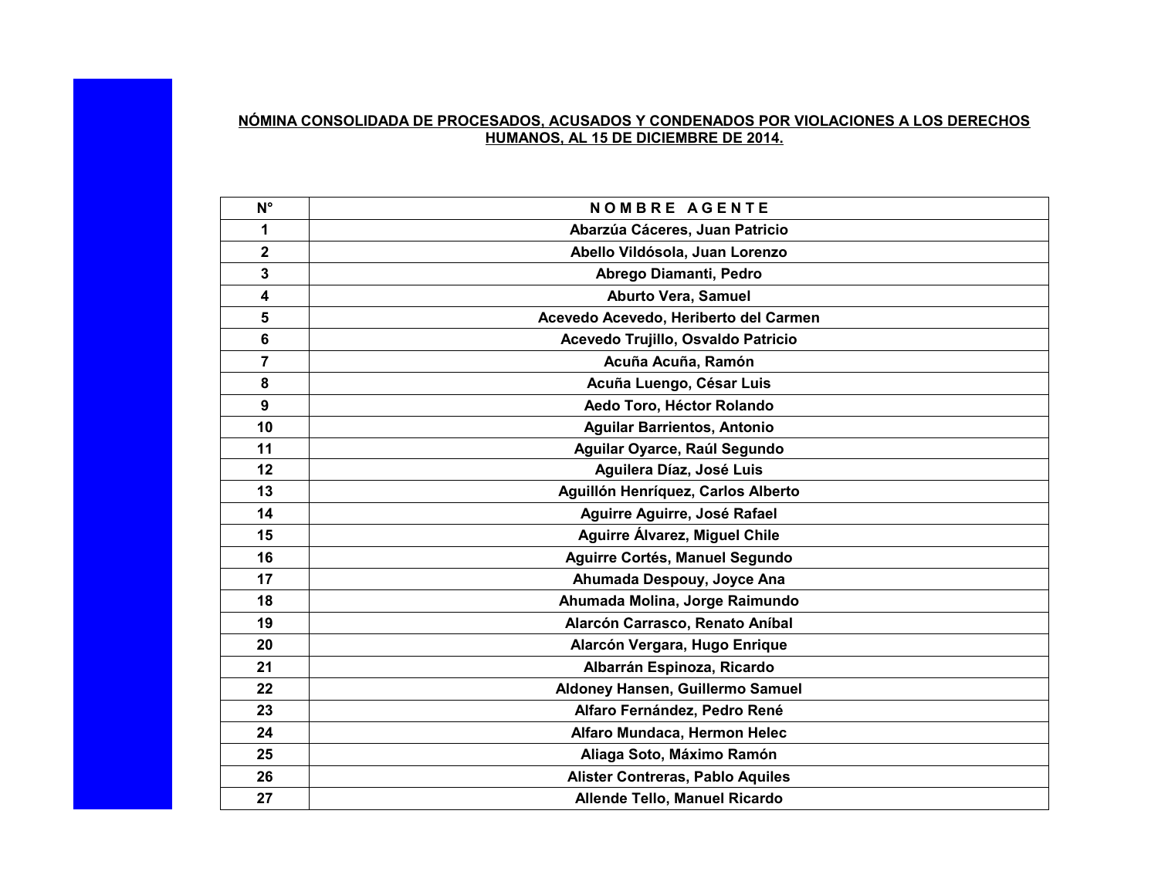## **NÓMINA CONSOLIDADA DE PROCESADOS, ACUSADOS Y CONDENADOS POR VIOLACIONES A LOS DERECHOS HUMANOS, AL 15 DE DICIEMBRE DE 2014.**

| $N^{\circ}$    | <b>NOMBRE AGENTE</b>                    |
|----------------|-----------------------------------------|
| 1              | Abarzúa Cáceres, Juan Patricio          |
| $\overline{2}$ | Abello Vildósola, Juan Lorenzo          |
| 3              | Abrego Diamanti, Pedro                  |
| 4              | Aburto Vera, Samuel                     |
| 5              | Acevedo Acevedo, Heriberto del Carmen   |
| 6              | Acevedo Trujillo, Osvaldo Patricio      |
| $\overline{7}$ | Acuña Acuña, Ramón                      |
| 8              | Acuña Luengo, César Luis                |
| 9              | Aedo Toro, Héctor Rolando               |
| 10             | <b>Aguilar Barrientos, Antonio</b>      |
| 11             | Aguilar Oyarce, Raúl Segundo            |
| 12             | Aguilera Díaz, José Luis                |
| 13             | Aguillón Henríquez, Carlos Alberto      |
| 14             | Aguirre Aguirre, José Rafael            |
| 15             | Aguirre Álvarez, Miguel Chile           |
| 16             | Aguirre Cortés, Manuel Segundo          |
| 17             | Ahumada Despouy, Joyce Ana              |
| 18             | Ahumada Molina, Jorge Raimundo          |
| 19             | Alarcón Carrasco, Renato Aníbal         |
| 20             | Alarcón Vergara, Hugo Enrique           |
| 21             | Albarrán Espinoza, Ricardo              |
| 22             | Aldoney Hansen, Guillermo Samuel        |
| 23             | Alfaro Fernández, Pedro René            |
| 24             | Alfaro Mundaca, Hermon Helec            |
| 25             | Aliaga Soto, Máximo Ramón               |
| 26             | <b>Alister Contreras, Pablo Aquiles</b> |
| 27             | Allende Tello, Manuel Ricardo           |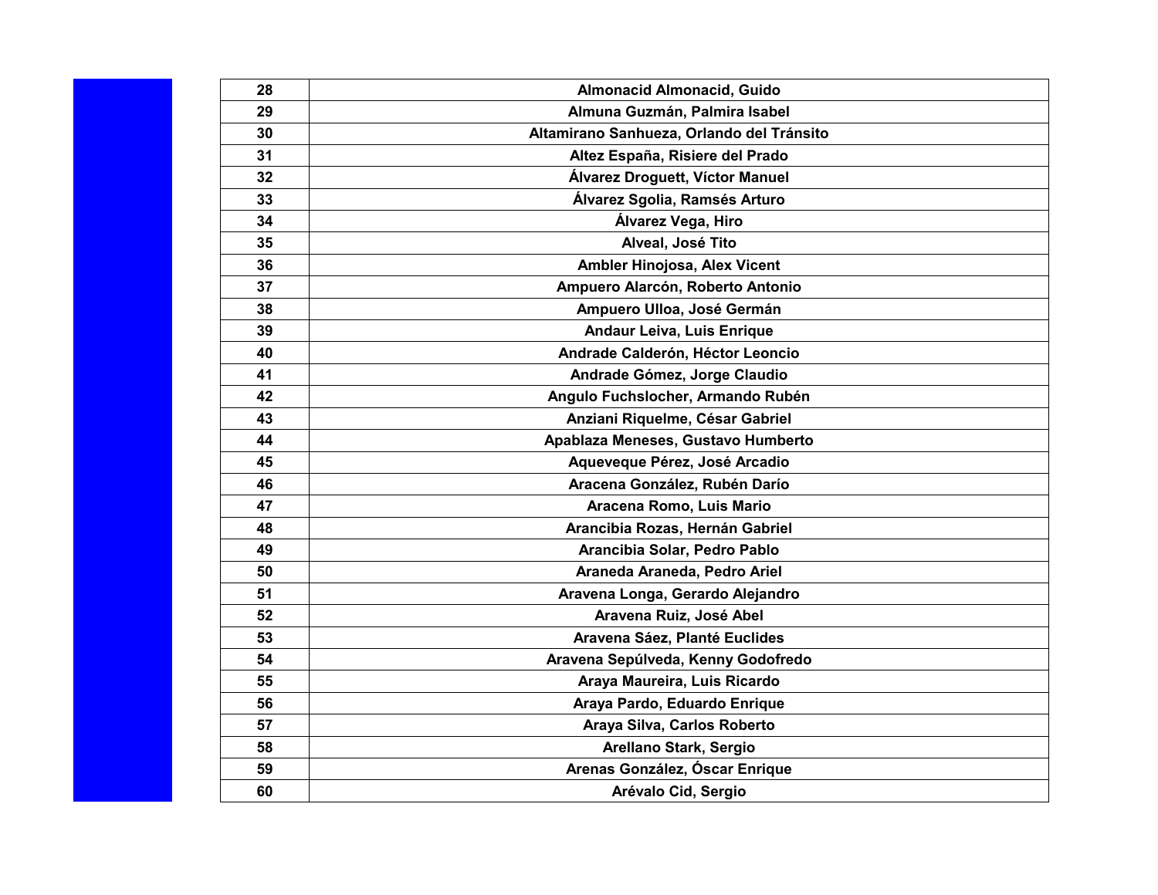| 28 | <b>Almonacid Almonacid, Guido</b>         |
|----|-------------------------------------------|
| 29 | Almuna Guzmán, Palmira Isabel             |
| 30 | Altamirano Sanhueza, Orlando del Tránsito |
| 31 | Altez España, Risiere del Prado           |
| 32 | Álvarez Droguett, Víctor Manuel           |
| 33 | Álvarez Sgolia, Ramsés Arturo             |
| 34 | Álvarez Vega, Hiro                        |
| 35 | Alveal, José Tito                         |
| 36 | Ambler Hinojosa, Alex Vicent              |
| 37 | Ampuero Alarcón, Roberto Antonio          |
| 38 | Ampuero Ulloa, José Germán                |
| 39 | Andaur Leiva, Luis Enrique                |
| 40 | Andrade Calderón, Héctor Leoncio          |
| 41 | Andrade Gómez, Jorge Claudio              |
| 42 | Angulo Fuchslocher, Armando Rubén         |
| 43 | Anziani Riquelme, César Gabriel           |
| 44 | Apablaza Meneses, Gustavo Humberto        |
| 45 | Aqueveque Pérez, José Arcadio             |
| 46 | Aracena González, Rubén Darío             |
| 47 | Aracena Romo, Luis Mario                  |
| 48 | Arancibia Rozas, Hernán Gabriel           |
| 49 | Arancibia Solar, Pedro Pablo              |
| 50 | Araneda Araneda, Pedro Ariel              |
| 51 | Aravena Longa, Gerardo Alejandro          |
| 52 | Aravena Ruiz, José Abel                   |
| 53 | Aravena Sáez, Planté Euclides             |
| 54 | Aravena Sepúlveda, Kenny Godofredo        |
| 55 | Araya Maureira, Luis Ricardo              |
| 56 | Araya Pardo, Eduardo Enrique              |
| 57 | Araya Silva, Carlos Roberto               |
| 58 | Arellano Stark, Sergio                    |
| 59 | Arenas González, Óscar Enrique            |
| 60 | Arévalo Cid, Sergio                       |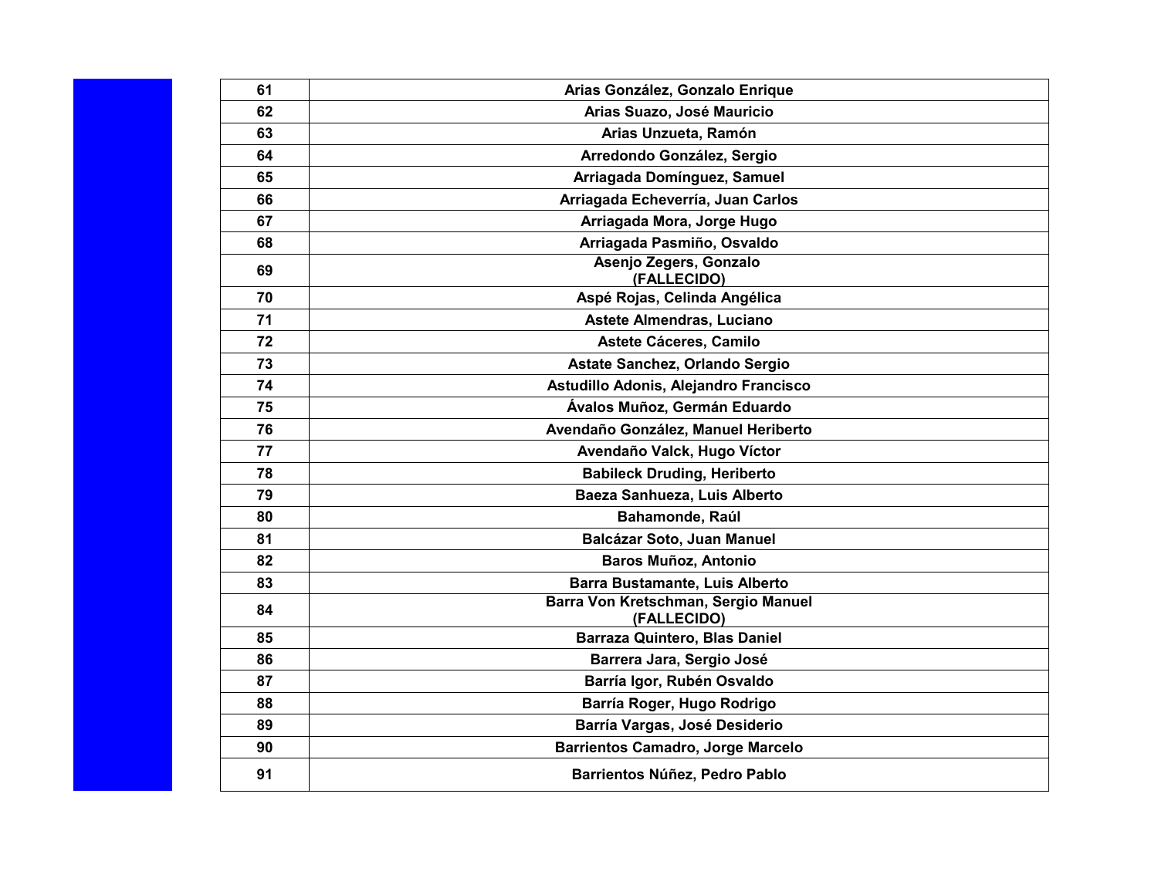| 61 | Arias González, Gonzalo Enrique                    |
|----|----------------------------------------------------|
| 62 | Arias Suazo, José Mauricio                         |
| 63 | Arias Unzueta, Ramón                               |
| 64 | Arredondo González, Sergio                         |
| 65 | Arriagada Domínguez, Samuel                        |
| 66 | Arriagada Echeverría, Juan Carlos                  |
| 67 | Arriagada Mora, Jorge Hugo                         |
| 68 | Arriagada Pasmiño, Osvaldo                         |
| 69 | Asenjo Zegers, Gonzalo<br>(FALLECIDO)              |
| 70 | Aspé Rojas, Celinda Angélica                       |
| 71 | Astete Almendras, Luciano                          |
| 72 | Astete Cáceres, Camilo                             |
| 73 | Astate Sanchez, Orlando Sergio                     |
| 74 | Astudillo Adonis, Alejandro Francisco              |
| 75 | Ávalos Muñoz, Germán Eduardo                       |
| 76 | Avendaño González, Manuel Heriberto                |
| 77 | Avendaño Valck, Hugo Víctor                        |
| 78 | <b>Babileck Druding, Heriberto</b>                 |
| 79 | Baeza Sanhueza, Luis Alberto                       |
| 80 | Bahamonde, Raúl                                    |
| 81 | <b>Balcázar Soto, Juan Manuel</b>                  |
| 82 | <b>Baros Muñoz, Antonio</b>                        |
| 83 | <b>Barra Bustamante, Luis Alberto</b>              |
| 84 | Barra Von Kretschman, Sergio Manuel<br>(FALLECIDO) |
| 85 | Barraza Quintero, Blas Daniel                      |
| 86 | Barrera Jara, Sergio José                          |
| 87 | Barría Igor, Rubén Osvaldo                         |
| 88 | Barría Roger, Hugo Rodrigo                         |
| 89 | Barría Vargas, José Desiderio                      |
| 90 | <b>Barrientos Camadro, Jorge Marcelo</b>           |
| 91 | Barrientos Núñez, Pedro Pablo                      |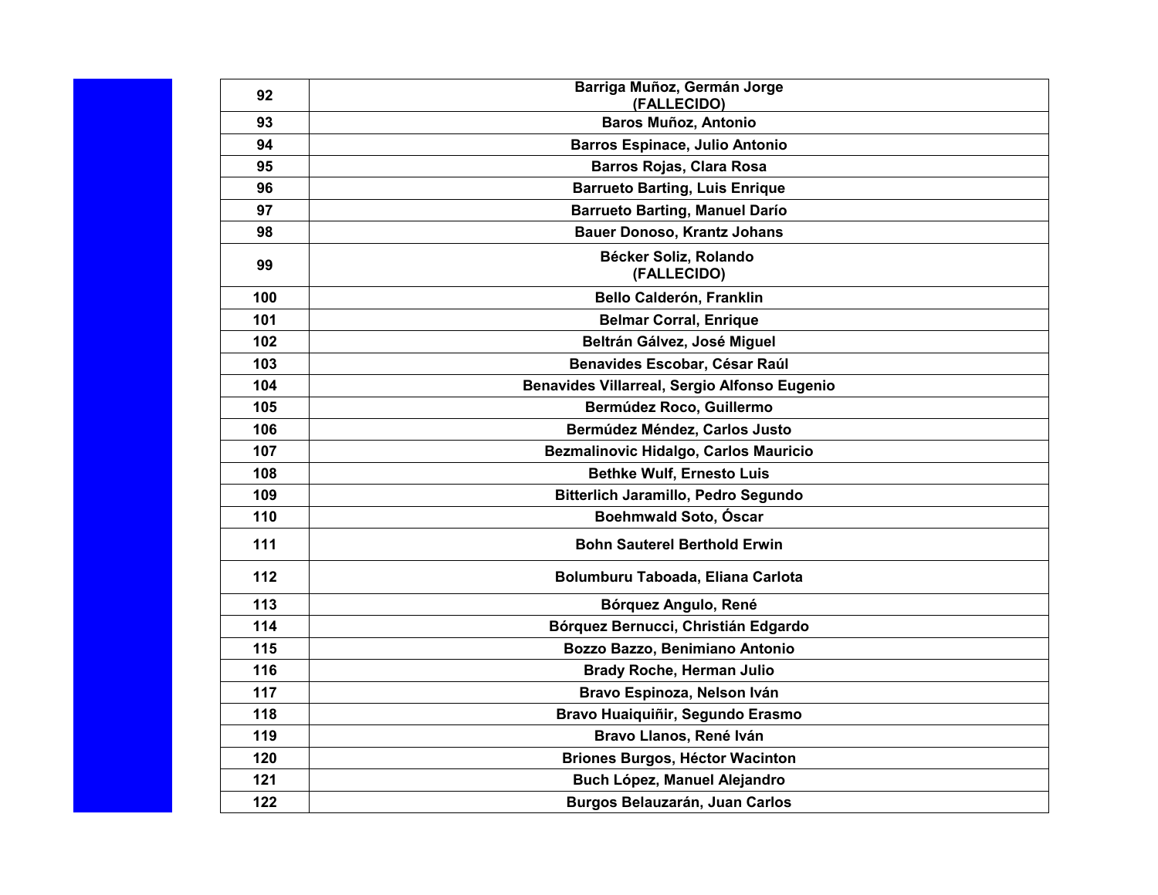| 92  | Barriga Muñoz, Germán Jorge<br>(FALLECIDO)   |
|-----|----------------------------------------------|
| 93  | <b>Baros Muñoz, Antonio</b>                  |
| 94  | <b>Barros Espinace, Julio Antonio</b>        |
| 95  | <b>Barros Rojas, Clara Rosa</b>              |
| 96  | <b>Barrueto Barting, Luis Enrique</b>        |
| 97  | <b>Barrueto Barting, Manuel Darío</b>        |
| 98  | <b>Bauer Donoso, Krantz Johans</b>           |
| 99  | Bécker Soliz, Rolando<br>(FALLECIDO)         |
| 100 | Bello Calderón, Franklin                     |
| 101 | <b>Belmar Corral, Enrique</b>                |
| 102 | Beltrán Gálvez, José Miguel                  |
| 103 | Benavides Escobar, César Raúl                |
| 104 | Benavides Villarreal, Sergio Alfonso Eugenio |
| 105 | Bermúdez Roco, Guillermo                     |
| 106 | Bermúdez Méndez, Carlos Justo                |
| 107 | Bezmalinovic Hidalgo, Carlos Mauricio        |
| 108 | <b>Bethke Wulf, Ernesto Luis</b>             |
| 109 | Bitterlich Jaramillo, Pedro Segundo          |
| 110 | Boehmwald Soto, Óscar                        |
| 111 | <b>Bohn Sauterel Berthold Erwin</b>          |
| 112 | Bolumburu Taboada, Eliana Carlota            |
| 113 | Bórquez Angulo, René                         |
| 114 | Bórquez Bernucci, Christián Edgardo          |
| 115 | Bozzo Bazzo, Benimiano Antonio               |
| 116 | <b>Brady Roche, Herman Julio</b>             |
| 117 | Bravo Espinoza, Nelson Iván                  |
| 118 | Bravo Huaiquiñir, Segundo Erasmo             |
| 119 | Bravo Llanos, René Iván                      |
| 120 | <b>Briones Burgos, Héctor Wacinton</b>       |
| 121 | Buch López, Manuel Alejandro                 |
| 122 | <b>Burgos Belauzarán, Juan Carlos</b>        |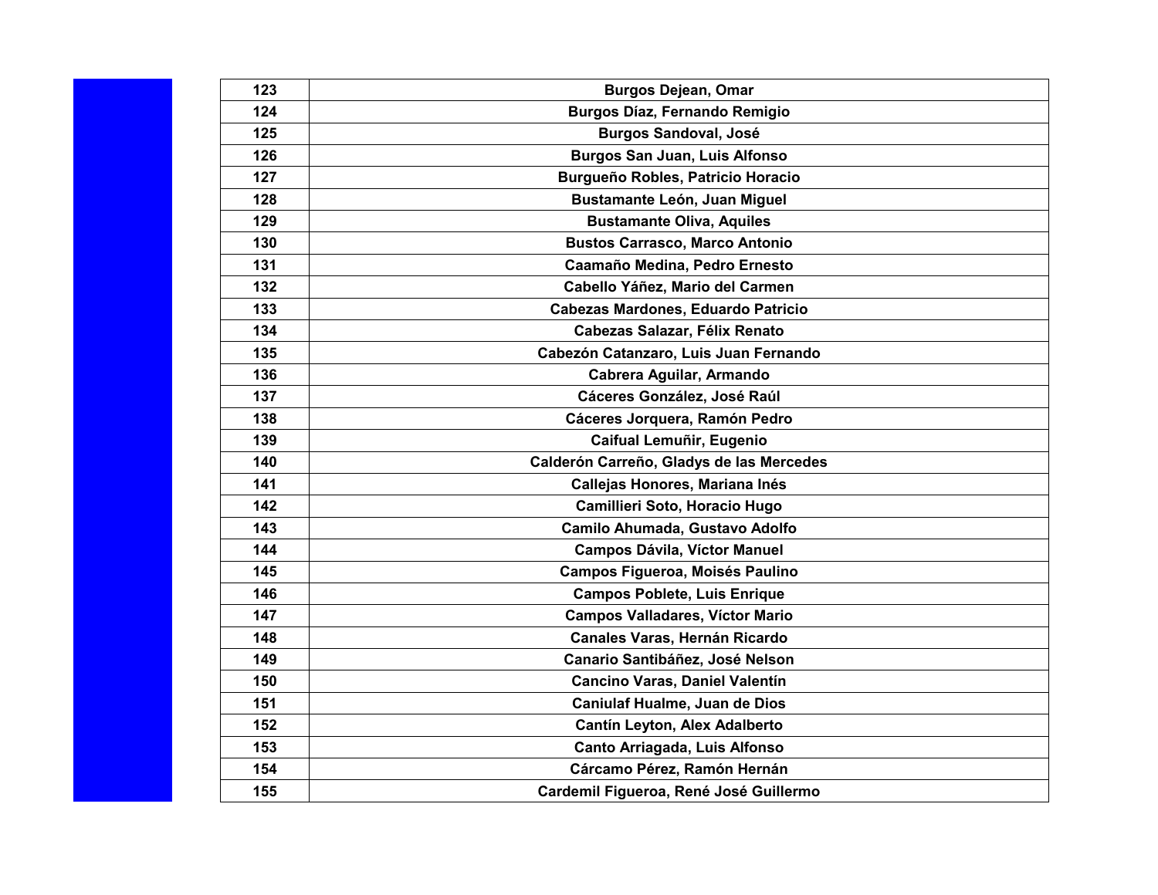| 123 | <b>Burgos Dejean, Omar</b>               |
|-----|------------------------------------------|
| 124 | Burgos Díaz, Fernando Remigio            |
| 125 | <b>Burgos Sandoval, José</b>             |
| 126 | <b>Burgos San Juan, Luis Alfonso</b>     |
| 127 | Burgueño Robles, Patricio Horacio        |
| 128 | <b>Bustamante León, Juan Miguel</b>      |
| 129 | <b>Bustamante Oliva, Aquiles</b>         |
| 130 | <b>Bustos Carrasco, Marco Antonio</b>    |
| 131 | Caamaño Medina, Pedro Ernesto            |
| 132 | Cabello Yáñez, Mario del Carmen          |
| 133 | Cabezas Mardones, Eduardo Patricio       |
| 134 | Cabezas Salazar, Félix Renato            |
| 135 | Cabezón Catanzaro, Luis Juan Fernando    |
| 136 | Cabrera Aguilar, Armando                 |
| 137 | Cáceres González, José Raúl              |
| 138 | Cáceres Jorquera, Ramón Pedro            |
| 139 | Caifual Lemuñir, Eugenio                 |
| 140 | Calderón Carreño, Gladys de las Mercedes |
| 141 | Callejas Honores, Mariana Inés           |
| 142 | Camillieri Soto, Horacio Hugo            |
| 143 | Camilo Ahumada, Gustavo Adolfo           |
| 144 | <b>Campos Dávila, Víctor Manuel</b>      |
| 145 | Campos Figueroa, Moisés Paulino          |
| 146 | <b>Campos Poblete, Luis Enrique</b>      |
| 147 | <b>Campos Valladares, Víctor Mario</b>   |
| 148 | Canales Varas, Hernán Ricardo            |
| 149 | Canario Santibáñez, José Nelson          |
| 150 | <b>Cancino Varas, Daniel Valentín</b>    |
| 151 | Caniulaf Hualme, Juan de Dios            |
| 152 | Cantín Leyton, Alex Adalberto            |
| 153 | Canto Arriagada, Luis Alfonso            |
| 154 | Cárcamo Pérez, Ramón Hernán              |
| 155 | Cardemil Figueroa, René José Guillermo   |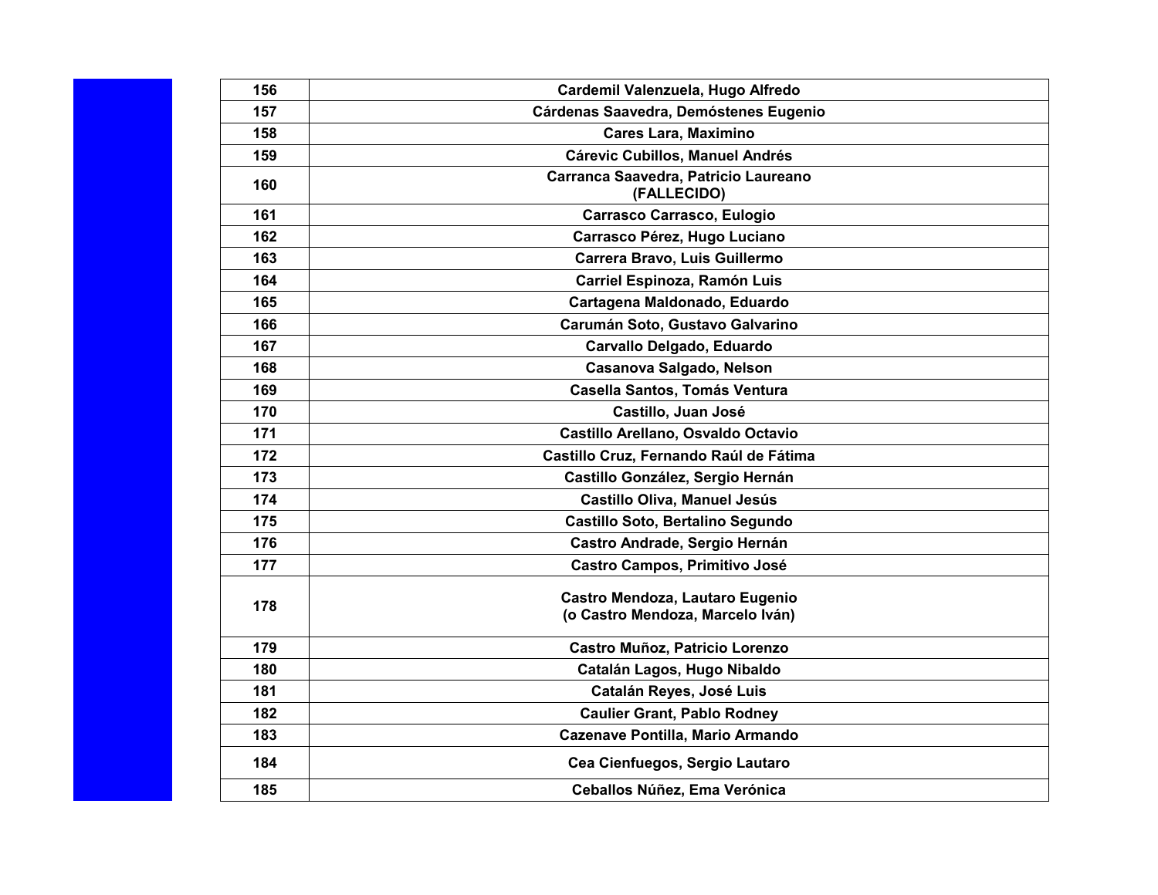| 156 | Cardemil Valenzuela, Hugo Alfredo                                   |
|-----|---------------------------------------------------------------------|
| 157 | Cárdenas Saavedra, Demóstenes Eugenio                               |
| 158 | <b>Cares Lara, Maximino</b>                                         |
| 159 | Cárevic Cubillos, Manuel Andrés                                     |
| 160 | Carranca Saavedra, Patricio Laureano<br>(FALLECIDO)                 |
| 161 | <b>Carrasco Carrasco, Eulogio</b>                                   |
| 162 | Carrasco Pérez, Hugo Luciano                                        |
| 163 | Carrera Bravo, Luis Guillermo                                       |
| 164 | Carriel Espinoza, Ramón Luis                                        |
| 165 | Cartagena Maldonado, Eduardo                                        |
| 166 | Carumán Soto, Gustavo Galvarino                                     |
| 167 | Carvallo Delgado, Eduardo                                           |
| 168 | Casanova Salgado, Nelson                                            |
| 169 | Casella Santos, Tomás Ventura                                       |
| 170 | Castillo, Juan José                                                 |
| 171 | Castillo Arellano, Osvaldo Octavio                                  |
| 172 | Castillo Cruz, Fernando Raúl de Fátima                              |
| 173 | Castillo González, Sergio Hernán                                    |
| 174 | Castillo Oliva, Manuel Jesús                                        |
| 175 | Castillo Soto, Bertalino Segundo                                    |
| 176 | Castro Andrade, Sergio Hernán                                       |
| 177 | Castro Campos, Primitivo José                                       |
| 178 | Castro Mendoza, Lautaro Eugenio<br>(o Castro Mendoza, Marcelo Iván) |
| 179 | Castro Muñoz, Patricio Lorenzo                                      |
| 180 | Catalán Lagos, Hugo Nibaldo                                         |
| 181 | Catalán Reyes, José Luis                                            |
| 182 | <b>Caulier Grant, Pablo Rodney</b>                                  |
| 183 | Cazenave Pontilla, Mario Armando                                    |
| 184 | Cea Cienfuegos, Sergio Lautaro                                      |
| 185 | Ceballos Núñez, Ema Verónica                                        |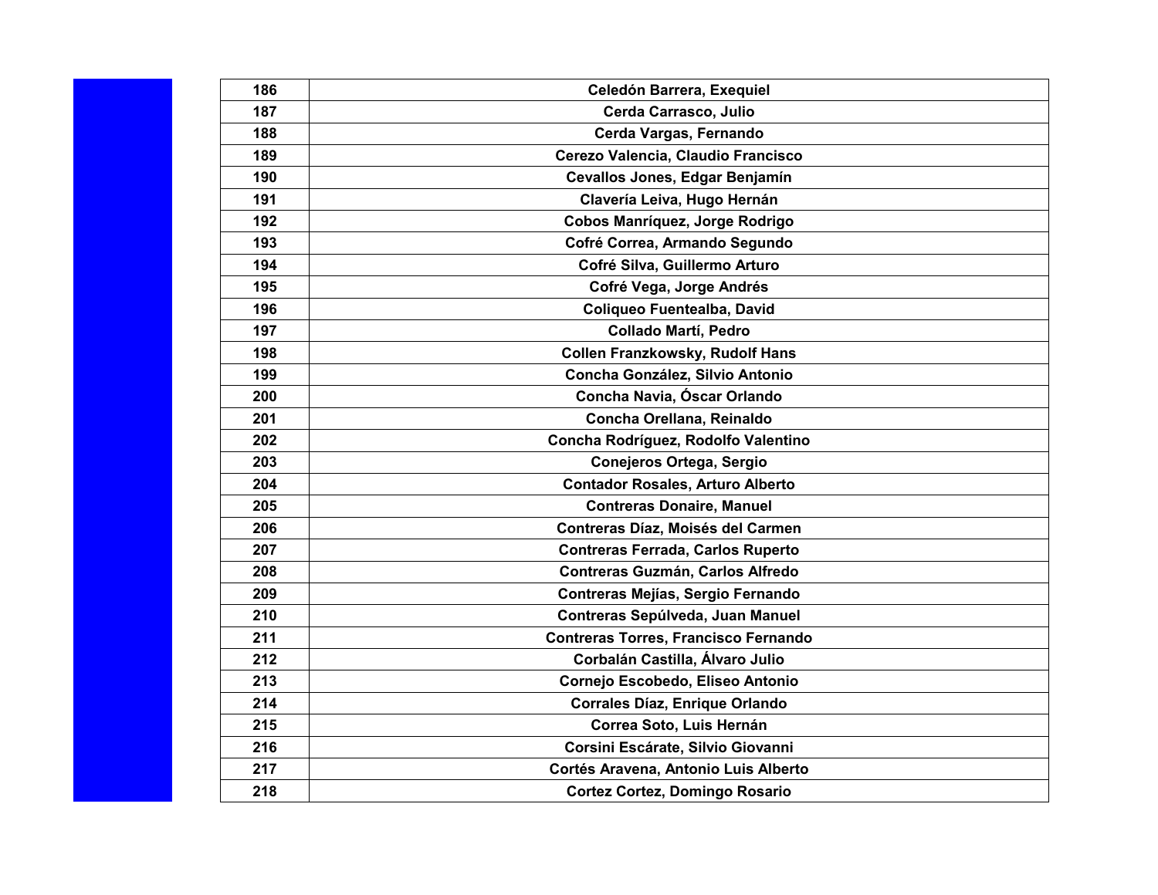| 186 | Celedón Barrera, Exequiel                |
|-----|------------------------------------------|
| 187 | Cerda Carrasco, Julio                    |
| 188 | Cerda Vargas, Fernando                   |
| 189 | Cerezo Valencia, Claudio Francisco       |
| 190 | Cevallos Jones, Edgar Benjamín           |
| 191 | Clavería Leiva, Hugo Hernán              |
| 192 | Cobos Manríquez, Jorge Rodrigo           |
| 193 | Cofré Correa, Armando Segundo            |
| 194 | Cofré Silva, Guillermo Arturo            |
| 195 | Cofré Vega, Jorge Andrés                 |
| 196 | Coliqueo Fuentealba, David               |
| 197 | Collado Martí, Pedro                     |
| 198 | <b>Collen Franzkowsky, Rudolf Hans</b>   |
| 199 | Concha González, Silvio Antonio          |
| 200 | Concha Navia, Óscar Orlando              |
| 201 | Concha Orellana, Reinaldo                |
| 202 | Concha Rodríguez, Rodolfo Valentino      |
| 203 | Conejeros Ortega, Sergio                 |
| 204 | <b>Contador Rosales, Arturo Alberto</b>  |
| 205 | <b>Contreras Donaire, Manuel</b>         |
| 206 | Contreras Díaz, Moisés del Carmen        |
| 207 | <b>Contreras Ferrada, Carlos Ruperto</b> |
| 208 | <b>Contreras Guzmán, Carlos Alfredo</b>  |
| 209 | Contreras Mejías, Sergio Fernando        |
| 210 | Contreras Sepúlveda, Juan Manuel         |
| 211 | Contreras Torres, Francisco Fernando     |
| 212 | Corbalán Castilla, Álvaro Julio          |
| 213 | Cornejo Escobedo, Eliseo Antonio         |
| 214 | Corrales Díaz, Enrique Orlando           |
| 215 | Correa Soto, Luis Hernán                 |
| 216 | Corsini Escárate, Silvio Giovanni        |
| 217 | Cortés Aravena, Antonio Luis Alberto     |
| 218 | Cortez Cortez, Domingo Rosario           |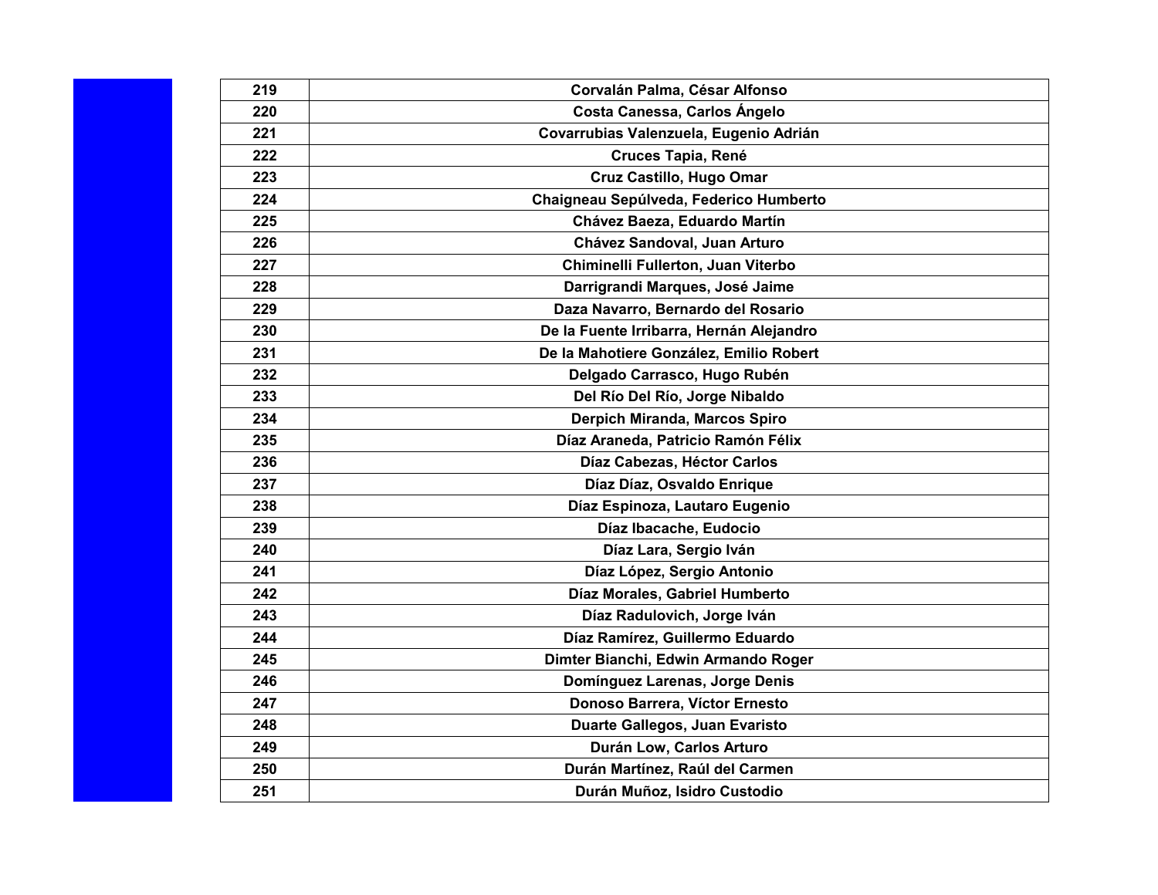| 219 | Corvalán Palma, César Alfonso            |
|-----|------------------------------------------|
| 220 | Costa Canessa, Carlos Ángelo             |
| 221 | Covarrubias Valenzuela, Eugenio Adrián   |
| 222 | Cruces Tapia, René                       |
| 223 | Cruz Castillo, Hugo Omar                 |
| 224 | Chaigneau Sepúlveda, Federico Humberto   |
| 225 | Chávez Baeza, Eduardo Martín             |
| 226 | Chávez Sandoval, Juan Arturo             |
| 227 | Chiminelli Fullerton, Juan Viterbo       |
| 228 | Darrigrandi Marques, José Jaime          |
| 229 | Daza Navarro, Bernardo del Rosario       |
| 230 | De la Fuente Irribarra, Hernán Alejandro |
| 231 | De la Mahotiere González, Emilio Robert  |
| 232 | Delgado Carrasco, Hugo Rubén             |
| 233 | Del Río Del Río, Jorge Nibaldo           |
| 234 | Derpich Miranda, Marcos Spiro            |
| 235 | Díaz Araneda, Patricio Ramón Félix       |
| 236 | Díaz Cabezas, Héctor Carlos              |
| 237 | Díaz Díaz, Osvaldo Enrique               |
| 238 | Díaz Espinoza, Lautaro Eugenio           |
| 239 | Díaz Ibacache, Eudocio                   |
| 240 | Díaz Lara, Sergio Iván                   |
| 241 | Díaz López, Sergio Antonio               |
| 242 | Díaz Morales, Gabriel Humberto           |
| 243 | Díaz Radulovich, Jorge Iván              |
| 244 | Díaz Ramírez, Guillermo Eduardo          |
| 245 | Dimter Bianchi, Edwin Armando Roger      |
| 246 | Domínguez Larenas, Jorge Denis           |
| 247 | Donoso Barrera, Víctor Ernesto           |
| 248 | Duarte Gallegos, Juan Evaristo           |
| 249 | Durán Low, Carlos Arturo                 |
| 250 | Durán Martínez, Raúl del Carmen          |
| 251 | Durán Muñoz, Isidro Custodio             |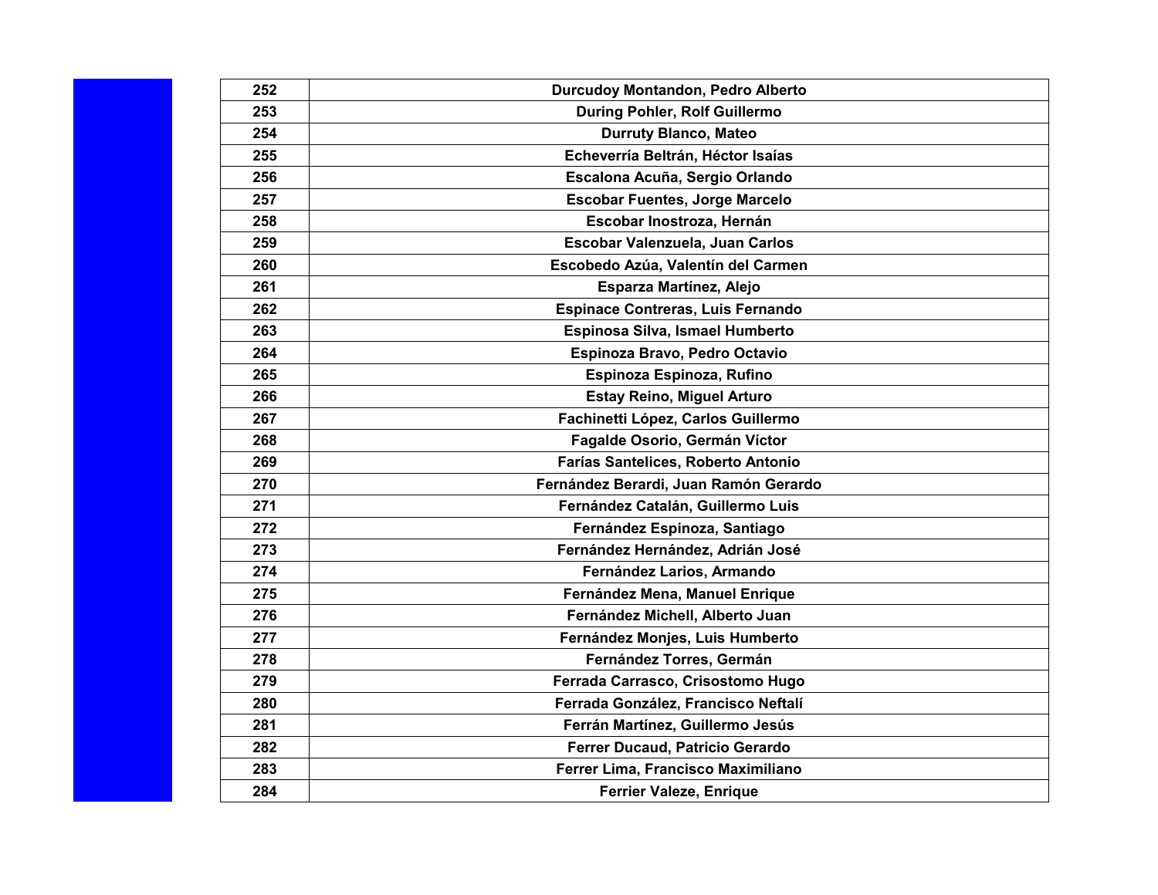| 252 | <b>Durcudoy Montandon, Pedro Alberto</b> |
|-----|------------------------------------------|
| 253 | During Pohler, Rolf Guillermo            |
| 254 | <b>Durruty Blanco, Mateo</b>             |
| 255 | Echeverría Beltrán, Héctor Isaías        |
| 256 | Escalona Acuña, Sergio Orlando           |
| 257 | <b>Escobar Fuentes, Jorge Marcelo</b>    |
| 258 | Escobar Inostroza, Hernán                |
| 259 | Escobar Valenzuela, Juan Carlos          |
| 260 | Escobedo Azúa, Valentín del Carmen       |
| 261 | Esparza Martínez, Alejo                  |
| 262 | <b>Espinace Contreras, Luis Fernando</b> |
| 263 | Espinosa Silva, Ismael Humberto          |
| 264 | Espinoza Bravo, Pedro Octavio            |
| 265 | Espinoza Espinoza, Rufino                |
| 266 | <b>Estay Reino, Miguel Arturo</b>        |
| 267 | Fachinetti López, Carlos Guillermo       |
| 268 | Fagalde Osorio, Germán Víctor            |
| 269 | Farías Santelices, Roberto Antonio       |
| 270 | Fernández Berardi, Juan Ramón Gerardo    |
| 271 | Fernández Catalán, Guillermo Luis        |
| 272 | Fernández Espinoza, Santiago             |
| 273 | Fernández Hernández, Adrián José         |
| 274 | Fernández Larios, Armando                |
| 275 | Fernández Mena, Manuel Enrique           |
| 276 | Fernández Michell, Alberto Juan          |
| 277 | Fernández Monjes, Luis Humberto          |
| 278 | Fernández Torres, Germán                 |
| 279 | Ferrada Carrasco, Crisostomo Hugo        |
| 280 | Ferrada González, Francisco Neftalí      |
| 281 | Ferrán Martínez, Guillermo Jesús         |
| 282 | Ferrer Ducaud, Patricio Gerardo          |
| 283 | Ferrer Lima, Francisco Maximiliano       |
| 284 | <b>Ferrier Valeze, Enrique</b>           |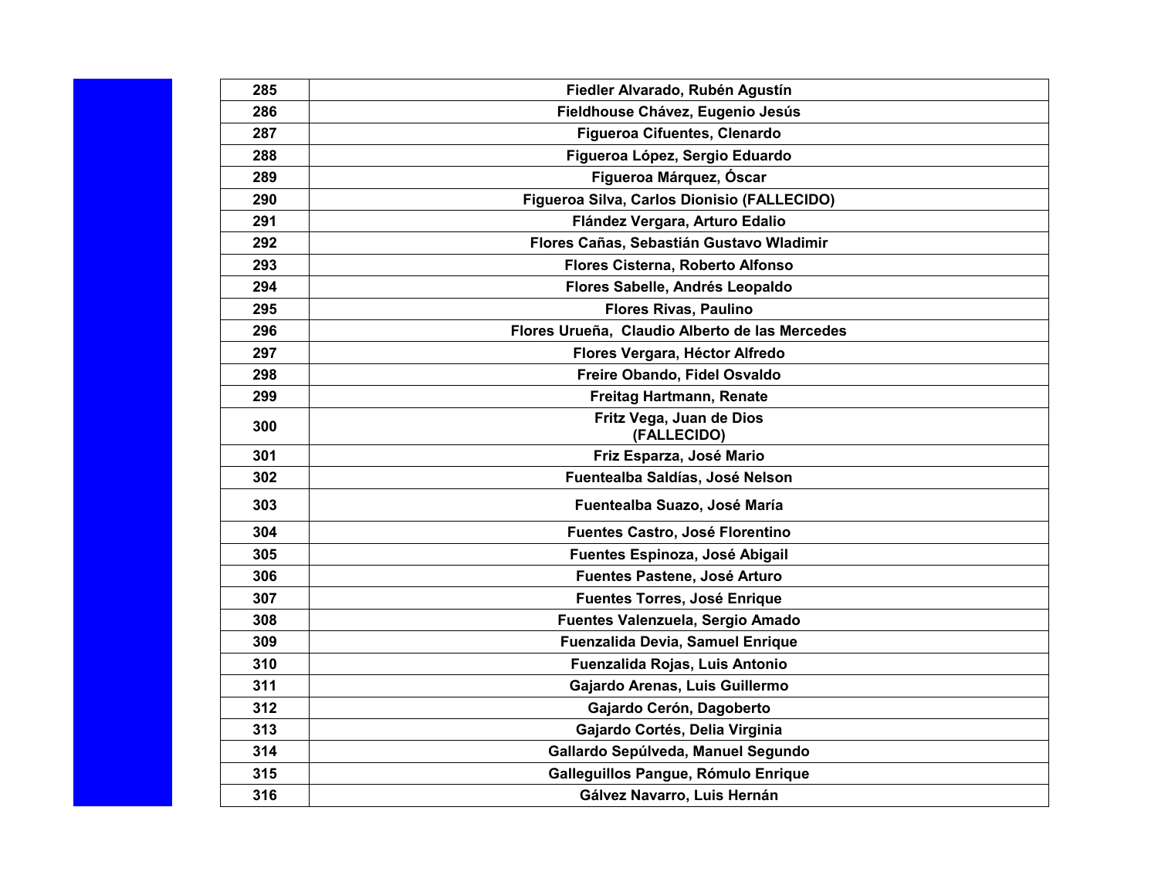| 285 | Fiedler Alvarado, Rubén Agustín                |  |  |
|-----|------------------------------------------------|--|--|
| 286 | Fieldhouse Chávez, Eugenio Jesús               |  |  |
| 287 | Figueroa Cifuentes, Clenardo                   |  |  |
| 288 | Figueroa López, Sergio Eduardo                 |  |  |
| 289 | Figueroa Márquez, Óscar                        |  |  |
| 290 | Figueroa Silva, Carlos Dionisio (FALLECIDO)    |  |  |
| 291 | Flández Vergara, Arturo Edalio                 |  |  |
| 292 | Flores Cañas, Sebastián Gustavo Wladimir       |  |  |
| 293 | Flores Cisterna, Roberto Alfonso               |  |  |
| 294 | Flores Sabelle, Andrés Leopaldo                |  |  |
| 295 | <b>Flores Rivas, Paulino</b>                   |  |  |
| 296 | Flores Urueña, Claudio Alberto de las Mercedes |  |  |
| 297 | Flores Vergara, Héctor Alfredo                 |  |  |
| 298 | Freire Obando, Fidel Osvaldo                   |  |  |
| 299 | Freitag Hartmann, Renate                       |  |  |
| 300 | Fritz Vega, Juan de Dios<br>(FALLECIDO)        |  |  |
| 301 | Friz Esparza, José Mario                       |  |  |
| 302 | Fuentealba Saldías, José Nelson                |  |  |
| 303 | Fuentealba Suazo, José María                   |  |  |
| 304 | Fuentes Castro, José Florentino                |  |  |
| 305 | Fuentes Espinoza, José Abigail                 |  |  |
| 306 | Fuentes Pastene, José Arturo                   |  |  |
| 307 | <b>Fuentes Torres, José Enrique</b>            |  |  |
| 308 | Fuentes Valenzuela, Sergio Amado               |  |  |
| 309 | Fuenzalida Devia, Samuel Enrique               |  |  |
| 310 | Fuenzalida Rojas, Luis Antonio                 |  |  |
| 311 | Gajardo Arenas, Luis Guillermo                 |  |  |
| 312 | Gajardo Cerón, Dagoberto                       |  |  |
| 313 | Gajardo Cortés, Delia Virginia                 |  |  |
| 314 | Gallardo Sepúlveda, Manuel Segundo             |  |  |
| 315 | Galleguillos Pangue, Rómulo Enrique            |  |  |
| 316 | Gálvez Navarro, Luis Hernán                    |  |  |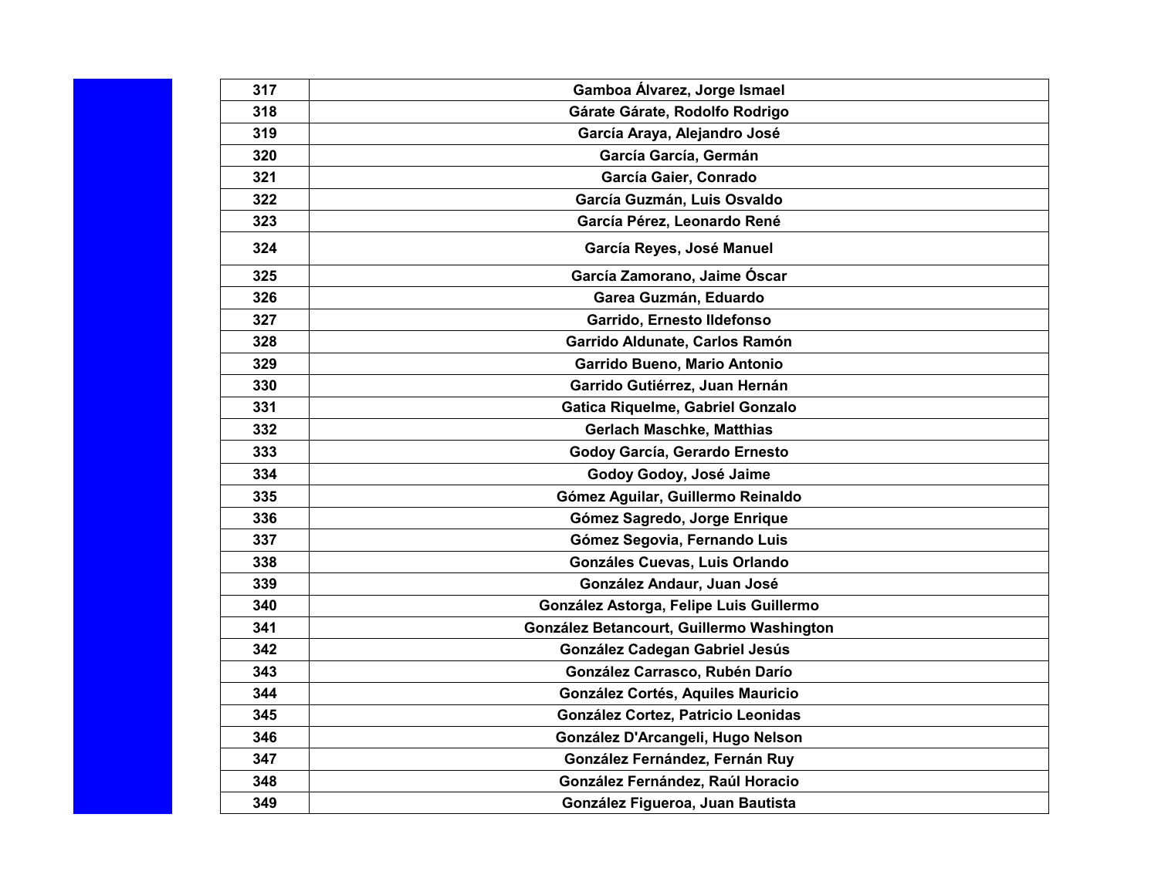| 317 | Gamboa Álvarez, Jorge Ismael              |  |  |  |
|-----|-------------------------------------------|--|--|--|
| 318 | Gárate Gárate, Rodolfo Rodrigo            |  |  |  |
| 319 | García Araya, Alejandro José              |  |  |  |
| 320 | García García, Germán                     |  |  |  |
| 321 | García Gaier, Conrado                     |  |  |  |
| 322 | García Guzmán, Luis Osvaldo               |  |  |  |
| 323 | García Pérez, Leonardo René               |  |  |  |
| 324 | García Reyes, José Manuel                 |  |  |  |
| 325 | García Zamorano, Jaime Óscar              |  |  |  |
| 326 | Garea Guzmán, Eduardo                     |  |  |  |
| 327 | Garrido, Ernesto Ildefonso                |  |  |  |
| 328 | Garrido Aldunate, Carlos Ramón            |  |  |  |
| 329 | Garrido Bueno, Mario Antonio              |  |  |  |
| 330 | Garrido Gutiérrez, Juan Hernán            |  |  |  |
| 331 | Gatica Riquelme, Gabriel Gonzalo          |  |  |  |
| 332 | <b>Gerlach Maschke, Matthias</b>          |  |  |  |
| 333 | Godoy García, Gerardo Ernesto             |  |  |  |
| 334 | Godoy Godoy, José Jaime                   |  |  |  |
| 335 | Gómez Aguilar, Guillermo Reinaldo         |  |  |  |
| 336 | Gómez Sagredo, Jorge Enrique              |  |  |  |
| 337 | Gómez Segovia, Fernando Luis              |  |  |  |
| 338 | Gonzáles Cuevas, Luis Orlando             |  |  |  |
| 339 | González Andaur, Juan José                |  |  |  |
| 340 | González Astorga, Felipe Luis Guillermo   |  |  |  |
| 341 | González Betancourt, Guillermo Washington |  |  |  |
| 342 | González Cadegan Gabriel Jesús            |  |  |  |
| 343 | González Carrasco, Rubén Darío            |  |  |  |
| 344 | González Cortés, Aquiles Mauricio         |  |  |  |
| 345 | González Cortez, Patricio Leonidas        |  |  |  |
| 346 | González D'Arcangeli, Hugo Nelson         |  |  |  |
| 347 | González Fernández, Fernán Ruy            |  |  |  |
| 348 | González Fernández, Raúl Horacio          |  |  |  |
| 349 | González Figueroa, Juan Bautista          |  |  |  |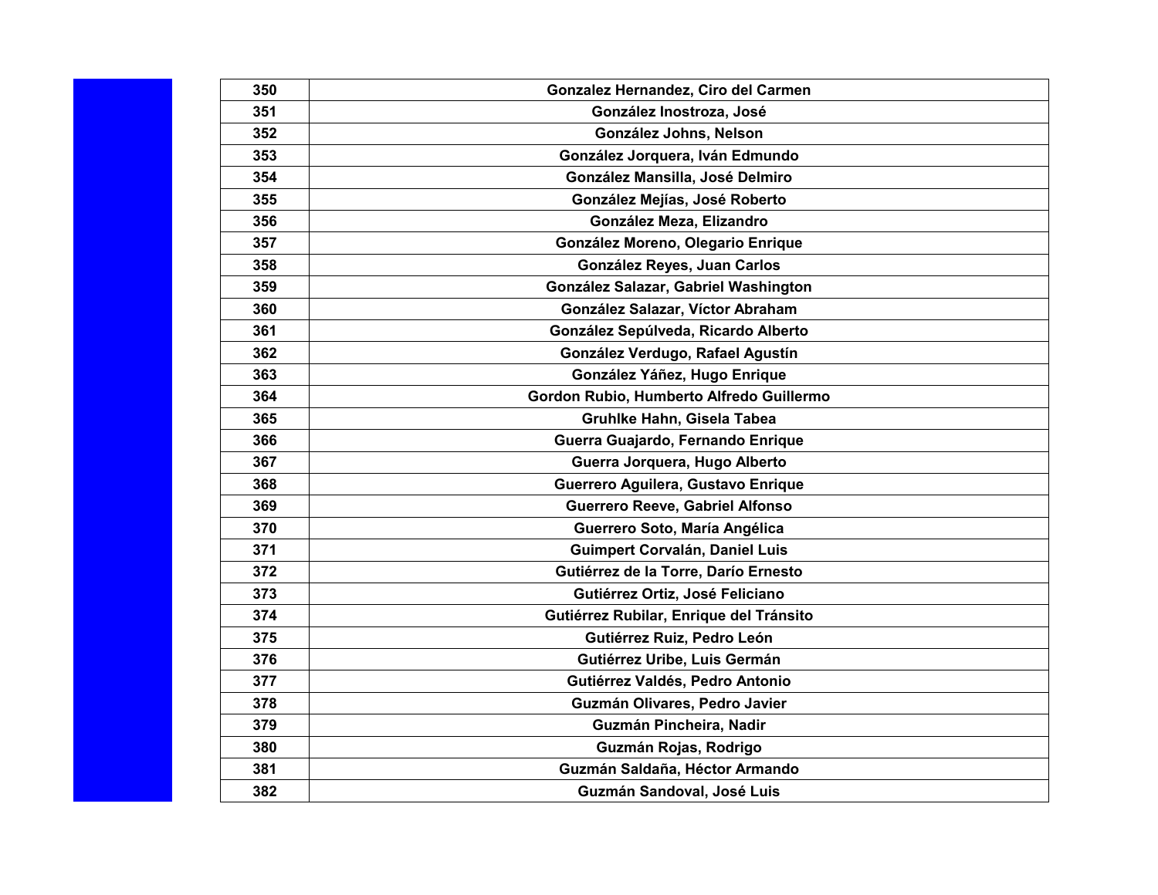| 350 | Gonzalez Hernandez, Ciro del Carmen      |  |
|-----|------------------------------------------|--|
| 351 | González Inostroza, José                 |  |
| 352 | González Johns, Nelson                   |  |
| 353 | González Jorquera, Iván Edmundo          |  |
| 354 | González Mansilla, José Delmiro          |  |
| 355 | González Mejías, José Roberto            |  |
| 356 | González Meza, Elizandro                 |  |
| 357 | González Moreno, Olegario Enrique        |  |
| 358 | González Reyes, Juan Carlos              |  |
| 359 | González Salazar, Gabriel Washington     |  |
| 360 | González Salazar, Víctor Abraham         |  |
| 361 | González Sepúlveda, Ricardo Alberto      |  |
| 362 | González Verdugo, Rafael Agustín         |  |
| 363 | González Yáñez, Hugo Enrique             |  |
| 364 | Gordon Rubio, Humberto Alfredo Guillermo |  |
| 365 | Gruhlke Hahn, Gisela Tabea               |  |
| 366 | Guerra Guajardo, Fernando Enrique        |  |
| 367 | Guerra Jorquera, Hugo Alberto            |  |
| 368 | Guerrero Aguilera, Gustavo Enrique       |  |
| 369 | Guerrero Reeve, Gabriel Alfonso          |  |
| 370 | Guerrero Soto, María Angélica            |  |
| 371 | Guimpert Corvalán, Daniel Luis           |  |
| 372 | Gutiérrez de la Torre, Darío Ernesto     |  |
| 373 | Gutiérrez Ortiz, José Feliciano          |  |
| 374 | Gutiérrez Rubilar, Enrique del Tránsito  |  |
| 375 | Gutiérrez Ruiz, Pedro León               |  |
| 376 | Gutiérrez Uribe, Luis Germán             |  |
| 377 | Gutiérrez Valdés, Pedro Antonio          |  |
| 378 | Guzmán Olivares, Pedro Javier            |  |
| 379 | Guzmán Pincheira, Nadir                  |  |
| 380 | Guzmán Rojas, Rodrigo                    |  |
| 381 | Guzmán Saldaña, Héctor Armando           |  |
| 382 | Guzmán Sandoval, José Luis               |  |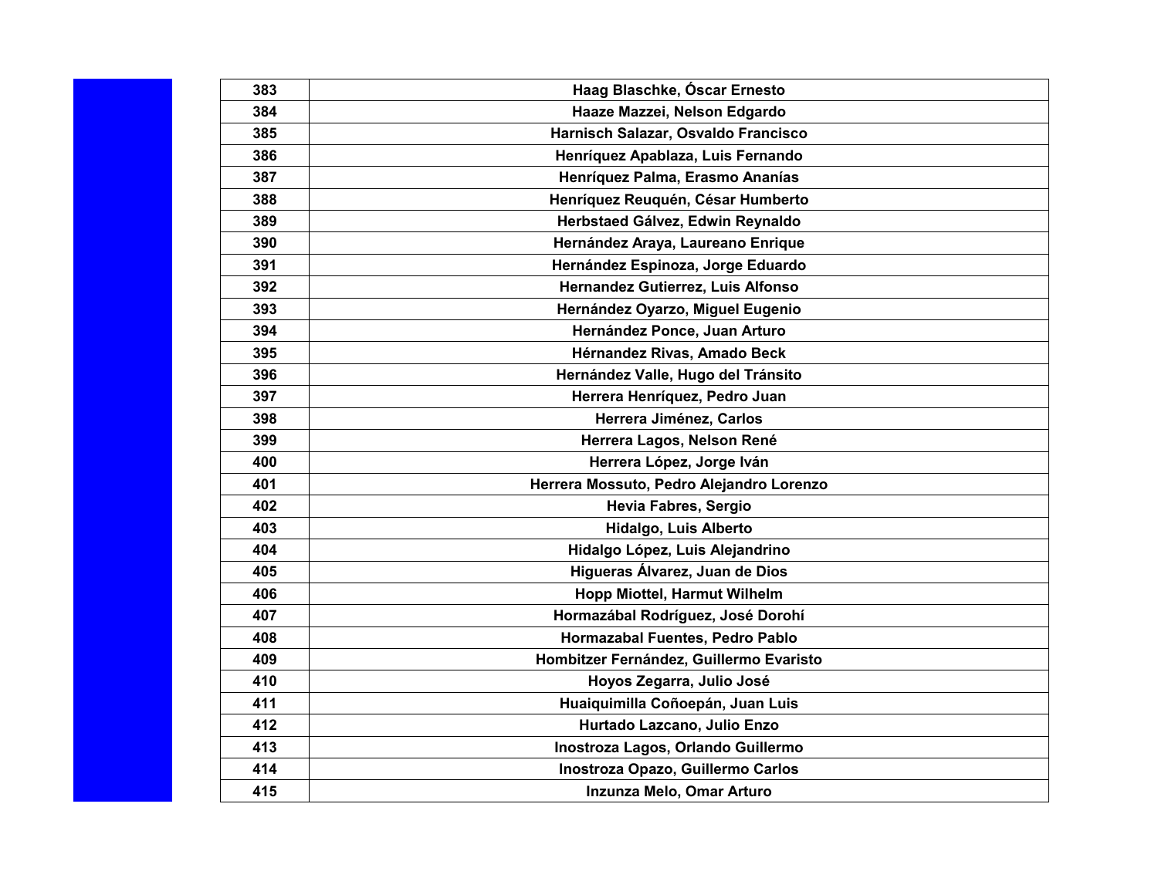| 383 | Haag Blaschke, Óscar Ernesto             |  |
|-----|------------------------------------------|--|
| 384 | Haaze Mazzei, Nelson Edgardo             |  |
| 385 | Harnisch Salazar, Osvaldo Francisco      |  |
| 386 | Henríquez Apablaza, Luis Fernando        |  |
| 387 | Henríquez Palma, Erasmo Ananías          |  |
| 388 | Henríquez Reuquén, César Humberto        |  |
| 389 | Herbstaed Gálvez, Edwin Reynaldo         |  |
| 390 | Hernández Araya, Laureano Enrique        |  |
| 391 | Hernández Espinoza, Jorge Eduardo        |  |
| 392 | Hernandez Gutierrez, Luis Alfonso        |  |
| 393 | Hernández Oyarzo, Miguel Eugenio         |  |
| 394 | Hernández Ponce, Juan Arturo             |  |
| 395 | Hérnandez Rivas, Amado Beck              |  |
| 396 | Hernández Valle, Hugo del Tránsito       |  |
| 397 | Herrera Henríquez, Pedro Juan            |  |
| 398 | Herrera Jiménez, Carlos                  |  |
| 399 | Herrera Lagos, Nelson René               |  |
| 400 | Herrera López, Jorge Iván                |  |
| 401 | Herrera Mossuto, Pedro Alejandro Lorenzo |  |
| 402 | Hevia Fabres, Sergio                     |  |
| 403 | Hidalgo, Luis Alberto                    |  |
| 404 | Hidalgo López, Luis Alejandrino          |  |
| 405 | Higueras Álvarez, Juan de Dios           |  |
| 406 | Hopp Miottel, Harmut Wilhelm             |  |
| 407 | Hormazábal Rodríguez, José Dorohí        |  |
| 408 | Hormazabal Fuentes, Pedro Pablo          |  |
| 409 | Hombitzer Fernández, Guillermo Evaristo  |  |
| 410 | Hoyos Zegarra, Julio José                |  |
| 411 | Huaiquimilla Coñoepán, Juan Luis         |  |
| 412 | Hurtado Lazcano, Julio Enzo              |  |
| 413 | Inostroza Lagos, Orlando Guillermo       |  |
| 414 | Inostroza Opazo, Guillermo Carlos        |  |
| 415 | Inzunza Melo, Omar Arturo                |  |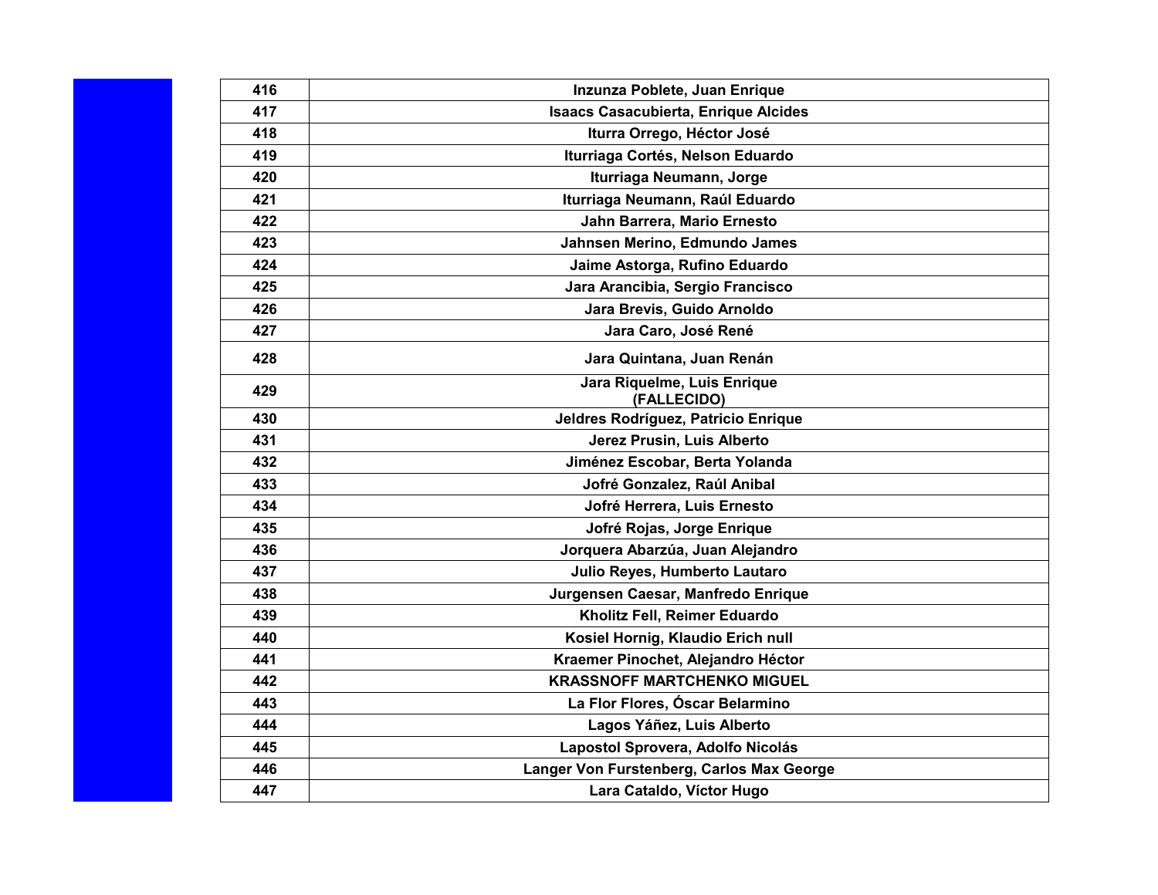| 416 | Inzunza Poblete, Juan Enrique               |  |
|-----|---------------------------------------------|--|
| 417 | <b>Isaacs Casacubierta, Enrique Alcides</b> |  |
| 418 | Iturra Orrego, Héctor José                  |  |
| 419 | Iturriaga Cortés, Nelson Eduardo            |  |
| 420 | Iturriaga Neumann, Jorge                    |  |
| 421 | Iturriaga Neumann, Raúl Eduardo             |  |
| 422 | Jahn Barrera, Mario Ernesto                 |  |
| 423 | Jahnsen Merino, Edmundo James               |  |
| 424 | Jaime Astorga, Rufino Eduardo               |  |
| 425 | Jara Arancibia, Sergio Francisco            |  |
| 426 | Jara Brevis, Guido Arnoldo                  |  |
| 427 | Jara Caro, José René                        |  |
| 428 | Jara Quintana, Juan Renán                   |  |
| 429 | Jara Riquelme, Luis Enrique<br>(FALLECIDO)  |  |
| 430 | Jeldres Rodríguez, Patricio Enrique         |  |
| 431 | Jerez Prusin, Luis Alberto                  |  |
| 432 | Jiménez Escobar, Berta Yolanda              |  |
| 433 | Jofré Gonzalez, Raúl Anibal                 |  |
| 434 | Jofré Herrera, Luis Ernesto                 |  |
| 435 | Jofré Rojas, Jorge Enrique                  |  |
| 436 | Jorquera Abarzúa, Juan Alejandro            |  |
| 437 | Julio Reyes, Humberto Lautaro               |  |
| 438 | Jurgensen Caesar, Manfredo Enrique          |  |
| 439 | Kholitz Fell, Reimer Eduardo                |  |
| 440 | Kosiel Hornig, Klaudio Erich null           |  |
| 441 | Kraemer Pinochet, Alejandro Héctor          |  |
| 442 | <b>KRASSNOFF MARTCHENKO MIGUEL</b>          |  |
| 443 | La Flor Flores, Óscar Belarmino             |  |
| 444 | Lagos Yáñez, Luis Alberto                   |  |
| 445 | Lapostol Sprovera, Adolfo Nicolás           |  |
| 446 | Langer Von Furstenberg, Carlos Max George   |  |
| 447 | Lara Cataldo, Víctor Hugo                   |  |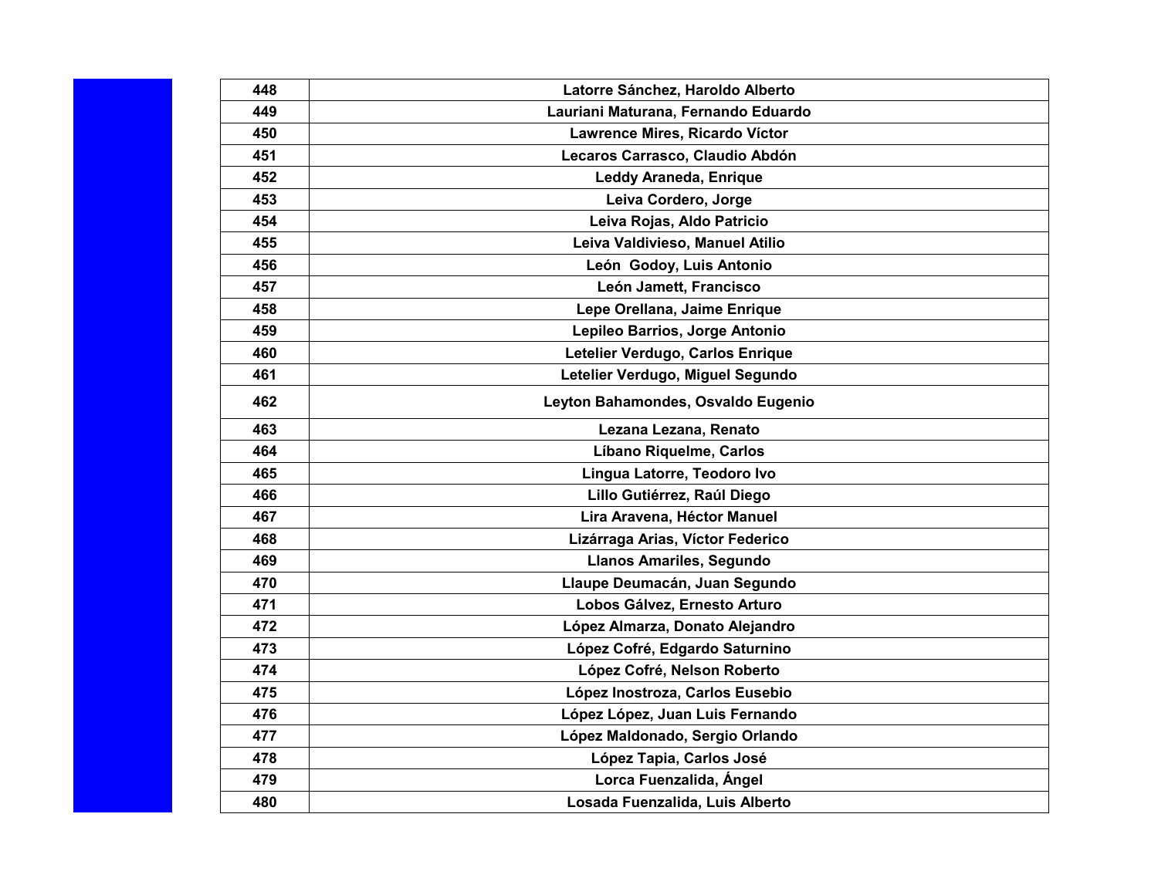| 448 | Latorre Sánchez, Haroldo Alberto    |  |
|-----|-------------------------------------|--|
| 449 | Lauriani Maturana, Fernando Eduardo |  |
| 450 | Lawrence Mires, Ricardo Víctor      |  |
| 451 | Lecaros Carrasco, Claudio Abdón     |  |
| 452 | Leddy Araneda, Enrique              |  |
| 453 | Leiva Cordero, Jorge                |  |
| 454 | Leiva Rojas, Aldo Patricio          |  |
| 455 | Leiva Valdivieso, Manuel Atilio     |  |
| 456 | León Godoy, Luis Antonio            |  |
| 457 | León Jamett, Francisco              |  |
| 458 | Lepe Orellana, Jaime Enrique        |  |
| 459 | Lepileo Barrios, Jorge Antonio      |  |
| 460 | Letelier Verdugo, Carlos Enrique    |  |
| 461 | Letelier Verdugo, Miguel Segundo    |  |
| 462 | Leyton Bahamondes, Osvaldo Eugenio  |  |
| 463 | Lezana Lezana, Renato               |  |
| 464 | Líbano Riquelme, Carlos             |  |
| 465 | Lingua Latorre, Teodoro Ivo         |  |
| 466 | Lillo Gutiérrez, Raúl Diego         |  |
| 467 | Lira Aravena, Héctor Manuel         |  |
| 468 | Lizárraga Arias, Víctor Federico    |  |
| 469 | <b>Llanos Amariles, Segundo</b>     |  |
| 470 | Llaupe Deumacán, Juan Segundo       |  |
| 471 | Lobos Gálvez, Ernesto Arturo        |  |
| 472 | López Almarza, Donato Alejandro     |  |
| 473 | López Cofré, Edgardo Saturnino      |  |
| 474 | López Cofré, Nelson Roberto         |  |
| 475 | López Inostroza, Carlos Eusebio     |  |
| 476 | López López, Juan Luis Fernando     |  |
| 477 | López Maldonado, Sergio Orlando     |  |
| 478 | López Tapia, Carlos José            |  |
| 479 | Lorca Fuenzalida, Ángel             |  |
| 480 | Losada Fuenzalida, Luis Alberto     |  |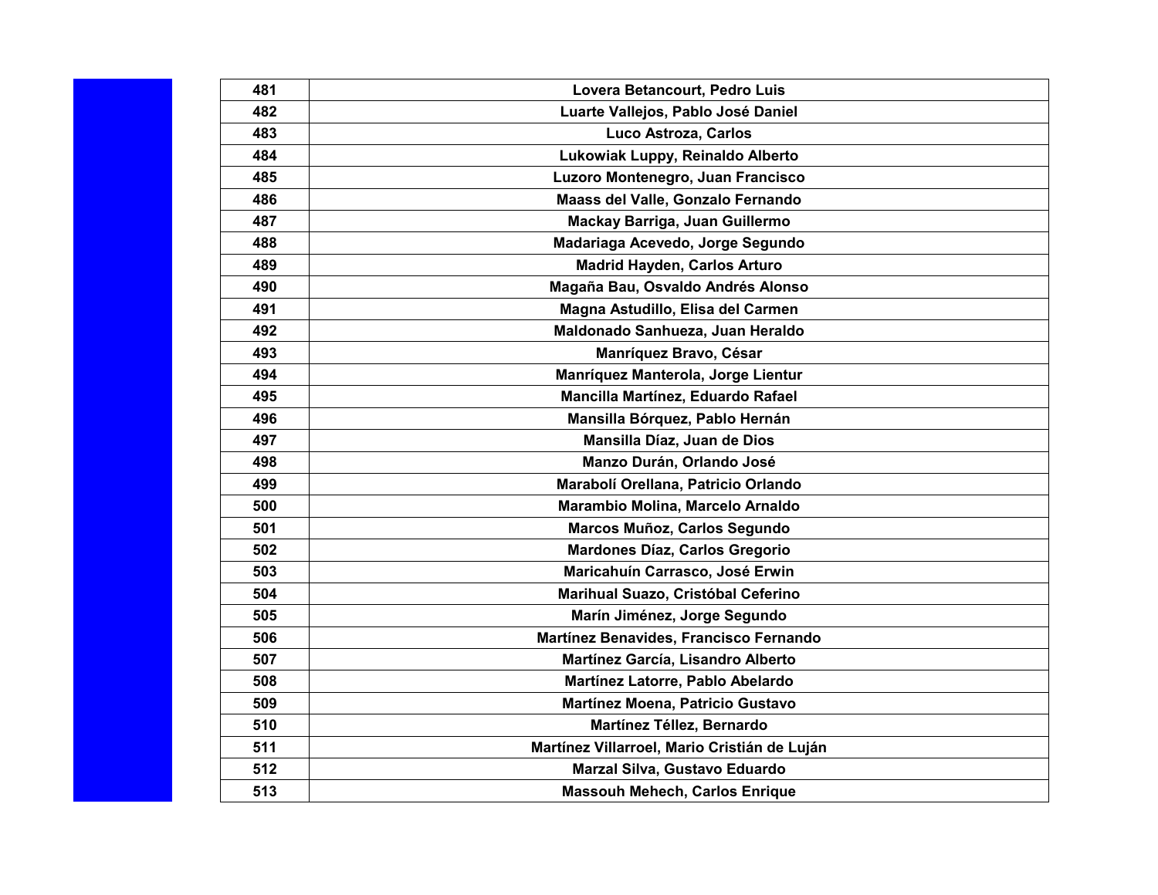| 481 | Lovera Betancourt, Pedro Luis                |  |
|-----|----------------------------------------------|--|
| 482 | Luarte Vallejos, Pablo José Daniel           |  |
| 483 | Luco Astroza, Carlos                         |  |
| 484 | Lukowiak Luppy, Reinaldo Alberto             |  |
| 485 | Luzoro Montenegro, Juan Francisco            |  |
| 486 | Maass del Valle, Gonzalo Fernando            |  |
| 487 | Mackay Barriga, Juan Guillermo               |  |
| 488 | Madariaga Acevedo, Jorge Segundo             |  |
| 489 | <b>Madrid Hayden, Carlos Arturo</b>          |  |
| 490 | Magaña Bau, Osvaldo Andrés Alonso            |  |
| 491 | Magna Astudillo, Elisa del Carmen            |  |
| 492 | Maldonado Sanhueza, Juan Heraldo             |  |
| 493 | Manríquez Bravo, César                       |  |
| 494 | Manríquez Manterola, Jorge Lientur           |  |
| 495 | Mancilla Martínez, Eduardo Rafael            |  |
| 496 | Mansilla Bórquez, Pablo Hernán               |  |
| 497 | Mansilla Díaz, Juan de Dios                  |  |
| 498 | Manzo Durán, Orlando José                    |  |
| 499 | Marabolí Orellana, Patricio Orlando          |  |
| 500 | Marambio Molina, Marcelo Arnaldo             |  |
| 501 | Marcos Muñoz, Carlos Segundo                 |  |
| 502 | Mardones Díaz, Carlos Gregorio               |  |
| 503 | Maricahuín Carrasco, José Erwin              |  |
| 504 | Marihual Suazo, Cristóbal Ceferino           |  |
| 505 | Marín Jiménez, Jorge Segundo                 |  |
| 506 | Martínez Benavides, Francisco Fernando       |  |
| 507 | Martínez García, Lisandro Alberto            |  |
| 508 | Martínez Latorre, Pablo Abelardo             |  |
| 509 | Martínez Moena, Patricio Gustavo             |  |
| 510 | Martínez Téllez, Bernardo                    |  |
| 511 | Martínez Villarroel, Mario Cristián de Luján |  |
| 512 | Marzal Silva, Gustavo Eduardo                |  |
| 513 | <b>Massouh Mehech, Carlos Enrique</b>        |  |
|     |                                              |  |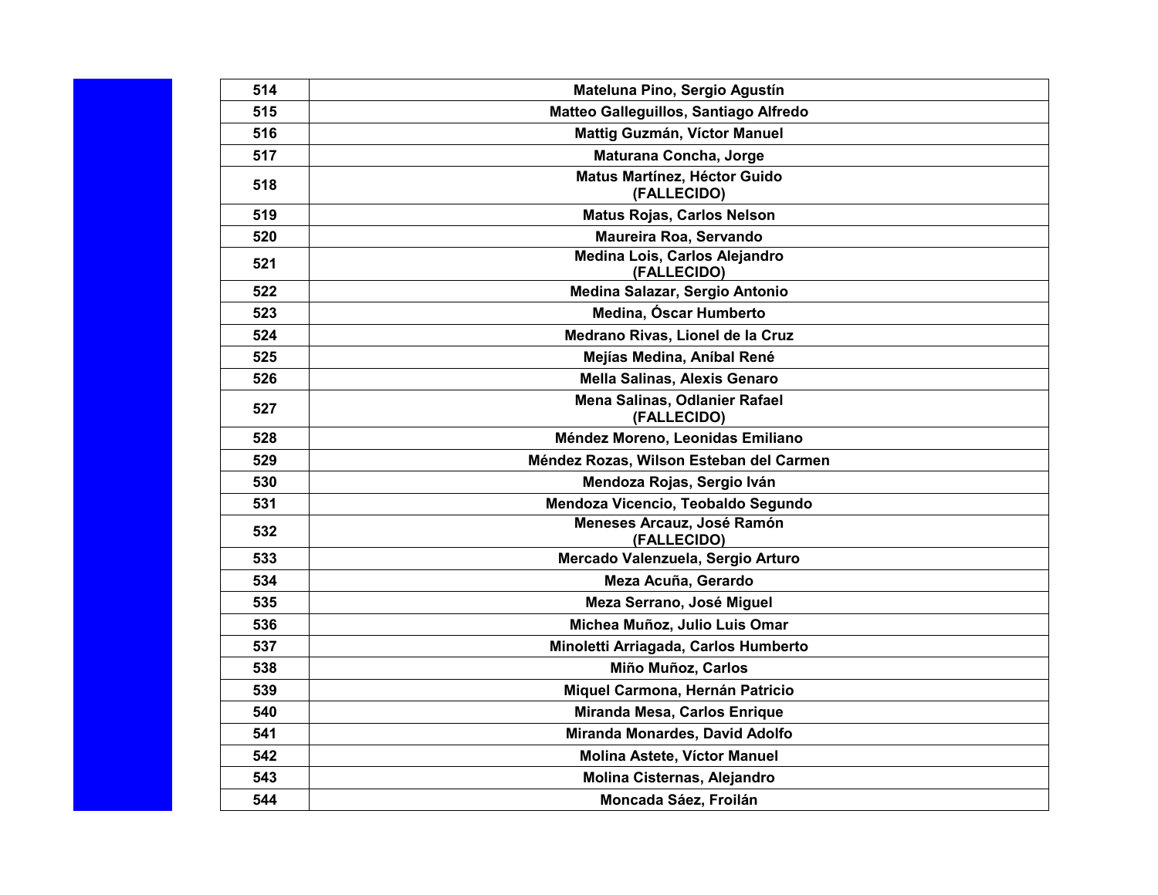| 514 | Mateluna Pino, Sergio Agustín                |  |
|-----|----------------------------------------------|--|
| 515 | Matteo Galleguillos, Santiago Alfredo        |  |
| 516 | Mattig Guzmán, Víctor Manuel                 |  |
| 517 | Maturana Concha, Jorge                       |  |
| 518 | Matus Martínez, Héctor Guido<br>(FALLECIDO)  |  |
| 519 | <b>Matus Rojas, Carlos Nelson</b>            |  |
| 520 | Maureira Roa, Servando                       |  |
| 521 | Medina Lois, Carlos Alejandro<br>(FALLECIDO) |  |
| 522 | Medina Salazar, Sergio Antonio               |  |
| 523 | Medina, Óscar Humberto                       |  |
| 524 | Medrano Rivas, Lionel de la Cruz             |  |
| 525 | Mejías Medina, Aníbal René                   |  |
| 526 | <b>Mella Salinas, Alexis Genaro</b>          |  |
| 527 | Mena Salinas, Odlanier Rafael<br>(FALLECIDO) |  |
| 528 | Méndez Moreno, Leonidas Emiliano             |  |
| 529 | Méndez Rozas, Wilson Esteban del Carmen      |  |
| 530 | Mendoza Rojas, Sergio Iván                   |  |
| 531 | Mendoza Vicencio, Teobaldo Segundo           |  |
| 532 | Meneses Arcauz, José Ramón<br>(FALLECIDO)    |  |
| 533 | Mercado Valenzuela, Sergio Arturo            |  |
| 534 | Meza Acuña, Gerardo                          |  |
| 535 | Meza Serrano, José Miguel                    |  |
| 536 | Michea Muñoz, Julio Luis Omar                |  |
| 537 | Minoletti Arriagada, Carlos Humberto         |  |
| 538 | Miño Muñoz, Carlos                           |  |
| 539 | Miquel Carmona, Hernán Patricio              |  |
| 540 | Miranda Mesa, Carlos Enrique                 |  |
| 541 | Miranda Monardes, David Adolfo               |  |
| 542 | Molina Astete, Víctor Manuel                 |  |
| 543 | Molina Cisternas, Alejandro                  |  |
| 544 | Moncada Sáez, Froilán                        |  |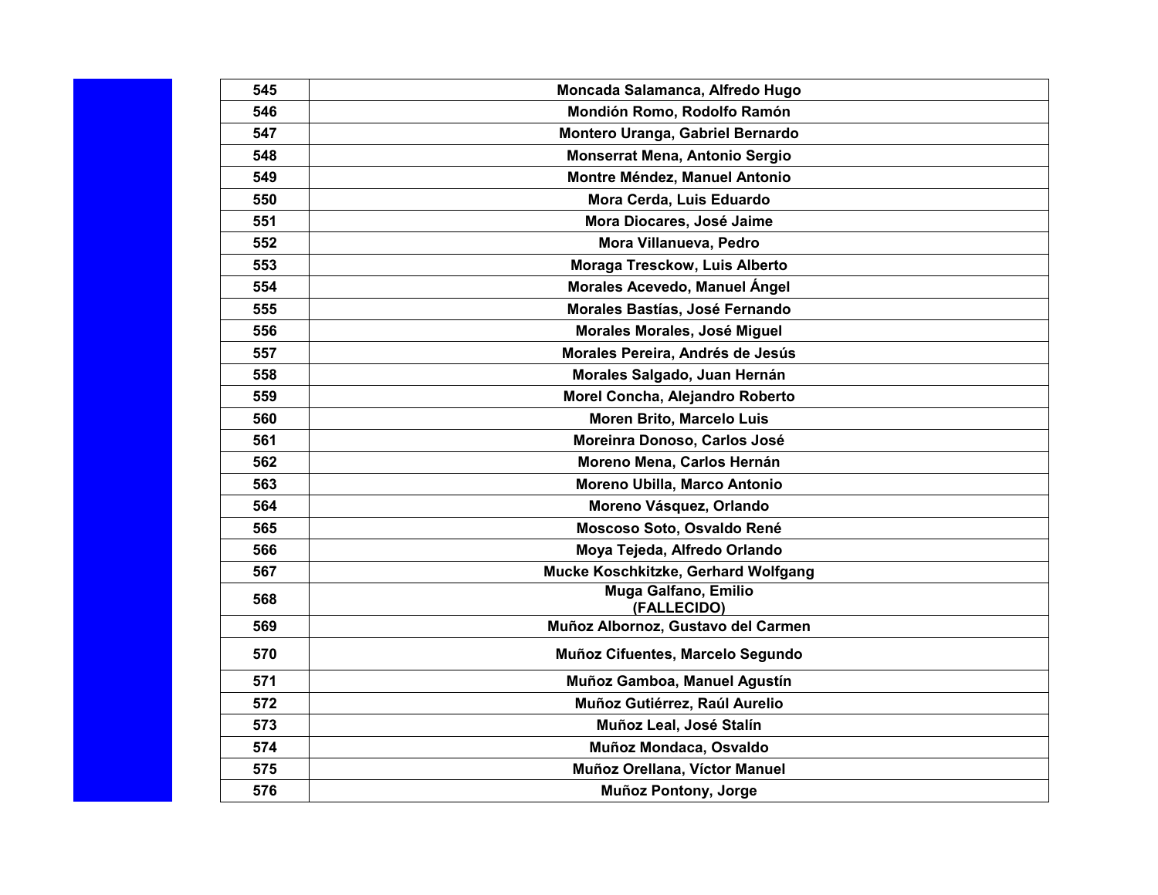| 545 | Moncada Salamanca, Alfredo Hugo            |  |
|-----|--------------------------------------------|--|
| 546 | Mondión Romo, Rodolfo Ramón                |  |
| 547 | Montero Uranga, Gabriel Bernardo           |  |
| 548 | Monserrat Mena, Antonio Sergio             |  |
| 549 | Montre Méndez, Manuel Antonio              |  |
| 550 | Mora Cerda, Luis Eduardo                   |  |
| 551 | Mora Diocares, José Jaime                  |  |
| 552 | Mora Villanueva, Pedro                     |  |
| 553 | Moraga Tresckow, Luis Alberto              |  |
| 554 | Morales Acevedo, Manuel Ángel              |  |
| 555 | Morales Bastías, José Fernando             |  |
| 556 | Morales Morales, José Miguel               |  |
| 557 | Morales Pereira, Andrés de Jesús           |  |
| 558 | Morales Salgado, Juan Hernán               |  |
| 559 | Morel Concha, Alejandro Roberto            |  |
| 560 | <b>Moren Brito, Marcelo Luis</b>           |  |
| 561 | Moreinra Donoso, Carlos José               |  |
| 562 | Moreno Mena, Carlos Hernán                 |  |
| 563 | Moreno Ubilla, Marco Antonio               |  |
| 564 | Moreno Vásquez, Orlando                    |  |
| 565 | Moscoso Soto, Osvaldo René                 |  |
| 566 | Moya Tejeda, Alfredo Orlando               |  |
| 567 | Mucke Koschkitzke, Gerhard Wolfgang        |  |
| 568 | <b>Muga Galfano, Emilio</b><br>(FALLECIDO) |  |
| 569 | Muñoz Albornoz, Gustavo del Carmen         |  |
| 570 | Muñoz Cifuentes, Marcelo Segundo           |  |
| 571 | Muñoz Gamboa, Manuel Agustín               |  |
| 572 | Muñoz Gutiérrez, Raúl Aurelio              |  |
| 573 | Muñoz Leal, José Stalín                    |  |
| 574 | Muñoz Mondaca, Osvaldo                     |  |
| 575 | Muñoz Orellana, Víctor Manuel              |  |
| 576 | Muñoz Pontony, Jorge                       |  |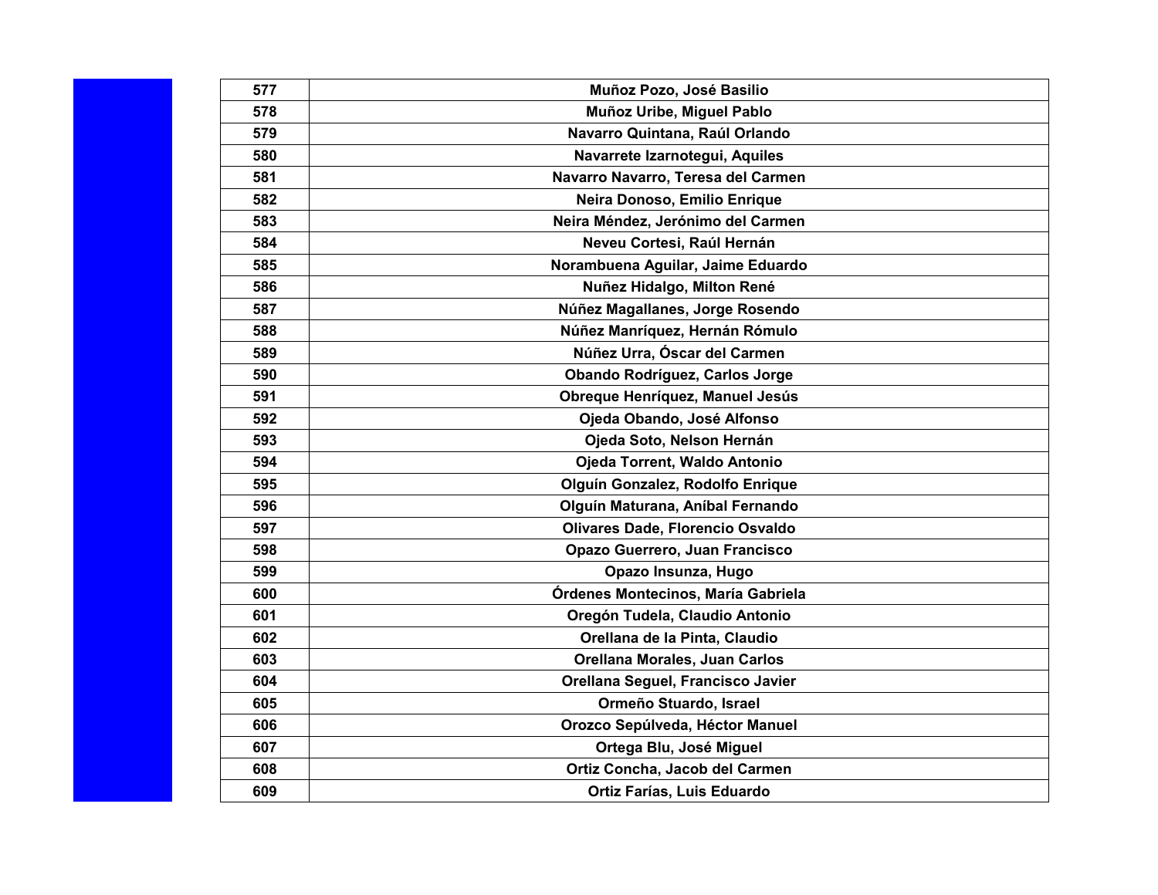| 577 | Muñoz Pozo, José Basilio                |
|-----|-----------------------------------------|
| 578 | Muñoz Uribe, Miguel Pablo               |
| 579 | Navarro Quintana, Raúl Orlando          |
| 580 | Navarrete Izarnotegui, Aquiles          |
| 581 | Navarro Navarro, Teresa del Carmen      |
| 582 | Neira Donoso, Emilio Enrique            |
| 583 | Neira Méndez, Jerónimo del Carmen       |
| 584 | Neveu Cortesi, Raúl Hernán              |
| 585 | Norambuena Aguilar, Jaime Eduardo       |
| 586 | Nuñez Hidalgo, Milton René              |
| 587 | Núñez Magallanes, Jorge Rosendo         |
| 588 | Núñez Manríquez, Hernán Rómulo          |
| 589 | Núñez Urra, Óscar del Carmen            |
| 590 | Obando Rodríguez, Carlos Jorge          |
| 591 | Obreque Henríquez, Manuel Jesús         |
| 592 | Ojeda Obando, José Alfonso              |
| 593 | Ojeda Soto, Nelson Hernán               |
| 594 | Ojeda Torrent, Waldo Antonio            |
| 595 | Olguín Gonzalez, Rodolfo Enrique        |
| 596 | Olguín Maturana, Aníbal Fernando        |
| 597 | <b>Olivares Dade, Florencio Osvaldo</b> |
| 598 | Opazo Guerrero, Juan Francisco          |
| 599 | Opazo Insunza, Hugo                     |
| 600 | Órdenes Montecinos, María Gabriela      |
| 601 | Oregón Tudela, Claudio Antonio          |
| 602 | Orellana de la Pinta, Claudio           |
| 603 | Orellana Morales, Juan Carlos           |
| 604 | Orellana Seguel, Francisco Javier       |
| 605 | Ormeño Stuardo, Israel                  |
| 606 | Orozco Sepúlveda, Héctor Manuel         |
| 607 | Ortega Blu, José Miguel                 |
| 608 | Ortiz Concha, Jacob del Carmen          |
| 609 | Ortiz Farías, Luis Eduardo              |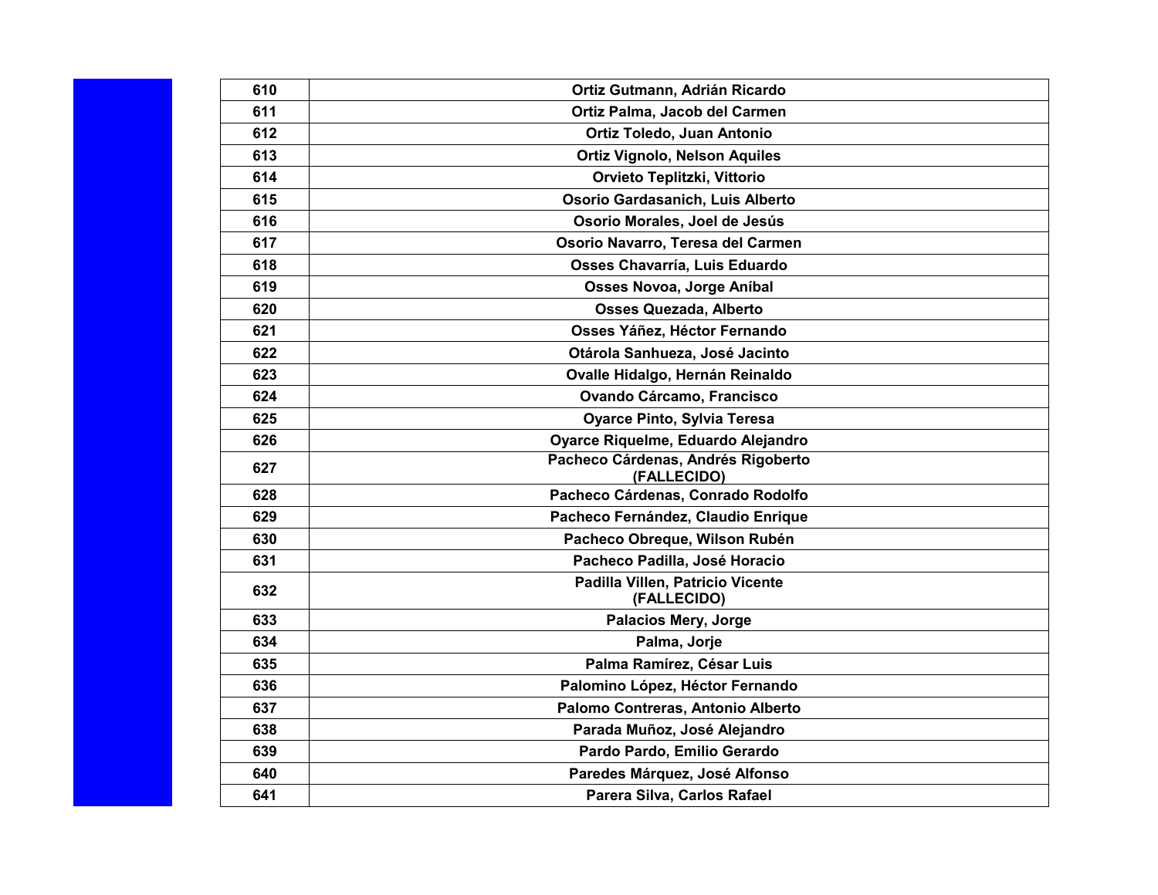| 610 | Ortiz Gutmann, Adrián Ricardo                     |
|-----|---------------------------------------------------|
| 611 | Ortiz Palma, Jacob del Carmen                     |
| 612 | Ortiz Toledo, Juan Antonio                        |
| 613 | <b>Ortiz Vignolo, Nelson Aquiles</b>              |
| 614 | Orvieto Teplitzki, Vittorio                       |
| 615 | Osorio Gardasanich, Luis Alberto                  |
| 616 | Osorio Morales, Joel de Jesús                     |
| 617 | Osorio Navarro, Teresa del Carmen                 |
| 618 | Osses Chavarría, Luis Eduardo                     |
| 619 | Osses Novoa, Jorge Aníbal                         |
| 620 | <b>Osses Quezada, Alberto</b>                     |
| 621 | Osses Yáñez, Héctor Fernando                      |
| 622 | Otárola Sanhueza, José Jacinto                    |
| 623 | Ovalle Hidalgo, Hernán Reinaldo                   |
| 624 | <b>Ovando Cárcamo, Francisco</b>                  |
| 625 | <b>Oyarce Pinto, Sylvia Teresa</b>                |
| 626 | Oyarce Riquelme, Eduardo Alejandro                |
| 627 | Pacheco Cárdenas, Andrés Rigoberto<br>(FALLECIDO) |
| 628 | Pacheco Cárdenas, Conrado Rodolfo                 |
| 629 | Pacheco Fernández, Claudio Enrique                |
| 630 | Pacheco Obreque, Wilson Rubén                     |
| 631 | Pacheco Padilla, José Horacio                     |
| 632 | Padilla Villen, Patricio Vicente<br>(FALLECIDO)   |
| 633 | <b>Palacios Mery, Jorge</b>                       |
| 634 | Palma, Jorje                                      |
| 635 | Palma Ramírez, César Luis                         |
| 636 | Palomino López, Héctor Fernando                   |
| 637 | Palomo Contreras, Antonio Alberto                 |
| 638 | Parada Muñoz, José Alejandro                      |
| 639 | Pardo Pardo, Emilio Gerardo                       |
| 640 | Paredes Márquez, José Alfonso                     |
| 641 | Parera Silva, Carlos Rafael                       |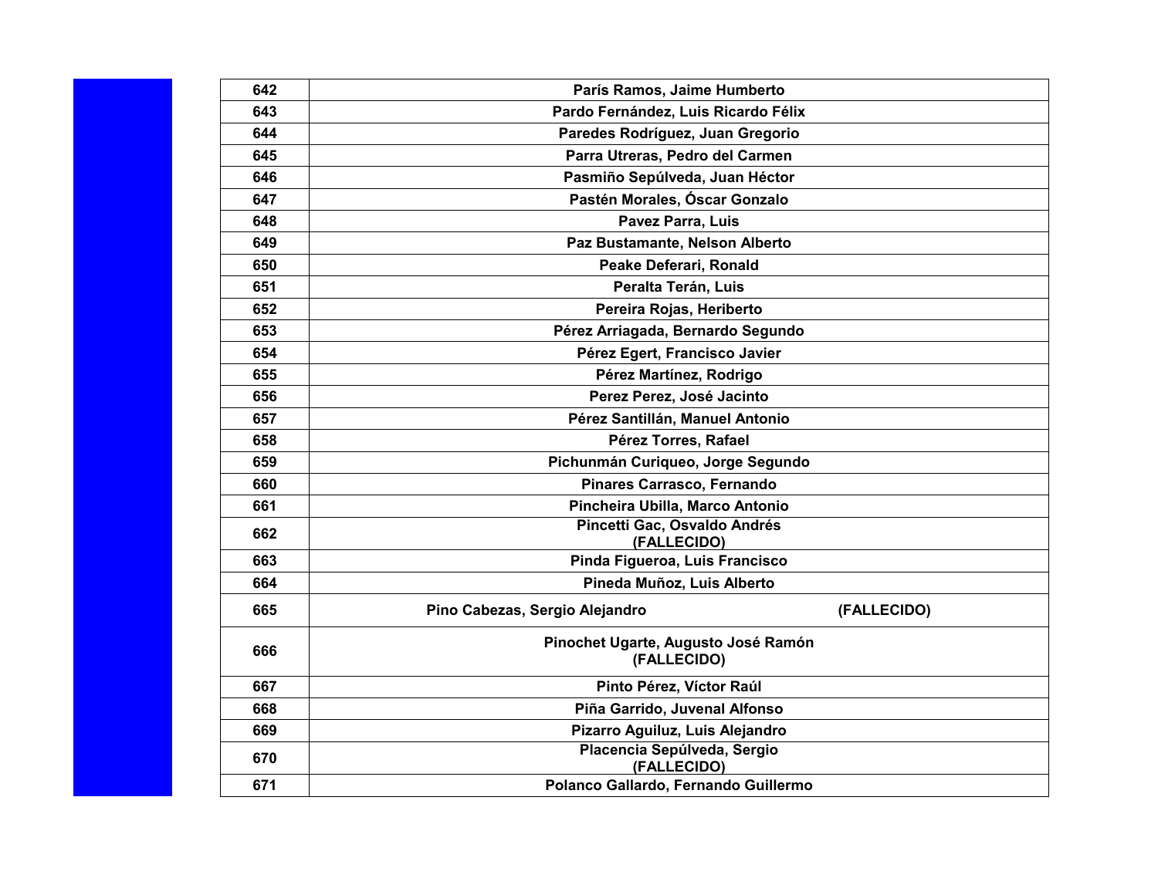| 642 | París Ramos, Jaime Humberto                        |             |
|-----|----------------------------------------------------|-------------|
| 643 | Pardo Fernández, Luis Ricardo Félix                |             |
| 644 | Paredes Rodríguez, Juan Gregorio                   |             |
| 645 | Parra Utreras, Pedro del Carmen                    |             |
| 646 | Pasmiño Sepúlveda, Juan Héctor                     |             |
| 647 | Pastén Morales, Óscar Gonzalo                      |             |
| 648 | Pavez Parra, Luis                                  |             |
| 649 | Paz Bustamante, Nelson Alberto                     |             |
| 650 | Peake Deferari, Ronald                             |             |
| 651 | Peralta Terán, Luis                                |             |
| 652 | Pereira Rojas, Heriberto                           |             |
| 653 | Pérez Arriagada, Bernardo Segundo                  |             |
| 654 | Pérez Egert, Francisco Javier                      |             |
| 655 | Pérez Martínez, Rodrigo                            |             |
| 656 | Perez Perez, José Jacinto                          |             |
| 657 | Pérez Santillán, Manuel Antonio                    |             |
| 658 | Pérez Torres, Rafael                               |             |
| 659 | Pichunmán Curiqueo, Jorge Segundo                  |             |
| 660 | Pinares Carrasco, Fernando                         |             |
| 661 | Pincheira Ubilla, Marco Antonio                    |             |
| 662 | Pincetti Gac, Osvaldo Andrés<br>(FALLECIDO)        |             |
| 663 | Pinda Figueroa, Luis Francisco                     |             |
| 664 | Pineda Muñoz, Luis Alberto                         |             |
| 665 | Pino Cabezas, Sergio Alejandro                     | (FALLECIDO) |
| 666 | Pinochet Ugarte, Augusto José Ramón<br>(FALLECIDO) |             |
| 667 | Pinto Pérez, Víctor Raúl                           |             |
| 668 | Piña Garrido, Juvenal Alfonso                      |             |
| 669 | Pizarro Aguiluz, Luis Alejandro                    |             |
| 670 | Placencia Sepúlveda, Sergio<br>(FALLECIDO)         |             |
| 671 | Polanco Gallardo, Fernando Guillermo               |             |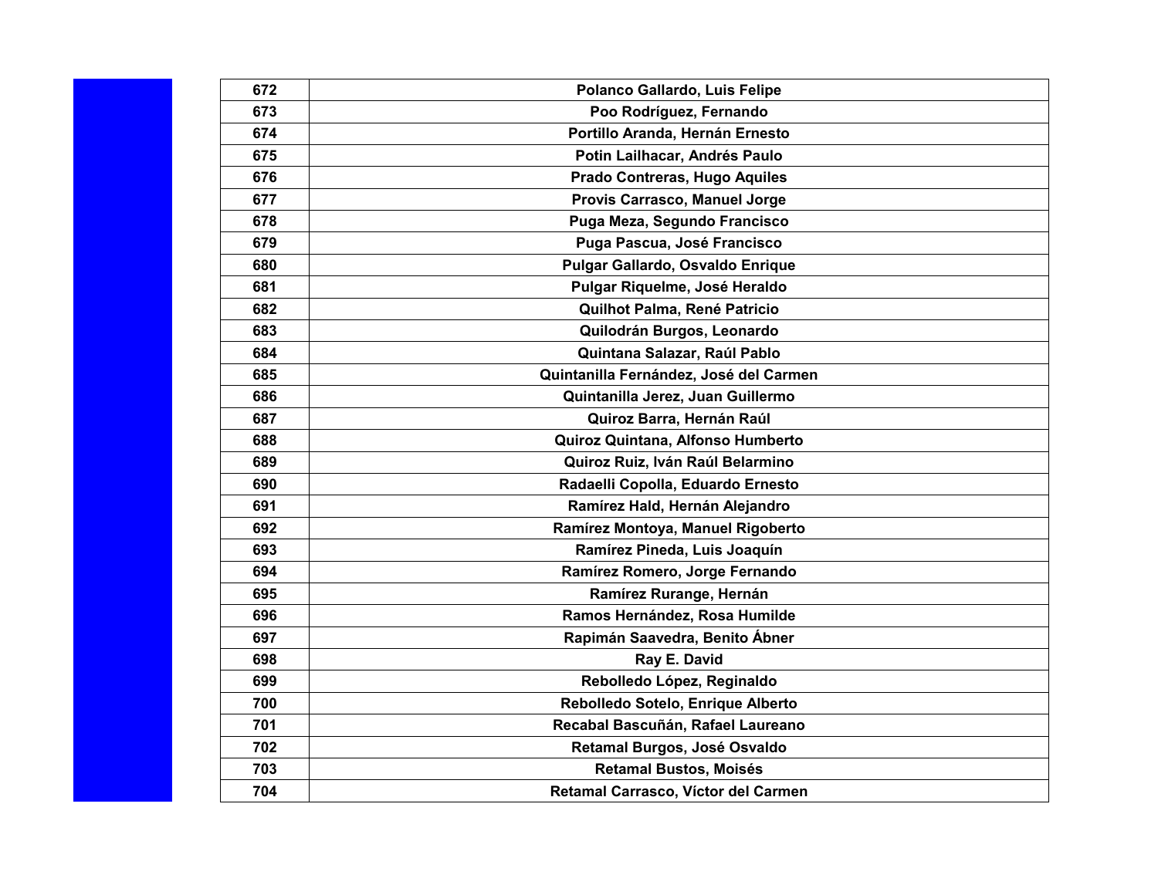| 672 | Polanco Gallardo, Luis Felipe          |
|-----|----------------------------------------|
| 673 | Poo Rodríguez, Fernando                |
| 674 | Portillo Aranda, Hernán Ernesto        |
| 675 | Potin Lailhacar, Andrés Paulo          |
| 676 | <b>Prado Contreras, Hugo Aquiles</b>   |
| 677 | Provis Carrasco, Manuel Jorge          |
| 678 | Puga Meza, Segundo Francisco           |
| 679 | Puga Pascua, José Francisco            |
| 680 | Pulgar Gallardo, Osvaldo Enrique       |
| 681 | Pulgar Riquelme, José Heraldo          |
| 682 | Quilhot Palma, René Patricio           |
| 683 | Quilodrán Burgos, Leonardo             |
| 684 | Quintana Salazar, Raúl Pablo           |
| 685 | Quintanilla Fernández, José del Carmen |
| 686 | Quintanilla Jerez, Juan Guillermo      |
| 687 | Quiroz Barra, Hernán Raúl              |
| 688 | Quiroz Quintana, Alfonso Humberto      |
| 689 | Quiroz Ruiz, Iván Raúl Belarmino       |
| 690 | Radaelli Copolla, Eduardo Ernesto      |
| 691 | Ramírez Hald, Hernán Alejandro         |
| 692 | Ramírez Montoya, Manuel Rigoberto      |
| 693 | Ramírez Pineda, Luis Joaquín           |
| 694 | Ramírez Romero, Jorge Fernando         |
| 695 | Ramírez Rurange, Hernán                |
| 696 | Ramos Hernández, Rosa Humilde          |
| 697 | Rapimán Saavedra, Benito Ábner         |
| 698 | Ray E. David                           |
| 699 | Rebolledo López, Reginaldo             |
| 700 | Rebolledo Sotelo, Enrique Alberto      |
| 701 | Recabal Bascuñán, Rafael Laureano      |
| 702 | Retamal Burgos, José Osvaldo           |
| 703 | <b>Retamal Bustos, Moisés</b>          |
| 704 | Retamal Carrasco, Víctor del Carmen    |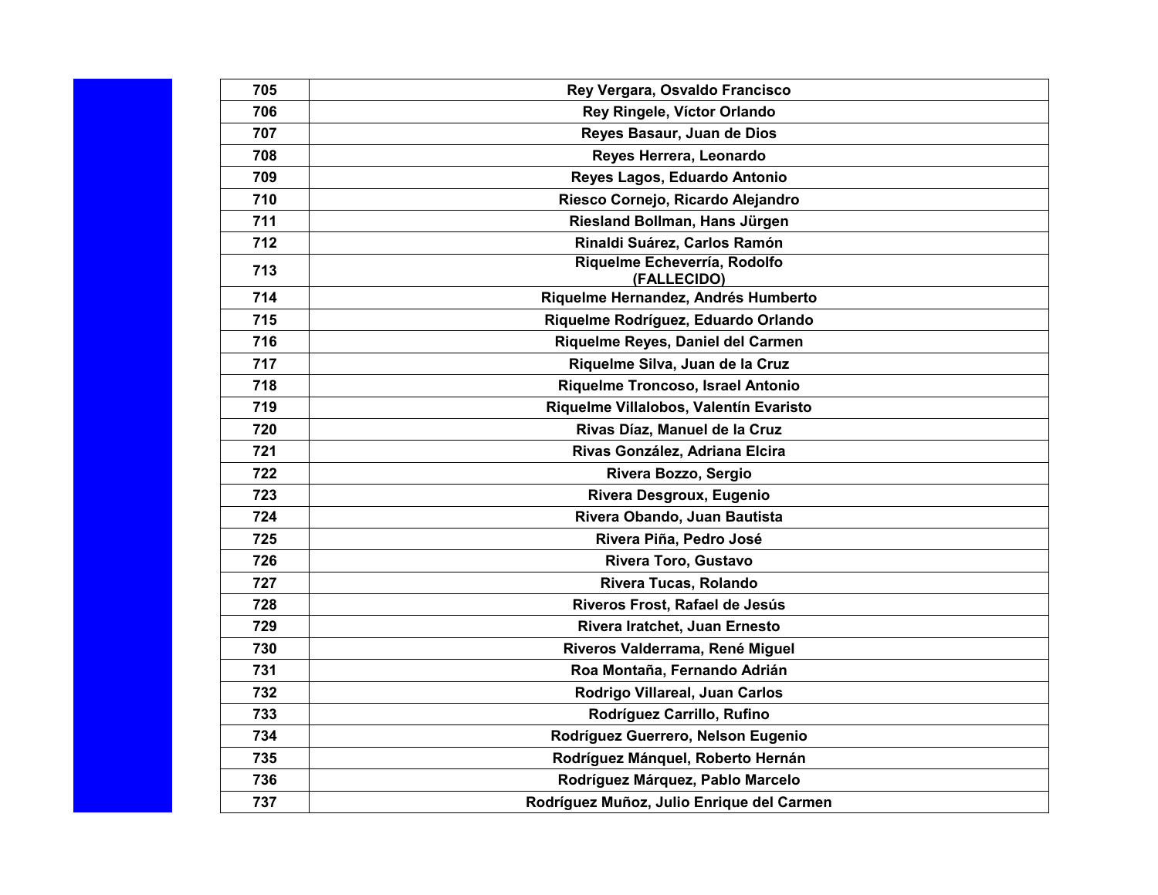| 705 | Rey Vergara, Osvaldo Francisco              |
|-----|---------------------------------------------|
| 706 | Rey Ringele, Víctor Orlando                 |
| 707 | Reyes Basaur, Juan de Dios                  |
| 708 | Reyes Herrera, Leonardo                     |
| 709 | Reyes Lagos, Eduardo Antonio                |
| 710 | Riesco Cornejo, Ricardo Alejandro           |
| 711 | Riesland Bollman, Hans Jürgen               |
| 712 | Rinaldi Suárez, Carlos Ramón                |
| 713 | Riquelme Echeverría, Rodolfo<br>(FALLECIDO) |
| 714 | Riquelme Hernandez, Andrés Humberto         |
| 715 | Riquelme Rodríguez, Eduardo Orlando         |
| 716 | Riquelme Reyes, Daniel del Carmen           |
| 717 | Riquelme Silva, Juan de la Cruz             |
| 718 | Riquelme Troncoso, Israel Antonio           |
| 719 | Riquelme Villalobos, Valentín Evaristo      |
| 720 | Rivas Díaz, Manuel de la Cruz               |
| 721 | Rivas González, Adriana Elcira              |
| 722 | Rivera Bozzo, Sergio                        |
| 723 | Rivera Desgroux, Eugenio                    |
| 724 | Rivera Obando, Juan Bautista                |
| 725 | Rivera Piña, Pedro José                     |
| 726 | Rivera Toro, Gustavo                        |
| 727 | Rivera Tucas, Rolando                       |
| 728 | Riveros Frost, Rafael de Jesús              |
| 729 | Rivera Iratchet, Juan Ernesto               |
| 730 | Riveros Valderrama, René Miguel             |
| 731 | Roa Montaña, Fernando Adrián                |
| 732 | Rodrigo Villareal, Juan Carlos              |
| 733 | Rodríguez Carrillo, Rufino                  |
| 734 | Rodríguez Guerrero, Nelson Eugenio          |
| 735 | Rodríguez Mánquel, Roberto Hernán           |
| 736 | Rodríguez Márquez, Pablo Marcelo            |
| 737 | Rodríguez Muñoz, Julio Enrique del Carmen   |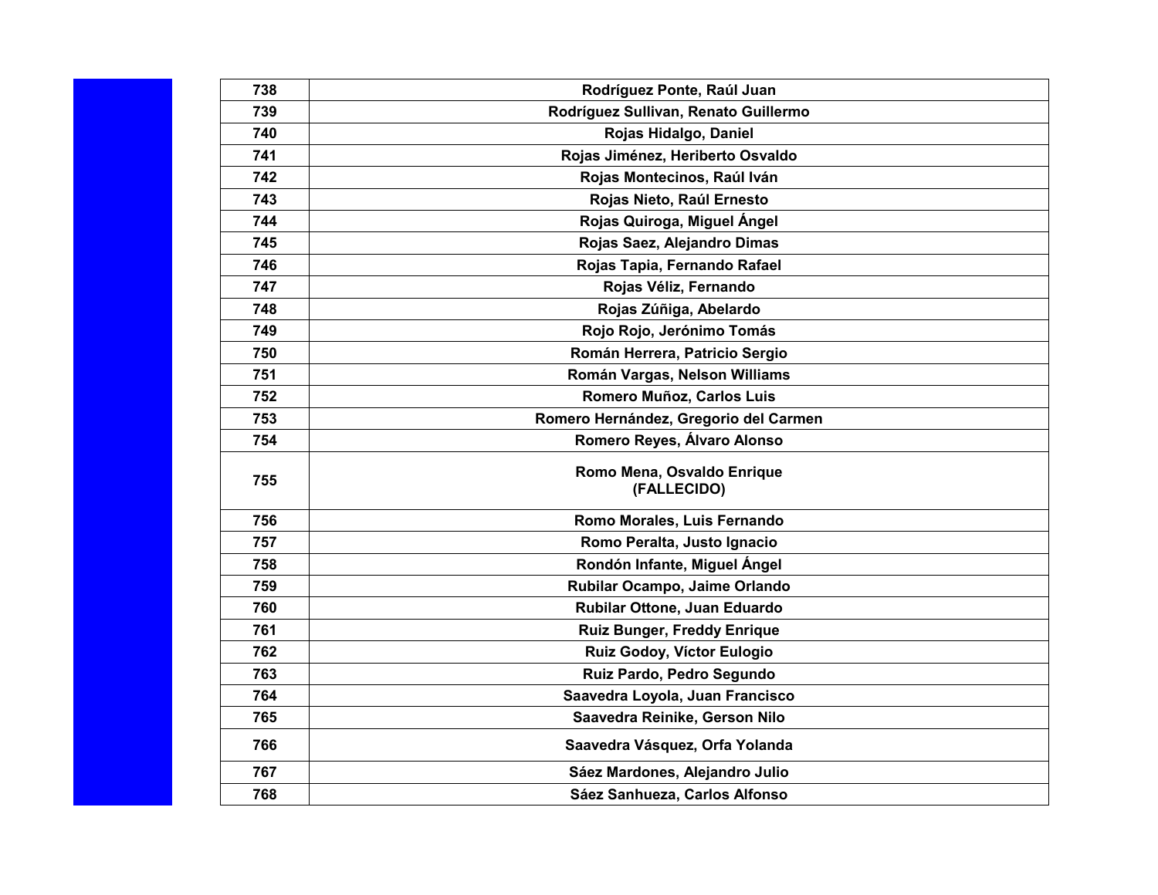| 738 | Rodríguez Ponte, Raúl Juan                |
|-----|-------------------------------------------|
| 739 | Rodríguez Sullivan, Renato Guillermo      |
| 740 | Rojas Hidalgo, Daniel                     |
| 741 | Rojas Jiménez, Heriberto Osvaldo          |
| 742 | Rojas Montecinos, Raúl Iván               |
| 743 | Rojas Nieto, Raúl Ernesto                 |
| 744 | Rojas Quiroga, Miguel Ángel               |
| 745 | Rojas Saez, Alejandro Dimas               |
| 746 | Rojas Tapia, Fernando Rafael              |
| 747 | Rojas Véliz, Fernando                     |
| 748 | Rojas Zúñiga, Abelardo                    |
| 749 | Rojo Rojo, Jerónimo Tomás                 |
| 750 | Román Herrera, Patricio Sergio            |
| 751 | Román Vargas, Nelson Williams             |
| 752 | Romero Muñoz, Carlos Luis                 |
| 753 | Romero Hernández, Gregorio del Carmen     |
| 754 | Romero Reyes, Álvaro Alonso               |
| 755 | Romo Mena, Osvaldo Enrique<br>(FALLECIDO) |
| 756 | Romo Morales, Luis Fernando               |
| 757 | Romo Peralta, Justo Ignacio               |
| 758 | Rondón Infante, Miguel Ángel              |
| 759 | Rubilar Ocampo, Jaime Orlando             |
| 760 | Rubilar Ottone, Juan Eduardo              |
| 761 | <b>Ruiz Bunger, Freddy Enrique</b>        |
| 762 | Ruiz Godoy, Víctor Eulogio                |
| 763 | Ruiz Pardo, Pedro Segundo                 |
| 764 | Saavedra Loyola, Juan Francisco           |
| 765 | Saavedra Reinike, Gerson Nilo             |
| 766 | Saavedra Vásquez, Orfa Yolanda            |
| 767 | Sáez Mardones, Alejandro Julio            |
| 768 | Sáez Sanhueza, Carlos Alfonso             |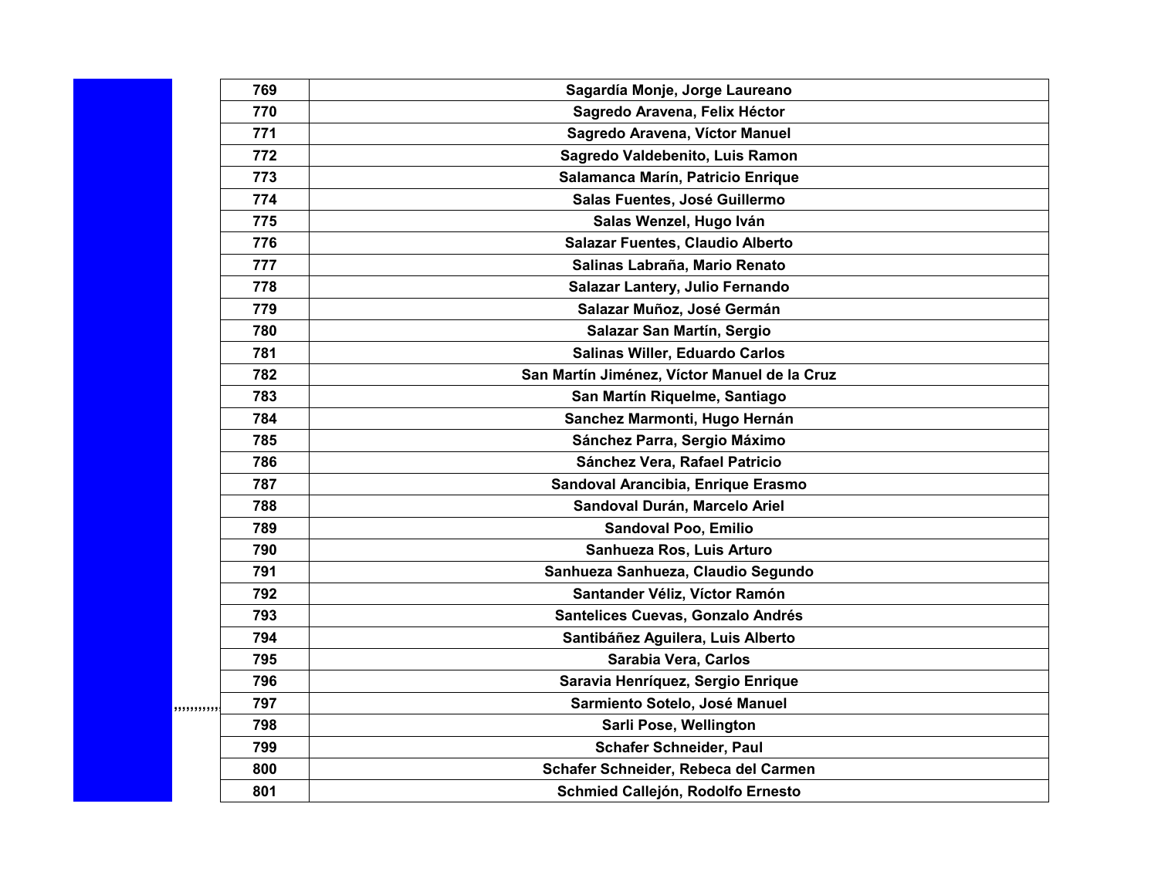|             | 769 | Sagardía Monje, Jorge Laureano               |
|-------------|-----|----------------------------------------------|
|             | 770 | Sagredo Aravena, Felix Héctor                |
|             | 771 | Sagredo Aravena, Víctor Manuel               |
|             | 772 | Sagredo Valdebenito, Luis Ramon              |
|             | 773 | Salamanca Marín, Patricio Enrique            |
|             | 774 | Salas Fuentes, José Guillermo                |
|             | 775 | Salas Wenzel, Hugo Iván                      |
|             | 776 | <b>Salazar Fuentes, Claudio Alberto</b>      |
|             | 777 | Salinas Labraña, Mario Renato                |
|             | 778 | Salazar Lantery, Julio Fernando              |
|             | 779 | Salazar Muñoz, José Germán                   |
|             | 780 | Salazar San Martín, Sergio                   |
|             | 781 | Salinas Willer, Eduardo Carlos               |
|             | 782 | San Martín Jiménez, Víctor Manuel de la Cruz |
|             | 783 | San Martín Riquelme, Santiago                |
|             | 784 | Sanchez Marmonti, Hugo Hernán                |
|             | 785 | Sánchez Parra, Sergio Máximo                 |
|             | 786 | Sánchez Vera, Rafael Patricio                |
|             | 787 | Sandoval Arancibia, Enrique Erasmo           |
|             | 788 | Sandoval Durán, Marcelo Ariel                |
|             | 789 | <b>Sandoval Poo, Emilio</b>                  |
|             | 790 | Sanhueza Ros, Luis Arturo                    |
|             | 791 | Sanhueza Sanhueza, Claudio Segundo           |
|             | 792 | Santander Véliz, Víctor Ramón                |
|             | 793 | Santelices Cuevas, Gonzalo Andrés            |
|             | 794 | Santibáñez Aguilera, Luis Alberto            |
|             | 795 | Sarabia Vera, Carlos                         |
|             | 796 | Saravia Henríquez, Sergio Enrique            |
| ,,,,,,,,,,, | 797 | Sarmiento Sotelo, José Manuel                |
|             | 798 | Sarli Pose, Wellington                       |
|             | 799 | <b>Schafer Schneider, Paul</b>               |
|             | 800 | Schafer Schneider, Rebeca del Carmen         |
|             | 801 | Schmied Callejón, Rodolfo Ernesto            |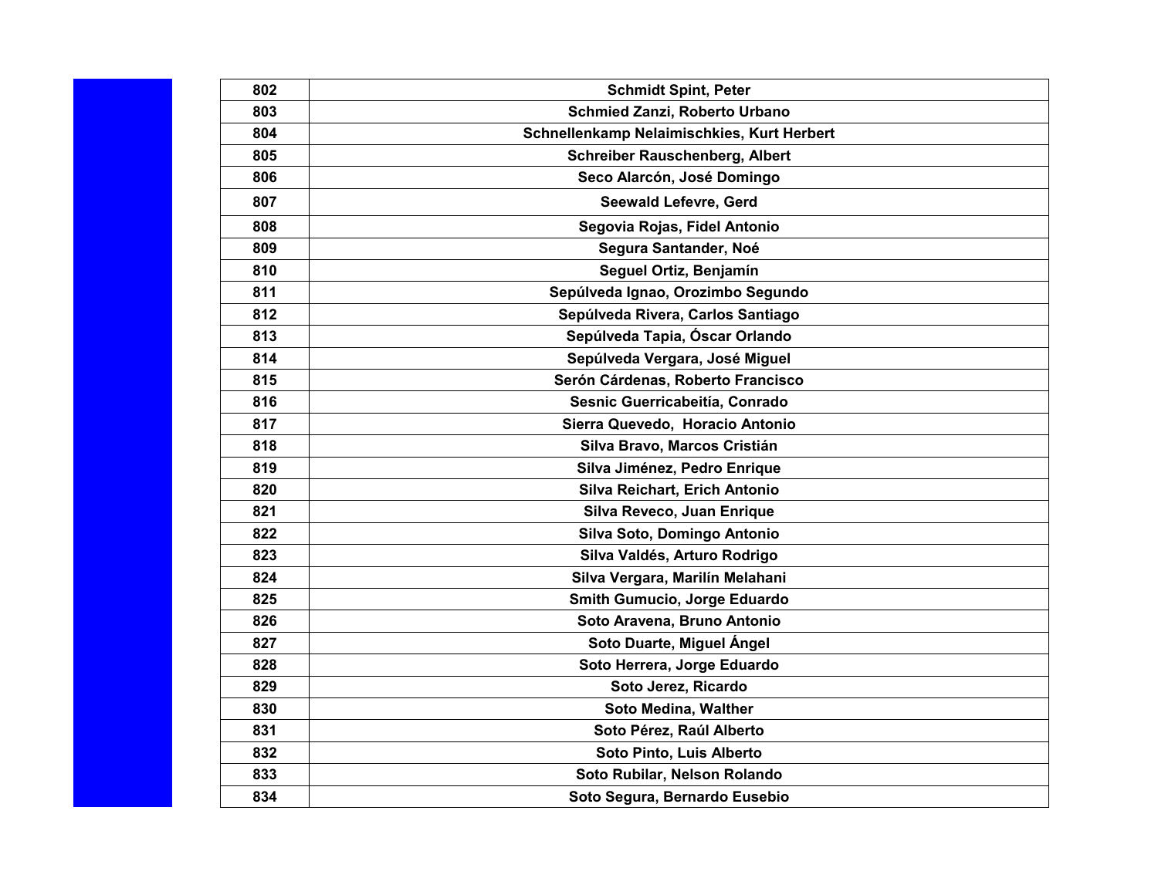| 802 | <b>Schmidt Spint, Peter</b>                |
|-----|--------------------------------------------|
| 803 | <b>Schmied Zanzi, Roberto Urbano</b>       |
| 804 | Schnellenkamp Nelaimischkies, Kurt Herbert |
| 805 | <b>Schreiber Rauschenberg, Albert</b>      |
| 806 | Seco Alarcón, José Domingo                 |
| 807 | Seewald Lefevre, Gerd                      |
| 808 | Segovia Rojas, Fidel Antonio               |
| 809 | Segura Santander, Noé                      |
| 810 | Seguel Ortiz, Benjamín                     |
| 811 | Sepúlveda Ignao, Orozimbo Segundo          |
| 812 | Sepúlveda Rivera, Carlos Santiago          |
| 813 | Sepúlveda Tapia, Óscar Orlando             |
| 814 | Sepúlveda Vergara, José Miguel             |
| 815 | Serón Cárdenas, Roberto Francisco          |
| 816 | Sesnic Guerricabeitía, Conrado             |
| 817 | Sierra Quevedo, Horacio Antonio            |
| 818 | Silva Bravo, Marcos Cristián               |
| 819 | Silva Jiménez, Pedro Enrique               |
| 820 | Silva Reichart, Erich Antonio              |
| 821 | Silva Reveco, Juan Enrique                 |
| 822 | Silva Soto, Domingo Antonio                |
| 823 | Silva Valdés, Arturo Rodrigo               |
| 824 | Silva Vergara, Marilín Melahani            |
| 825 | <b>Smith Gumucio, Jorge Eduardo</b>        |
| 826 | Soto Aravena, Bruno Antonio                |
| 827 | Soto Duarte, Miguel Ángel                  |
| 828 | Soto Herrera, Jorge Eduardo                |
| 829 | Soto Jerez, Ricardo                        |
| 830 | Soto Medina, Walther                       |
| 831 | Soto Pérez, Raúl Alberto                   |
| 832 | Soto Pinto, Luis Alberto                   |
| 833 | Soto Rubilar, Nelson Rolando               |
| 834 | Soto Segura, Bernardo Eusebio              |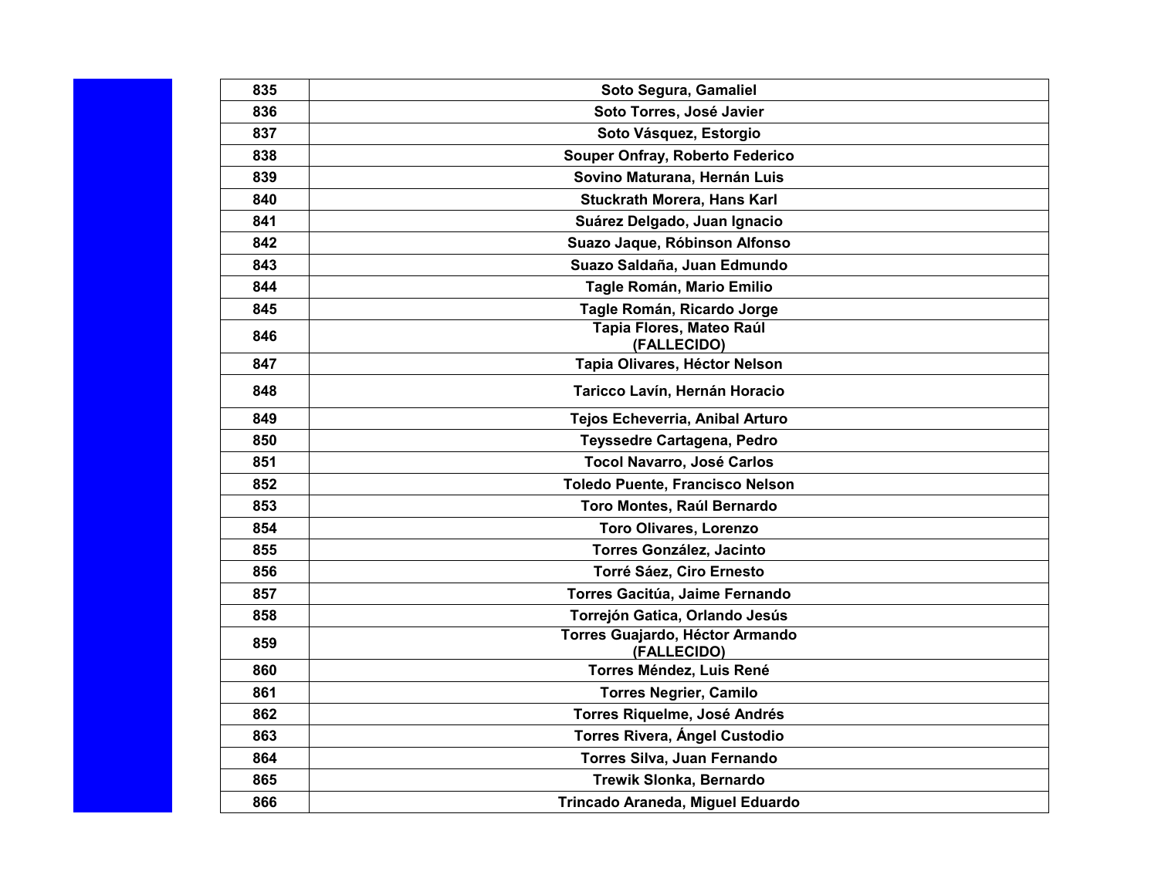| 835 | Soto Segura, Gamaliel                          |
|-----|------------------------------------------------|
| 836 | Soto Torres, José Javier                       |
| 837 | Soto Vásquez, Estorgio                         |
| 838 | <b>Souper Onfray, Roberto Federico</b>         |
| 839 | Sovino Maturana, Hernán Luis                   |
| 840 | <b>Stuckrath Morera, Hans Karl</b>             |
| 841 | Suárez Delgado, Juan Ignacio                   |
| 842 | Suazo Jaque, Róbinson Alfonso                  |
| 843 | Suazo Saldaña, Juan Edmundo                    |
| 844 | Tagle Román, Mario Emilio                      |
| 845 | Tagle Román, Ricardo Jorge                     |
| 846 | Tapia Flores, Mateo Raúl<br>(FALLECIDO)        |
| 847 | Tapia Olivares, Héctor Nelson                  |
| 848 | Taricco Lavín, Hernán Horacio                  |
| 849 | Tejos Echeverria, Anibal Arturo                |
| 850 | Teyssedre Cartagena, Pedro                     |
| 851 | <b>Tocol Navarro, José Carlos</b>              |
| 852 | Toledo Puente, Francisco Nelson                |
| 853 | Toro Montes, Raúl Bernardo                     |
| 854 | <b>Toro Olivares, Lorenzo</b>                  |
| 855 | Torres González, Jacinto                       |
| 856 | Torré Sáez, Ciro Ernesto                       |
| 857 | Torres Gacitúa, Jaime Fernando                 |
| 858 | Torrejón Gatica, Orlando Jesús                 |
| 859 | Torres Guajardo, Héctor Armando<br>(FALLECIDO) |
| 860 | Torres Méndez, Luis René                       |
| 861 | <b>Torres Negrier, Camilo</b>                  |
| 862 | Torres Riquelme, José Andrés                   |
| 863 | Torres Rivera, Ángel Custodio                  |
| 864 | Torres Silva, Juan Fernando                    |
| 865 | Trewik Slonka, Bernardo                        |
| 866 | Trincado Araneda, Miguel Eduardo               |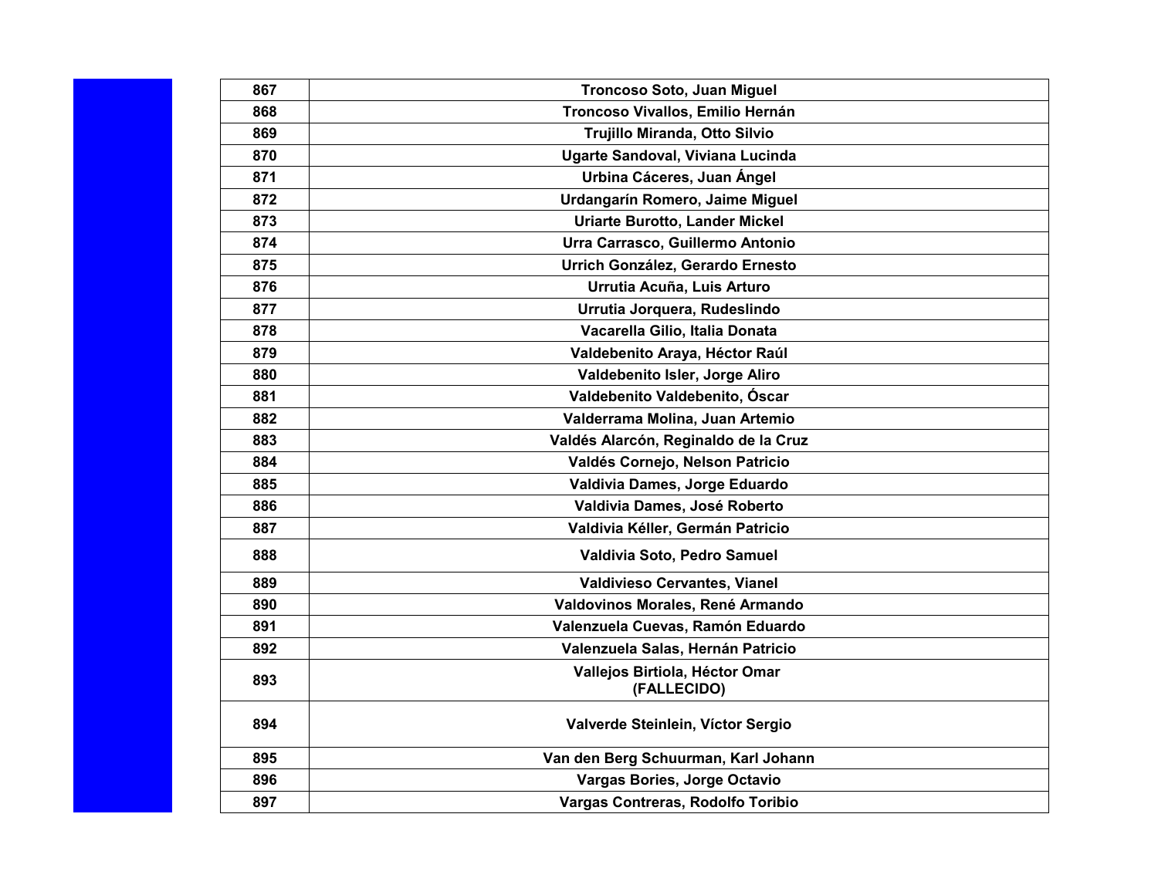| 867 | <b>Troncoso Soto, Juan Miguel</b>             |
|-----|-----------------------------------------------|
| 868 | Troncoso Vivallos, Emilio Hernán              |
| 869 | Trujillo Miranda, Otto Silvio                 |
| 870 | Ugarte Sandoval, Viviana Lucinda              |
| 871 | Urbina Cáceres, Juan Ángel                    |
| 872 | Urdangarín Romero, Jaime Miguel               |
| 873 | <b>Uriarte Burotto, Lander Mickel</b>         |
| 874 | Urra Carrasco, Guillermo Antonio              |
| 875 | Urrich González, Gerardo Ernesto              |
| 876 | Urrutia Acuña, Luis Arturo                    |
| 877 | Urrutia Jorquera, Rudeslindo                  |
| 878 | Vacarella Gilio, Italia Donata                |
| 879 | Valdebenito Araya, Héctor Raúl                |
| 880 | Valdebenito Isler, Jorge Aliro                |
| 881 | Valdebenito Valdebenito, Óscar                |
| 882 | Valderrama Molina, Juan Artemio               |
| 883 | Valdés Alarcón, Reginaldo de la Cruz          |
| 884 | Valdés Cornejo, Nelson Patricio               |
| 885 | Valdivia Dames, Jorge Eduardo                 |
| 886 | Valdivia Dames, José Roberto                  |
| 887 | Valdivia Kéller, Germán Patricio              |
| 888 | Valdivia Soto, Pedro Samuel                   |
| 889 | <b>Valdivieso Cervantes, Vianel</b>           |
| 890 | Valdovinos Morales, René Armando              |
| 891 | Valenzuela Cuevas, Ramón Eduardo              |
| 892 | Valenzuela Salas, Hernán Patricio             |
| 893 | Vallejos Birtiola, Héctor Omar<br>(FALLECIDO) |
| 894 | Valverde Steinlein, Víctor Sergio             |
| 895 | Van den Berg Schuurman, Karl Johann           |
| 896 | Vargas Bories, Jorge Octavio                  |
| 897 | Vargas Contreras, Rodolfo Toribio             |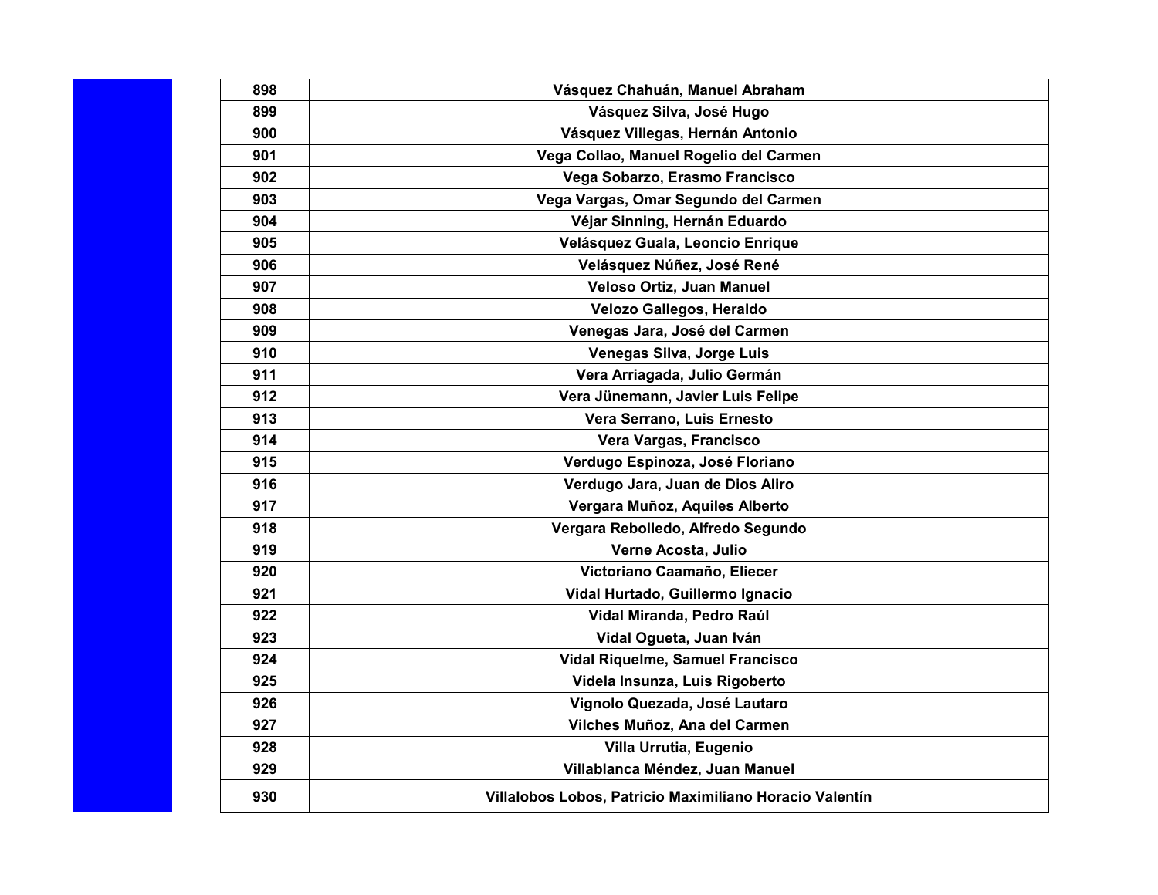| 898 | Vásquez Chahuán, Manuel Abraham                         |
|-----|---------------------------------------------------------|
| 899 | Vásquez Silva, José Hugo                                |
| 900 | Vásquez Villegas, Hernán Antonio                        |
| 901 | Vega Collao, Manuel Rogelio del Carmen                  |
| 902 | Vega Sobarzo, Erasmo Francisco                          |
| 903 | Vega Vargas, Omar Segundo del Carmen                    |
| 904 | Véjar Sinning, Hernán Eduardo                           |
| 905 | Velásquez Guala, Leoncio Enrique                        |
| 906 | Velásquez Núñez, José René                              |
| 907 | Veloso Ortiz, Juan Manuel                               |
| 908 | Velozo Gallegos, Heraldo                                |
| 909 | Venegas Jara, José del Carmen                           |
| 910 | Venegas Silva, Jorge Luis                               |
| 911 | Vera Arriagada, Julio Germán                            |
| 912 | Vera Jünemann, Javier Luis Felipe                       |
| 913 | Vera Serrano, Luis Ernesto                              |
| 914 | Vera Vargas, Francisco                                  |
| 915 | Verdugo Espinoza, José Floriano                         |
| 916 | Verdugo Jara, Juan de Dios Aliro                        |
| 917 | Vergara Muñoz, Aquiles Alberto                          |
| 918 | Vergara Rebolledo, Alfredo Segundo                      |
| 919 | Verne Acosta, Julio                                     |
| 920 | Victoriano Caamaño, Eliecer                             |
| 921 | Vidal Hurtado, Guillermo Ignacio                        |
| 922 | Vidal Miranda, Pedro Raúl                               |
| 923 | Vidal Ogueta, Juan Iván                                 |
| 924 | Vidal Riquelme, Samuel Francisco                        |
| 925 | Videla Insunza, Luis Rigoberto                          |
| 926 | Vignolo Quezada, José Lautaro                           |
| 927 | Vilches Muñoz, Ana del Carmen                           |
| 928 | Villa Urrutia, Eugenio                                  |
| 929 | Villablanca Méndez, Juan Manuel                         |
| 930 | Villalobos Lobos, Patricio Maximiliano Horacio Valentín |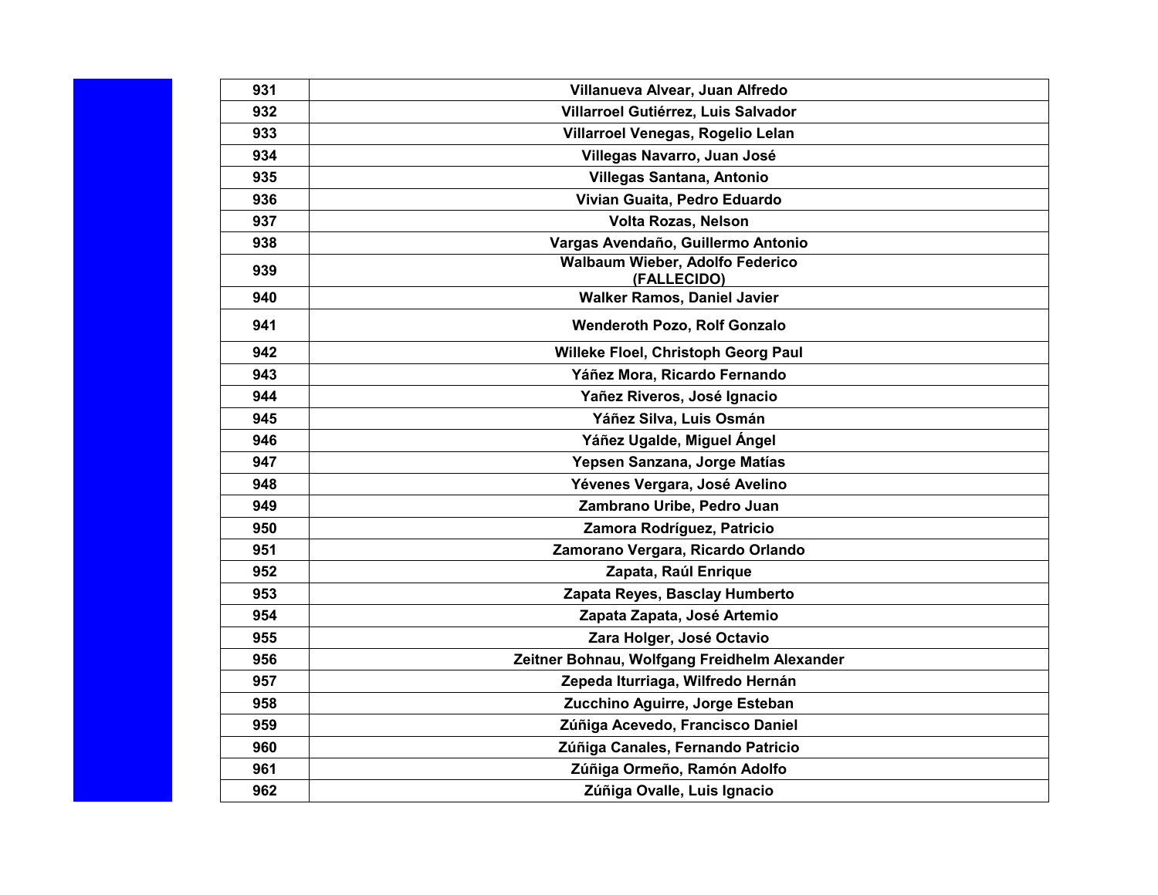| 931 | Villanueva Alvear, Juan Alfredo                       |
|-----|-------------------------------------------------------|
| 932 | Villarroel Gutiérrez, Luis Salvador                   |
| 933 | Villarroel Venegas, Rogelio Lelan                     |
| 934 | Villegas Navarro, Juan José                           |
| 935 | <b>Villegas Santana, Antonio</b>                      |
| 936 | Vivian Guaita, Pedro Eduardo                          |
| 937 | <b>Volta Rozas, Nelson</b>                            |
| 938 | Vargas Avendaño, Guillermo Antonio                    |
| 939 | <b>Walbaum Wieber, Adolfo Federico</b><br>(FALLECIDO) |
| 940 | Walker Ramos, Daniel Javier                           |
| 941 | <b>Wenderoth Pozo, Rolf Gonzalo</b>                   |
| 942 | Willeke Floel, Christoph Georg Paul                   |
| 943 | Yáñez Mora, Ricardo Fernando                          |
| 944 | Yañez Riveros, José Ignacio                           |
| 945 | Yáñez Silva, Luis Osmán                               |
| 946 | Yáñez Ugalde, Miguel Ángel                            |
| 947 | Yepsen Sanzana, Jorge Matías                          |
| 948 | Yévenes Vergara, José Avelino                         |
| 949 | Zambrano Uribe, Pedro Juan                            |
| 950 | Zamora Rodríguez, Patricio                            |
| 951 | Zamorano Vergara, Ricardo Orlando                     |
| 952 | Zapata, Raúl Enrique                                  |
| 953 | Zapata Reyes, Basclay Humberto                        |
| 954 | Zapata Zapata, José Artemio                           |
| 955 | Zara Holger, José Octavio                             |
| 956 | Zeitner Bohnau, Wolfgang Freidhelm Alexander          |
| 957 | Zepeda Iturriaga, Wilfredo Hernán                     |
| 958 | Zucchino Aguirre, Jorge Esteban                       |
| 959 | Zúñiga Acevedo, Francisco Daniel                      |
| 960 | Zúñiga Canales, Fernando Patricio                     |
| 961 | Zúñiga Ormeño, Ramón Adolfo                           |
| 962 | Zúñiga Ovalle, Luis Ignacio                           |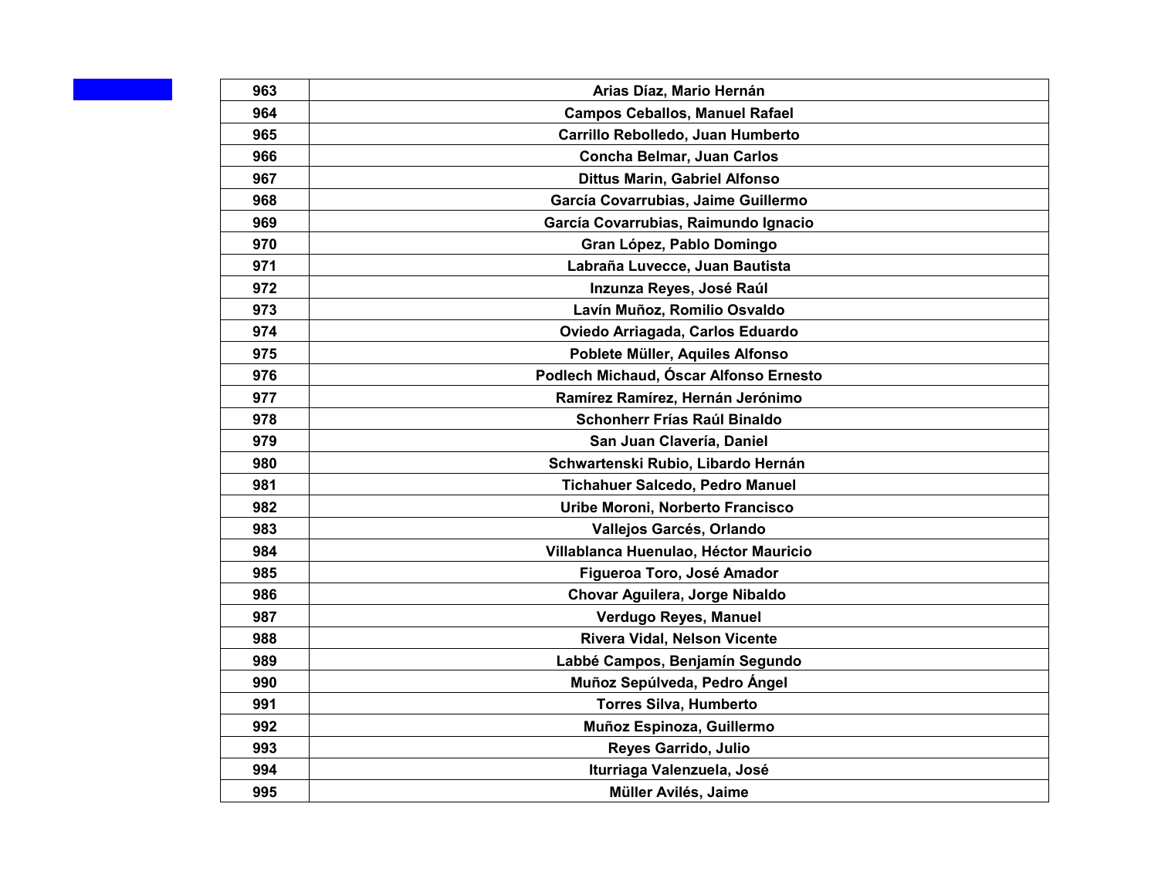| 963 | Arias Díaz, Mario Hernán               |
|-----|----------------------------------------|
| 964 | <b>Campos Ceballos, Manuel Rafael</b>  |
| 965 | Carrillo Rebolledo, Juan Humberto      |
| 966 | <b>Concha Belmar, Juan Carlos</b>      |
| 967 | <b>Dittus Marin, Gabriel Alfonso</b>   |
| 968 | García Covarrubias, Jaime Guillermo    |
| 969 | García Covarrubias, Raimundo Ignacio   |
| 970 | Gran López, Pablo Domingo              |
| 971 | Labraña Luvecce, Juan Bautista         |
| 972 | Inzunza Reyes, José Raúl               |
| 973 | Lavín Muñoz, Romilio Osvaldo           |
| 974 | Oviedo Arriagada, Carlos Eduardo       |
| 975 | Poblete Müller, Aquiles Alfonso        |
| 976 | Podlech Michaud, Óscar Alfonso Ernesto |
| 977 | Ramírez Ramírez, Hernán Jerónimo       |
| 978 | Schonherr Frías Raúl Binaldo           |
| 979 | San Juan Clavería, Daniel              |
| 980 | Schwartenski Rubio, Libardo Hernán     |
| 981 | Tichahuer Salcedo, Pedro Manuel        |
| 982 | Uribe Moroni, Norberto Francisco       |
| 983 | Vallejos Garcés, Orlando               |
| 984 | Villablanca Huenulao, Héctor Mauricio  |
| 985 | Figueroa Toro, José Amador             |
| 986 | Chovar Aguilera, Jorge Nibaldo         |
| 987 | Verdugo Reyes, Manuel                  |
| 988 | Rivera Vidal, Nelson Vicente           |
| 989 | Labbé Campos, Benjamín Segundo         |
| 990 | Muñoz Sepúlveda, Pedro Ángel           |
| 991 | <b>Torres Silva, Humberto</b>          |
| 992 | Muñoz Espinoza, Guillermo              |
| 993 | Reyes Garrido, Julio                   |
| 994 | Iturriaga Valenzuela, José             |
| 995 | Müller Avilés, Jaime                   |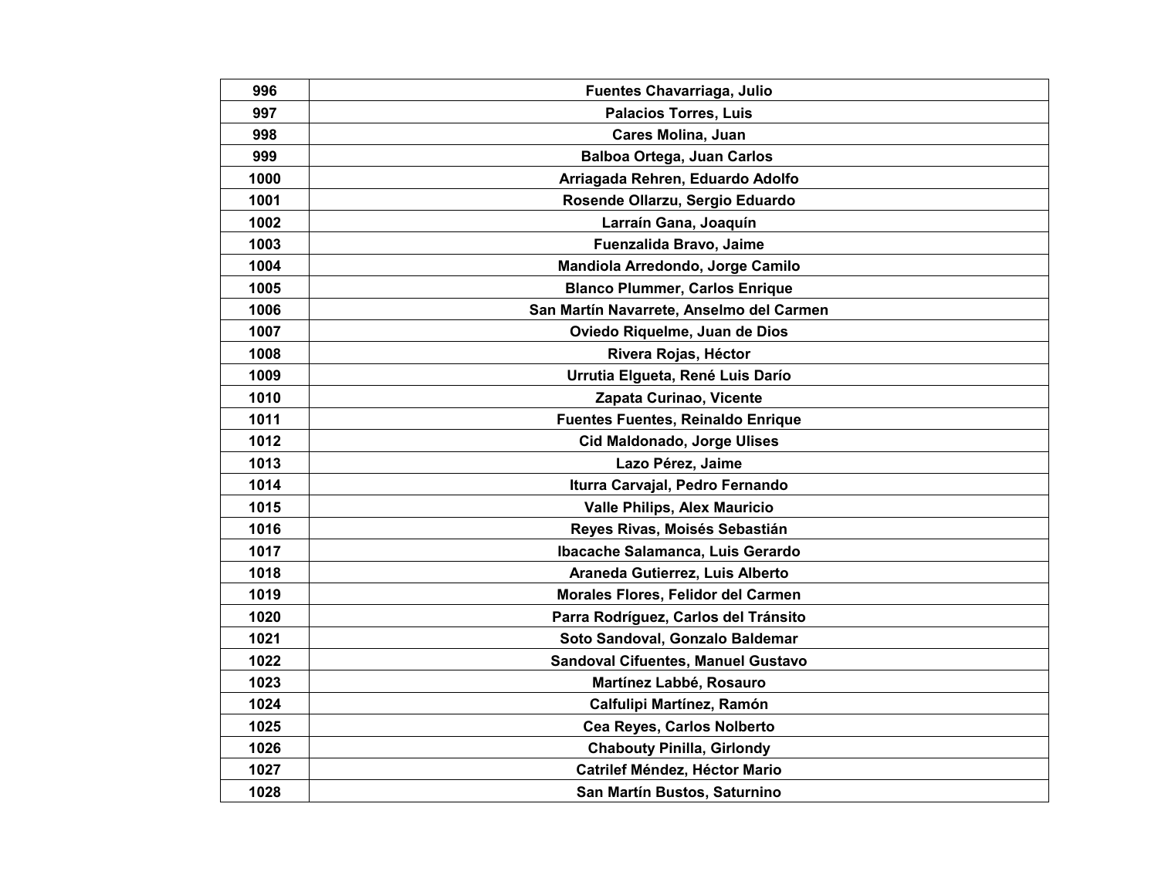| 996  | <b>Fuentes Chavarriaga, Julio</b>        |
|------|------------------------------------------|
| 997  | <b>Palacios Torres, Luis</b>             |
| 998  | <b>Cares Molina, Juan</b>                |
| 999  | <b>Balboa Ortega, Juan Carlos</b>        |
| 1000 | Arriagada Rehren, Eduardo Adolfo         |
| 1001 | Rosende Ollarzu, Sergio Eduardo          |
| 1002 | Larraín Gana, Joaquín                    |
| 1003 | Fuenzalida Bravo, Jaime                  |
| 1004 | Mandiola Arredondo, Jorge Camilo         |
| 1005 | <b>Blanco Plummer, Carlos Enrique</b>    |
| 1006 | San Martín Navarrete, Anselmo del Carmen |
| 1007 | Oviedo Riquelme, Juan de Dios            |
| 1008 | Rivera Rojas, Héctor                     |
| 1009 | Urrutia Elgueta, René Luis Darío         |
| 1010 | Zapata Curinao, Vicente                  |
| 1011 | <b>Fuentes Fuentes, Reinaldo Enrique</b> |
| 1012 | <b>Cid Maldonado, Jorge Ulises</b>       |
| 1013 | Lazo Pérez, Jaime                        |
| 1014 | Iturra Carvajal, Pedro Fernando          |
| 1015 | <b>Valle Philips, Alex Mauricio</b>      |
| 1016 | Reyes Rivas, Moisés Sebastián            |
| 1017 | Ibacache Salamanca, Luis Gerardo         |
| 1018 | Araneda Gutierrez, Luis Alberto          |
| 1019 | Morales Flores, Felidor del Carmen       |
| 1020 | Parra Rodríguez, Carlos del Tránsito     |
| 1021 | Soto Sandoval, Gonzalo Baldemar          |
| 1022 | Sandoval Cifuentes, Manuel Gustavo       |
| 1023 | Martínez Labbé, Rosauro                  |
| 1024 | Calfulipi Martínez, Ramón                |
| 1025 | Cea Reyes, Carlos Nolberto               |
| 1026 | <b>Chabouty Pinilla, Girlondy</b>        |
| 1027 | Catrilef Méndez, Héctor Mario            |
| 1028 | San Martín Bustos, Saturnino             |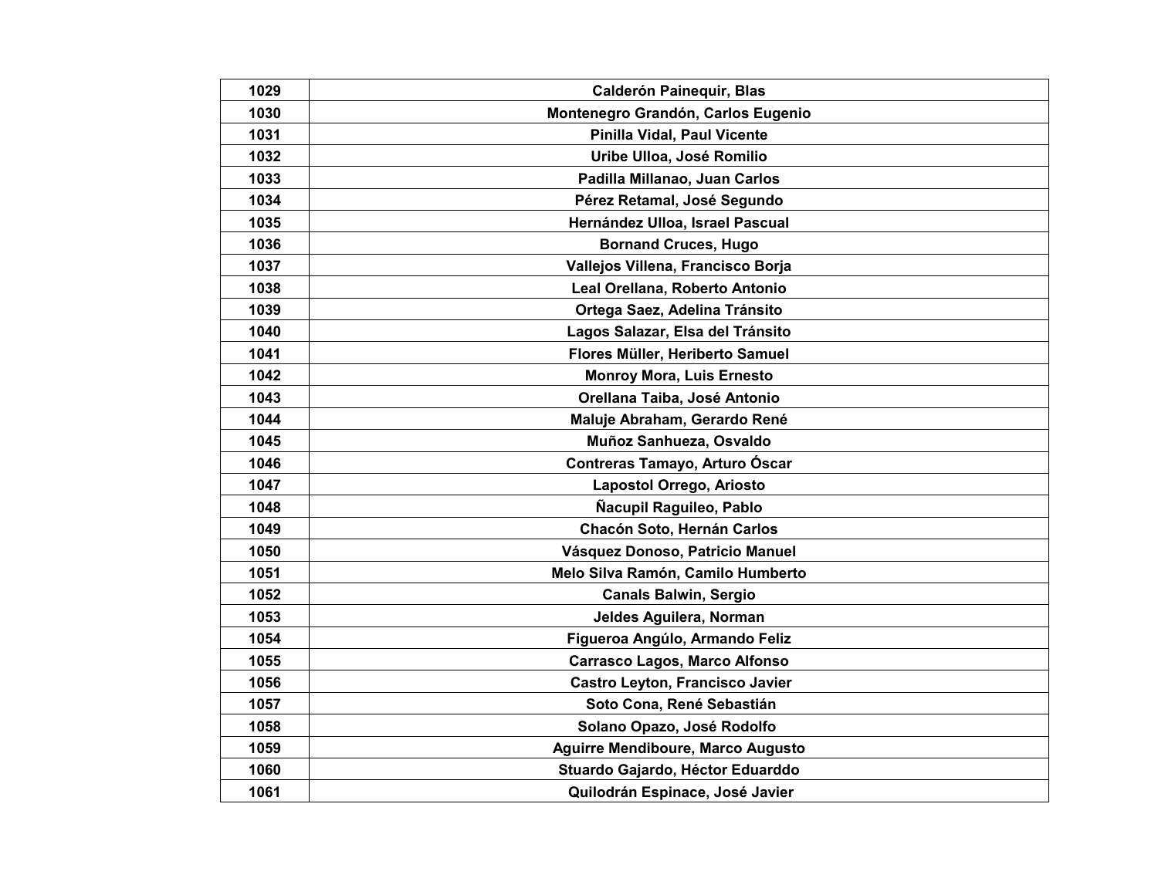| 1029 | <b>Calderón Painequir, Blas</b>          |
|------|------------------------------------------|
| 1030 | Montenegro Grandón, Carlos Eugenio       |
| 1031 | Pinilla Vidal, Paul Vicente              |
| 1032 | Uribe Ulloa, José Romilio                |
| 1033 | Padilla Millanao, Juan Carlos            |
| 1034 | Pérez Retamal, José Segundo              |
| 1035 | Hernández Ulloa, Israel Pascual          |
| 1036 | <b>Bornand Cruces, Hugo</b>              |
| 1037 | Vallejos Villena, Francisco Borja        |
| 1038 | Leal Orellana, Roberto Antonio           |
| 1039 | Ortega Saez, Adelina Tránsito            |
| 1040 | Lagos Salazar, Elsa del Tránsito         |
| 1041 | Flores Müller, Heriberto Samuel          |
| 1042 | <b>Monroy Mora, Luis Ernesto</b>         |
| 1043 | Orellana Taiba, José Antonio             |
| 1044 | Maluje Abraham, Gerardo René             |
| 1045 | Muñoz Sanhueza, Osvaldo                  |
| 1046 | Contreras Tamayo, Arturo Óscar           |
| 1047 | Lapostol Orrego, Ariosto                 |
| 1048 | <b>Ñacupil Raguileo, Pablo</b>           |
| 1049 | Chacón Soto, Hernán Carlos               |
| 1050 | Vásquez Donoso, Patricio Manuel          |
| 1051 | Melo Silva Ramón, Camilo Humberto        |
| 1052 | <b>Canals Balwin, Sergio</b>             |
| 1053 | Jeldes Aguilera, Norman                  |
| 1054 | Figueroa Angúlo, Armando Feliz           |
| 1055 | <b>Carrasco Lagos, Marco Alfonso</b>     |
| 1056 | Castro Leyton, Francisco Javier          |
| 1057 | Soto Cona, René Sebastián                |
| 1058 | Solano Opazo, José Rodolfo               |
| 1059 | <b>Aguirre Mendiboure, Marco Augusto</b> |
| 1060 | Stuardo Gajardo, Héctor Eduarddo         |
| 1061 | Quilodrán Espinace, José Javier          |